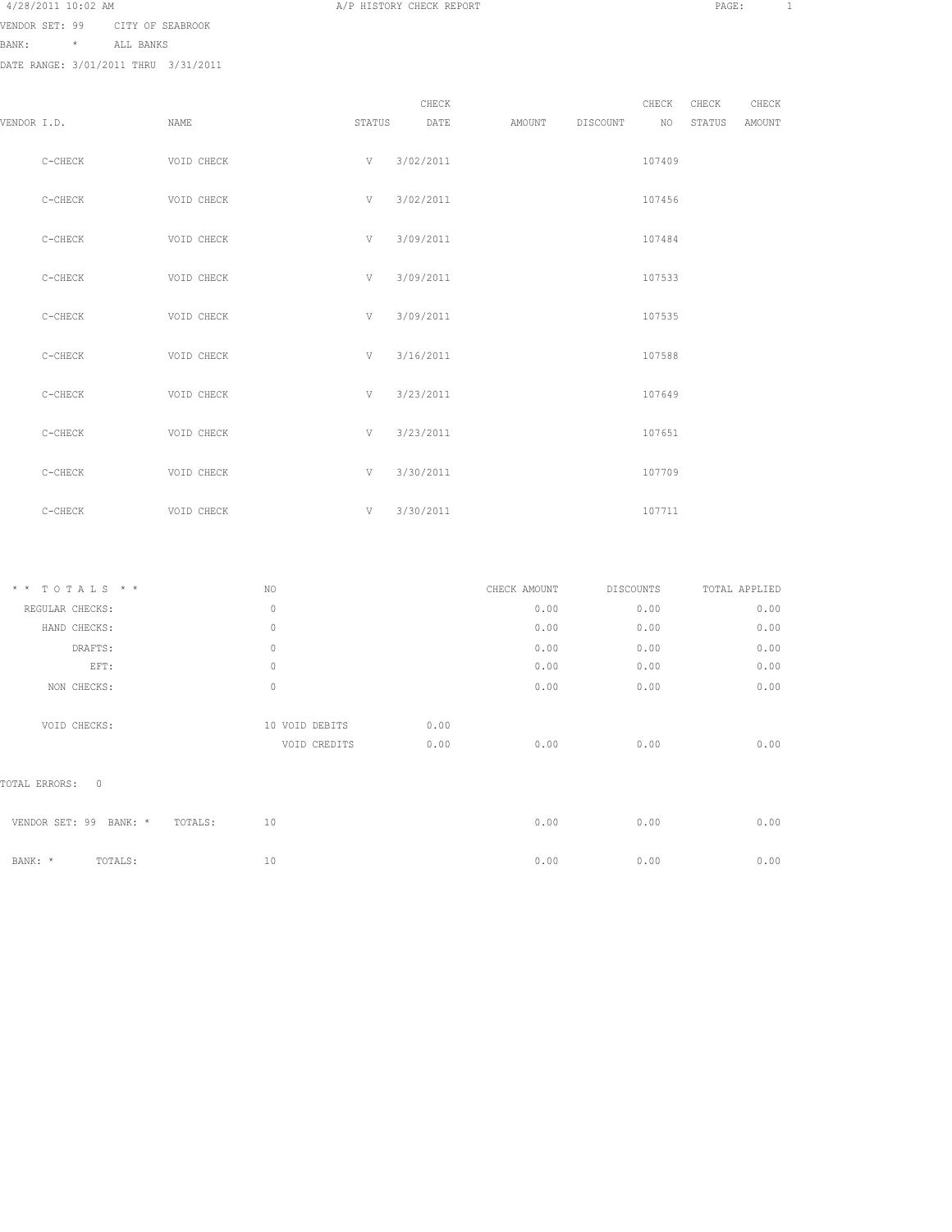4/28/2011 10:02 AM A/P HISTORY CHECK REPORT PAGE: 1

VENDOR SET: 99 CITY OF SEABROOK

BANK: \* ALL BANKS

| VENDOR I.D. |           | NAME       | STATUS | CHECK<br>DATE | AMOUNT | DISCOUNT | CHECK<br>NO | CHECK<br>STATUS | CHECK<br>AMOUNT |
|-------------|-----------|------------|--------|---------------|--------|----------|-------------|-----------------|-----------------|
|             | $C-CHECK$ | VOID CHECK | V      | 3/02/2011     |        |          | 107409      |                 |                 |
|             | $C-CHECK$ | VOID CHECK | V      | 3/02/2011     |        |          | 107456      |                 |                 |
|             | C-CHECK   | VOID CHECK | V      | 3/09/2011     |        |          | 107484      |                 |                 |
|             | $C-CHECK$ | VOID CHECK | V      | 3/09/2011     |        |          | 107533      |                 |                 |
|             | $C-CHECK$ | VOID CHECK | V      | 3/09/2011     |        |          | 107535      |                 |                 |
|             | $C-CHECK$ | VOID CHECK | V      | 3/16/2011     |        |          | 107588      |                 |                 |
|             | $C-CHECK$ | VOID CHECK | V      | 3/23/2011     |        |          | 107649      |                 |                 |
|             | C-CHECK   | VOID CHECK | V      | 3/23/2011     |        |          | 107651      |                 |                 |
|             | $C-CHECK$ | VOID CHECK | V      | 3/30/2011     |        |          | 107709      |                 |                 |
|             | $C-CHECK$ | VOID CHECK |        | $V$ 3/30/2011 |        |          | 107711      |                 |                 |

| * * TOTALS * *                    | NO             | CHECK AMOUNT |      | DISCOUNTS | TOTAL APPLIED |
|-----------------------------------|----------------|--------------|------|-----------|---------------|
| REGULAR CHECKS:                   | $\mathbf{0}$   |              | 0.00 | 0.00      | 0.00          |
| HAND CHECKS:                      | $\mathbf{0}$   |              | 0.00 | 0.00      | 0.00          |
| DRAFTS:                           | $\mathbf{0}$   |              | 0.00 | 0.00      | 0.00          |
| EFT:                              | $\mathbf{0}$   |              | 0.00 | 0.00      | 0.00          |
| NON CHECKS:                       | $\circ$        |              | 0.00 | 0.00      | 0.00          |
| VOID CHECKS:                      | 10 VOID DEBITS | 0.00         |      |           |               |
|                                   | VOID CREDITS   | 0.00         | 0.00 | 0.00      | 0.00          |
| TOTAL ERRORS: 0                   |                |              |      |           |               |
| VENDOR SET: 99 BANK: *<br>TOTALS: | 10             |              | 0.00 | 0.00      | 0.00          |
| TOTALS:<br>BANK: *                | 10             |              | 0.00 | 0.00      | 0.00          |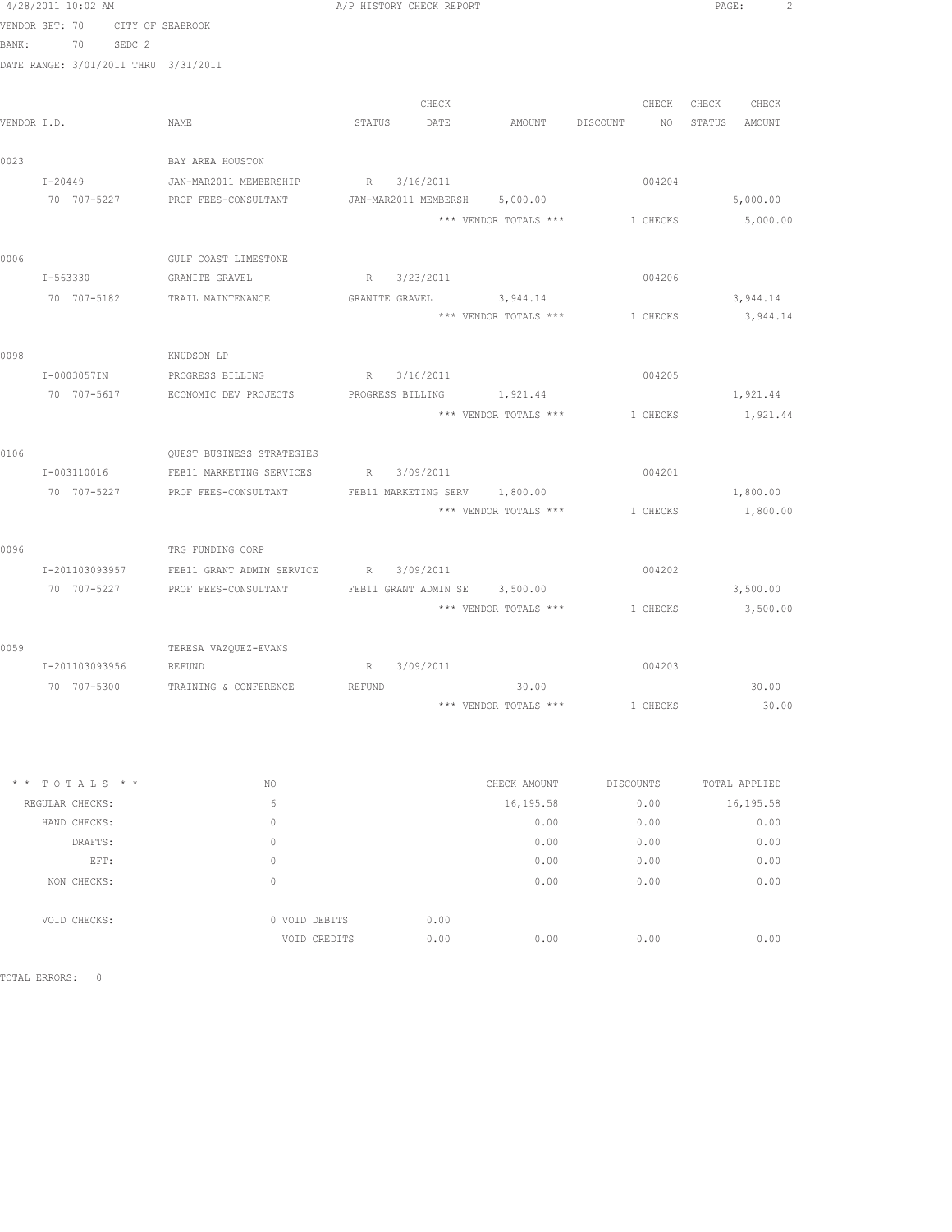|       | 4/28/2011 10:02 AM |                                          | A/P HISTORY CHECK REPORT                           |                                         | PAGE:         |
|-------|--------------------|------------------------------------------|----------------------------------------------------|-----------------------------------------|---------------|
|       | VENDOR SET: 70     | CITY OF SEABROOK                         |                                                    |                                         |               |
| BANK: | 70                 | SEDC 2                                   |                                                    |                                         |               |
|       |                    | DATE RANGE: 3/01/2011 THRU 3/31/2011     |                                                    |                                         |               |
|       |                    |                                          | CHECK                                              | CHECK                                   | CHECK CHECK   |
|       | VENDOR I.D.        | NAME                                     | STATUS<br>DATE                                     | AMOUNT DISCOUNT<br>NO                   | STATUS AMOUNT |
| 0023  |                    | BAY AREA HOUSTON                         |                                                    |                                         |               |
|       | $I - 20449$        | JAN-MAR2011 MEMBERSHIP                   | R 3/16/2011                                        | 004204                                  |               |
|       | 70 707-5227        | PROF FEES-CONSULTANT                     | JAN-MAR2011 MEMBERSH 5,000.00                      |                                         | 5,000.00      |
|       |                    |                                          |                                                    | *** VENDOR TOTALS *** 1 CHECKS          | 5,000.00      |
| 0006  |                    | GULF COAST LIMESTONE                     |                                                    |                                         |               |
|       | I-563330           | GRANITE GRAVEL                           | R 3/23/2011                                        | 004206                                  |               |
|       | 70 707-5182        | TRAIL MAINTENANCE                        | GRANITE GRAVEL 3, 944.14                           |                                         | 3,944.14      |
|       |                    |                                          |                                                    | *** VENDOR TOTALS *** 1 CHECKS 3,944.14 |               |
| 0098  |                    | KNUDSON LP                               |                                                    |                                         |               |
|       | I-0003057IN        | PROGRESS BILLING                         | R 3/16/2011                                        | 004205                                  |               |
|       | 70 707-5617        |                                          | ECONOMIC DEV PROJECTS PROGRESS BILLING 1,921.44    |                                         | 1,921.44      |
|       |                    |                                          |                                                    | *** VENDOR TOTALS *** 1 CHECKS          | 1,921.44      |
| 0106  |                    | <b>QUEST BUSINESS STRATEGIES</b>         |                                                    |                                         |               |
|       | I-003110016        | FEB11 MARKETING SERVICES                 | R 3/09/2011                                        | 004201                                  |               |
|       | 70 707-5227        |                                          | PROF FEES-CONSULTANT FEB11 MARKETING SERV 1,800.00 |                                         | 1,800.00      |
|       |                    |                                          |                                                    | *** VENDOR TOTALS *** 1 CHECKS          | 1,800.00      |
| 0096  |                    | TRG FUNDING CORP                         |                                                    |                                         |               |
|       | I-201103093957     |                                          | FEB11 GRANT ADMIN SERVICE R 3/09/2011              | 004202                                  |               |
|       | 70 707-5227        | PROF FEES-CONSULTANT                     | FEB11 GRANT ADMIN SE 3,500.00                      |                                         | 3,500.00      |
|       |                    |                                          | *** VENDOR TOTALS ***                              | 1 CHECKS                                | 3,500.00      |
| 0059  |                    | TERESA VAZQUEZ-EVANS                     |                                                    |                                         |               |
|       | I-201103093956     | <b>REFUND</b>                            | R 3/09/2011                                        | 004203                                  |               |
|       |                    | 70 707-5300 TRAINING & CONFERENCE REFUND | 30.00                                              |                                         | 30.00         |
|       |                    |                                          |                                                    | *** VENDOR TOTALS *** 1 CHECKS          | 30.00         |

| NO            | CHECK AMOUNT | <b>DISCOUNTS</b> | TOTAL APPLIED |
|---------------|--------------|------------------|---------------|
| 6             | 16,195.58    | 0.00             | 16,195.58     |
| 0             | 0.00         | 0.00             | 0.00          |
| 0             | 0.00         | 0.00             | 0.00          |
| 0             | 0.00         | 0.00             | 0.00          |
| 0             | 0.00         | 0.00             | 0.00          |
|               |              |                  |               |
| 0 VOID DEBITS | 0.00         |                  |               |
| VOID CREDITS  | 0.00<br>0.00 | 0.00             | 0.00          |
|               |              |                  |               |

TOTAL ERRORS: 0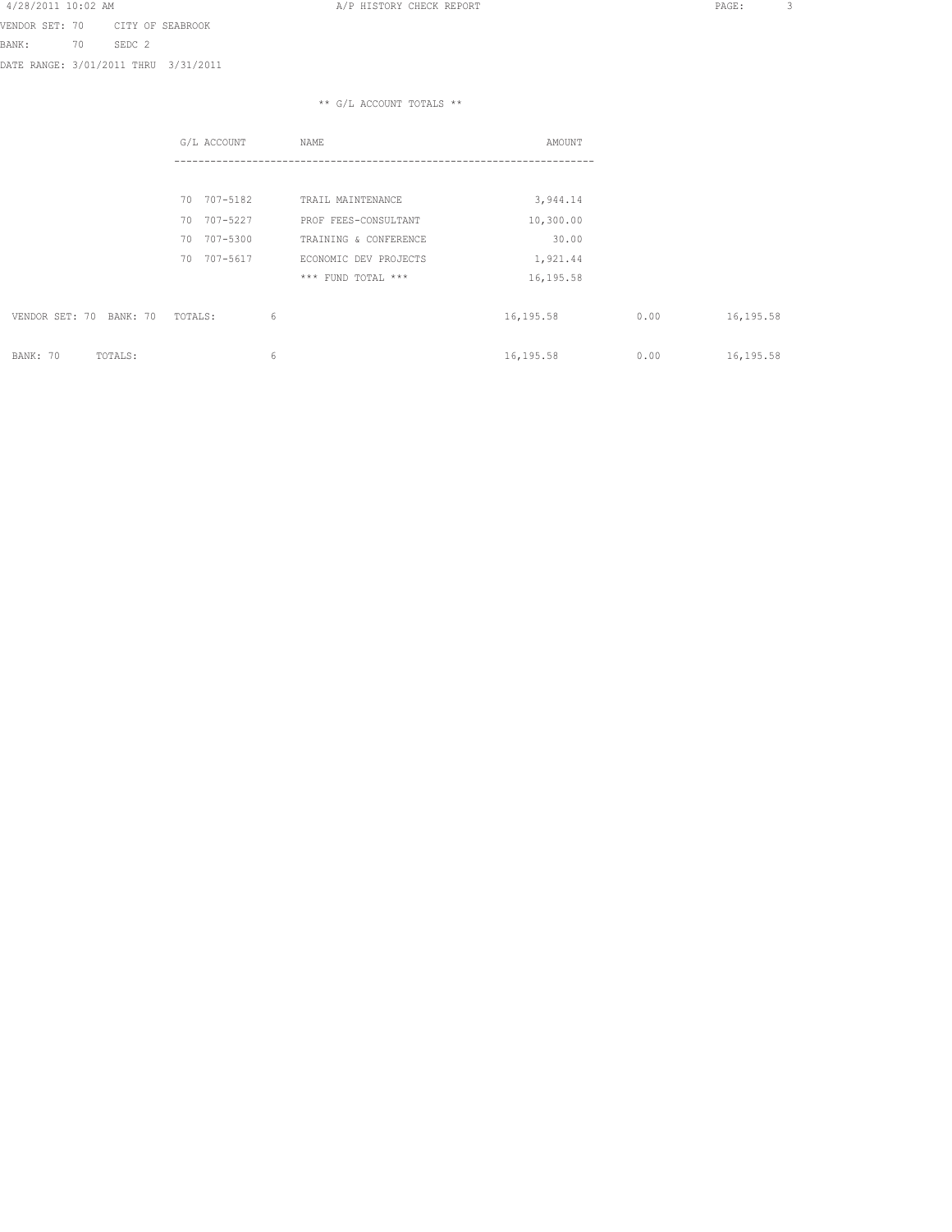A A A SERIES AND THE STREET A STREET AND THE STREET AND REPORT THE STREET AND REPORT THE STREET ASSAULT A SERIE

VENDOR SET: 70 CITY OF SEABROOK BANK: 70 SEDC 2 DATE RANGE: 3/01/2011 THRU 3/31/2011

|                            | G/L ACCOUNT    | NAME                  | AMOUNT    |      |           |
|----------------------------|----------------|-----------------------|-----------|------|-----------|
|                            |                |                       |           |      |           |
|                            | 707-5182<br>70 | TRAIL MAINTENANCE     | 3,944.14  |      |           |
|                            | 707-5227<br>70 | PROF FEES-CONSULTANT  | 10,300.00 |      |           |
|                            | 707-5300<br>70 | TRAINING & CONFERENCE | 30.00     |      |           |
|                            | 707-5617<br>70 | ECONOMIC DEV PROJECTS | 1,921.44  |      |           |
|                            |                | *** FUND TOTAL ***    | 16,195.58 |      |           |
| VENDOR SET: 70<br>BANK: 70 | 6<br>TOTALS:   |                       | 16,195.58 | 0.00 | 16,195.58 |
| BANK: 70<br>TOTALS:        | 6              |                       | 16,195.58 | 0.00 | 16,195.58 |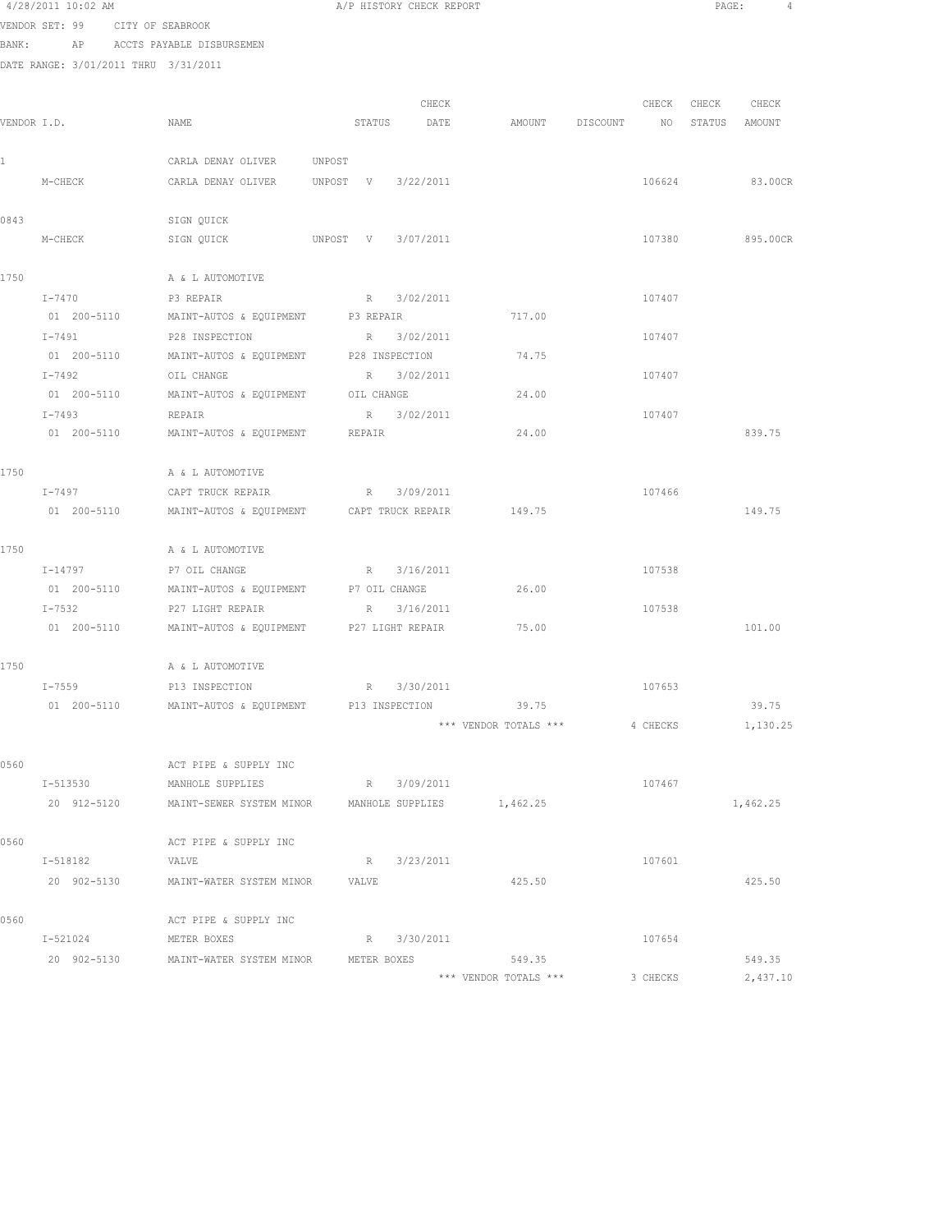|              | 4/28/2011 10:02 AM                   |                                                                |                    | A/P HISTORY CHECK REPORT |                                              |          | PAGE:             | $\sim$ 4 |
|--------------|--------------------------------------|----------------------------------------------------------------|--------------------|--------------------------|----------------------------------------------|----------|-------------------|----------|
|              | VENDOR SET: 99 CITY OF SEABROOK      |                                                                |                    |                          |                                              |          |                   |          |
|              | BANK: AP ACCTS PAYABLE DISBURSEMEN   |                                                                |                    |                          |                                              |          |                   |          |
|              | DATE RANGE: 3/01/2011 THRU 3/31/2011 |                                                                |                    |                          |                                              |          |                   |          |
|              |                                      |                                                                |                    |                          |                                              |          |                   |          |
|              |                                      |                                                                |                    | CHECK                    |                                              |          | CHECK CHECK CHECK |          |
|              | VENDOR I.D.                          | NAME                                                           |                    |                          | STATUS DATE AMOUNT DISCOUNT NO STATUS AMOUNT |          |                   |          |
|              |                                      |                                                                |                    |                          |                                              |          |                   |          |
| $\mathbf{1}$ |                                      | CARLA DENAY OLIVER UNPOST                                      |                    |                          |                                              |          |                   |          |
|              | M-CHECK                              | CARLA DENAY OLIVER UNPOST V 3/22/2011                          |                    |                          |                                              | 106624   |                   | 83.00CR  |
|              |                                      |                                                                |                    |                          |                                              |          |                   |          |
| 0843         |                                      | SIGN QUICK                                                     |                    |                          |                                              |          |                   |          |
|              | M-CHECK                              | SIGN QUICK                                                     | UNPOST V 3/07/2011 |                          |                                              | 107380   |                   | 895.00CR |
|              |                                      |                                                                |                    |                          |                                              |          |                   |          |
| 1750         |                                      | A & L AUTOMOTIVE                                               |                    |                          |                                              |          |                   |          |
|              | I-7470                               | P3 REPAIR                                                      |                    | R 3/02/2011              |                                              | 107407   |                   |          |
|              | 01 200-5110                          | MAINT-AUTOS & EQUIPMENT P3 REPAIR                              |                    |                          | 717.00                                       |          |                   |          |
|              | I-7491                               | P28 INSPECTION                                                 |                    | R 3/02/2011              |                                              | 107407   |                   |          |
|              | 01 200-5110                          | MAINT-AUTOS & EQUIPMENT P28 INSPECTION                         |                    |                          | 74.75                                        |          |                   |          |
|              | I-7492                               | OIL CHANGE                                                     |                    | R 3/02/2011              |                                              | 107407   |                   |          |
|              | 01 200-5110                          | MAINT-AUTOS & EQUIPMENT OIL CHANGE                             |                    |                          | 24.00                                        |          |                   |          |
|              | $I - 7493$                           | REPAIR                                                         |                    | R 3/02/2011              |                                              | 107407   |                   |          |
|              |                                      | 01  200-5110   MAINT-AUTOS & EQUIPMENT   REPAIR                |                    |                          | 24.00                                        |          |                   | 839.75   |
|              |                                      |                                                                |                    |                          |                                              |          |                   |          |
| 1750         |                                      | A & L AUTOMOTIVE                                               |                    |                          |                                              |          |                   |          |
|              | I-7497                               | CAPT TRUCK REPAIR                                              |                    | R 3/09/2011              |                                              | 107466   |                   |          |
|              | 01 200-5110                          | MAINT-AUTOS & EQUIPMENT CAPT TRUCK REPAIR                      |                    |                          | 149.75                                       |          |                   | 149.75   |
|              |                                      |                                                                |                    |                          |                                              |          |                   |          |
| 1750         |                                      | A & L AUTOMOTIVE                                               |                    |                          |                                              |          |                   |          |
|              | I-14797                              | P7 OIL CHANGE                                                  |                    | R 3/16/2011              |                                              | 107538   |                   |          |
|              | 01 200-5110                          | MAINT-AUTOS & EQUIPMENT P7 OIL CHANGE                          |                    |                          | 26.00                                        |          |                   |          |
|              | $I - 7532$                           | P27 LIGHT REPAIR                                               |                    | R 3/16/2011              |                                              | 107538   |                   |          |
|              |                                      | 01  200-5110  MAINT-AUTOS & EQUIPMENT  P27 LIGHT REPAIR  75.00 |                    |                          |                                              |          |                   | 101.00   |
|              |                                      |                                                                |                    |                          |                                              |          |                   |          |
| 1750         |                                      | A & L AUTOMOTIVE                                               |                    |                          |                                              |          |                   |          |
|              | I-7559 P13 INSPECTION                |                                                                | R 3/30/2011        |                          |                                              | 107653   |                   |          |
|              |                                      | 01  200-5110   MAINT-AUTOS & EQUIPMENT   P13 INSPECTION        |                    |                          | 39.75                                        |          |                   | 39.75    |
|              |                                      |                                                                |                    |                          | *** VENDOR TOTALS ***                        | 4 CHECKS |                   | 1,130.25 |
|              |                                      |                                                                |                    |                          |                                              |          |                   |          |
| 0560         |                                      | ACT PIPE & SUPPLY INC                                          |                    |                          |                                              |          |                   |          |
|              | I-513530                             | MANHOLE SUPPLIES                                               |                    | R 3/09/2011              |                                              | 107467   |                   |          |
|              | 20 912-5120                          | MAINT-SEWER SYSTEM MINOR MANHOLE SUPPLIES                      |                    |                          | 1,462.25                                     |          |                   | 1,462.25 |
|              |                                      |                                                                |                    |                          |                                              |          |                   |          |
| 0560         | I-518182                             | ACT PIPE & SUPPLY INC<br>VALVE                                 |                    | R 3/23/2011              |                                              | 107601   |                   |          |
|              |                                      | 20 902-5130 MAINT-WATER SYSTEM MINOR                           | VALVE              |                          | 425.50                                       |          |                   | 425.50   |
|              |                                      |                                                                |                    |                          |                                              |          |                   |          |
| 0560         |                                      | ACT PIPE & SUPPLY INC                                          |                    |                          |                                              |          |                   |          |
|              | I-521024                             | METER BOXES                                                    |                    | R 3/30/2011              |                                              | 107654   |                   |          |
|              | 20 902-5130                          | MAINT-WATER SYSTEM MINOR                                       | METER BOXES        |                          | 549.35                                       |          |                   | 549.35   |
|              |                                      |                                                                |                    |                          |                                              |          |                   |          |

\*\*\* VENDOR TOTALS \*\*\* 3 CHECKS 2,437.10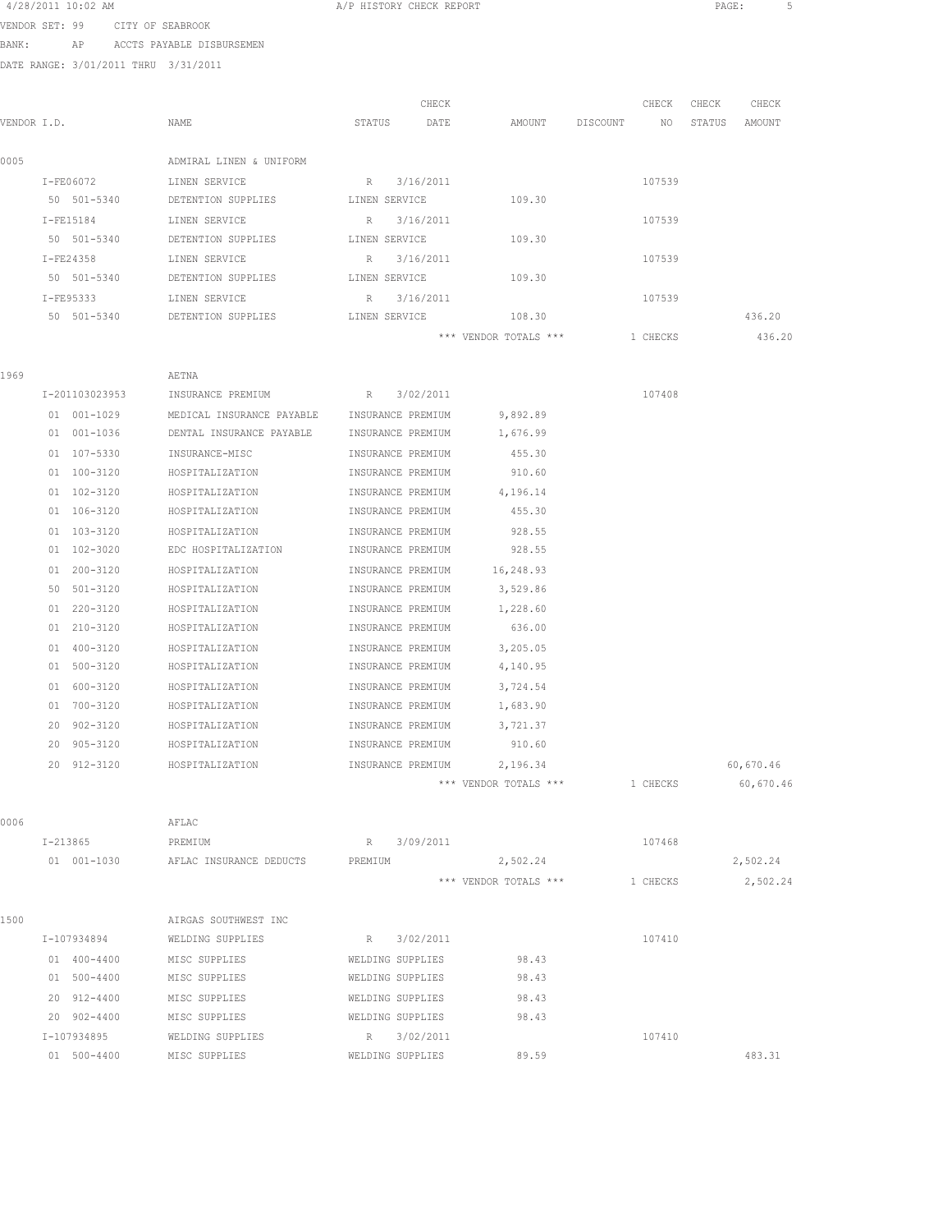| 4/28/2011 10:02 AM |  |  |                  |
|--------------------|--|--|------------------|
| VENDOR SET, 99     |  |  | CITY OF SEARROOL |

A/P HISTORY CHECK REPORT **PAGE:** 5

VENDOR SET: 99 CITY OF SEABROOK BANK: AP ACCTS PAYABLE DISBURSEMEN

DATE RANGE: 3/01/2011 THRU 3/31/2011

|             | DAIS KANGS. J/VI/ZVII IHKV - J/JI/ZVII |                                                |                   |                                |             |                  |
|-------------|----------------------------------------|------------------------------------------------|-------------------|--------------------------------|-------------|------------------|
|             |                                        |                                                | CHECK             |                                | CHECK       | CHECK<br>CHECK   |
| VENDOR I.D. |                                        | NAME                                           | STATUS<br>DATE    | AMOUNT                         | DISCOUNT NO | STATUS<br>AMOUNT |
|             |                                        |                                                |                   |                                |             |                  |
| 0005        |                                        | ADMIRAL LINEN & UNIFORM                        |                   |                                |             |                  |
|             | I-FE06072 LINEN SERVICE                |                                                | R<br>3/16/2011    |                                | 107539      |                  |
|             |                                        | 50 501-5340 DETENTION SUPPLIES LINEN SERVICE   |                   | 109.30                         |             |                  |
|             | I-FE15184                              | LINEN SERVICE                                  | R 3/16/2011       |                                | 107539      |                  |
|             | 50 501-5340                            | DETENTION SUPPLIES                             | LINEN SERVICE     | 109.30                         |             |                  |
|             | $T - FF24358$                          | LINEN SERVICE                                  | R 3/16/2011       |                                | 107539      |                  |
|             | 50 501-5340                            | DETENTION SUPPLIES                             | LINEN SERVICE     | 109.30                         |             |                  |
|             | I-FE95333                              | LINEN SERVICE                                  | R 3/16/2011       |                                | 107539      |                  |
|             | 50 501-5340                            | DETENTION SUPPLIES                             | LINEN SERVICE     | 108.30                         |             | 436.20           |
|             |                                        |                                                |                   | *** VENDOR TOTALS ***          | 1 CHECKS    | 436.20           |
|             |                                        |                                                |                   |                                |             |                  |
| 1969        |                                        | AETNA                                          |                   |                                |             |                  |
|             | I-201103023953                         | INSURANCE PREMIUM                              | R 3/02/2011       |                                | 107408      |                  |
|             | 01 001-1029                            | MEDICAL INSURANCE PAYABLE                      | INSURANCE PREMIUM | 9,892.89                       |             |                  |
|             | 01 001-1036                            | DENTAL INSURANCE PAYABLE                       | INSURANCE PREMIUM | 1,676.99                       |             |                  |
|             | 01 107-5330                            | INSURANCE-MISC                                 | INSURANCE PREMIUM | 455.30                         |             |                  |
|             | $01 100 - 3120$                        | HOSPITALIZATION                                | INSURANCE PREMIUM | 910.60                         |             |                  |
|             | 01 102-3120                            | HOSPITALIZATION                                | INSURANCE PREMIUM | 4,196.14                       |             |                  |
|             | 01 106-3120                            | HOSPITALIZATION                                | INSURANCE PREMIUM | 455.30                         |             |                  |
|             | 01 103-3120                            | HOSPITALIZATION                                | INSURANCE PREMIUM | 928.55                         |             |                  |
|             | 01 102-3020                            | EDC HOSPITALIZATION                            | INSURANCE PREMIUM | 928.55                         |             |                  |
|             | 01 200-3120                            | HOSPITALIZATION                                | INSURANCE PREMIUM | 16,248.93                      |             |                  |
|             | 50 501-3120                            | HOSPITALIZATION                                | INSURANCE PREMIUM | 3,529.86                       |             |                  |
|             | 01 220-3120                            | HOSPITALIZATION                                | INSURANCE PREMIUM | 1,228.60                       |             |                  |
|             | 01 210-3120                            | HOSPITALIZATION                                | INSURANCE PREMIUM | 636.00                         |             |                  |
|             | 01 400-3120                            | HOSPITALIZATION                                | INSURANCE PREMIUM | 3,205.05                       |             |                  |
|             | 01 500-3120                            | HOSPITALIZATION                                | INSURANCE PREMIUM | 4,140.95                       |             |                  |
|             | 01 600-3120                            | HOSPITALIZATION                                | INSURANCE PREMIUM | 3,724.54                       |             |                  |
|             | 01 700-3120                            | HOSPITALIZATION                                | INSURANCE PREMIUM | 1,683.90                       |             |                  |
|             | 20 902-3120                            | HOSPITALIZATION                                | INSURANCE PREMIUM | 3,721.37                       |             |                  |
|             | 20 905-3120                            | HOSPITALIZATION                                | INSURANCE PREMIUM | 910.60                         |             |                  |
|             | 20 912-3120                            | HOSPITALIZATION                                | INSURANCE PREMIUM | 2,196.34                       |             | 60,670.46        |
|             |                                        |                                                |                   | *** VENDOR TOTALS *** 1 CHECKS |             | 60,670.46        |
| 0006        |                                        |                                                |                   |                                |             |                  |
|             | $I - 213865$                           | AFLAC                                          | R 3/09/2011       |                                | 107468      |                  |
|             |                                        | PREMIUM<br>01 001-1030 AFLAC INSURANCE DEDUCTS | PREMIUM           | 2,502.24                       |             | 2,502.24         |
|             |                                        |                                                |                   | *** VENDOR TOTALS ***          |             |                  |
|             |                                        |                                                |                   |                                | 1 CHECKS    | 2,502.24         |
| 1500        |                                        | AIRGAS SOUTHWEST INC                           |                   |                                |             |                  |
|             | I-107934894 WELDING SUPPLIES           |                                                | R 3/02/2011       |                                | 107410      |                  |
|             | 01 400-4400                            | MISC SUPPLIES                                  | WELDING SUPPLIES  | 98.43                          |             |                  |
|             | $01 500 - 4400$                        | MISC SHIPPLIFS                                 | WELDING SUPPLIES  | $QQ$ $13$                      |             |                  |

 500-4400 MISC SUPPLIES WELDING SUPPLIES 98.43 912-4400 MISC SUPPLIES WELDING SUPPLIES 98.43 902-4400 MISC SUPPLIES WELDING SUPPLIES 98.43 I-107934895 WELDING SUPPLIES R 3/02/2011 107410 500-4400 MISC SUPPLIES WELDING SUPPLIES 89.59 483.31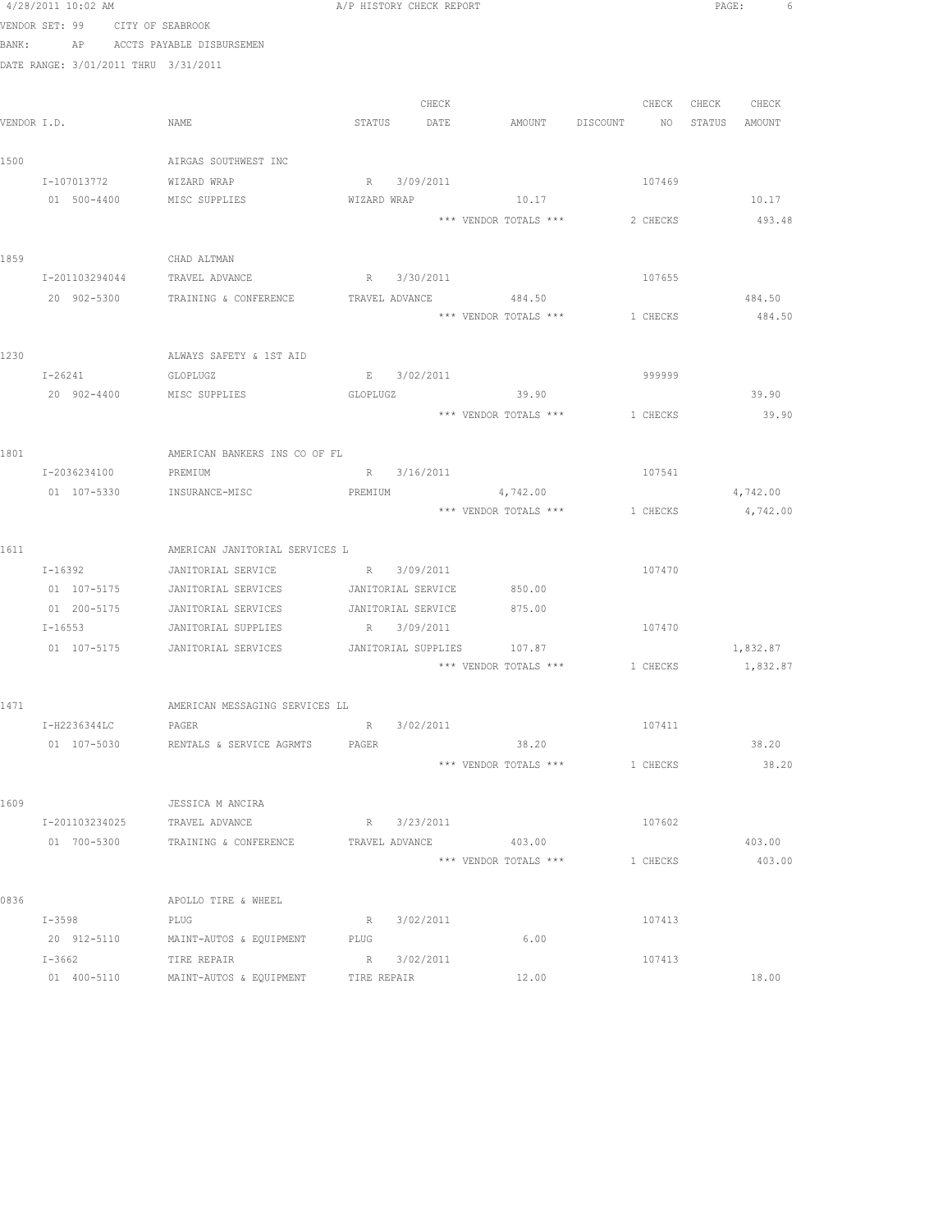|       | 4/28/2011 10:02 AM                   |                                                                  | A/P HISTORY CHECK REPORT |           |                                              |          |                   | PAGE: 6          |  |
|-------|--------------------------------------|------------------------------------------------------------------|--------------------------|-----------|----------------------------------------------|----------|-------------------|------------------|--|
|       | VENDOR SET: 99 CITY OF SEABROOK      |                                                                  |                          |           |                                              |          |                   |                  |  |
| BANK: |                                      | AP ACCTS PAYABLE DISBURSEMEN                                     |                          |           |                                              |          |                   |                  |  |
|       | DATE RANGE: 3/01/2011 THRU 3/31/2011 |                                                                  |                          |           |                                              |          |                   |                  |  |
|       |                                      |                                                                  |                          | CHECK     |                                              |          | CHECK CHECK CHECK |                  |  |
|       | VENDOR I.D.                          | NAME                                                             |                          |           | STATUS DATE AMOUNT DISCOUNT NO STATUS AMOUNT |          |                   |                  |  |
|       |                                      |                                                                  |                          |           |                                              |          |                   |                  |  |
| 1500  |                                      | AIRGAS SOUTHWEST INC                                             |                          |           |                                              |          |                   |                  |  |
|       | I-107013772                          | WIZARD WRAP                                                      | R 3/09/2011              |           |                                              | 107469   |                   |                  |  |
|       | 01 500-4400                          | MISC SUPPLIES                                                    | WIZARD WRAP              |           | 10.17                                        |          |                   | 10.17            |  |
|       |                                      |                                                                  |                          |           | *** VENDOR TOTALS *** 2 CHECKS               |          |                   | 493.48           |  |
|       |                                      |                                                                  |                          |           |                                              |          |                   |                  |  |
| 1859  |                                      | CHAD ALTMAN                                                      |                          |           |                                              |          |                   |                  |  |
|       |                                      | I-201103294044 TRAVEL ADVANCE                                    | R 3/30/2011              |           |                                              | 107655   |                   |                  |  |
|       |                                      | 20 902-5300 TRAINING & CONFERENCE TRAVEL ADVANCE 484.50          |                          |           | *** VENDOR TOTALS *** 1 CHECKS               |          |                   | 484.50<br>484.50 |  |
|       |                                      |                                                                  |                          |           |                                              |          |                   |                  |  |
| 1230  |                                      | ALWAYS SAFETY & 1ST AID                                          |                          |           |                                              |          |                   |                  |  |
|       | $I - 26241$                          | GLOPLUGZ                                                         | E 3/02/2011              |           |                                              | 999999   |                   |                  |  |
|       | 20 902-4400                          | MISC SUPPLIES                                                    | GLOPLUGZ                 |           | 39.90                                        |          |                   | 39.90            |  |
|       |                                      |                                                                  |                          |           | *** VENDOR TOTALS ***                        | 1 CHECKS |                   | 39.90            |  |
|       |                                      |                                                                  |                          |           |                                              |          |                   |                  |  |
| 1801  |                                      | AMERICAN BANKERS INS CO OF FL                                    |                          |           |                                              |          |                   |                  |  |
|       | I-2036234100                         | PREMIUM                                                          | R 3/16/2011              |           |                                              | 107541   |                   |                  |  |
|       |                                      | 01 107-5330 INSURANCE-MISC                                       | PREMIUM                  |           | 4,742.00                                     |          |                   | 4,742.00         |  |
|       |                                      |                                                                  |                          |           | *** VENDOR TOTALS *** 1 CHECKS               |          |                   | 4,742.00         |  |
|       |                                      |                                                                  |                          |           |                                              |          |                   |                  |  |
| 1611  |                                      | AMERICAN JANITORIAL SERVICES L                                   |                          |           |                                              |          |                   |                  |  |
|       | $I - 16392$                          | JANITORIAL SERVICE                                               | R 3/09/2011              |           |                                              | 107470   |                   |                  |  |
|       |                                      | 01  107-5175   JANITORIAL SERVICES   JANITORIAL SERVICE   850.00 |                          |           |                                              |          |                   |                  |  |
|       | 01 200-5175                          | JANITORIAL SERVICES                                              | JANITORIAL SERVICE       |           | 875.00                                       |          |                   |                  |  |
|       | $I - 16553$                          | JANITORIAL SUPPLIES                                              | R 3/09/2011              |           |                                              | 107470   |                   |                  |  |
|       |                                      | 01 107-5175 JANITORIAL SERVICES JANITORIAL SUPPLIES 107.87       |                          |           | *** VENDOR TOTALS *** 1 CHECKS               |          |                   | 1,832.87         |  |
|       |                                      |                                                                  |                          |           |                                              |          |                   | 1,832.87         |  |
| 1471  |                                      | AMERICAN MESSAGING SERVICES LL                                   |                          |           |                                              |          |                   |                  |  |
|       | I-H2236344LC                         | PAGER                                                            | R 3/02/2011              |           |                                              | 107411   |                   |                  |  |
|       | 01 107-5030                          | RENTALS & SERVICE AGRMTS                                         | PAGER                    |           | 38.20                                        |          |                   | 38.20            |  |
|       |                                      |                                                                  |                          |           | *** VENDOR TOTALS ***                        | 1 CHECKS |                   | 38.20            |  |
|       |                                      |                                                                  |                          |           |                                              |          |                   |                  |  |
| 1609  |                                      | JESSICA M ANCIRA                                                 |                          |           |                                              |          |                   |                  |  |
|       | I-201103234025                       | TRAVEL ADVANCE                                                   | R 3/23/2011              |           |                                              | 107602   |                   |                  |  |
|       | 01 700-5300                          | TRAINING & CONFERENCE                                            | TRAVEL ADVANCE           |           | 403.00                                       |          |                   | 403.00           |  |
|       |                                      |                                                                  |                          |           | *** VENDOR TOTALS ***                        | 1 CHECKS |                   | 403.00           |  |
|       |                                      |                                                                  |                          |           |                                              |          |                   |                  |  |
| 0836  |                                      | APOLLO TIRE & WHEEL                                              |                          |           |                                              |          |                   |                  |  |
|       | I-3598                               | PLUG                                                             | R                        | 3/02/2011 |                                              | 107413   |                   |                  |  |
|       | 20 912-5110                          | MAINT-AUTOS & EQUIPMENT                                          | PLUG                     |           | 6.00                                         |          |                   |                  |  |
|       | I-3662                               | TIRE REPAIR                                                      | R                        | 3/02/2011 |                                              | 107413   |                   |                  |  |
|       | 01 400-5110                          | MAINT-AUTOS & EQUIPMENT                                          | TIRE REPAIR              |           | 12.00                                        |          |                   | 18.00            |  |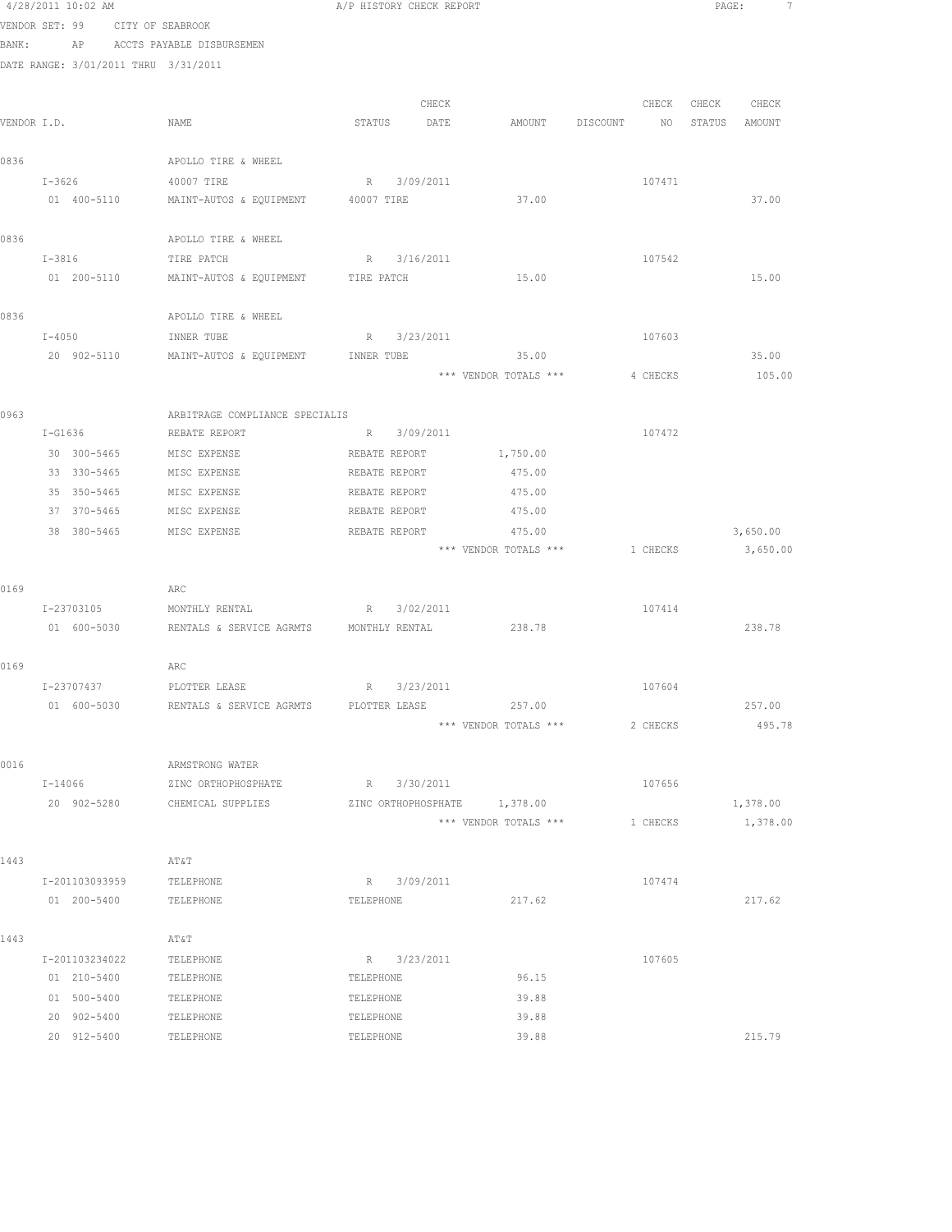|      | 4/28/2011 10:02 AM<br>VENDOR SET: 99          | CITY OF SEABROOK                                   | A/P HISTORY CHECK REPORT     |                                |          |             | PAGE:<br>7 |
|------|-----------------------------------------------|----------------------------------------------------|------------------------------|--------------------------------|----------|-------------|------------|
|      | BANK:<br>DATE RANGE: 3/01/2011 THRU 3/31/2011 | AP ACCTS PAYABLE DISBURSEMEN                       |                              |                                |          |             |            |
|      |                                               |                                                    | CHECK                        |                                | CHECK    | CHECK CHECK |            |
|      | VENDOR I.D.                                   | NAME                                               | STATUS DATE                  | AMOUNT DISCOUNT                |          | NO STATUS   | AMOUNT     |
| 0836 |                                               | APOLLO TIRE & WHEEL                                |                              |                                |          |             |            |
|      | $I-3626$                                      | 40007 TIRE                                         | R 3/09/2011                  |                                | 107471   |             |            |
|      | 01 400-5110                                   | MAINT-AUTOS & EQUIPMENT 40007 TIRE                 |                              | 37.00                          |          |             | 37.00      |
| 0836 |                                               | APOLLO TIRE & WHEEL                                |                              |                                |          |             |            |
|      | I-3816                                        | TIRE PATCH                                         | R 3/16/2011                  |                                | 107542   |             |            |
|      | 01 200-5110                                   | MAINT-AUTOS & EQUIPMENT TIRE PATCH                 |                              | 15.00                          |          |             | 15.00      |
| 0836 |                                               | APOLLO TIRE & WHEEL                                |                              |                                |          |             |            |
|      | $I - 4050$                                    | INNER TUBE                                         | R 3/23/2011                  |                                | 107603   |             |            |
|      | 20 902-5110                                   | MAINT-AUTOS & EQUIPMENT INNER TUBE 35.00           |                              |                                |          |             | 35.00      |
|      |                                               |                                                    |                              | *** VENDOR TOTALS ***          | 4 CHECKS |             | 105.00     |
| 0963 |                                               | ARBITRAGE COMPLIANCE SPECIALIS                     |                              |                                |          |             |            |
|      | $I-G1636$                                     | REBATE REPORT                                      | R 3/09/2011                  |                                | 107472   |             |            |
|      | 30 300-5465                                   | MISC EXPENSE                                       | REBATE REPORT                | 1,750.00                       |          |             |            |
|      | 33 330-5465                                   | MISC EXPENSE                                       | REBATE REPORT                | 475.00                         |          |             |            |
|      | 35 350-5465                                   | MISC EXPENSE                                       | REBATE REPORT                | 475.00                         |          |             |            |
|      | 37 370-5465                                   | MISC EXPENSE                                       | REBATE REPORT                | 475.00                         |          |             |            |
|      | 38 380-5465                                   | MISC EXPENSE                                       | REBATE REPORT                | 475.00                         |          |             | 3,650.00   |
|      |                                               |                                                    |                              | *** VENDOR TOTALS *** 1 CHECKS |          |             | 3,650.00   |
| 0169 |                                               | ARC                                                |                              |                                |          |             |            |
|      | I-23703105                                    | MONTHLY RENTAL                                     | R 3/02/2011                  |                                | 107414   |             |            |
|      | 01 600-5030                                   | RENTALS & SERVICE AGRMTS MONTHLY RENTAL            |                              | 238.78                         |          |             | 238.78     |
| 0169 |                                               | ARC                                                |                              |                                |          |             |            |
|      | I-23707437                                    | PLOTTER LEASE                                      | R 3/23/2011                  |                                | 107604   |             |            |
|      |                                               | 01 600-5030 RENTALS & SERVICE AGRMTS PLOTTER LEASE |                              | 257.00                         |          |             | 257.00     |
|      |                                               |                                                    |                              | *** VENDOR TOTALS ***          | 2 CHECKS |             | 495.78     |
| 0016 |                                               | ARMSTRONG WATER                                    |                              |                                |          |             |            |
|      | I-14066                                       | ZINC ORTHOPHOSPHATE                                | R 3/30/2011                  |                                | 107656   |             |            |
|      | 20 902-5280                                   | CHEMICAL SUPPLIES                                  | ZINC ORTHOPHOSPHATE 1,378.00 |                                |          |             | 1,378.00   |
|      |                                               |                                                    |                              | *** VENDOR TOTALS ***          | 1 CHECKS |             | 1,378.00   |
| 1443 |                                               | AT&T                                               |                              |                                |          |             |            |
|      | I-201103093959                                | TELEPHONE                                          | R 3/09/2011                  |                                | 107474   |             |            |
|      | 01 200-5400                                   | TELEPHONE                                          | TELEPHONE                    | 217.62                         |          |             | 217.62     |
| 1443 |                                               | AT&T                                               |                              |                                |          |             |            |
|      | I-201103234022                                | TELEPHONE                                          | R 3/23/2011                  |                                | 107605   |             |            |
|      | 01 210-5400                                   | TELEPHONE                                          | TELEPHONE                    | 96.15                          |          |             |            |
|      | 01 500-5400                                   | TELEPHONE                                          | TELEPHONE                    | 39.88                          |          |             |            |
|      | 20 902-5400                                   | TELEPHONE                                          | TELEPHONE                    | 39.88                          |          |             |            |
|      | 20 912-5400                                   | TELEPHONE                                          | TELEPHONE                    | 39.88                          |          |             | 215.79     |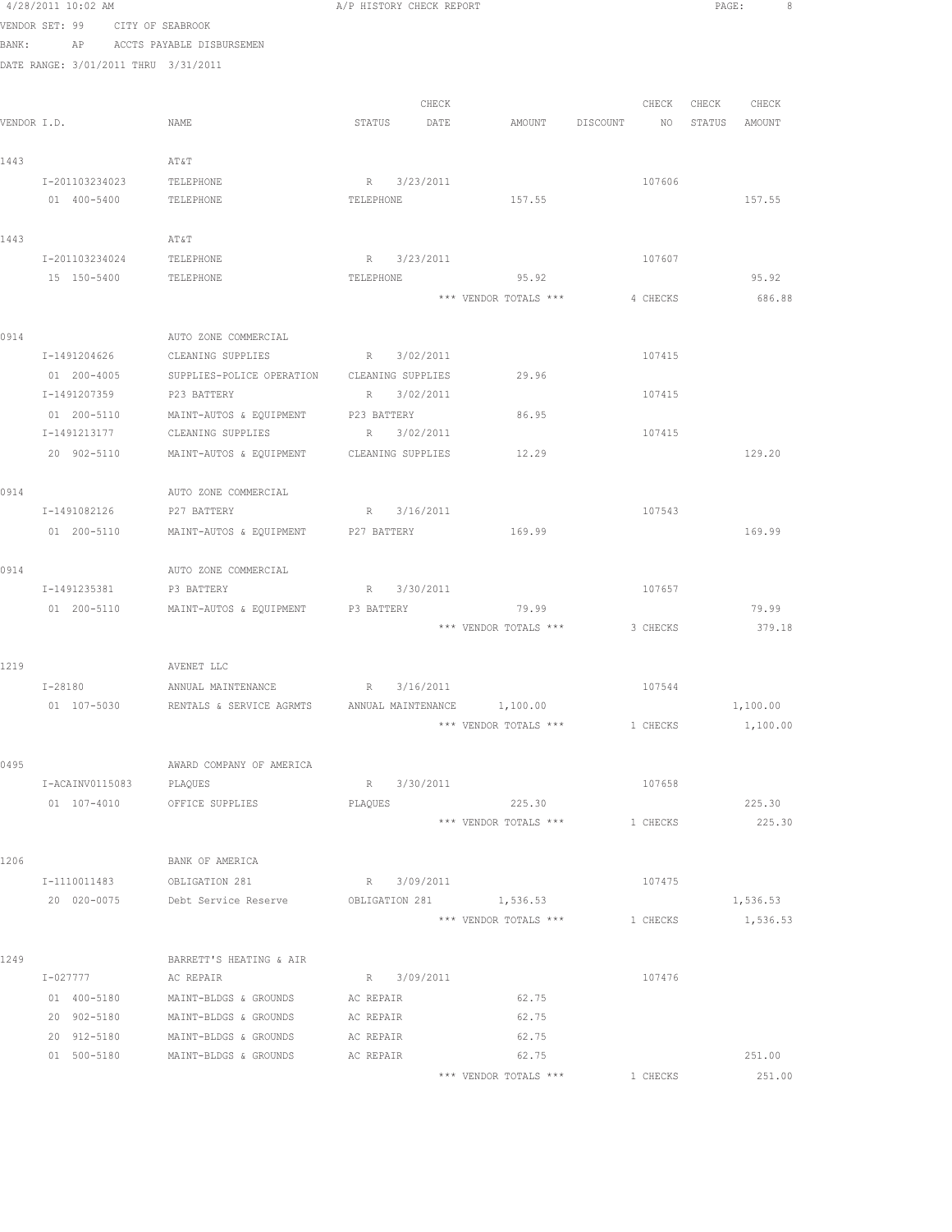|      | 4/28/2011 10:02 AM |                                                       | A/P HISTORY CHECK REPORT                    |                                 |                                  | PAGE:             | - 8 |
|------|--------------------|-------------------------------------------------------|---------------------------------------------|---------------------------------|----------------------------------|-------------------|-----|
|      |                    | VENDOR SET: 99 CITY OF SEABROOK                       |                                             |                                 |                                  |                   |     |
|      |                    | BANK: AP ACCTS PAYABLE DISBURSEMEN                    |                                             |                                 |                                  |                   |     |
|      |                    | DATE RANGE: 3/01/2011 THRU 3/31/2011                  |                                             |                                 |                                  |                   |     |
|      |                    |                                                       |                                             |                                 |                                  |                   |     |
|      |                    |                                                       | CHECK                                       |                                 |                                  | CHECK CHECK CHECK |     |
|      | VENDOR I.D.        | NAME                                                  | STATUS DATE                                 |                                 | AMOUNT DISCOUNT NO STATUS AMOUNT |                   |     |
|      |                    |                                                       |                                             |                                 |                                  |                   |     |
| 1443 |                    | AT&T                                                  |                                             |                                 |                                  |                   |     |
|      | I-201103234023     | TELEPHONE                                             | R 3/23/2011                                 |                                 | 107606                           |                   |     |
|      | 01 400-5400        | TELEPHONE                                             | TELEPHONE                                   | 157.55                          |                                  | 157.55            |     |
|      |                    |                                                       |                                             |                                 |                                  |                   |     |
| 1443 |                    | AT&T                                                  |                                             |                                 |                                  |                   |     |
|      | I-201103234024     | TELEPHONE                                             | R 3/23/2011                                 |                                 | 107607                           |                   |     |
|      | 15 150-5400        | TELEPHONE                                             | TELEPHONE                                   | 95.92                           |                                  | 95.92             |     |
|      |                    |                                                       |                                             | *** VENDOR TOTALS ***           | 4 CHECKS                         | 686.88            |     |
|      |                    |                                                       |                                             |                                 |                                  |                   |     |
| 0914 | I-1491204626       | AUTO ZONE COMMERCIAL<br>CLEANING SUPPLIES             | R 3/02/2011                                 |                                 | 107415                           |                   |     |
|      | 01 200-4005        |                                                       | SUPPLIES-POLICE OPERATION CLEANING SUPPLIES | 29.96                           |                                  |                   |     |
|      | I-1491207359       | P23 BATTERY                                           | R 3/02/2011                                 |                                 | 107415                           |                   |     |
|      | 01 200-5110        | MAINT-AUTOS & EQUIPMENT P23 BATTERY                   |                                             | 86.95                           |                                  |                   |     |
|      | I-1491213177       | CLEANING SUPPLIES                                     | R 3/02/2011                                 |                                 | 107415                           |                   |     |
|      |                    | 20 902-5110 MAINT-AUTOS & EQUIPMENT CLEANING SUPPLIES |                                             | 12.29                           |                                  | 129.20            |     |
|      |                    |                                                       |                                             |                                 |                                  |                   |     |
| 0914 |                    | AUTO ZONE COMMERCIAL                                  |                                             |                                 |                                  |                   |     |
|      | I-1491082126       | P27 BATTERY                                           | R 3/16/2011                                 |                                 | 107543                           |                   |     |
|      | 01 200-5110        | MAINT-AUTOS & EQUIPMENT P27 BATTERY                   |                                             | 169.99                          |                                  | 169.99            |     |
|      |                    |                                                       |                                             |                                 |                                  |                   |     |
| 0914 |                    | AUTO ZONE COMMERCIAL                                  |                                             |                                 |                                  |                   |     |
|      | I-1491235381       | P3 BATTERY                                            | R 3/30/2011                                 |                                 | 107657                           |                   |     |
|      |                    | 01  200-5110   MAINT-AUTOS & EQUIPMENT   P3 BATTERY   |                                             | 79.99                           |                                  | 79.99             |     |
|      |                    |                                                       |                                             |                                 | *** VENDOR TOTALS *** 3 CHECKS   | 379.18            |     |
|      |                    |                                                       |                                             |                                 |                                  |                   |     |
| 1219 |                    | AVENET LLC                                            |                                             |                                 |                                  |                   |     |
|      |                    | I-28180 ANNUAL MAINTENANCE R 3/16/2011                |                                             |                                 | 107544                           |                   |     |
|      | 01 107-5030        | RENTALS & SERVICE AGRMTS                              | ANNUAL MAINTENANCE 1,100.00                 |                                 |                                  | 1,100.00          |     |
|      |                    |                                                       |                                             | *** VENDOR TOTALS ***           | 1 CHECKS                         | 1,100.00          |     |
|      |                    |                                                       |                                             |                                 |                                  |                   |     |
| 0495 |                    | AWARD COMPANY OF AMERICA                              |                                             |                                 |                                  |                   |     |
|      | I-ACAINV0115083    | PLAQUES                                               | R 3/30/2011                                 |                                 | 107658                           |                   |     |
|      |                    | 01 107-4010 OFFICE SUPPLIES                           | PLAQUES                                     | 225.30<br>*** VENDOR TOTALS *** |                                  | 225.30            |     |
|      |                    |                                                       |                                             |                                 | 1 CHECKS                         | 225.30            |     |
| 1206 |                    | BANK OF AMERICA                                       |                                             |                                 |                                  |                   |     |
|      | I-1110011483       | OBLIGATION 281                                        | R 3/09/2011                                 |                                 | 107475                           |                   |     |
|      | 20 020-0075        | Debt Service Reserve                                  | OBLIGATION 281                              | 1,536.53                        |                                  | 1,536.53          |     |
|      |                    |                                                       |                                             | *** VENDOR TOTALS ***           | 1 CHECKS                         | 1,536.53          |     |
|      |                    |                                                       |                                             |                                 |                                  |                   |     |
| 1249 |                    | BARRETT'S HEATING & AIR                               |                                             |                                 |                                  |                   |     |
|      | I-027777           | AC REPAIR                                             | R 3/09/2011                                 |                                 | 107476                           |                   |     |
|      | 01 400-5180        | MAINT-BLDGS & GROUNDS                                 | AC REPAIR                                   | 62.75                           |                                  |                   |     |
|      | 20 902-5180        | MAINT-BLDGS & GROUNDS                                 | AC REPAIR                                   | 62.75                           |                                  |                   |     |
|      | 20 912-5180        | MAINT-BLDGS & GROUNDS                                 | AC REPAIR                                   | 62.75                           |                                  |                   |     |
|      | 01 500-5180        | MAINT-BLDGS & GROUNDS                                 | AC REPAIR                                   | 62.75                           |                                  | 251.00            |     |
|      |                    |                                                       |                                             |                                 |                                  |                   |     |

\*\*\* VENDOR TOTALS \*\*\* 1 CHECKS 251.00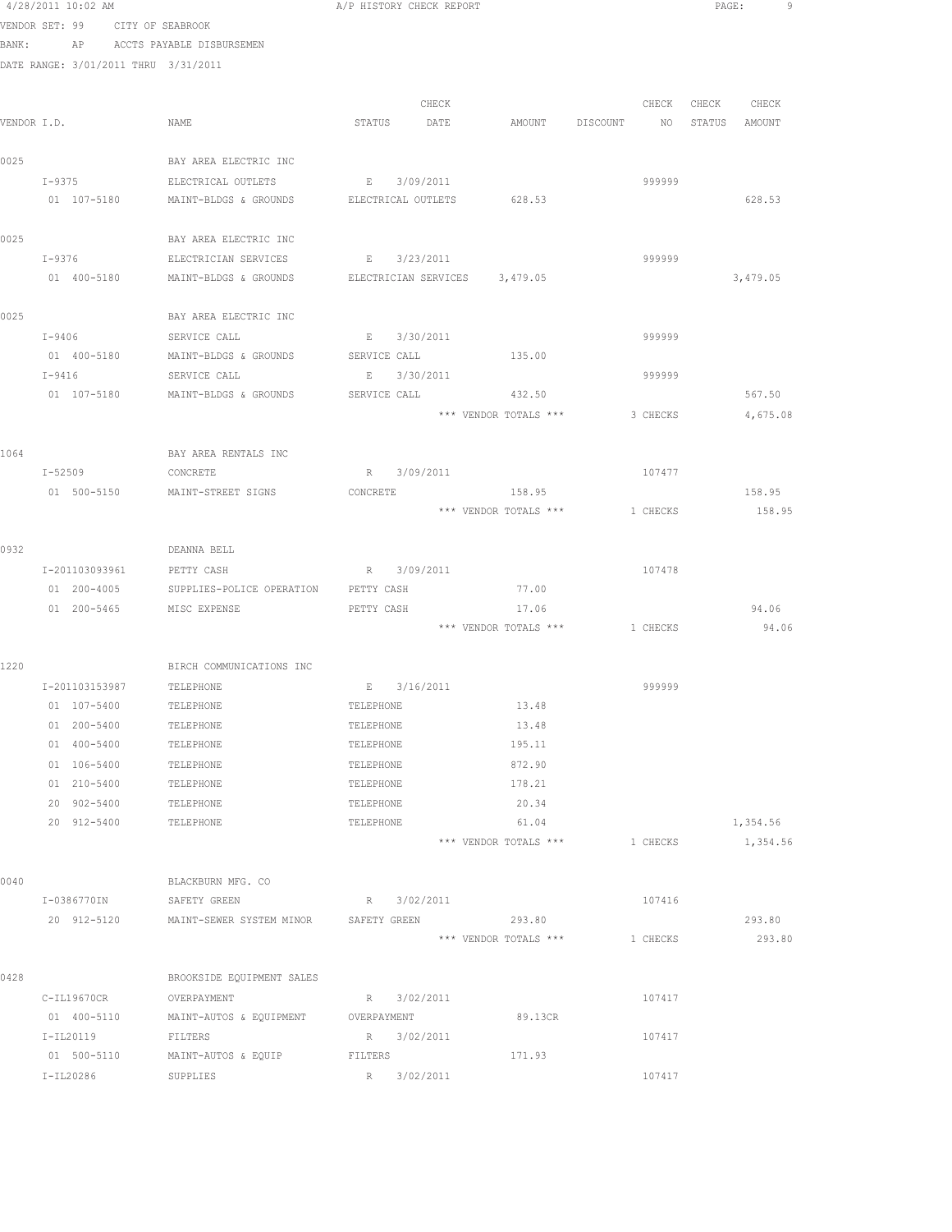|      | 4/28/2011 10:02 AM |                                      | A/P HISTORY CHECK REPORT      |                                |                                  | PAGE:<br>-9 |
|------|--------------------|--------------------------------------|-------------------------------|--------------------------------|----------------------------------|-------------|
|      |                    | VENDOR SET: 99 CITY OF SEABROOK      |                               |                                |                                  |             |
|      |                    | BANK: AP ACCTS PAYABLE DISBURSEMEN   |                               |                                |                                  |             |
|      |                    | DATE RANGE: 3/01/2011 THRU 3/31/2011 |                               |                                |                                  |             |
|      |                    |                                      |                               |                                |                                  |             |
|      |                    |                                      | CHECK                         |                                | CHECK                            | CHECK CHECK |
|      | VENDOR I.D.        | NAME                                 | STATUS DATE                   |                                | AMOUNT DISCOUNT NO STATUS AMOUNT |             |
|      |                    |                                      |                               |                                |                                  |             |
| 0025 |                    | BAY AREA ELECTRIC INC                |                               |                                |                                  |             |
|      | $I - 9375$         | ELECTRICAL OUTLETS                   | E 3/09/2011                   |                                | 999999                           |             |
|      |                    | 01 107-5180 MAINT-BLDGS & GROUNDS    | ELECTRICAL OUTLETS 628.53     |                                |                                  | 628.53      |
|      |                    |                                      |                               |                                |                                  |             |
| 0025 |                    | BAY AREA ELECTRIC INC                |                               |                                |                                  |             |
|      | I-9376             | ELECTRICIAN SERVICES                 | E 3/23/2011                   |                                | 999999                           |             |
|      | 01 400-5180        | MAINT-BLDGS & GROUNDS                | ELECTRICIAN SERVICES 3,479.05 |                                |                                  | 3,479.05    |
|      |                    |                                      |                               |                                |                                  |             |
| 0025 |                    | BAY AREA ELECTRIC INC                |                               |                                |                                  |             |
|      | $I-9406$           | SERVICE CALL                         | E 3/30/2011                   |                                | 999999                           |             |
|      | 01 400-5180        | MAINT-BLDGS & GROUNDS                | SERVICE CALL                  | 135.00                         |                                  |             |
|      | I-9416             | SERVICE CALL                         | E 3/30/2011                   |                                | 999999                           |             |
|      |                    | 01 107-5180 MAINT-BLDGS & GROUNDS    | SERVICE CALL 432.50           |                                |                                  | 567.50      |
|      |                    |                                      |                               | *** VENDOR TOTALS ***          | 3 CHECKS                         | 4,675.08    |
|      |                    |                                      |                               |                                |                                  |             |
| 1064 |                    | BAY AREA RENTALS INC                 |                               |                                |                                  |             |
|      | I-52509            | CONCRETE                             | R 3/09/2011                   |                                | 107477                           |             |
|      | 01 500-5150        | MAINT-STREET SIGNS                   | CONCRETE                      | 158.95                         |                                  | 158.95      |
|      |                    |                                      |                               | *** VENDOR TOTALS ***          | 1 CHECKS                         | 158.95      |
|      |                    |                                      |                               |                                |                                  |             |
| 0932 |                    | DEANNA BELL                          |                               |                                |                                  |             |
|      | I-201103093961     | PETTY CASH                           | R 3/09/2011                   |                                | 107478                           |             |
|      | 01 200-4005        | SUPPLIES-POLICE OPERATION            | PETTY CASH                    | 77.00                          |                                  |             |
|      | 01 200-5465        | MISC EXPENSE                         | PETTY CASH                    | 17.06                          |                                  | 94.06       |
|      |                    |                                      |                               | *** VENDOR TOTALS *** 1 CHECKS |                                  | 94.06       |
|      |                    |                                      |                               |                                |                                  |             |
| 1220 |                    | BIRCH COMMUNICATIONS INC             |                               |                                |                                  |             |
|      |                    | I-201103153987 TELEPHONE             | E 3/16/2011                   |                                | 999999                           |             |
|      | 01 107-5400        | TELEPHONE                            | TELEPHONE                     | 13.48                          |                                  |             |
|      | 01 200-5400        | TELEPHONE                            | TELEPHONE                     | 13.48                          |                                  |             |
|      | 01 400-5400        | TELEPHONE                            | TELEPHONE                     | 195.11                         |                                  |             |
|      | 01 106-5400        | TELEPHONE                            | TELEPHONE                     | 872.90                         |                                  |             |
|      | 01 210-5400        | TELEPHONE                            | TELEPHONE                     | 178.21                         |                                  |             |
|      | 20 902-5400        | TELEPHONE                            | TELEPHONE                     | 20.34                          |                                  |             |
|      | 20 912-5400        | TELEPHONE                            | TELEPHONE                     | 61.04                          |                                  | 1,354.56    |
|      |                    |                                      |                               | *** VENDOR TOTALS ***          | 1 CHECKS                         | 1,354.56    |
|      |                    |                                      |                               |                                |                                  |             |
| 0040 |                    | BLACKBURN MFG. CO                    |                               |                                |                                  |             |
|      | I-0386770IN        | SAFETY GREEN                         | R 3/02/2011                   |                                | 107416                           |             |
|      | 20 912-5120        | MAINT-SEWER SYSTEM MINOR             | SAFETY GREEN                  | 293.80                         |                                  | 293.80      |
|      |                    |                                      |                               | *** VENDOR TOTALS ***          | 1 CHECKS                         | 293.80      |
|      |                    |                                      |                               |                                |                                  |             |
| 0428 |                    | BROOKSIDE EQUIPMENT SALES            |                               |                                |                                  |             |
|      | C-IL19670CR        | OVERPAYMENT                          | R 3/02/2011                   |                                | 107417                           |             |
|      | 01 400-5110        | MAINT-AUTOS & EQUIPMENT              | OVERPAYMENT                   | 89.13CR                        |                                  |             |
|      | I-IL20119          | FILTERS                              | R 3/02/2011                   |                                | 107417                           |             |
|      | 01 500-5110        | MAINT-AUTOS & EQUIP                  | FILTERS                       | 171.93                         |                                  |             |
|      | I-IL20286          | SUPPLIES                             | R<br>3/02/2011                |                                | 107417                           |             |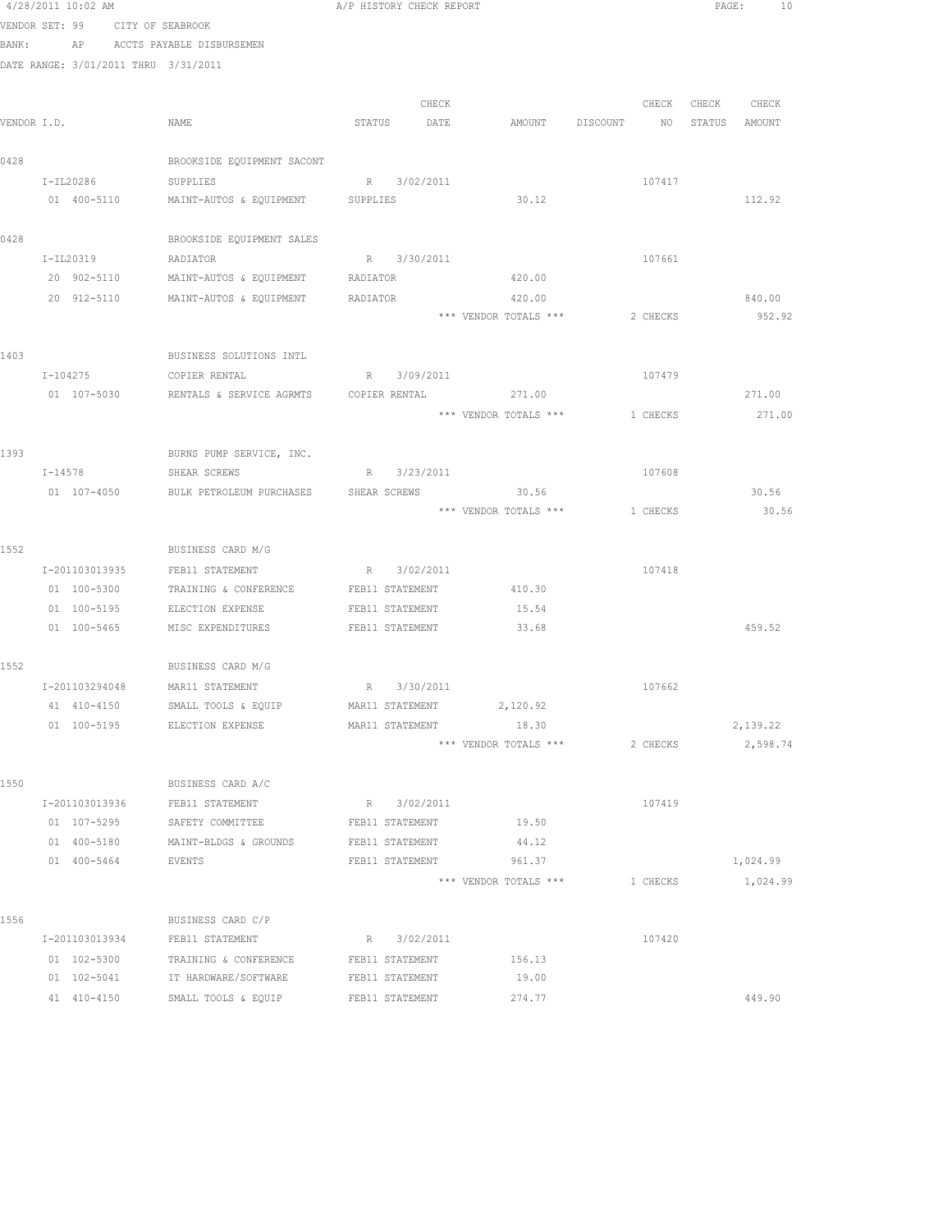|      | 4/28/2011 10:02 AM                   |                                                         |          | A/P HISTORY CHECK REPORT |                                  |          |                   | PAGE:<br>10 |
|------|--------------------------------------|---------------------------------------------------------|----------|--------------------------|----------------------------------|----------|-------------------|-------------|
|      | VENDOR SET: 99 CITY OF SEABROOK      |                                                         |          |                          |                                  |          |                   |             |
|      |                                      | BANK: AP ACCTS PAYABLE DISBURSEMEN                      |          |                          |                                  |          |                   |             |
|      | DATE RANGE: 3/01/2011 THRU 3/31/2011 |                                                         |          |                          |                                  |          |                   |             |
|      |                                      |                                                         |          |                          |                                  |          |                   |             |
|      |                                      |                                                         |          | CHECK                    |                                  |          | CHECK CHECK CHECK |             |
|      | VENDOR I.D.                          | NAME                                                    |          | STATUS DATE              | AMOUNT DISCOUNT NO STATUS AMOUNT |          |                   |             |
| 0428 |                                      | BROOKSIDE EQUIPMENT SACONT                              |          |                          |                                  |          |                   |             |
|      | I-IL20286                            | SUPPLIES                                                |          | R 3/02/2011              |                                  | 107417   |                   |             |
|      |                                      | 01 400-5110 MAINT-AUTOS & EQUIPMENT SUPPLIES            |          |                          | 30.12                            |          |                   | 112.92      |
|      |                                      |                                                         |          |                          |                                  |          |                   |             |
| 0428 |                                      | BROOKSIDE EQUIPMENT SALES                               |          |                          |                                  |          |                   |             |
|      | I-IL20319                            | RADIATOR                                                |          | R 3/30/2011              |                                  | 107661   |                   |             |
|      | 20 902-5110                          | MAINT-AUTOS & EQUIPMENT RADIATOR                        |          |                          | 420.00                           |          |                   |             |
|      | 20 912-5110                          | MAINT-AUTOS & EQUIPMENT                                 | RADIATOR |                          | 420.00                           |          |                   | 840.00      |
|      |                                      |                                                         |          |                          | *** VENDOR TOTALS ***            | 2 CHECKS |                   | 952.92      |
|      |                                      |                                                         |          |                          |                                  |          |                   |             |
| 1403 |                                      | BUSINESS SOLUTIONS INTL                                 |          |                          |                                  |          |                   |             |
|      | $I - 104275$                         | COPIER RENTAL                                           |          | R 3/09/2011              |                                  | 107479   |                   |             |
|      | 01 107-5030                          | RENTALS & SERVICE AGRMTS COPIER RENTAL                  |          |                          | 271.00                           |          |                   | 271.00      |
|      |                                      |                                                         |          |                          | *** VENDOR TOTALS *** 1 CHECKS   |          |                   | 271.00      |
|      |                                      |                                                         |          |                          |                                  |          |                   |             |
| 1393 | I-14578 SHEAR SCREWS                 | BURNS PUMP SERVICE, INC.                                |          | R 3/23/2011              |                                  | 107608   |                   |             |
|      |                                      | 01 107-4050 BULK PETROLEUM PURCHASES SHEAR SCREWS 30.56 |          |                          |                                  |          |                   | 30.56       |
|      |                                      |                                                         |          |                          | *** VENDOR TOTALS *** 1 CHECKS   |          |                   | 30.56       |
|      |                                      |                                                         |          |                          |                                  |          |                   |             |
| 1552 |                                      | BUSINESS CARD M/G                                       |          |                          |                                  |          |                   |             |
|      | I-201103013935                       | FEB11 STATEMENT                                         |          | R 3/02/2011              |                                  | 107418   |                   |             |
|      | 01 100-5300                          | TRAINING & CONFERENCE                                   |          | FEB11 STATEMENT          | 410.30                           |          |                   |             |
|      | 01 100-5195                          | ELECTION EXPENSE                                        |          | FEB11 STATEMENT          | 15.54                            |          |                   |             |
|      |                                      | 01 100-5465 MISC EXPENDITURES                           |          | FEB11 STATEMENT          | 33.68                            |          |                   | 459.52      |
|      |                                      |                                                         |          |                          |                                  |          |                   |             |
| 1552 |                                      | BUSINESS CARD M/G                                       |          |                          |                                  |          |                   |             |
|      |                                      | I-201103294048 MAR11 STATEMENT                          |          | R 3/30/2011              |                                  | 107662   |                   |             |
|      | 41 410-4150                          | SMALL TOOLS & EQUIP                                     |          | MAR11 STATEMENT          | 2,120.92                         |          |                   |             |
|      | 01 100-5195                          | ELECTION EXPENSE                                        |          | MAR11 STATEMENT          | 18.30                            |          |                   | 2,139.22    |
|      |                                      |                                                         |          |                          | *** VENDOR TOTALS ***            | 2 CHECKS |                   | 2,598.74    |
| 1550 |                                      | BUSINESS CARD A/C                                       |          |                          |                                  |          |                   |             |
|      | I-201103013936                       | FEB11 STATEMENT                                         |          | R 3/02/2011              |                                  | 107419   |                   |             |
|      | 01 107-5295                          | SAFETY COMMITTEE                                        |          | FEB11 STATEMENT          | 19.50                            |          |                   |             |
|      | 01 400-5180                          | MAINT-BLDGS & GROUNDS                                   |          | FEB11 STATEMENT          | 44.12                            |          |                   |             |
|      | 01 400-5464                          | <b>EVENTS</b>                                           |          | FEB11 STATEMENT          | 961.37                           |          |                   | 1,024.99    |
|      |                                      |                                                         |          |                          | *** VENDOR TOTALS ***            | 1 CHECKS |                   | 1,024.99    |
|      |                                      |                                                         |          |                          |                                  |          |                   |             |
| 1556 |                                      | BUSINESS CARD C/P                                       |          |                          |                                  |          |                   |             |
|      | I-201103013934                       | FEB11 STATEMENT                                         |          | R 3/02/2011              |                                  | 107420   |                   |             |
|      | 01 102-5300                          | TRAINING & CONFERENCE                                   |          | FEB11 STATEMENT          | 156.13                           |          |                   |             |
|      | 01 102-5041                          | IT HARDWARE/SOFTWARE                                    |          | FEB11 STATEMENT          | 19.00                            |          |                   |             |
|      | 41 410-4150                          | SMALL TOOLS & EQUIP                                     |          | FEB11 STATEMENT          | 274.77                           |          |                   | 449.90      |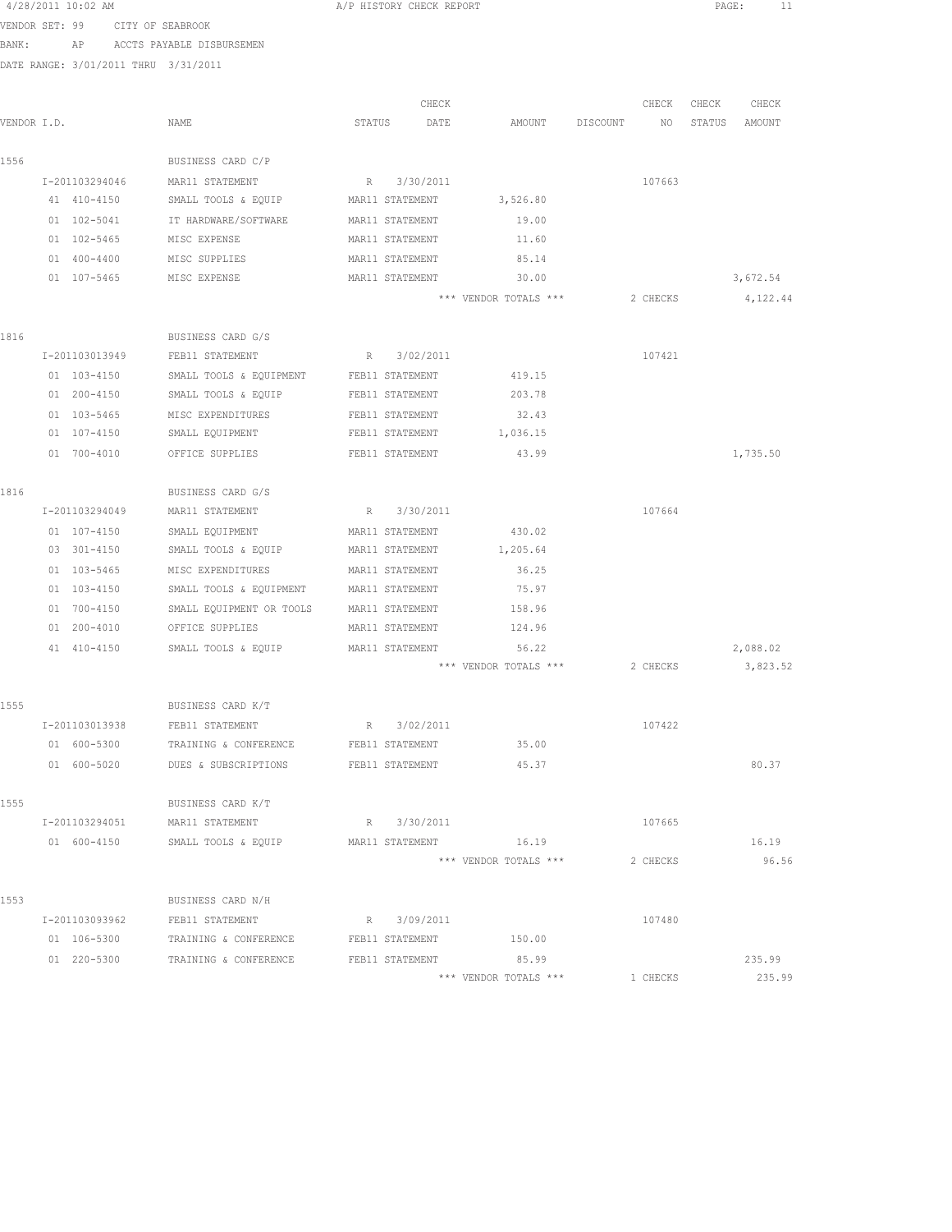|                | 4/28/2011 10:02 AM |                 |                                                        | A/P HISTORY CHECK REPORT |                 |                       |          |          | PAGE:<br>11 |          |
|----------------|--------------------|-----------------|--------------------------------------------------------|--------------------------|-----------------|-----------------------|----------|----------|-------------|----------|
| VENDOR SET: 99 |                    |                 | CITY OF SEABROOK                                       |                          |                 |                       |          |          |             |          |
| BANK:          |                    | AP              | ACCTS PAYABLE DISBURSEMEN                              |                          |                 |                       |          |          |             |          |
|                |                    |                 | DATE RANGE: 3/01/2011 THRU 3/31/2011                   |                          |                 |                       |          |          |             |          |
|                |                    |                 |                                                        |                          | CHECK           |                       |          | CHECK    | CHECK       | CHECK    |
| VENDOR I.D.    |                    |                 | NAME                                                   | STATUS                   | DATE            | AMOUNT                | DISCOUNT | NO       | STATUS      | AMOUNT   |
|                |                    |                 |                                                        |                          |                 |                       |          |          |             |          |
| 1556           |                    |                 | BUSINESS CARD C/P                                      |                          |                 |                       |          |          |             |          |
|                |                    | I-201103294046  | MAR11 STATEMENT                                        |                          | R 3/30/2011     |                       |          | 107663   |             |          |
|                |                    | 41 410-4150     | SMALL TOOLS & EQUIP                                    |                          | MAR11 STATEMENT | 3,526.80              |          |          |             |          |
|                |                    | 01 102-5041     | IT HARDWARE/SOFTWARE                                   |                          | MAR11 STATEMENT | 19.00                 |          |          |             |          |
|                |                    | 01 102-5465     | MISC EXPENSE                                           |                          | MAR11 STATEMENT | 11.60                 |          |          |             |          |
|                |                    | $01 400 - 4400$ | MISC SUPPLIES                                          |                          | MAR11 STATEMENT | 85.14                 |          |          |             |          |
|                |                    | 01 107-5465     | MISC EXPENSE                                           |                          | MAR11 STATEMENT | 30.00                 |          |          |             | 3,672.54 |
|                |                    |                 |                                                        |                          |                 | *** VENDOR TOTALS *** |          | 2 CHECKS |             | 4,122.44 |
| 1816           |                    |                 | BUSINESS CARD G/S                                      |                          |                 |                       |          |          |             |          |
|                |                    | I-201103013949  | FEB11 STATEMENT                                        | R                        | 3/02/2011       |                       |          | 107421   |             |          |
|                |                    | 01 103-4150     | SMALL TOOLS & EQUIPMENT FEB11 STATEMENT                |                          |                 | 419.15                |          |          |             |          |
|                |                    | 01 200-4150     | SMALL TOOLS & EQUIP                                    |                          | FEB11 STATEMENT | 203.78                |          |          |             |          |
|                |                    | 01 103-5465     | MISC EXPENDITURES                                      |                          | FEB11 STATEMENT | 32.43                 |          |          |             |          |
|                |                    | 01 107-4150     | SMALL EQUIPMENT                                        |                          | FEB11 STATEMENT | 1,036.15              |          |          |             |          |
|                |                    | 01 700-4010     | OFFICE SUPPLIES                                        |                          | FEB11 STATEMENT | 43.99                 |          |          |             | 1,735.50 |
| 1816           |                    |                 | BUSINESS CARD G/S                                      |                          |                 |                       |          |          |             |          |
|                |                    | I-201103294049  | MAR11 STATEMENT                                        |                          | R 3/30/2011     |                       |          | 107664   |             |          |
|                |                    | 01 107-4150     | SMALL EQUIPMENT                                        |                          | MAR11 STATEMENT | 430.02                |          |          |             |          |
|                |                    | 03 301-4150     | SMALL TOOLS & EQUIP                                    |                          | MAR11 STATEMENT | 1,205.64              |          |          |             |          |
|                |                    | 01 103-5465     | MISC EXPENDITURES                                      | MAR11 STATEMENT          |                 | 36.25                 |          |          |             |          |
|                |                    | 01 103-4150     | SMALL TOOLS & EQUIPMENT MAR11 STATEMENT                |                          |                 | 75.97                 |          |          |             |          |
|                |                    | 01 700-4150     | SMALL EQUIPMENT OR TOOLS MAR11 STATEMENT               |                          |                 | 158.96                |          |          |             |          |
|                |                    | 01 200-4010     | OFFICE SUPPLIES                                        |                          | MAR11 STATEMENT | 124.96                |          |          |             |          |
|                |                    | 41 410-4150     | SMALL TOOLS & EQUIP                                    |                          | MAR11 STATEMENT | 56.22                 |          |          |             | 2,088.02 |
|                |                    |                 |                                                        |                          |                 | *** VENDOR TOTALS *** |          | 2 CHECKS |             | 3,823.52 |
| 1555           |                    |                 | BUSINESS CARD K/T                                      |                          |                 |                       |          |          |             |          |
|                |                    | I-201103013938  | FEB11 STATEMENT                                        |                          | R 3/02/2011     |                       |          | 107422   |             |          |
|                |                    | 01 600-5300     | TRAINING & CONFERENCE                                  |                          | FEB11 STATEMENT | 35.00                 |          |          |             |          |
|                |                    |                 | 01 600-5020 DUES & SUBSCRIPTIONS FEB11 STATEMENT 45.37 |                          |                 |                       |          |          |             | 80.37    |
| 1555           |                    |                 | BUSINESS CARD K/T                                      |                          |                 |                       |          |          |             |          |
|                |                    |                 | I-201103294051 MAR11 STATEMENT                         |                          | R 3/30/2011     |                       |          | 107665   |             |          |
|                |                    |                 | 01 600-4150 SMALL TOOLS & EQUIP                        |                          |                 | MAR11 STATEMENT 16.19 |          |          |             | 16.19    |
|                |                    |                 |                                                        |                          |                 | *** VENDOR TOTALS *** |          | 2 CHECKS |             | 96.56    |
| 1553           |                    |                 | BUSINESS CARD N/H                                      |                          |                 |                       |          |          |             |          |
|                |                    | I-201103093962  | FEB11 STATEMENT                                        |                          | R 3/09/2011     |                       |          | 107480   |             |          |
|                |                    | 01 106-5300     | TRAINING & CONFERENCE                                  |                          | FEB11 STATEMENT | 150.00                |          |          |             |          |
|                |                    | 01 220-5300     | TRAINING & CONFERENCE                                  |                          | FEB11 STATEMENT | 85.99                 |          |          |             | 235.99   |
|                |                    |                 |                                                        |                          |                 |                       |          |          |             |          |

\*\*\* VENDOR TOTALS \*\*\* 1 CHECKS 235.99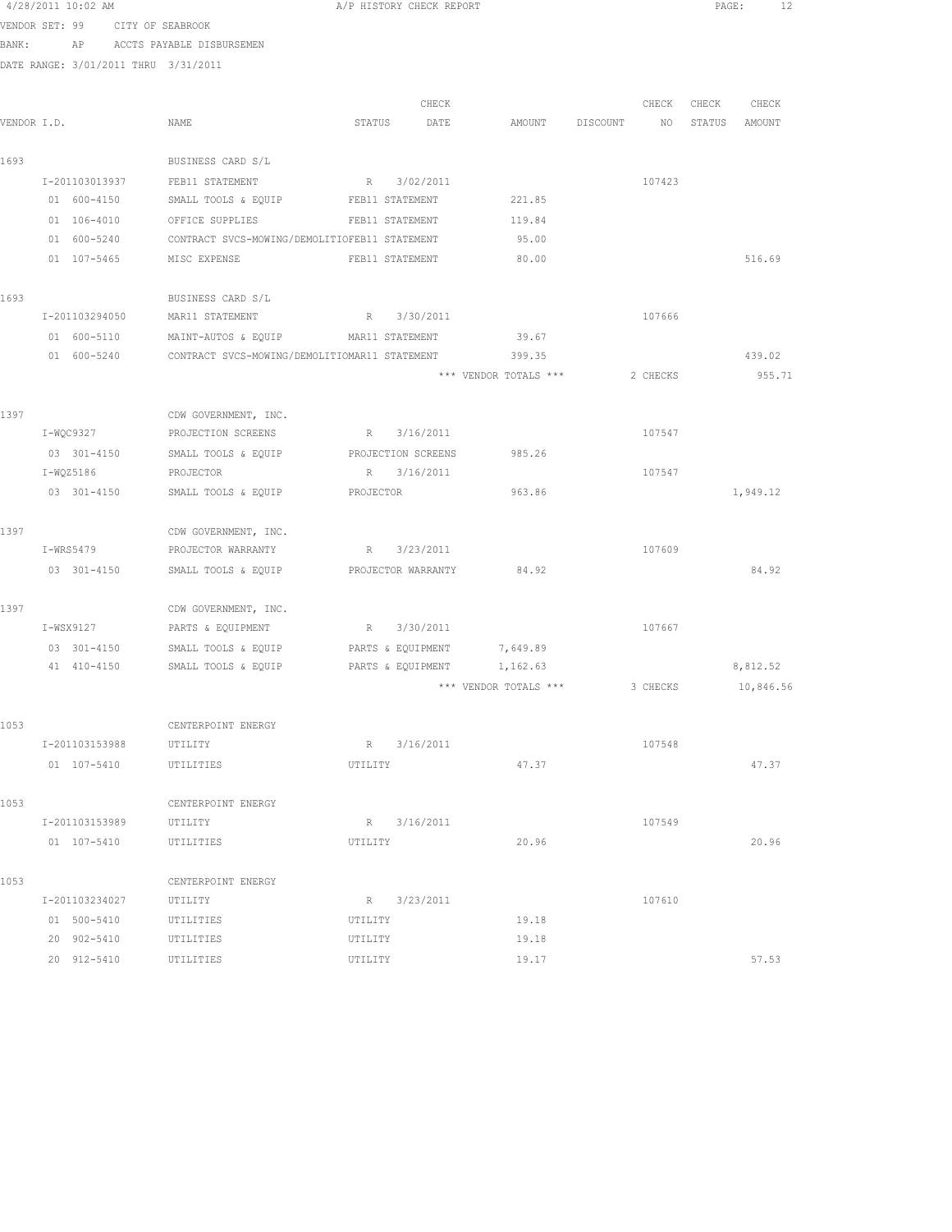|                | 4/28/2011 10:02 AM            |                |                                               |           | A/P HISTORY CHECK REPORT |                                |          | PAGE:<br>12       |
|----------------|-------------------------------|----------------|-----------------------------------------------|-----------|--------------------------|--------------------------------|----------|-------------------|
| VENDOR SET: 99 |                               |                | CITY OF SEABROOK                              |           |                          |                                |          |                   |
| BANK:          | AP                            |                | ACCTS PAYABLE DISBURSEMEN                     |           |                          |                                |          |                   |
|                |                               |                | DATE RANGE: 3/01/2011 THRU 3/31/2011          |           |                          |                                |          |                   |
|                |                               |                |                                               |           | CHECK                    |                                |          | CHECK CHECK CHECK |
| VENDOR I.D.    |                               |                | NAME                                          | STATUS    | DATE                     | AMOUNT DISCOUNT                | NO       | STATUS AMOUNT     |
|                |                               |                |                                               |           |                          |                                |          |                   |
| 1693           |                               |                | BUSINESS CARD S/L                             |           |                          |                                |          |                   |
|                | I-201103013937                |                | FEB11 STATEMENT                               |           | R 3/02/2011              |                                | 107423   |                   |
|                | 01 600-4150                   |                | SMALL TOOLS & EQUIP                           |           | FEB11 STATEMENT          | 221.85                         |          |                   |
|                | 01 106-4010                   |                | OFFICE SUPPLIES                               |           | FEB11 STATEMENT          | 119.84                         |          |                   |
|                | 01 600-5240                   |                | CONTRACT SVCS-MOWING/DEMOLITIOFEB11 STATEMENT |           |                          | 95.00                          |          |                   |
|                | 01 107-5465                   |                | MISC EXPENSE                                  |           | FEB11 STATEMENT          | 80.00                          |          | 516.69            |
| 1693           |                               |                | BUSINESS CARD S/L                             |           |                          |                                |          |                   |
|                |                               | I-201103294050 | MAR11 STATEMENT R 3/30/2011                   |           |                          |                                | 107666   |                   |
|                |                               | 01 600-5110    | MAINT-AUTOS & EQUIP MAR11 STATEMENT 39.67     |           |                          |                                |          |                   |
|                |                               | 01 600-5240    | CONTRACT SVCS-MOWING/DEMOLITIOMAR11 STATEMENT |           |                          | 399.35                         |          | 439.02            |
|                |                               |                |                                               |           |                          | *** VENDOR TOTALS ***          | 2 CHECKS | 955.71            |
|                |                               |                |                                               |           |                          |                                |          |                   |
| 1397           |                               |                | CDW GOVERNMENT, INC.                          |           |                          |                                |          |                   |
|                | I-WQC9327                     |                | PROJECTION SCREENS                            |           | R 3/16/2011              |                                | 107547   |                   |
|                | 03 301-4150                   |                | SMALL TOOLS & EQUIP                           |           | PROJECTION SCREENS       | 985.26                         |          |                   |
|                | I-WQZ5186                     |                | PROJECTOR                                     |           | R 3/16/2011              |                                | 107547   |                   |
|                |                               | 03 301-4150    | SMALL TOOLS & EQUIP                           | PROJECTOR |                          | 963.86                         |          | 1,949.12          |
| 1397           |                               |                | CDW GOVERNMENT, INC.                          |           |                          |                                |          |                   |
|                |                               | I-WRS5479      | PROJECTOR WARRANTY                            |           | R 3/23/2011              |                                | 107609   |                   |
|                |                               | 03 301-4150    | SMALL TOOLS & EQUIP                           |           |                          | PROJECTOR WARRANTY 84.92       |          | 84.92             |
| 1397           |                               |                | CDW GOVERNMENT, INC.                          |           |                          |                                |          |                   |
|                | I-WSX9127                     |                | PARTS & EQUIPMENT                             |           | R 3/30/2011              |                                | 107667   |                   |
|                | 03 301-4150                   |                | SMALL TOOLS & EQUIP                           |           | PARTS & EQUIPMENT        | 7,649.89                       |          |                   |
|                | 41 410-4150                   |                | SMALL TOOLS & EQUIP                           |           | PARTS & EQUIPMENT        | 1,162.63                       |          | 8,812.52          |
|                |                               |                |                                               |           |                          | *** VENDOR TOTALS *** 3 CHECKS |          | 10,846.56         |
| 1053           |                               |                | CENTERPOINT ENERGY                            |           |                          |                                |          |                   |
|                | I-201103153988                |                | UTILITY                                       |           | R 3/16/2011              |                                | 107548   |                   |
|                | 01 107-5410                   |                | UTILITIES                                     | UTILITY   |                          | 47.37                          |          | 47.37             |
|                |                               |                |                                               |           |                          |                                |          |                   |
| 1053           |                               |                | CENTERPOINT ENERGY                            |           | R 3/16/2011              |                                |          |                   |
|                | I-201103153989<br>01 107-5410 |                | UTILITY<br>UTILITIES                          | UTILITY   |                          | 20.96                          | 107549   | 20.96             |
|                |                               |                |                                               |           |                          |                                |          |                   |
| 1053           |                               |                | CENTERPOINT ENERGY                            |           |                          |                                |          |                   |
|                | I-201103234027                |                | UTILITY                                       |           | R 3/23/2011              |                                | 107610   |                   |
|                | 01 500-5410                   |                | UTILITIES                                     | UTILITY   |                          | 19.18                          |          |                   |
|                | 20 902-5410                   |                | UTILITIES                                     | UTILITY   |                          | 19.18                          |          |                   |
|                | 20 912-5410                   |                | UTILITIES                                     | UTILITY   |                          | 19.17                          |          | 57.53             |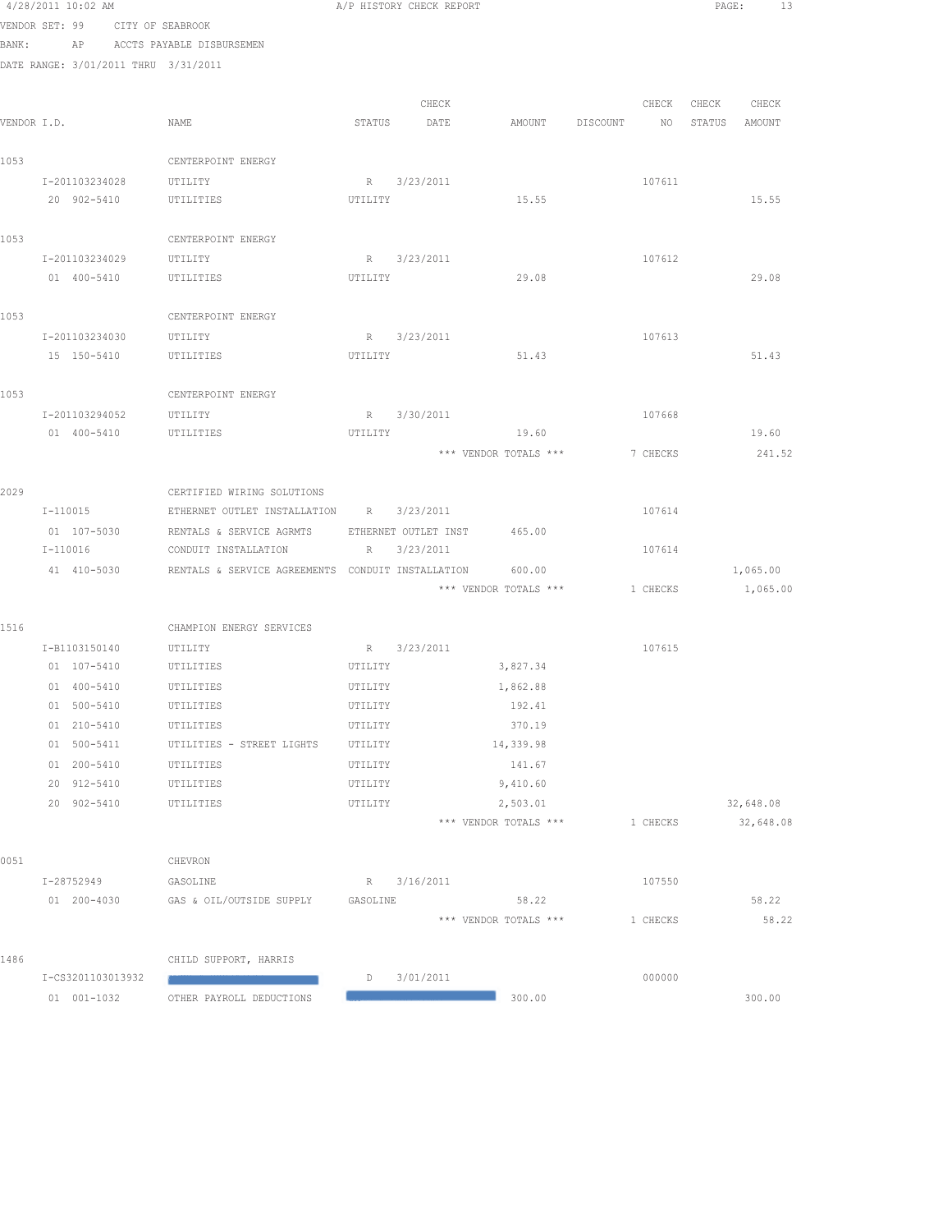|      | 4/28/2011 10:02 AM                              |                                                      |          | A/P HISTORY CHECK REPORT |                                             |          | PAGE:             | 13                     |
|------|-------------------------------------------------|------------------------------------------------------|----------|--------------------------|---------------------------------------------|----------|-------------------|------------------------|
|      | VENDOR SET: 99 CITY OF SEABROOK                 |                                                      |          |                          |                                             |          |                   |                        |
|      | BANK: AP ACCTS PAYABLE DISBURSEMEN              |                                                      |          |                          |                                             |          |                   |                        |
|      | DATE RANGE: 3/01/2011 THRU 3/31/2011            |                                                      |          |                          |                                             |          |                   |                        |
|      |                                                 |                                                      |          |                          |                                             |          |                   |                        |
|      |                                                 |                                                      |          | CHECK                    |                                             |          | CHECK CHECK CHECK |                        |
|      | VENDOR I.D.                                     | NAME                                                 |          | STATUS DATE              | AMOUNT DISCOUNT                             |          | NO STATUS AMOUNT  |                        |
| 1053 |                                                 |                                                      |          |                          |                                             |          |                   |                        |
|      |                                                 | CENTERPOINT ENERGY                                   |          |                          |                                             |          |                   |                        |
|      | I-201103234028 UTILITY<br>20 902-5410 UTILITIES |                                                      | UTILITY  | R 3/23/2011              | 15.55                                       | 107611   |                   | 15.55                  |
|      |                                                 |                                                      |          |                          |                                             |          |                   |                        |
| 1053 |                                                 | CENTERPOINT ENERGY                                   |          |                          |                                             |          |                   |                        |
|      | I-201103234029                                  | UTILITY                                              |          | R 3/23/2011              |                                             | 107612   |                   |                        |
|      | 01 400-5410                                     | UTILITIES                                            | UTILITY  |                          | 29.08                                       |          |                   | 29.08                  |
|      |                                                 |                                                      |          |                          |                                             |          |                   |                        |
| 1053 |                                                 | CENTERPOINT ENERGY                                   |          |                          |                                             |          |                   |                        |
|      | I-201103234030 UTILITY                          |                                                      |          | R 3/23/2011              |                                             | 107613   |                   |                        |
|      | 15 150-5410                                     | UTILITIES                                            | UTILITY  |                          | 51.43                                       |          |                   | 51.43                  |
|      |                                                 |                                                      |          |                          |                                             |          |                   |                        |
| 1053 |                                                 | CENTERPOINT ENERGY                                   |          |                          |                                             |          |                   |                        |
|      | I-201103294052 UTILITY                          |                                                      |          | R 3/30/2011              |                                             | 107668   |                   |                        |
|      | 01  400-5410   UTILITIES                        |                                                      |          |                          | UTILITY 19.60                               |          |                   | 19.60                  |
|      |                                                 |                                                      |          |                          | *** VENDOR TOTALS ***                       | 7 CHECKS |                   | 241.52                 |
| 2029 |                                                 | CERTIFIED WIRING SOLUTIONS                           |          |                          |                                             |          |                   |                        |
|      | I-110015                                        | ETHERNET OUTLET INSTALLATION R 3/23/2011             |          |                          |                                             | 107614   |                   |                        |
|      | 01 107-5030                                     | RENTALS & SERVICE AGRMTS ETHERNET OUTLET INST 465.00 |          |                          |                                             |          |                   |                        |
|      | I-110016                                        | CONDUIT INSTALLATION                                 |          | R 3/23/2011              |                                             | 107614   |                   |                        |
|      | 41 410-5030                                     | RENTALS & SERVICE AGREEMENTS CONDUIT INSTALLATION    |          |                          | 600.00                                      |          |                   | 1,065.00               |
|      |                                                 |                                                      |          |                          | *** VENDOR TOTALS *** $1$ CHECKS $1,065.00$ |          |                   |                        |
|      |                                                 |                                                      |          |                          |                                             |          |                   |                        |
| 1516 |                                                 | CHAMPION ENERGY SERVICES                             |          |                          |                                             |          |                   |                        |
|      | I-B1103150140 UTILITY                           |                                                      |          | R 3/23/2011              |                                             | 107615   |                   |                        |
|      | 01 107-5410 UTILITIES                           |                                                      |          | UTILITY                  | 3,827.34                                    |          |                   |                        |
|      | 01 400-5410                                     | UTILITIES                                            | UTILITY  |                          | 1,862.88                                    |          |                   |                        |
|      | 01 500-5410                                     | UTILITIES                                            | UTILITY  |                          | 192.41                                      |          |                   |                        |
|      | 01 210-5410                                     | UTILITIES                                            | UTILITY  |                          | 370.19                                      |          |                   |                        |
|      | 01 500-5411                                     | UTILITIES - STREET LIGHTS                            | UTILITY  |                          | 14,339.98                                   |          |                   |                        |
|      | 01 200-5410                                     | UTILITIES                                            | UTILITY  |                          | 141.67                                      |          |                   |                        |
|      | 20 912-5410                                     | UTILITIES                                            | UTILITY  |                          | 9,410.60                                    |          |                   |                        |
|      | 20 902-5410                                     | UTILITIES                                            | UTILITY  |                          | 2,503.01<br>*** VENDOR TOTALS ***           | 1 CHECKS |                   | 32,648.08<br>32,648.08 |
|      |                                                 |                                                      |          |                          |                                             |          |                   |                        |
| 0051 |                                                 | CHEVRON                                              |          |                          |                                             |          |                   |                        |
|      | I-28752949                                      | GASOLINE                                             |          | R 3/16/2011              |                                             | 107550   |                   |                        |
|      | 01 200-4030                                     | GAS & OIL/OUTSIDE SUPPLY                             | GASOLINE |                          | 58.22                                       |          |                   | 58.22                  |
|      |                                                 |                                                      |          |                          | *** VENDOR TOTALS ***                       | 1 CHECKS |                   | 58.22                  |
|      |                                                 |                                                      |          |                          |                                             |          |                   |                        |
| 1486 |                                                 | CHILD SUPPORT, HARRIS                                |          |                          |                                             |          |                   |                        |
|      | I-CS3201103013932                               |                                                      | D        | 3/01/2011                |                                             | 000000   |                   |                        |
|      | 01 001-1032                                     | OTHER PAYROLL DEDUCTIONS                             |          |                          | 300.00                                      |          |                   | 300.00                 |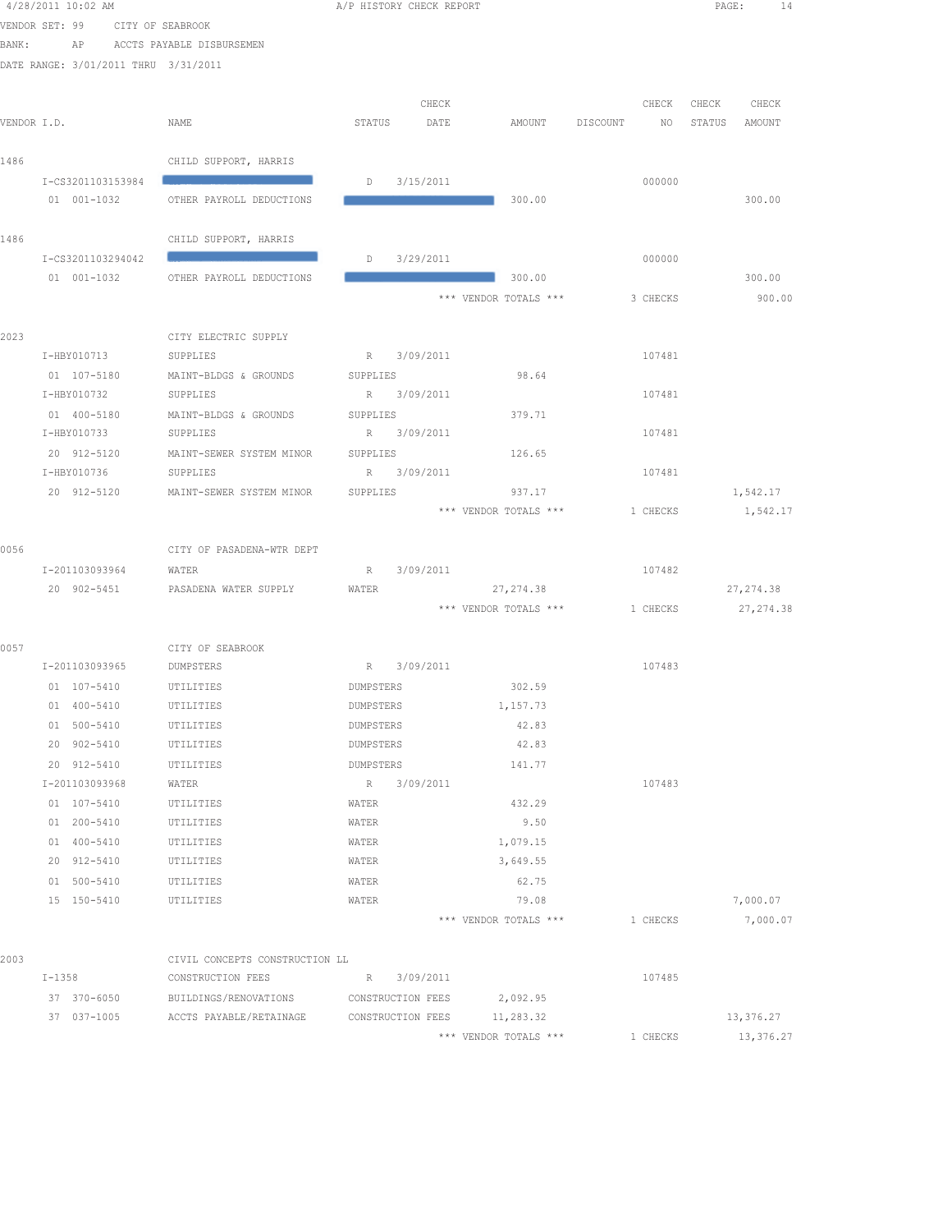|       | 4/28/2011 10:02 AM                   |                                | A/P HISTORY CHECK REPORT |                       |                             | $\texttt{PAGE}$ :<br>14 |
|-------|--------------------------------------|--------------------------------|--------------------------|-----------------------|-----------------------------|-------------------------|
|       | VENDOR SET: 99 CITY OF SEABROOK      |                                |                          |                       |                             |                         |
| BANK: |                                      | AP ACCTS PAYABLE DISBURSEMEN   |                          |                       |                             |                         |
|       | DATE RANGE: 3/01/2011 THRU 3/31/2011 |                                |                          |                       |                             |                         |
|       |                                      |                                |                          |                       |                             |                         |
|       |                                      |                                | CHECK                    |                       |                             | CHECK CHECK CHECK       |
|       | VENDOR I.D.                          | NAME                           | STATUS<br>DATE           | AMOUNT                | DISCOUNT<br>NO <sub>1</sub> | STATUS AMOUNT           |
|       |                                      |                                |                          |                       |                             |                         |
| 1486  |                                      | CHILD SUPPORT, HARRIS          |                          |                       |                             |                         |
|       | I-CS3201103153984                    |                                | $D$ 3/15/2011            |                       | 000000                      |                         |
|       | $01 001 - 1032$                      | OTHER PAYROLL DEDUCTIONS       |                          | 300.00                |                             | 300.00                  |
|       |                                      |                                |                          |                       |                             |                         |
| 1486  |                                      | CHILD SUPPORT, HARRIS          |                          |                       |                             |                         |
|       | I-CS3201103294042                    |                                | $D$ 3/29/2011            |                       | 000000                      |                         |
|       | 01 001-1032                          | OTHER PAYROLL DEDUCTIONS       |                          | 300.00                |                             | 300.00                  |
|       |                                      |                                |                          | *** VENDOR TOTALS *** | 3 CHECKS                    | 900.00                  |
|       |                                      |                                |                          |                       |                             |                         |
| 2023  |                                      | CITY ELECTRIC SUPPLY           |                          |                       |                             |                         |
|       | I-HBY010713                          | SUPPLIES                       | R 3/09/2011              |                       | 107481                      |                         |
|       | 01 107-5180                          | MAINT-BLDGS & GROUNDS          | SUPPLIES                 | 98.64                 |                             |                         |
|       | I-HBY010732                          | SUPPLIES                       | R 3/09/2011              |                       | 107481                      |                         |
|       | 01 400-5180                          | MAINT-BLDGS & GROUNDS          | SUPPLIES                 | 379.71                |                             |                         |
|       | I-HBY010733                          | SUPPLIES                       | R 3/09/2011              |                       | 107481                      |                         |
|       | 20 912-5120                          | MAINT-SEWER SYSTEM MINOR       | SUPPLIES                 | 126.65                |                             |                         |
|       | I-HBY010736                          | SUPPLIES                       | R 3/09/2011              |                       | 107481                      |                         |
|       | 20 912-5120                          | MAINT-SEWER SYSTEM MINOR       | SUPPLIES                 | 937.17                |                             | 1,542.17                |
|       |                                      |                                |                          | *** VENDOR TOTALS *** | 1 CHECKS                    | 1,542.17                |
|       |                                      |                                |                          |                       |                             |                         |
| 0056  |                                      | CITY OF PASADENA-WTR DEPT      |                          |                       |                             |                         |
|       | I-201103093964<br>20 902-5451        | WATER<br>PASADENA WATER SUPPLY | R 3/09/2011<br>WATER     | 27, 274.38            | 107482                      | 27, 274.38              |
|       |                                      |                                |                          | *** VENDOR TOTALS *** | 1 CHECKS                    | 27, 274.38              |
|       |                                      |                                |                          |                       |                             |                         |
| 0057  |                                      | CITY OF SEABROOK               |                          |                       |                             |                         |
|       | I-201103093965                       | DUMPSTERS                      | R 3/09/2011              |                       | 107483                      |                         |
|       | 01 107-5410                          | UTILITIES                      | DUMPSTERS                | 302.59                |                             |                         |
|       | 01 400-5410                          | UTILITIES                      | DUMPSTERS                | 1,157.73              |                             |                         |
|       | 01 500-5410                          | UTILITIES                      | DUMPSTERS                | 42.83                 |                             |                         |
|       | 20 902-5410                          | UTILITIES                      | DUMPSTERS                | 42.83                 |                             |                         |
|       | 20 912-5410                          | UTILITIES                      | DUMPSTERS                | 141.77                |                             |                         |
|       | I-201103093968                       | WATER                          | 3/09/2011<br>R           |                       | 107483                      |                         |
|       | 01 107-5410                          | UTILITIES                      | WATER                    | 432.29                |                             |                         |
|       | 01 200-5410                          | UTILITIES                      | WATER                    | 9.50                  |                             |                         |
|       | 01 400-5410                          | UTILITIES                      | WATER                    | 1,079.15              |                             |                         |
|       | 20 912-5410                          | UTILITIES                      | WATER                    | 3,649.55              |                             |                         |
|       | 01 500-5410                          | UTILITIES                      | WATER                    | 62.75                 |                             |                         |
|       | 15 150-5410                          | UTILITIES                      | WATER                    | 79.08                 |                             | 7,000.07                |
|       |                                      |                                |                          | *** VENDOR TOTALS *** | 1 CHECKS                    | 7,000.07                |
|       |                                      |                                |                          |                       |                             |                         |
| 2003  |                                      | CIVIL CONCEPTS CONSTRUCTION LL |                          |                       |                             |                         |
|       | $I - 1358$                           | CONSTRUCTION FEES              | 3/09/2011<br>R           |                       | 107485                      |                         |
|       | 37 370-6050                          | BUILDINGS/RENOVATIONS          | CONSTRUCTION FEES        | 2,092.95              |                             |                         |
|       | 37 037-1005                          | ACCTS PAYABLE/RETAINAGE        | CONSTRUCTION FEES        | 11,283.32             |                             | 13,376.27               |
|       |                                      |                                |                          | *** VENDOR TOTALS *** | 1 CHECKS                    | 13,376.27               |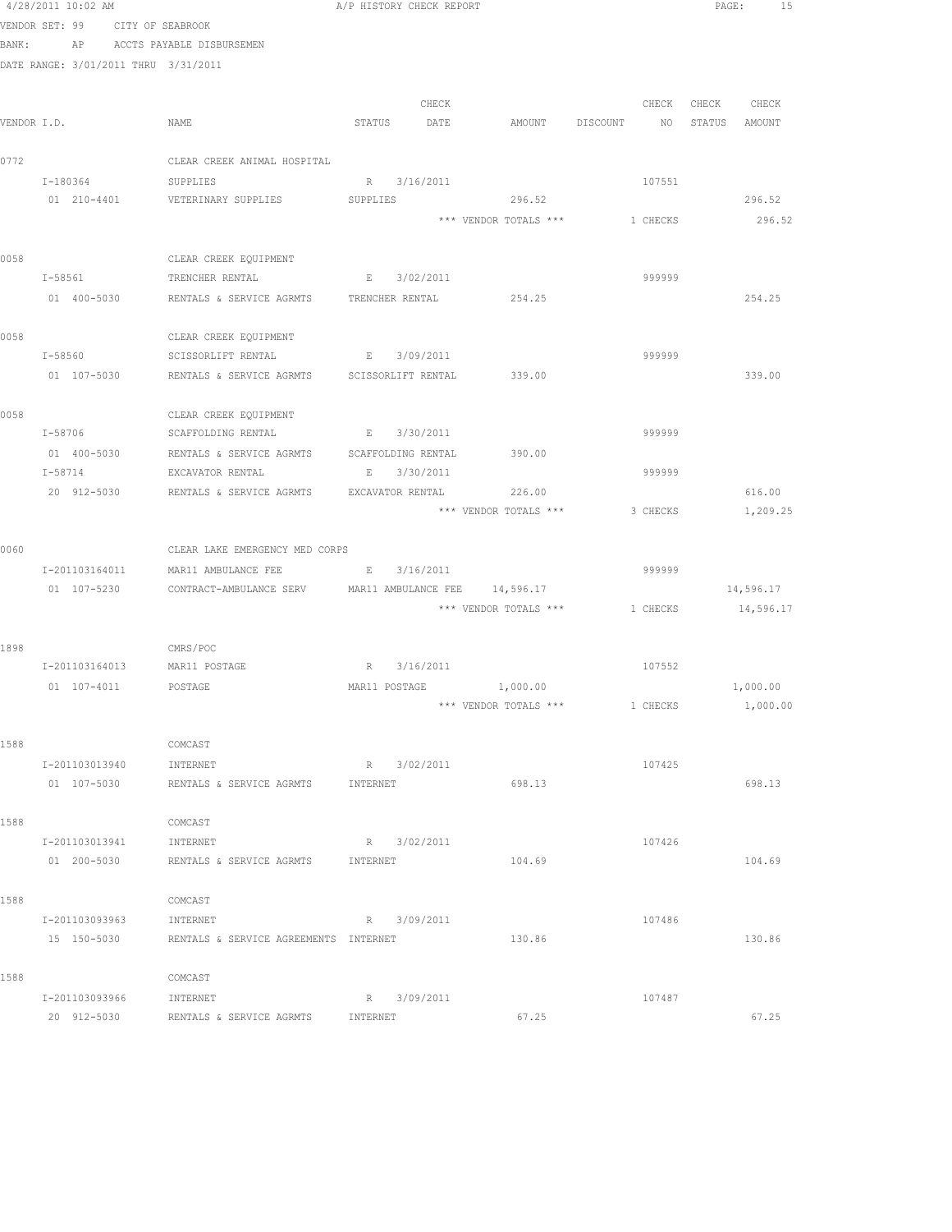|      | 4/28/2011 10:02 AM                   |                                                                           | A/P HISTORY CHECK REPORT |                       |                                  | PAGE:<br>15       |
|------|--------------------------------------|---------------------------------------------------------------------------|--------------------------|-----------------------|----------------------------------|-------------------|
|      | VENDOR SET: 99 CITY OF SEABROOK      |                                                                           |                          |                       |                                  |                   |
|      | BANK:                                | AP ACCTS PAYABLE DISBURSEMEN                                              |                          |                       |                                  |                   |
|      | DATE RANGE: 3/01/2011 THRU 3/31/2011 |                                                                           |                          |                       |                                  |                   |
|      |                                      |                                                                           |                          |                       |                                  |                   |
|      |                                      |                                                                           | CHECK                    |                       |                                  | CHECK CHECK CHECK |
|      | VENDOR I.D.                          | NAME                                                                      | STATUS DATE              |                       | AMOUNT DISCOUNT NO STATUS AMOUNT |                   |
|      |                                      |                                                                           |                          |                       |                                  |                   |
| 0772 |                                      | CLEAR CREEK ANIMAL HOSPITAL                                               |                          |                       |                                  |                   |
|      | I-180364                             | SUPPLIES                                                                  | R 3/16/2011              |                       | 107551                           |                   |
|      |                                      | 01 210-4401 VETERINARY SUPPLIES                                           | SUPPLIES                 | 296.52                |                                  | 296.52            |
|      |                                      |                                                                           |                          |                       | *** VENDOR TOTALS *** 1 CHECKS   | 296.52            |
| 0058 |                                      | CLEAR CREEK EQUIPMENT                                                     |                          |                       |                                  |                   |
|      | $I - 58561$                          | TRENCHER RENTAL                                                           | <b>E</b> $3/02/2011$     |                       | 999999                           |                   |
|      | 01 400-5030                          | RENTALS & SERVICE AGRMTS TRENCHER RENTAL                                  |                          | 254.25                |                                  | 254.25            |
|      |                                      |                                                                           |                          |                       |                                  |                   |
| 0058 |                                      | CLEAR CREEK EQUIPMENT                                                     |                          |                       |                                  |                   |
|      | I-58560                              | SCISSORLIFT RENTAL                                                        | E 3/09/2011              |                       | 999999                           |                   |
|      | 01 107-5030                          | RENTALS & SERVICE AGRMTS SCISSORLIFT RENTAL 339.00                        |                          |                       |                                  | 339.00            |
|      |                                      |                                                                           |                          |                       |                                  |                   |
| 0058 |                                      | CLEAR CREEK EQUIPMENT                                                     |                          |                       |                                  |                   |
|      | $I - 58706$                          | SCAFFOLDING RENTAL B 3/30/2011                                            |                          |                       | 999999                           |                   |
|      | I-58714                              | 01 400-5030 RENTALS & SERVICE AGRMTS SCAFFOLDING RENTAL                   |                          | 390.00                | 999999                           |                   |
|      |                                      | EXCAVATOR RENTAL<br>20 912-5030 RENTALS & SERVICE AGRMTS EXCAVATOR RENTAL | E 3/30/2011              | 226.00                |                                  | 616.00            |
|      |                                      |                                                                           |                          | *** VENDOR TOTALS *** | 3 CHECKS                         | 1,209.25          |
|      |                                      |                                                                           |                          |                       |                                  |                   |
| 0060 |                                      | CLEAR LAKE EMERGENCY MED CORPS                                            |                          |                       |                                  |                   |
|      | I-201103164011                       | MAR11 AMBULANCE FEE                                                       | E 3/16/2011              |                       | 999999                           |                   |
|      | 01 107-5230                          | CONTRACT-AMBULANCE SERV MAR11 AMBULANCE FEE 14,596.17                     |                          |                       |                                  | 14,596.17         |
|      |                                      |                                                                           |                          | *** VENDOR TOTALS *** | 1 CHECKS                         | 14,596.17         |
|      |                                      |                                                                           |                          |                       |                                  |                   |
| 1898 |                                      | CMRS/POC                                                                  |                          |                       |                                  |                   |
|      | I-201103164013 MAR11 POSTAGE         |                                                                           | R 3/16/2011              |                       | 107552                           |                   |
|      | 01  107-4011  POSTAGE                |                                                                           | MAR11 POSTAGE            | 1,000.00              |                                  | 1,000.00          |
|      |                                      |                                                                           |                          | *** VENDOR TOTALS *** | 1 CHECKS                         | 1,000.00          |
| 1588 |                                      | COMCAST                                                                   |                          |                       |                                  |                   |
|      | I-201103013940                       | INTERNET                                                                  | R 3/02/2011              |                       | 107425                           |                   |
|      | 01 107-5030                          | RENTALS & SERVICE AGRMTS                                                  | INTERNET                 | 698.13                |                                  | 698.13            |
|      |                                      |                                                                           |                          |                       |                                  |                   |
| 1588 |                                      | COMCAST                                                                   |                          |                       |                                  |                   |
|      | I-201103013941                       | INTERNET                                                                  | R 3/02/2011              |                       | 107426                           |                   |
|      | 01 200-5030                          | RENTALS & SERVICE AGRMTS                                                  | INTERNET                 | 104.69                |                                  | 104.69            |
|      |                                      |                                                                           |                          |                       |                                  |                   |
| 1588 |                                      | COMCAST                                                                   |                          |                       |                                  |                   |
|      | I-201103093963                       | INTERNET                                                                  | R 3/09/2011              |                       | 107486                           |                   |
|      | 15 150-5030                          | RENTALS & SERVICE AGREEMENTS INTERNET                                     |                          | 130.86                |                                  | 130.86            |
| 1588 |                                      | COMCAST                                                                   |                          |                       |                                  |                   |
|      | I-201103093966                       | INTERNET                                                                  | R 3/09/2011              |                       | 107487                           |                   |
|      | 20 912-5030                          | RENTALS & SERVICE AGRMTS                                                  | INTERNET                 | 67.25                 |                                  | 67.25             |
|      |                                      |                                                                           |                          |                       |                                  |                   |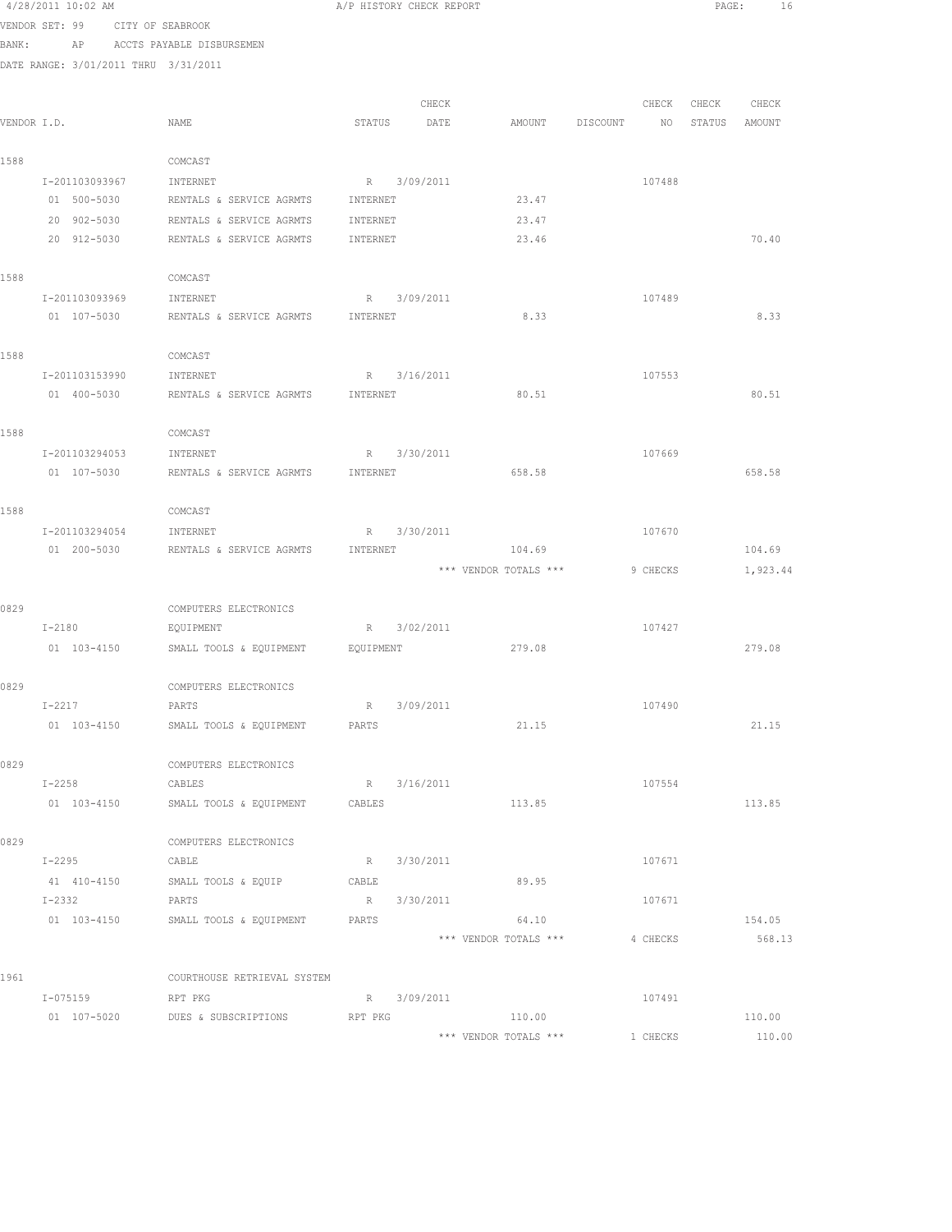|             | 4/28/2011 10:02 AM      |                                      |                                   |            | A/P HISTORY CHECK REPORT |                       |          |          | PAGE:  | 16       |
|-------------|-------------------------|--------------------------------------|-----------------------------------|------------|--------------------------|-----------------------|----------|----------|--------|----------|
|             |                         | VENDOR SET: 99 CITY OF SEABROOK      |                                   |            |                          |                       |          |          |        |          |
| BANK:       |                         | AP ACCTS PAYABLE DISBURSEMEN         |                                   |            |                          |                       |          |          |        |          |
|             |                         | DATE RANGE: 3/01/2011 THRU 3/31/2011 |                                   |            |                          |                       |          |          |        |          |
|             |                         |                                      |                                   |            |                          |                       |          |          |        |          |
|             |                         |                                      |                                   |            | CHECK                    |                       |          | CHECK    | CHECK  | CHECK    |
| VENDOR I.D. |                         | NAME                                 |                                   | STATUS     | DATE                     | AMOUNT                | DISCOUNT | NO       | STATUS | AMOUNT   |
| 1588        |                         | COMCAST                              |                                   |            |                          |                       |          |          |        |          |
|             | I-201103093967          | INTERNET                             |                                   |            | R 3/09/2011              |                       |          | 107488   |        |          |
|             | 01 500-5030             | RENTALS & SERVICE AGRMTS             |                                   | INTERNET   |                          | 23.47                 |          |          |        |          |
|             | 20 902-5030             | RENTALS & SERVICE AGRMTS             |                                   | INTERNET   |                          | 23.47                 |          |          |        |          |
|             | 20 912-5030             | RENTALS & SERVICE AGRMTS             |                                   | INTERNET   |                          | 23.46                 |          |          |        | 70.40    |
|             |                         |                                      |                                   |            |                          |                       |          |          |        |          |
| 1588        |                         | COMCAST                              |                                   |            |                          |                       |          |          |        |          |
|             | I-201103093969          | INTERNET                             |                                   |            | R 3/09/2011              |                       |          | 107489   |        |          |
|             | 01 107-5030             | RENTALS & SERVICE AGRMTS             |                                   | INTERNET   |                          | 8.33                  |          |          |        | 8.33     |
|             |                         |                                      |                                   |            |                          |                       |          |          |        |          |
| 1588        |                         | COMCAST                              |                                   |            |                          |                       |          |          |        |          |
|             | I-201103153990          | INTERNET                             |                                   |            | R 3/16/2011              |                       |          | 107553   |        |          |
|             | 01 400-5030             | RENTALS & SERVICE AGRMTS             | INTERNET                          |            |                          | 80.51                 |          |          |        | 80.51    |
| 1588        |                         | COMCAST                              |                                   |            |                          |                       |          |          |        |          |
|             | I-201103294053          | INTERNET                             |                                   | R          | 3/30/2011                |                       |          | 107669   |        |          |
|             | 01 107-5030             |                                      | RENTALS & SERVICE AGRMTS INTERNET |            |                          | 658.58                |          |          |        | 658.58   |
|             |                         |                                      |                                   |            |                          |                       |          |          |        |          |
| 1588        |                         | COMCAST                              |                                   |            |                          |                       |          |          |        |          |
|             | I-201103294054          | INTERNET                             |                                   |            | R 3/30/2011              |                       |          | 107670   |        |          |
|             | 01 200-5030             | RENTALS & SERVICE AGRMTS             |                                   | INTERNET   |                          | 104.69                |          |          |        | 104.69   |
|             |                         |                                      |                                   |            |                          | *** VENDOR TOTALS *** |          | 9 CHECKS |        | 1,923.44 |
|             |                         |                                      |                                   |            |                          |                       |          |          |        |          |
| 0829        |                         | COMPUTERS ELECTRONICS                |                                   |            |                          |                       |          |          |        |          |
|             | $I-2180$                | EQUIPMENT                            |                                   |            | R 3/02/2011              |                       |          | 107427   |        |          |
|             | 01 103-4150             | SMALL TOOLS & EQUIPMENT              | EQUIPMENT                         |            |                          | 279.08                |          |          |        | 279.08   |
|             |                         |                                      |                                   |            |                          |                       |          |          |        |          |
| 0829        |                         | COMPUTERS ELECTRONICS                |                                   |            |                          |                       |          |          |        |          |
|             | $I-2217$<br>01 103-4150 | PARTS<br>SMALL TOOLS & EQUIPMENT     |                                   | R<br>PARTS | 3/09/2011                | 21.15                 |          | 107490   |        | 21.15    |
|             |                         |                                      |                                   |            |                          |                       |          |          |        |          |
| 0829        |                         | COMPUTERS ELECTRONICS                |                                   |            |                          |                       |          |          |        |          |
|             | I-2258                  | CABLES                               |                                   |            | R 3/16/2011              |                       |          | 107554   |        |          |
|             | $01 103 - 4150$         | SMALL TOOLS & EQUIPMENT              |                                   | CABLES     |                          | 113.85                |          |          |        | 113.85   |
|             |                         |                                      |                                   |            |                          |                       |          |          |        |          |
| 0829        |                         | COMPUTERS ELECTRONICS                |                                   |            |                          |                       |          |          |        |          |
|             | $I-2295$                | CABLE                                |                                   | R          | 3/30/2011                |                       |          | 107671   |        |          |
|             | 41 410-4150             | SMALL TOOLS & EQUIP                  |                                   | CABLE      |                          | 89.95                 |          |          |        |          |
|             | $I - 2332$              | PARTS                                |                                   | R          | 3/30/2011                |                       |          | 107671   |        |          |
|             | 01 103-4150             | SMALL TOOLS & EQUIPMENT              |                                   | PARTS      |                          | 64.10                 |          |          |        | 154.05   |
|             |                         |                                      |                                   |            |                          | *** VENDOR TOTALS *** |          | 4 CHECKS |        | 568.13   |
| 1961        |                         | COURTHOUSE RETRIEVAL SYSTEM          |                                   |            |                          |                       |          |          |        |          |
|             | $I - 075159$            | RPT PKG                              |                                   |            | R 3/09/2011              |                       |          | 107491   |        |          |
|             | 01 107-5020             | DUES & SUBSCRIPTIONS                 |                                   | RPT PKG    |                          | 110.00                |          |          |        | 110.00   |
|             |                         |                                      |                                   |            |                          |                       |          |          |        |          |

 $***$  VENDOR TOTALS  $***$  1 CHECKS 110.00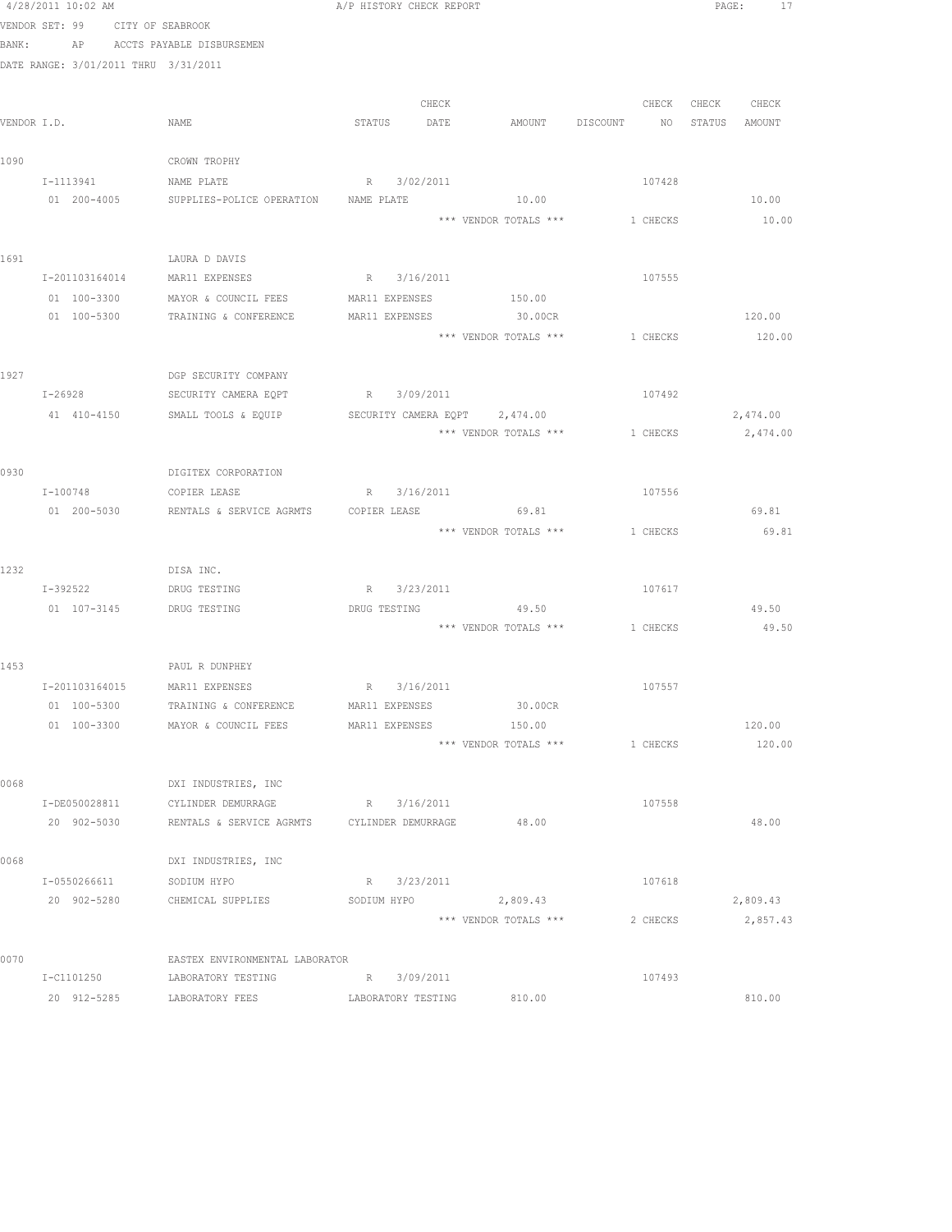|      | 4/28/2011 10:02 AM                   |                                                      | A/P HISTORY CHECK REPORT      |                                 |                                | PAGE: 17         |
|------|--------------------------------------|------------------------------------------------------|-------------------------------|---------------------------------|--------------------------------|------------------|
|      | VENDOR SET: 99 CITY OF SEABROOK      |                                                      |                               |                                 |                                |                  |
|      | BANK: AP ACCTS PAYABLE DISBURSEMEN   |                                                      |                               |                                 |                                |                  |
|      | DATE RANGE: 3/01/2011 THRU 3/31/2011 |                                                      |                               |                                 |                                |                  |
|      |                                      |                                                      |                               |                                 |                                |                  |
|      |                                      |                                                      | CHECK                         |                                 | CHECK                          | CHECK CHECK      |
|      | VENDOR I.D.                          | NAME                                                 | STATUS DATE                   |                                 | AMOUNT DISCOUNT NO             | STATUS AMOUNT    |
| 1090 |                                      | CROWN TROPHY                                         |                               |                                 |                                |                  |
|      | I-1113941                            | NAME PLATE                                           | R 3/02/2011                   |                                 | 107428                         |                  |
|      | 01 200-4005                          | SUPPLIES-POLICE OPERATION                            | NAME PLATE                    | 10.00                           |                                | 10.00            |
|      |                                      |                                                      |                               |                                 | *** VENDOR TOTALS *** 1 CHECKS | 10.00            |
|      |                                      |                                                      |                               |                                 |                                |                  |
| 1691 |                                      | LAURA D DAVIS                                        |                               |                                 |                                |                  |
|      |                                      | I-201103164014 MAR11 EXPENSES                        | R 3/16/2011                   |                                 | 107555                         |                  |
|      | 01 100-3300                          | MAYOR & COUNCIL FEES                                 | MAR11 EXPENSES 150.00         |                                 |                                |                  |
|      | 01 100-5300                          | TRAINING & CONFERENCE                                | MAR11 EXPENSES 30.00CR        |                                 |                                | 120.00           |
|      |                                      |                                                      |                               |                                 | *** VENDOR TOTALS *** 1 CHECKS | 120.00           |
|      |                                      |                                                      |                               |                                 |                                |                  |
| 1927 |                                      | DGP SECURITY COMPANY                                 |                               |                                 |                                |                  |
|      | $I - 26928$                          | SECURITY CAMERA EQPT                                 | R 3/09/2011                   |                                 | 107492                         |                  |
|      | 41 410-4150                          | SMALL TOOLS & EQUIP                                  | SECURITY CAMERA EOPT 2,474.00 |                                 |                                | 2,474.00         |
|      |                                      |                                                      |                               | *** VENDOR TOTALS ***           | 1 CHECKS                       | 2,474.00         |
| 0930 |                                      | DIGITEX CORPORATION                                  |                               |                                 |                                |                  |
|      | I-100748                             | COPIER LEASE                                         | R 3/16/2011                   |                                 | 107556                         |                  |
|      |                                      | 01  200-5030  RENTALS & SERVICE AGRMTS  COPIER LEASE |                               | 69.81                           |                                | 69.81            |
|      |                                      |                                                      |                               |                                 | *** VENDOR TOTALS *** 1 CHECKS | 69.81            |
|      |                                      |                                                      |                               |                                 |                                |                  |
| 1232 |                                      | DISA INC.                                            |                               |                                 |                                |                  |
|      | I-392522 DRUG TESTING                |                                                      | R 3/23/2011                   |                                 | 107617                         |                  |
|      | 01  107-3145    DRUG TESTING         |                                                      | DRUG TESTING 49.50            |                                 |                                | 49.50            |
|      |                                      |                                                      |                               |                                 | *** VENDOR TOTALS *** 1 CHECKS | 49.50            |
|      |                                      |                                                      |                               |                                 |                                |                  |
| 1453 |                                      | PAUL R DUNPHEY                                       |                               |                                 |                                |                  |
|      | I-201103164015 MAR11 EXPENSES        |                                                      | R 3/16/2011                   |                                 | 107557                         |                  |
|      | 01 100-5300                          | TRAINING & CONFERENCE                                | MAR11 EXPENSES                | 30.00CR                         |                                |                  |
|      | 01 100-3300                          | MAYOR & COUNCIL FEES                                 | MAR11 EXPENSES                | 150.00<br>*** VENDOR TOTALS *** | 1 CHECKS                       | 120.00<br>120.00 |
|      |                                      |                                                      |                               |                                 |                                |                  |
| 0068 |                                      | DXI INDUSTRIES, INC                                  |                               |                                 |                                |                  |
|      | I-DE050028811                        | CYLINDER DEMURRAGE                                   | R 3/16/2011                   |                                 | 107558                         |                  |
|      | 20 902-5030                          | RENTALS & SERVICE AGRMTS CYLINDER DEMURRAGE          |                               | 48.00                           |                                | 48.00            |
|      |                                      |                                                      |                               |                                 |                                |                  |
| 0068 |                                      | DXI INDUSTRIES, INC                                  |                               |                                 |                                |                  |
|      | I-0550266611                         | SODIUM HYPO                                          | R 3/23/2011                   |                                 | 107618                         |                  |
|      | 20 902-5280                          | CHEMICAL SUPPLIES                                    | SODIUM HYPO                   | 2,809.43                        |                                | 2,809.43         |
|      |                                      |                                                      |                               | *** VENDOR TOTALS ***           | 2 CHECKS                       | 2,857.43         |
|      |                                      |                                                      |                               |                                 |                                |                  |
| 0070 |                                      | EASTEX ENVIRONMENTAL LABORATOR                       |                               |                                 |                                |                  |
|      | I-C1101250                           | LABORATORY TESTING                                   | R 3/09/2011                   |                                 | 107493                         |                  |
|      | 20 912-5285                          | LABORATORY FEES                                      | LABORATORY TESTING            | 810.00                          |                                | 810.00           |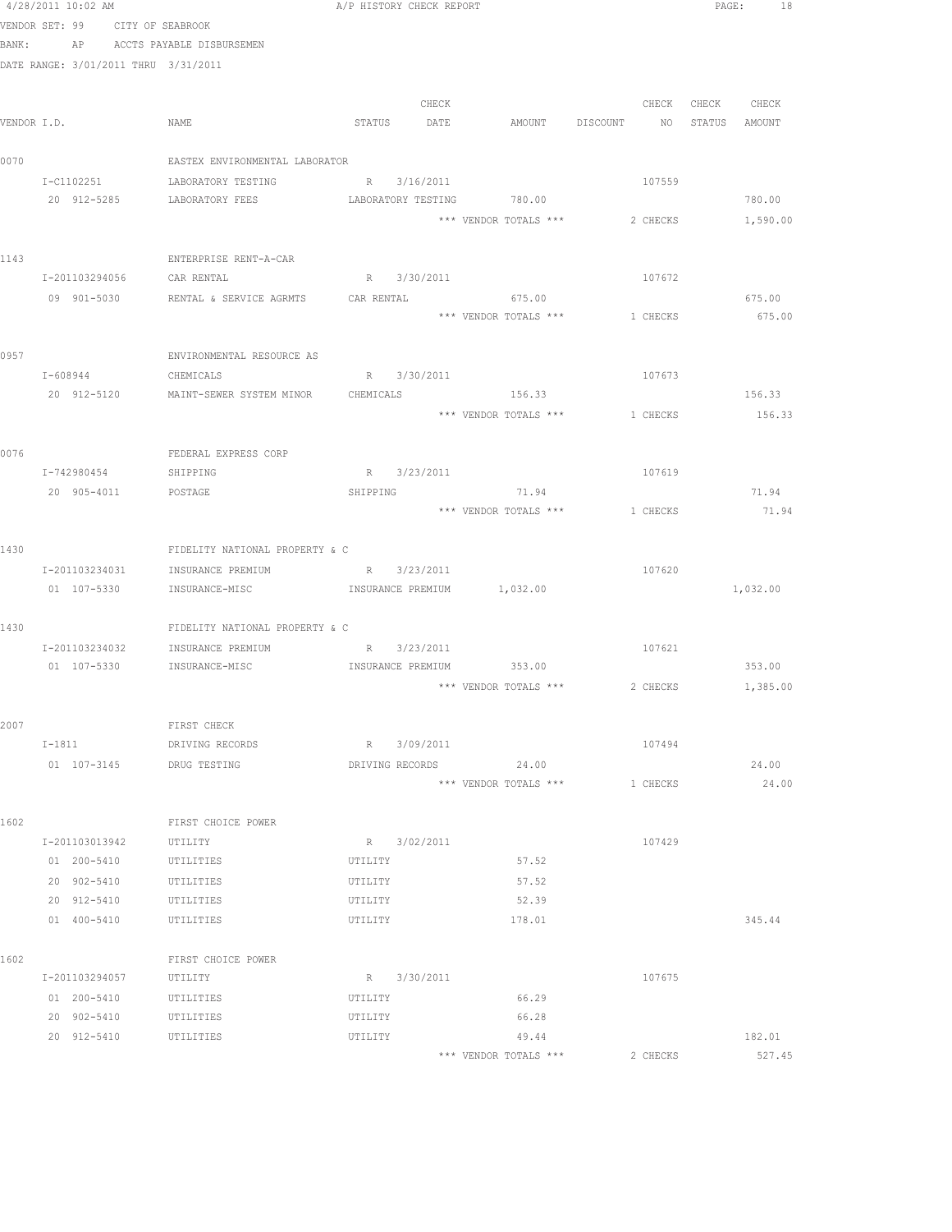|       |                                      | $4/28/2011$ 10:02 AM $A/P$ HISTORY CHECK REPORT       |                          |                                              |          | PAGE: 18          |
|-------|--------------------------------------|-------------------------------------------------------|--------------------------|----------------------------------------------|----------|-------------------|
|       | VENDOR SET: 99 CITY OF SEABROOK      |                                                       |                          |                                              |          |                   |
| BANK: |                                      | AP ACCTS PAYABLE DISBURSEMEN                          |                          |                                              |          |                   |
|       | DATE RANGE: 3/01/2011 THRU 3/31/2011 |                                                       |                          |                                              |          |                   |
|       |                                      |                                                       | CHECK                    |                                              |          | CHECK CHECK CHECK |
|       | VENDOR I.D.                          | NAME                                                  |                          | STATUS DATE AMOUNT DISCOUNT NO STATUS AMOUNT |          |                   |
|       |                                      |                                                       |                          |                                              |          |                   |
| 0070  |                                      | EASTEX ENVIRONMENTAL LABORATOR                        |                          |                                              |          |                   |
|       | I-C1102251                           | LABORATORY TESTING                                    | R 3/16/2011              |                                              | 107559   |                   |
|       | 20 912-5285                          | LABORATORY FEES                                       |                          | LABORATORY TESTING 780.00                    |          | 780.00            |
|       |                                      |                                                       |                          | *** VENDOR TOTALS *** 2 CHECKS               |          | 1,590.00          |
|       |                                      |                                                       |                          |                                              |          |                   |
| 1143  | I-201103294056 CAR RENTAL            | ENTERPRISE RENT-A-CAR                                 | R 3/30/2011              |                                              | 107672   |                   |
|       |                                      | 09 901-5030 RENTAL & SERVICE AGRMTS CAR RENTAL 675.00 |                          |                                              |          | 675.00            |
|       |                                      |                                                       |                          | *** VENDOR TOTALS *** 1 CHECKS               |          | 675.00            |
|       |                                      |                                                       |                          |                                              |          |                   |
| 0957  |                                      | ENVIRONMENTAL RESOURCE AS                             |                          |                                              |          |                   |
|       | I-608944 CHEMICALS                   |                                                       | R 3/30/2011              |                                              | 107673   |                   |
|       |                                      | 20 912-5120 MAINT-SEWER SYSTEM MINOR CHEMICALS 156.33 |                          |                                              |          | 156.33            |
|       |                                      |                                                       |                          | *** VENDOR TOTALS ***                        | 1 CHECKS | 156.33            |
|       |                                      |                                                       |                          |                                              |          |                   |
| 0076  |                                      | FEDERAL EXPRESS CORP                                  |                          |                                              |          |                   |
|       | I-742980454                          | SHIPPING                                              | R 3/23/2011              |                                              | 107619   |                   |
|       | 20 905-4011 POSTAGE                  |                                                       | SHIPPING                 | 71.94<br>*** VENDOR TOTALS *** 1 CHECKS      |          | 71.94<br>71.94    |
|       |                                      |                                                       |                          |                                              |          |                   |
| 1430  |                                      | FIDELITY NATIONAL PROPERTY & C                        |                          |                                              |          |                   |
|       |                                      | I-201103234031 INSURANCE PREMIUM R 3/23/2011          |                          |                                              | 107620   |                   |
|       |                                      |                                                       |                          |                                              |          | 1,032.00          |
|       |                                      |                                                       |                          |                                              |          |                   |
| 1430  |                                      | FIDELITY NATIONAL PROPERTY & C                        |                          |                                              |          |                   |
|       |                                      | I-201103234032 INSURANCE PREMIUM                      | R 3/23/2011              |                                              | 107621   |                   |
|       | 01 107-5330                          | INSURANCE-MISC                                        | INSURANCE PREMIUM 353.00 |                                              |          | 353.00            |
|       |                                      |                                                       |                          | *** VENDOR TOTALS *** 2 CHECKS 1,385.00      |          |                   |
| 2007  |                                      | FIRST CHECK                                           |                          |                                              |          |                   |
|       | $I-1811$                             | DRIVING RECORDS                                       | R 3/09/2011              |                                              | 107494   |                   |
|       | 01 107-3145 DRUG TESTING             |                                                       | DRIVING RECORDS          | 24.00                                        |          | 24.00             |
|       |                                      |                                                       |                          | *** VENDOR TOTALS ***                        | 1 CHECKS | 24.00             |
|       |                                      |                                                       |                          |                                              |          |                   |
| 1602  |                                      | FIRST CHOICE POWER                                    |                          |                                              |          |                   |
|       | I-201103013942                       | UTILITY                                               | R 3/02/2011              |                                              | 107429   |                   |
|       | 01 200-5410                          | UTILITIES                                             | UTILITY                  | 57.52                                        |          |                   |
|       | 20 902-5410                          | UTILITIES                                             | UTILITY                  | 57.52                                        |          |                   |
|       | 20 912-5410                          | UTILITIES                                             | UTILITY                  | 52.39                                        |          |                   |
|       | 01 400-5410                          | UTILITIES                                             | UTILITY                  | 178.01                                       |          | 345.44            |
| 1602  |                                      | FIRST CHOICE POWER                                    |                          |                                              |          |                   |
|       | I-201103294057                       | UTILITY                                               | R 3/30/2011              |                                              | 107675   |                   |
|       | 01 200-5410                          | UTILITIES                                             | UTILITY                  | 66.29                                        |          |                   |
|       | 20 902-5410                          | UTILITIES                                             | UTILITY                  | 66.28                                        |          |                   |
|       | 20 912-5410 UTILITIES                |                                                       | UTILITY                  | 49.44                                        |          | 182.01            |
|       |                                      |                                                       |                          | *** VENDOR TOTALS ***                        | 2 CHECKS | 527.45            |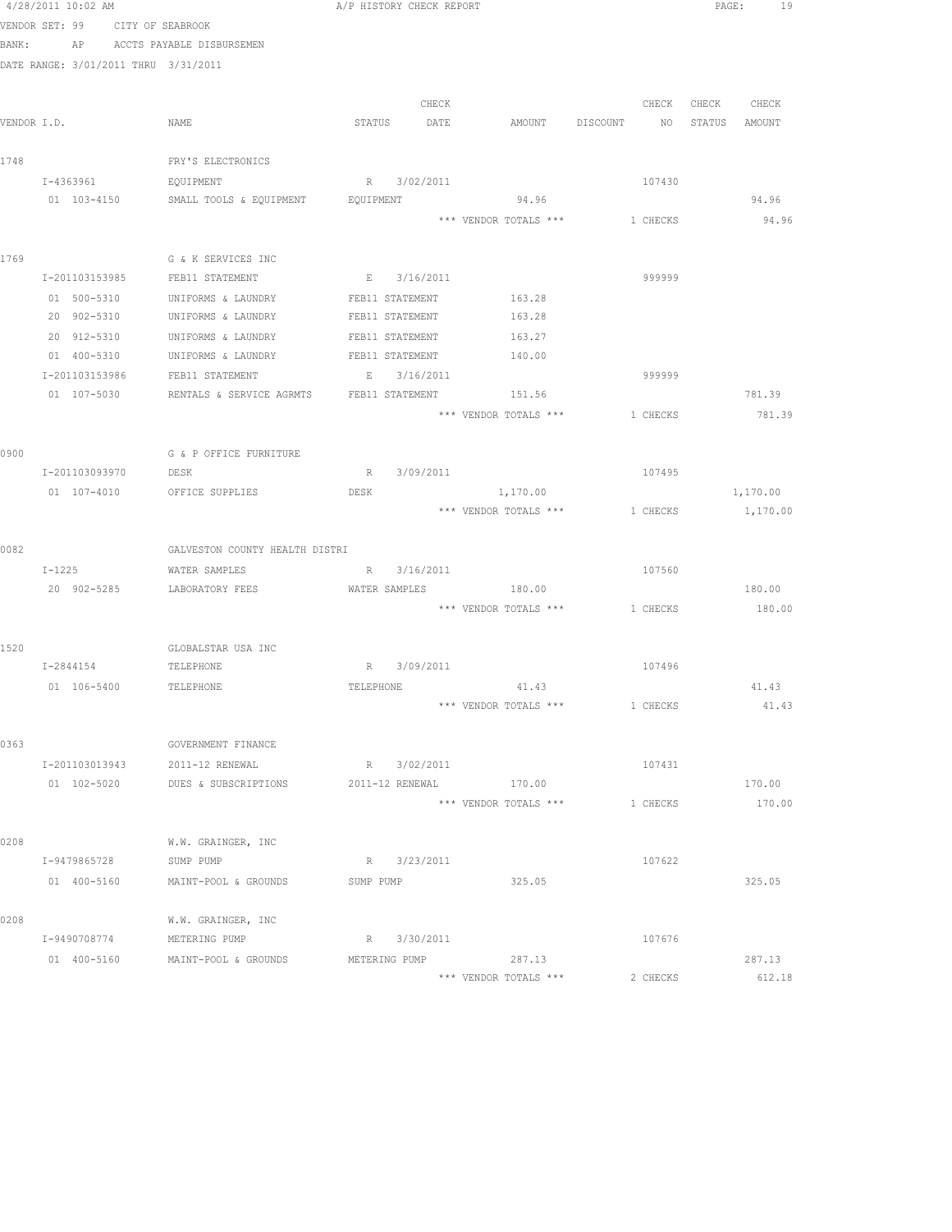|             |                                      | $4/28/2011$ 10:02 AM $A/P$ HISTORY CHECK REPORT      |               |       |                        |                                |               | PAGE: 19 |
|-------------|--------------------------------------|------------------------------------------------------|---------------|-------|------------------------|--------------------------------|---------------|----------|
|             | VENDOR SET: 99 CITY OF SEABROOK      |                                                      |               |       |                        |                                |               |          |
| BANK:       | AP                                   | ACCTS PAYABLE DISBURSEMEN                            |               |       |                        |                                |               |          |
|             | DATE RANGE: 3/01/2011 THRU 3/31/2011 |                                                      |               |       |                        |                                |               |          |
|             |                                      |                                                      |               |       |                        |                                |               |          |
|             |                                      |                                                      |               | CHECK |                        | CHECK                          | CHECK CHECK   |          |
| VENDOR I.D. |                                      | NAME                                                 | STATUS DATE   |       |                        | AMOUNT DISCOUNT NO             | STATUS AMOUNT |          |
|             |                                      |                                                      |               |       |                        |                                |               |          |
| 1748        |                                      | FRY'S ELECTRONICS                                    |               |       |                        |                                |               |          |
|             | I-4363961                            | EQUIPMENT                                            | R 3/02/2011   |       |                        | 107430                         |               |          |
|             | 01 103-4150                          | SMALL TOOLS & EQUIPMENT BOUIPMENT                    |               |       | 94.96                  |                                |               | 94.96    |
|             |                                      |                                                      |               |       |                        | *** VENDOR TOTALS *** 1 CHECKS |               | 94.96    |
|             |                                      |                                                      |               |       |                        |                                |               |          |
| 1769        |                                      | G & K SERVICES INC<br>I-201103153985 FEB11 STATEMENT | E 3/16/2011   |       |                        | 999999                         |               |          |
|             | 01 500-5310                          | UNIFORMS & LAUNDRY                                   |               |       | FEB11 STATEMENT 163.28 |                                |               |          |
|             | 20 902-5310                          | UNIFORMS & LAUNDRY                                   |               |       | FEB11 STATEMENT 163.28 |                                |               |          |
|             | 20 912-5310                          | UNIFORMS & LAUNDRY FEB11 STATEMENT                   |               |       | 163.27                 |                                |               |          |
|             |                                      | 01  400-5310  UNIFORMS & LAUNDRY  FEB11 STATEMENT    |               |       | 140.00                 |                                |               |          |
|             |                                      | I-201103153986 FEB11 STATEMENT                       | E 3/16/2011   |       |                        | 999999                         |               |          |
|             | 01 107-5030                          | RENTALS & SERVICE AGRMTS FEB11 STATEMENT 151.56      |               |       |                        |                                |               | 781.39   |
|             |                                      |                                                      |               |       | *** VENDOR TOTALS ***  | 1 CHECKS                       |               | 781.39   |
|             |                                      |                                                      |               |       |                        |                                |               |          |
| 0900        |                                      | G & P OFFICE FURNITURE                               |               |       |                        |                                |               |          |
|             | I-201103093970                       | DESK                                                 | R 3/09/2011   |       |                        | 107495                         |               |          |
|             |                                      | 01 107-4010 OFFICE SUPPLIES                          | DESK          |       | 1,170.00               |                                |               | 1,170.00 |
|             |                                      |                                                      |               |       |                        | *** VENDOR TOTALS *** 1 CHECKS |               | 1,170.00 |
|             |                                      |                                                      |               |       |                        |                                |               |          |
| 0082        |                                      | GALVESTON COUNTY HEALTH DISTRI                       |               |       |                        |                                |               |          |
|             | $I-1225$                             | WATER SAMPLES                                        | R 3/16/2011   |       |                        | 107560                         |               |          |
|             |                                      | 20 902-5285 LABORATORY FEES                          |               |       | WATER SAMPLES 180.00   |                                |               | 180.00   |
|             |                                      |                                                      |               |       |                        | *** VENDOR TOTALS *** 1 CHECKS |               | 180.00   |
|             |                                      |                                                      |               |       |                        |                                |               |          |
| 1520        |                                      | GLOBALSTAR USA INC                                   |               |       |                        |                                |               |          |
|             | I-2844154                            | TELEPHONE                                            | R 3/09/2011   |       |                        | 107496                         |               |          |
|             | 01 106-5400                          | TELEPHONE                                            |               |       | TELEPHONE 41.43        |                                |               | 41.43    |
|             |                                      |                                                      |               |       | *** VENDOR TOTALS ***  | 1 CHECKS                       |               | 41.43    |
|             |                                      |                                                      |               |       |                        |                                |               |          |
| 0363        |                                      | GOVERNMENT FINANCE                                   |               |       |                        |                                |               |          |
|             | I-201103013943                       | 2011-12 RENEWAL                                      | R 3/02/2011   |       |                        | 107431                         |               |          |
|             | 01 102-5020                          | DUES & SUBSCRIPTIONS                                 |               |       | 2011-12 RENEWAL 170.00 |                                |               | 170.00   |
|             |                                      |                                                      |               |       | *** VENDOR TOTALS ***  | 1 CHECKS                       |               | 170.00   |
| 0208        |                                      |                                                      |               |       |                        |                                |               |          |
|             | I-9479865728                         | W.W. GRAINGER, INC<br>SUMP PUMP                      | R 3/23/2011   |       |                        | 107622                         |               |          |
|             | 01 400-5160                          | MAINT-POOL & GROUNDS                                 | SUMP PUMP     |       | 325.05                 |                                |               | 325.05   |
|             |                                      |                                                      |               |       |                        |                                |               |          |
| 0208        |                                      | W.W. GRAINGER, INC                                   |               |       |                        |                                |               |          |
|             | I-9490708774                         | METERING PUMP                                        | R 3/30/2011   |       |                        | 107676                         |               |          |
|             | 01 400-5160                          | MAINT-POOL & GROUNDS                                 | METERING PUMP |       | 287.13                 |                                |               | 287.13   |
|             |                                      |                                                      |               |       | *** VENDOR TOTALS ***  | 2 CHECKS                       |               | 612.18   |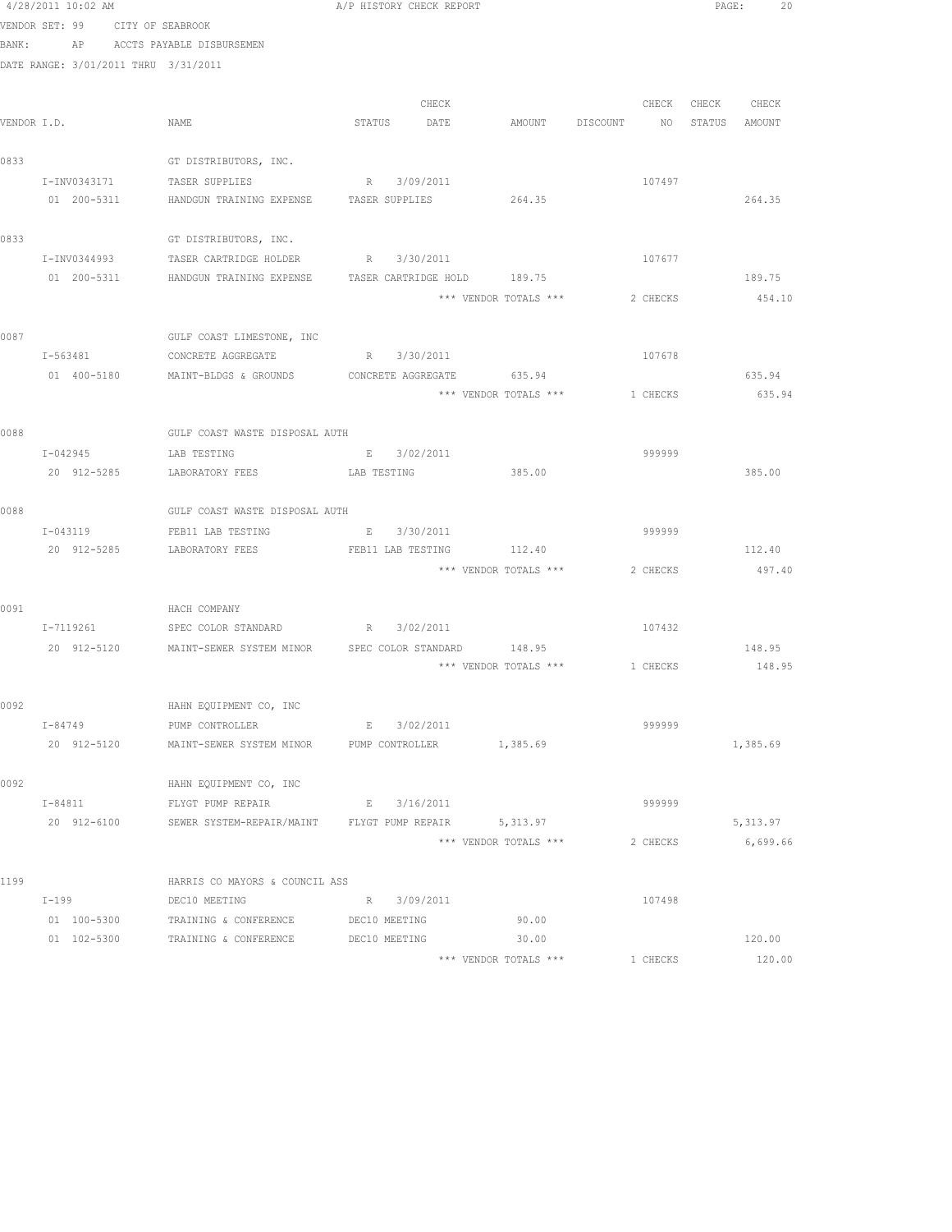|      | 4/28/2011 10:02 AM                   |                                                                            | A/P HISTORY CHECK REPORT |       |                                  |          |                   | PAGE: 20        |
|------|--------------------------------------|----------------------------------------------------------------------------|--------------------------|-------|----------------------------------|----------|-------------------|-----------------|
|      | VENDOR SET: 99 CITY OF SEABROOK      |                                                                            |                          |       |                                  |          |                   |                 |
|      | BANK: AP ACCTS PAYABLE DISBURSEMEN   |                                                                            |                          |       |                                  |          |                   |                 |
|      | DATE RANGE: 3/01/2011 THRU 3/31/2011 |                                                                            |                          |       |                                  |          |                   |                 |
|      |                                      |                                                                            |                          | CHECK |                                  |          | CHECK CHECK CHECK |                 |
|      | VENDOR I.D.                          | NAME                                                                       | STATUS DATE              |       | AMOUNT DISCOUNT NO STATUS AMOUNT |          |                   |                 |
|      |                                      |                                                                            |                          |       |                                  |          |                   |                 |
| 0833 |                                      | GT DISTRIBUTORS, INC.                                                      |                          |       |                                  |          |                   |                 |
|      | I-INV0343171                         | TASER SUPPLIES                                                             | R 3/09/2011              |       |                                  | 107497   |                   |                 |
|      | 01 200-5311                          | HANDGUN TRAINING EXPENSE TASER SUPPLIES 264.35                             |                          |       |                                  |          |                   | 264.35          |
|      |                                      |                                                                            |                          |       |                                  |          |                   |                 |
| 0833 |                                      | GT DISTRIBUTORS, INC.                                                      |                          |       |                                  |          |                   |                 |
|      | I-INV0344993                         | TASER CARTRIDGE HOLDER B R 3/30/2011                                       |                          |       |                                  | 107677   |                   |                 |
|      |                                      | 01  200-5311    HANDGUN TRAINING EXPENSE    TASER CARTRIDGE HOLD    189.75 |                          |       |                                  |          |                   | 189.75          |
|      |                                      |                                                                            |                          |       | *** VENDOR TOTALS ***            | 2 CHECKS |                   | 454.10          |
|      |                                      |                                                                            |                          |       |                                  |          |                   |                 |
| 0087 |                                      | GULF COAST LIMESTONE, INC                                                  |                          |       |                                  |          |                   |                 |
|      |                                      | I-563481 CONCRETE AGGREGATE R 3/30/2011                                    |                          |       |                                  | 107678   |                   |                 |
|      |                                      | 01  400-5180  MAINT-BLDGS & GROUNDS  CONCRETE AGGREGATE  635.94            |                          |       |                                  |          |                   | 635.94          |
|      |                                      |                                                                            |                          |       | *** VENDOR TOTALS *** 1 CHECKS   |          |                   | 635.94          |
|      |                                      |                                                                            |                          |       |                                  |          |                   |                 |
| 0088 |                                      | GULF COAST WASTE DISPOSAL AUTH                                             |                          |       |                                  |          |                   |                 |
|      | $I - 042945$                         | LAB TESTING                                                                | E 3/02/2011              |       |                                  | 999999   |                   |                 |
|      | 20 912-5285                          | LABORATORY FEES LAB TESTING                                                |                          |       | 385.00                           |          |                   | 385.00          |
| 0088 |                                      | GULF COAST WASTE DISPOSAL AUTH                                             |                          |       |                                  |          |                   |                 |
|      |                                      | I-043119 FEB11 LAB TESTING                                                 | E 3/30/2011              |       |                                  | 999999   |                   |                 |
|      |                                      | 20 912-5285 LABORATORY FEES FEB11 LAB TESTING 112.40                       |                          |       |                                  |          |                   | 112.40          |
|      |                                      |                                                                            |                          |       | *** VENDOR TOTALS ***            |          |                   | 2 CHECKS 497.40 |
|      |                                      |                                                                            |                          |       |                                  |          |                   |                 |
| 0091 |                                      | HACH COMPANY                                                               |                          |       |                                  |          |                   |                 |
|      |                                      | I-7119261 SPEC COLOR STANDARD R 3/02/2011                                  |                          |       |                                  | 107432   |                   |                 |
|      |                                      | 20 912-5120 MAINT-SEWER SYSTEM MINOR SPEC COLOR STANDARD 148.95            |                          |       |                                  |          |                   | 148.95          |
|      |                                      |                                                                            |                          |       | *** VENDOR TOTALS *** $1$ CHECKS |          |                   | 148.95          |
|      |                                      |                                                                            |                          |       |                                  |          |                   |                 |
| 0092 |                                      | HAHN EQUIPMENT CO, INC                                                     |                          |       |                                  |          |                   |                 |
|      | I-84749                              | PUMP CONTROLLER                                                            | E 3/02/2011              |       |                                  | 999999   |                   |                 |
|      | 20 912-5120                          | MAINT-SEWER SYSTEM MINOR FUMP CONTROLLER                                   |                          |       | 1,385.69                         |          |                   | 1,385.69        |
|      |                                      |                                                                            |                          |       |                                  |          |                   |                 |
| 0092 |                                      | HAHN EQUIPMENT CO, INC                                                     |                          |       |                                  |          |                   |                 |
|      | I-84811                              | FLYGT PUMP REPAIR                                                          | E 3/16/2011              |       |                                  | 999999   |                   |                 |
|      |                                      | 20 912-6100 SEWER SYSTEM-REPAIR/MAINT FLYGT PUMP REPAIR 5,313.97           |                          |       |                                  |          |                   | 5,313.97        |
|      |                                      |                                                                            |                          |       | *** VENDOR TOTALS ***            | 2 CHECKS |                   | 6,699.66        |
| 1199 |                                      | HARRIS CO MAYORS & COUNCIL ASS                                             |                          |       |                                  |          |                   |                 |
|      | I-199                                | DEC10 MEETING                                                              | R 3/09/2011              |       |                                  | 107498   |                   |                 |
|      | 01 100-5300                          | TRAINING & CONFERENCE                                                      | DEC10 MEETING            |       | 90.00                            |          |                   |                 |
|      | 01 102-5300                          | TRAINING & CONFERENCE                                                      | DEC10 MEETING            |       | 30.00                            |          |                   | 120.00          |
|      |                                      |                                                                            |                          |       | *** VENDOR TOTALS ***            | 1 CHECKS |                   | 120.00          |
|      |                                      |                                                                            |                          |       |                                  |          |                   |                 |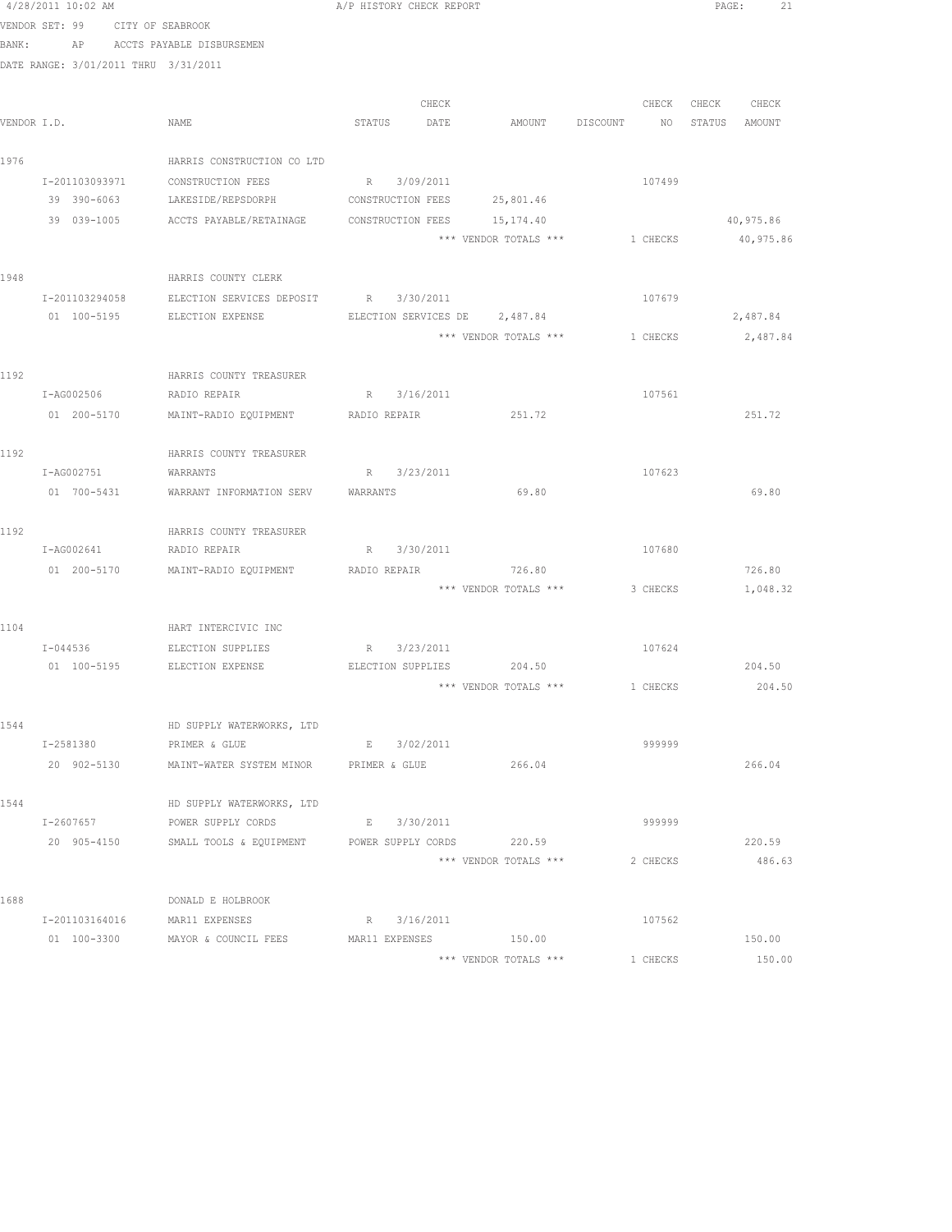|             | 4/28/2011 10:02 AM              |                                                    | A/P HISTORY CHECK REPORT |             |                               |                                | PAGE:<br>21                           |
|-------------|---------------------------------|----------------------------------------------------|--------------------------|-------------|-------------------------------|--------------------------------|---------------------------------------|
|             | VENDOR SET: 99 CITY OF SEABROOK |                                                    |                          |             |                               |                                |                                       |
| BANK:       |                                 | AP ACCTS PAYABLE DISBURSEMEN                       |                          |             |                               |                                |                                       |
|             |                                 | DATE RANGE: 3/01/2011 THRU 3/31/2011               |                          |             |                               |                                |                                       |
|             |                                 |                                                    |                          |             |                               |                                |                                       |
|             |                                 |                                                    |                          | CHECK       |                               | CHECK                          | CHECK<br>CHECK                        |
| VENDOR I.D. |                                 | NAME                                               | STATUS                   | DATE        | AMOUNT                        | DISCOUNT<br>NO <sub>1</sub>    | STATUS<br>AMOUNT                      |
|             |                                 |                                                    |                          |             |                               |                                |                                       |
| 1976        |                                 | HARRIS CONSTRUCTION CO LTD                         |                          |             |                               |                                |                                       |
|             | I-201103093971                  | CONSTRUCTION FEES                                  | R 3/09/2011              |             |                               | 107499                         |                                       |
|             | 39 390-6063                     | LAKESIDE/REPSDORPH                                 | CONSTRUCTION FEES        |             | 25,801.46                     |                                |                                       |
|             |                                 | 39 039-1005 ACCTS PAYABLE/RETAINAGE                | CONSTRUCTION FEES        |             | 15,174.40                     |                                | 40,975.86                             |
|             |                                 |                                                    |                          |             | *** VENDOR TOTALS ***         | 1 CHECKS                       | 40,975.86                             |
|             |                                 |                                                    |                          |             |                               |                                |                                       |
| 1948        |                                 | HARRIS COUNTY CLERK                                |                          |             |                               |                                |                                       |
|             | I-201103294058                  | ELECTION SERVICES DEPOSIT R 3/30/2011              |                          |             |                               | 107679                         |                                       |
|             | 01 100-5195                     | ELECTION EXPENSE                                   |                          |             | ELECTION SERVICES DE 2,487.84 |                                | 2,487.84                              |
|             |                                 |                                                    |                          |             |                               | *** VENDOR TOTALS *** 1 CHECKS | 2,487.84                              |
|             |                                 |                                                    |                          |             |                               |                                |                                       |
| 1192        |                                 | HARRIS COUNTY TREASURER                            |                          |             |                               |                                |                                       |
|             | I-AG002506                      | RADIO REPAIR                                       | R 3/16/2011              |             |                               | 107561                         |                                       |
|             | 01 200-5170                     | MAINT-RADIO EQUIPMENT RADIO REPAIR                 |                          |             | 251.72                        |                                | 251.72                                |
|             |                                 |                                                    |                          |             |                               |                                |                                       |
| 1192        |                                 | HARRIS COUNTY TREASURER                            |                          |             |                               |                                |                                       |
|             | I-AG002751<br>01 700-5431       | WARRANTS<br>WARRANT INFORMATION SERV               | WARRANTS                 | R 3/23/2011 | 69.80                         | 107623                         | 69.80                                 |
|             |                                 |                                                    |                          |             |                               |                                |                                       |
| 1192        |                                 | HARRIS COUNTY TREASURER                            |                          |             |                               |                                |                                       |
|             | I-AG002641                      | RADIO REPAIR                                       |                          | R 3/30/2011 |                               | 107680                         |                                       |
|             | 01 200-5170                     | MAINT-RADIO EQUIPMENT                              | RADIO REPAIR             |             | 726.80                        |                                | 726.80                                |
|             |                                 |                                                    |                          |             | *** VENDOR TOTALS ***         | 3 CHECKS                       | 1,048.32                              |
|             |                                 |                                                    |                          |             |                               |                                |                                       |
| 1104        |                                 | HART INTERCIVIC INC                                |                          |             |                               |                                |                                       |
|             | $I - 044536$                    | ELECTION SUPPLIES                                  |                          | R 3/23/2011 |                               | 107624                         |                                       |
|             |                                 | 01 100-5195 ELECTION EXPENSE                       | ELECTION SUPPLIES        |             | 204.50                        |                                | 204.50                                |
|             |                                 |                                                    |                          |             |                               |                                | *** VENDOR TOTALS *** 1 CHECKS 204.50 |
|             |                                 |                                                    |                          |             |                               |                                |                                       |
| 1544        |                                 | HD SUPPLY WATERWORKS, LTD                          |                          |             |                               |                                |                                       |
|             | I-2581380                       | PRIMER & GLUE                                      |                          | E 3/02/2011 |                               | 999999                         |                                       |
|             | 20 902-5130                     | MAINT-WATER SYSTEM MINOR PRIMER & GLUE             |                          |             | 266.04                        |                                | 266.04                                |
|             |                                 |                                                    |                          |             |                               |                                |                                       |
| 1544        |                                 | HD SUPPLY WATERWORKS, LTD                          |                          |             |                               |                                |                                       |
|             | I-2607657                       | POWER SUPPLY CORDS                                 |                          | E 3/30/2011 |                               | 999999                         |                                       |
|             | 20 905-4150                     | SMALL TOOLS & EQUIPMENT POWER SUPPLY CORDS         |                          |             | 220.59                        |                                | 220.59                                |
|             |                                 |                                                    |                          |             | *** VENDOR TOTALS ***         | 2 CHECKS                       | 486.63                                |
| 1688        |                                 | DONALD E HOLBROOK                                  |                          |             |                               |                                |                                       |
|             | I-201103164016                  |                                                    |                          | R 3/16/2011 |                               | 107562                         |                                       |
|             |                                 | MAR11 EXPENSES<br>01 100-3300 MAYOR & COUNCIL FEES | MAR11 EXPENSES           |             | 150.00                        |                                | 150.00                                |
|             |                                 |                                                    |                          |             | *** VENDOR TOTALS ***         | 1 CHECKS                       | 150.00                                |
|             |                                 |                                                    |                          |             |                               |                                |                                       |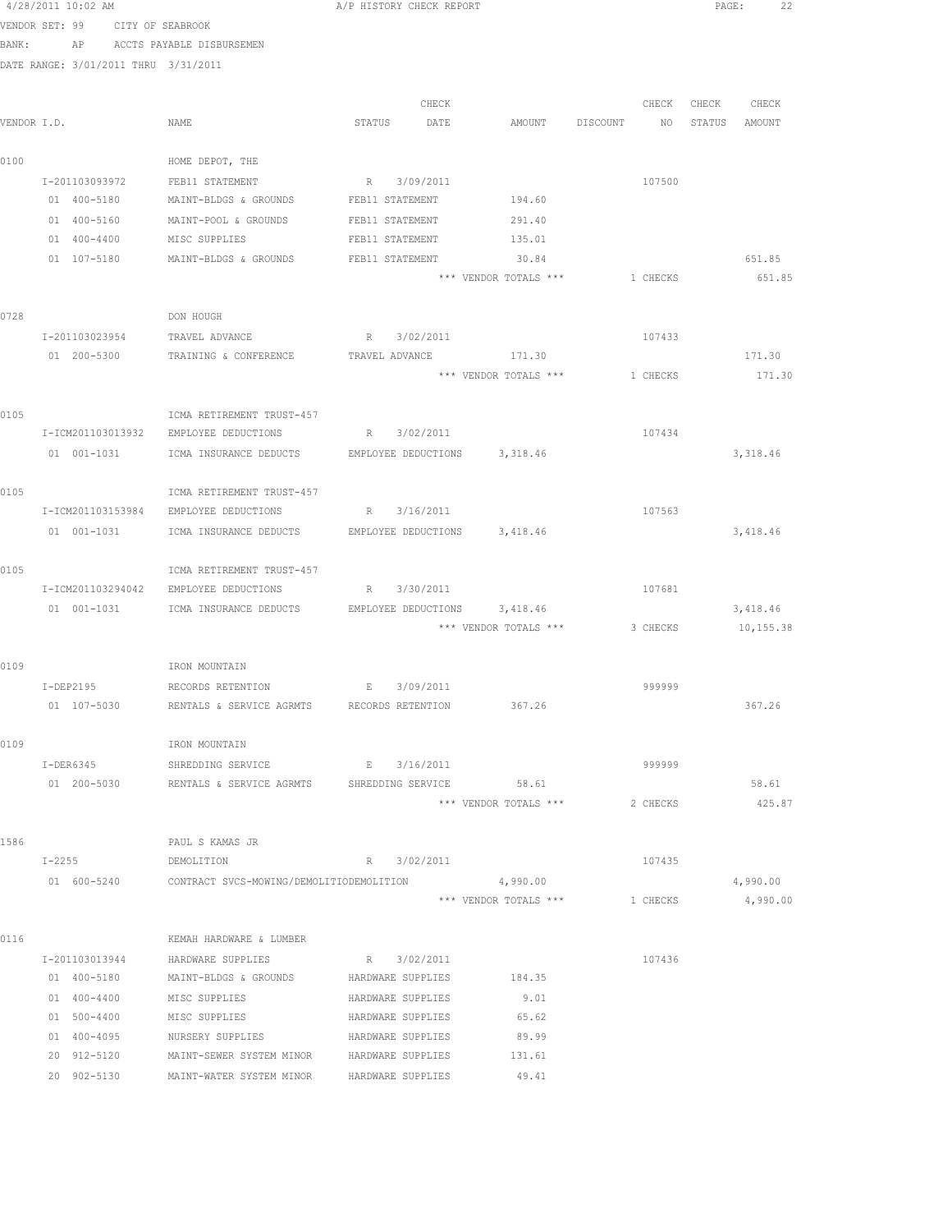|      | 4/28/2011 10:02 AM                   |                                                                           | A/P HISTORY CHECK REPORT |                                |                                  |          | PAGE:             | -22       |  |
|------|--------------------------------------|---------------------------------------------------------------------------|--------------------------|--------------------------------|----------------------------------|----------|-------------------|-----------|--|
|      | VENDOR SET: 99 CITY OF SEABROOK      |                                                                           |                          |                                |                                  |          |                   |           |  |
|      | BANK: AP ACCTS PAYABLE DISBURSEMEN   |                                                                           |                          |                                |                                  |          |                   |           |  |
|      | DATE RANGE: 3/01/2011 THRU 3/31/2011 |                                                                           |                          |                                |                                  |          |                   |           |  |
|      |                                      |                                                                           |                          |                                |                                  |          |                   |           |  |
|      |                                      |                                                                           | CHECK                    |                                |                                  |          | CHECK CHECK CHECK |           |  |
|      | VENDOR I.D.                          | NAME                                                                      | STATUS DATE              |                                | AMOUNT DISCOUNT NO STATUS AMOUNT |          |                   |           |  |
|      |                                      |                                                                           |                          |                                |                                  |          |                   |           |  |
| 0100 |                                      | HOME DEPOT, THE                                                           |                          |                                |                                  |          |                   |           |  |
|      | I-201103093972                       | FEB11 STATEMENT                                                           | R 3/09/2011              |                                |                                  | 107500   |                   |           |  |
|      | 01 400-5180                          | MAINT-BLDGS & GROUNDS                                                     | FEB11 STATEMENT          | 194.60                         |                                  |          |                   |           |  |
|      | 01 400-5160                          | MAINT-POOL & GROUNDS                                                      | FEB11 STATEMENT          | 291.40                         |                                  |          |                   |           |  |
|      | 01 400-4400                          | MISC SUPPLIES                                                             | FEB11 STATEMENT          | 135.01                         |                                  |          |                   |           |  |
|      |                                      | 01 107-5180 MAINT-BLDGS & GROUNDS                                         | FEB11 STATEMENT          | 30.84                          |                                  |          |                   | 651.85    |  |
|      |                                      |                                                                           |                          | *** VENDOR TOTALS *** 1 CHECKS |                                  |          |                   | 651.85    |  |
|      |                                      |                                                                           |                          |                                |                                  |          |                   |           |  |
| 0728 |                                      | DON HOUGH                                                                 |                          |                                |                                  |          |                   |           |  |
|      |                                      | I-201103023954 TRAVEL ADVANCE                                             | R 3/02/2011              |                                |                                  | 107433   |                   |           |  |
|      | 01 200-5300                          | TRAINING & CONFERENCE                                                     | TRAVEL ADVANCE           | 171.30                         |                                  |          |                   | 171.30    |  |
|      |                                      |                                                                           |                          | *** VENDOR TOTALS ***          |                                  | 1 CHECKS |                   | 171.30    |  |
|      |                                      |                                                                           |                          |                                |                                  |          |                   |           |  |
| 0105 |                                      | ICMA RETIREMENT TRUST-457                                                 |                          |                                |                                  |          |                   |           |  |
|      |                                      | I-ICM201103013932 EMPLOYEE DEDUCTIONS                                     | R 3/02/2011              |                                |                                  | 107434   |                   |           |  |
|      |                                      | 01 001-1031 ICMA INSURANCE DEDUCTS EMPLOYEE DEDUCTIONS 3,318.46           |                          |                                |                                  |          |                   | 3,318.46  |  |
|      |                                      |                                                                           |                          |                                |                                  |          |                   |           |  |
| 0105 |                                      | ICMA RETIREMENT TRUST-457                                                 |                          |                                |                                  |          |                   |           |  |
|      |                                      | I-ICM201103153984 EMPLOYEE DEDUCTIONS R 3/16/2011                         |                          |                                |                                  | 107563   |                   |           |  |
|      |                                      | 01 001-1031   ICMA INSURANCE DEDUCTS   EMPLOYEE DEDUCTIONS   3,418.46     |                          |                                |                                  |          |                   | 3,418.46  |  |
|      |                                      |                                                                           |                          |                                |                                  |          |                   |           |  |
| 0105 |                                      | ICMA RETIREMENT TRUST-457                                                 |                          |                                |                                  |          |                   |           |  |
|      |                                      | I-ICM201103294042 EMPLOYEE DEDUCTIONS                                     | R 3/30/2011              |                                |                                  | 107681   |                   |           |  |
|      |                                      | 01 001-1031 CMA INSURANCE DEDUCTS EMPLOYEE DEDUCTIONS 3,418.46            |                          | *** VENDOR TOTALS ***          |                                  | 3 CHECKS |                   | 3,418.46  |  |
|      |                                      |                                                                           |                          |                                |                                  |          |                   | 10,155.38 |  |
| 0109 |                                      | IRON MOUNTAIN                                                             |                          |                                |                                  |          |                   |           |  |
|      |                                      |                                                                           | E 3/09/2011              |                                |                                  | 999999   |                   |           |  |
|      | 01 107-5030                          | I-DEP2195 RECORDS RETENTION<br>RENTALS & SERVICE AGRMTS RECORDS RETENTION |                          | 367.26                         |                                  |          |                   | 367.26    |  |
|      |                                      |                                                                           |                          |                                |                                  |          |                   |           |  |
| 0109 |                                      | IRON MOUNTAIN                                                             |                          |                                |                                  |          |                   |           |  |
|      |                                      | I-DER6345 SHREDDING SERVICE B 3/16/2011                                   |                          |                                |                                  | 999999   |                   |           |  |
|      |                                      | 01  200-5030  RENTALS & SERVICE AGRMTS  SHREDDING SERVICE  58.61          |                          |                                |                                  |          |                   | 58.61     |  |
|      |                                      |                                                                           |                          | *** VENDOR TOTALS ***          |                                  | 2 CHECKS |                   | 425.87    |  |
|      |                                      |                                                                           |                          |                                |                                  |          |                   |           |  |
| 1586 |                                      | PAUL S KAMAS JR                                                           |                          |                                |                                  |          |                   |           |  |
|      | $I-2255$                             | DEMOLITION                                                                | R 3/02/2011              |                                |                                  | 107435   |                   |           |  |
|      | 01 600-5240                          | CONTRACT SVCS-MOWING/DEMOLITIODEMOLITION                                  |                          | 4,990.00                       |                                  |          |                   | 4,990.00  |  |
|      |                                      |                                                                           |                          | *** VENDOR TOTALS ***          |                                  | 1 CHECKS |                   | 4,990.00  |  |
|      |                                      |                                                                           |                          |                                |                                  |          |                   |           |  |
| 0116 |                                      | KEMAH HARDWARE & LUMBER                                                   |                          |                                |                                  |          |                   |           |  |
|      |                                      | I-201103013944 HARDWARE SUPPLIES                                          | R 3/02/2011              |                                |                                  | 107436   |                   |           |  |
|      | 01 400-5180                          | MAINT-BLDGS & GROUNDS HARDWARE SUPPLIES                                   |                          | 184.35                         |                                  |          |                   |           |  |
|      | 01 400-4400 MISC SUPPLIES            |                                                                           | HARDWARE SUPPLIES        | 9.01                           |                                  |          |                   |           |  |
|      | 01 500-4400                          | MISC SUPPLIES                                                             | HARDWARE SUPPLIES        | 65.62                          |                                  |          |                   |           |  |
|      | 01 400-4095                          | NURSERY SUPPLIES                                                          | HARDWARE SUPPLIES        | 89.99                          |                                  |          |                   |           |  |
|      | 20 912-5120                          | MAINT-SEWER SYSTEM MINOR HARDWARE SUPPLIES                                |                          | 131.61                         |                                  |          |                   |           |  |
|      | 20 902-5130                          | MAINT-WATER SYSTEM MINOR                                                  | HARDWARE SUPPLIES        | 49.41                          |                                  |          |                   |           |  |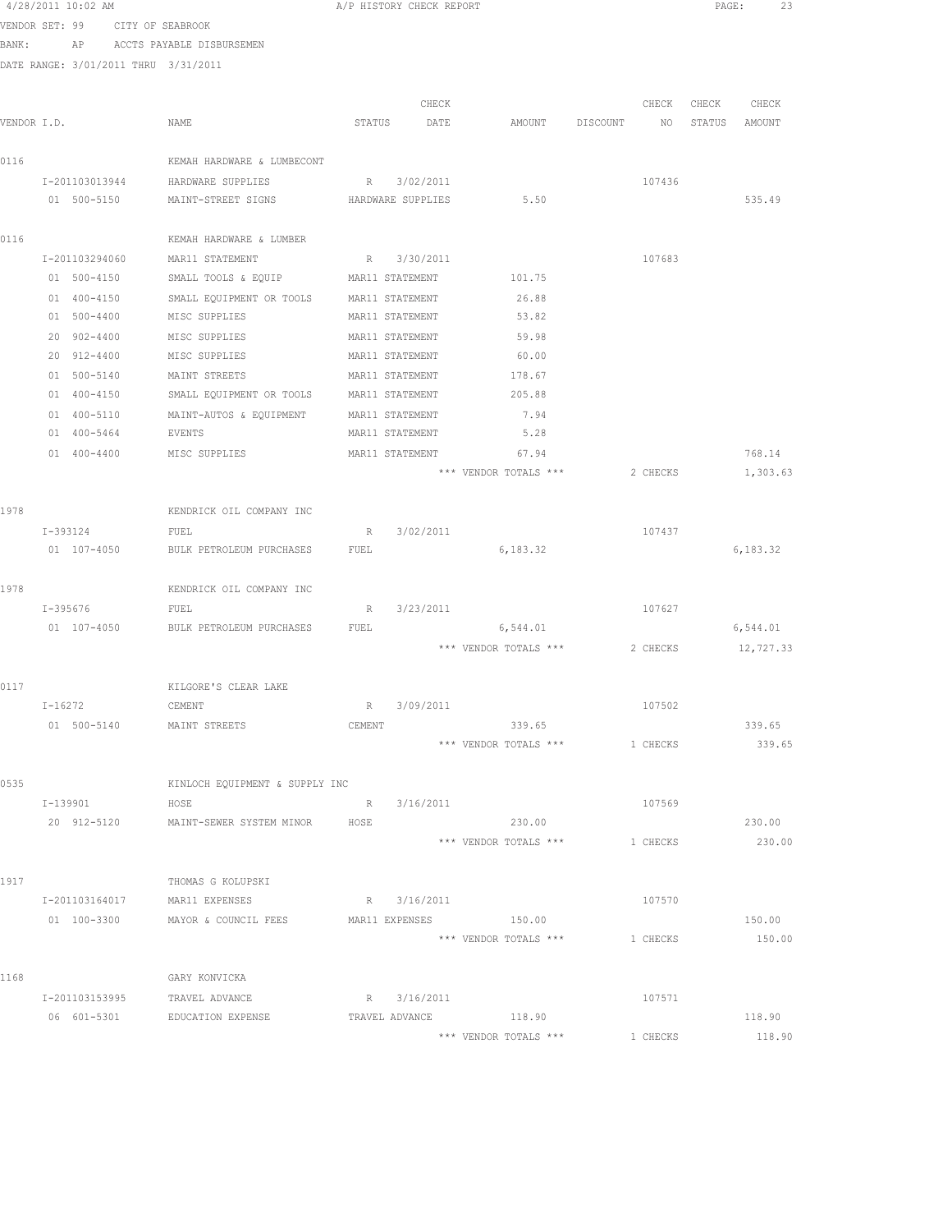|       | 4/28/2011 10:02 AM                   |                                  | A/P HISTORY CHECK REPORT |                       |          |          | PAGE:  | 23        |  |
|-------|--------------------------------------|----------------------------------|--------------------------|-----------------------|----------|----------|--------|-----------|--|
|       | VENDOR SET: 99 CITY OF SEABROOK      |                                  |                          |                       |          |          |        |           |  |
| BANK: | AP                                   | ACCTS PAYABLE DISBURSEMEN        |                          |                       |          |          |        |           |  |
|       | DATE RANGE: 3/01/2011 THRU 3/31/2011 |                                  |                          |                       |          |          |        |           |  |
|       |                                      |                                  |                          |                       |          |          |        |           |  |
|       |                                      |                                  | CHECK                    |                       |          | CHECK    | CHECK  | CHECK     |  |
|       | VENDOR I.D.                          | NAME                             | STATUS<br>DATE           | AMOUNT                | DISCOUNT | NO       | STATUS | AMOUNT    |  |
|       |                                      |                                  |                          |                       |          |          |        |           |  |
| 0116  |                                      | KEMAH HARDWARE & LUMBECONT       |                          |                       |          |          |        |           |  |
|       | I-201103013944                       | HARDWARE SUPPLIES                | 3/02/2011<br>R           |                       |          | 107436   |        |           |  |
|       | 01 500-5150                          | MAINT-STREET SIGNS               | HARDWARE SUPPLIES        | 5.50                  |          |          |        | 535.49    |  |
| 0116  |                                      | KEMAH HARDWARE & LUMBER          |                          |                       |          |          |        |           |  |
|       | I-201103294060                       | MAR11 STATEMENT                  | R 3/30/2011              |                       |          | 107683   |        |           |  |
|       | 01 500-4150                          | SMALL TOOLS & EQUIP              | MAR11 STATEMENT          | 101.75                |          |          |        |           |  |
|       | 01 400-4150                          | SMALL EQUIPMENT OR TOOLS         | MAR11 STATEMENT          | 26.88                 |          |          |        |           |  |
|       | $01 500 - 4400$                      | MISC SUPPLIES                    | MAR11 STATEMENT          | 53.82                 |          |          |        |           |  |
|       | 20 902-4400                          | MISC SUPPLIES                    | MAR11 STATEMENT          | 59.98                 |          |          |        |           |  |
|       | 20 912-4400                          | MISC SUPPLIES                    | MAR11 STATEMENT          | 60.00                 |          |          |        |           |  |
|       | 01 500-5140                          | MAINT STREETS                    | MAR11 STATEMENT          | 178.67                |          |          |        |           |  |
|       | 01 400-4150                          | SMALL EQUIPMENT OR TOOLS         | MAR11 STATEMENT          | 205.88                |          |          |        |           |  |
|       | 01 400-5110                          | MAINT-AUTOS & EQUIPMENT          | MAR11 STATEMENT          | 7.94                  |          |          |        |           |  |
|       | 01 400-5464                          | EVENTS                           | MAR11 STATEMENT          | 5.28                  |          |          |        |           |  |
|       | 01 400-4400                          | MISC SUPPLIES                    | MAR11 STATEMENT          | 67.94                 |          |          |        | 768.14    |  |
|       |                                      |                                  |                          | *** VENDOR TOTALS *** |          | 2 CHECKS |        | 1,303.63  |  |
|       |                                      |                                  |                          |                       |          |          |        |           |  |
| 1978  |                                      | KENDRICK OIL COMPANY INC         |                          |                       |          |          |        |           |  |
|       | I-393124<br>01 107-4050              | FUEL<br>BULK PETROLEUM PURCHASES | 3/02/2011<br>R<br>FUEL   | 6,183.32              |          | 107437   |        | 6,183.32  |  |
|       |                                      |                                  |                          |                       |          |          |        |           |  |
| 1978  |                                      | KENDRICK OIL COMPANY INC         |                          |                       |          |          |        |           |  |
|       | I-395676                             | FUEL                             | 3/23/2011<br>R           |                       |          | 107627   |        |           |  |
|       | 01 107-4050                          | BULK PETROLEUM PURCHASES         | FUEL                     | 6,544.01              |          |          |        | 6,544.01  |  |
|       |                                      |                                  |                          | *** VENDOR TOTALS *** |          | 2 CHECKS |        | 12,727.33 |  |
|       |                                      |                                  |                          |                       |          |          |        |           |  |
| 0117  |                                      | KILGORE'S CLEAR LAKE             |                          |                       |          |          |        |           |  |
|       | I-16272                              | CEMENT                           | R 3/09/2011              |                       |          | 107502   |        |           |  |
|       | 01 500-5140                          | MAINT STREETS                    | CEMENT                   | 339.65                |          |          |        | 339.65    |  |
|       |                                      |                                  |                          | *** VENDOR TOTALS *** | 1 CHECKS |          |        | 339.65    |  |
|       |                                      | KINLOCH EQUIPMENT & SUPPLY INC   |                          |                       |          |          |        |           |  |
| 0535  | I-139901                             | HOSE                             | R 3/16/2011              |                       |          | 107569   |        |           |  |
|       | 20 912-5120                          | MAINT-SEWER SYSTEM MINOR HOSE    |                          | 230.00                |          |          |        | 230.00    |  |
|       |                                      |                                  |                          | *** VENDOR TOTALS *** | 1 CHECKS |          |        | 230.00    |  |
|       |                                      |                                  |                          |                       |          |          |        |           |  |
| 1917  |                                      | THOMAS G KOLUPSKI                |                          |                       |          |          |        |           |  |
|       | I-201103164017 MAR11 EXPENSES        |                                  | R 3/16/2011              |                       |          | 107570   |        |           |  |
|       |                                      | 01 100-3300 MAYOR & COUNCIL FEES | MAR11 EXPENSES 150.00    |                       |          |          |        | 150.00    |  |
|       |                                      |                                  |                          | *** VENDOR TOTALS *** | 1 CHECKS |          |        | 150.00    |  |
|       |                                      |                                  |                          |                       |          |          |        |           |  |
| 1168  |                                      | GARY KONVICKA                    |                          |                       |          |          |        |           |  |
|       | I-201103153995                       | TRAVEL ADVANCE                   | R 3/16/2011              |                       |          | 107571   |        |           |  |
|       |                                      |                                  |                          |                       |          |          |        |           |  |

06 601-5301 EDUCATION EXPENSE TRAVEL ADVANCE 118.90 118.90 \*\*\* VENDOR TOTALS \*\*\* 1 CHECKS 118.90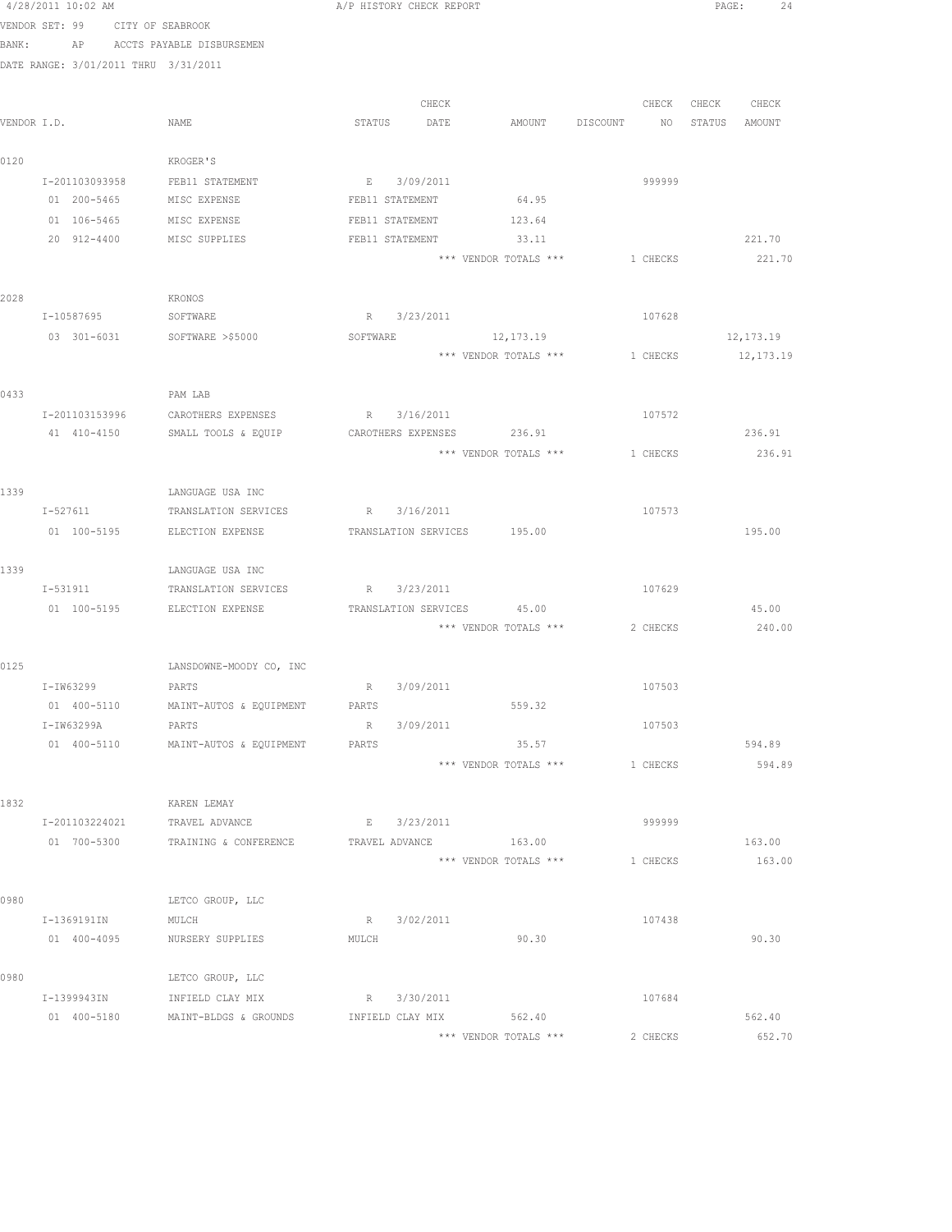|             | 4/Z8/ZUII IU:UZ AM |             |                                           |                 |                 | A/F HISTORY CHECK REPORT |                                  |          |                   | PAGE:     |  |
|-------------|--------------------|-------------|-------------------------------------------|-----------------|-----------------|--------------------------|----------------------------------|----------|-------------------|-----------|--|
|             |                    |             | VENDOR SET: 99 CITY OF SEABROOK           |                 |                 |                          |                                  |          |                   |           |  |
|             |                    |             | BANK: AP ACCTS PAYABLE DISBURSEMEN        |                 |                 |                          |                                  |          |                   |           |  |
|             |                    |             | DATE RANGE: 3/01/2011 THRU 3/31/2011      |                 |                 |                          |                                  |          |                   |           |  |
|             |                    |             |                                           |                 |                 |                          |                                  |          |                   |           |  |
|             |                    |             |                                           |                 |                 | CHECK                    |                                  |          | CHECK CHECK CHECK |           |  |
| VENDOR I.D. |                    |             | NAME                                      |                 |                 | STATUS DATE              | AMOUNT DISCOUNT NO STATUS AMOUNT |          |                   |           |  |
| 0120        |                    |             | KROGER'S                                  |                 |                 |                          |                                  |          |                   |           |  |
|             | I-201103093958     |             | FEB11 STATEMENT                           |                 | E 3/09/2011     |                          |                                  | 999999   |                   |           |  |
|             |                    | 01 200-5465 | MISC EXPENSE                              | FEB11 STATEMENT |                 |                          | 64.95                            |          |                   |           |  |
|             |                    | 01 106-5465 | MISC EXPENSE                              |                 | FEB11 STATEMENT |                          | 123.64                           |          |                   |           |  |
|             |                    |             | 20 912-4400 MISC SUPPLIES                 |                 | FEB11 STATEMENT |                          | 33.11                            |          |                   | 221.70    |  |
|             |                    |             |                                           |                 |                 |                          | *** VENDOR TOTALS *** 1 CHECKS   |          |                   | 221.70    |  |
| 2028        |                    |             | KRONOS                                    |                 |                 |                          |                                  |          |                   |           |  |
|             |                    |             | I-10587695 SOFTWARE                       |                 |                 | R 3/23/2011              |                                  | 107628   |                   |           |  |
|             |                    |             | 03 301-6031 SOFTWARE >\$5000              | SOFTWARE        |                 |                          | 12, 173. 19                      |          |                   | 12,173.19 |  |
|             |                    |             |                                           |                 |                 |                          | *** VENDOR TOTALS *** 1 CHECKS   |          |                   | 12,173.19 |  |
| 0433        |                    |             | PAM LAB                                   |                 |                 |                          |                                  |          |                   |           |  |
|             | I-201103153996     |             | CAROTHERS EXPENSES                        |                 |                 | R 3/16/2011              |                                  | 107572   |                   |           |  |
|             |                    | 41 410-4150 | SMALL TOOLS & EQUIP                       |                 |                 |                          | CAROTHERS EXPENSES 236.91        |          |                   | 236.91    |  |
|             |                    |             |                                           |                 |                 |                          | *** VENDOR TOTALS *** 1 CHECKS   |          |                   | 236.91    |  |
|             |                    |             |                                           |                 |                 |                          |                                  |          |                   |           |  |
| 1339        |                    |             | LANGUAGE USA INC                          |                 |                 |                          |                                  |          |                   |           |  |
|             |                    |             | I-527611 TRANSLATION SERVICES R 3/16/2011 |                 |                 |                          |                                  | 107573   |                   |           |  |
|             |                    |             | 01 100-5195 ELECTION EXPENSE              |                 |                 |                          | TRANSLATION SERVICES 195.00      |          |                   | 195.00    |  |
| 1339        |                    |             | LANGUAGE USA INC                          |                 |                 |                          |                                  |          |                   |           |  |
|             |                    |             | I-531911 TRANSLATION SERVICES             |                 |                 | R 3/23/2011              |                                  | 107629   |                   |           |  |
|             |                    | 01 100-5195 | ELECTION EXPENSE                          |                 |                 |                          | TRANSLATION SERVICES 45.00       |          |                   | 45.00     |  |
|             |                    |             |                                           |                 |                 |                          | *** VENDOR TOTALS ***            | 2 CHECKS |                   | 240.00    |  |
|             |                    |             |                                           |                 |                 |                          |                                  |          |                   |           |  |
| 0125        |                    |             | LANSDOWNE-MOODY CO, INC                   |                 |                 |                          |                                  |          |                   |           |  |
|             | I-IW63299          |             | PARTS                                     |                 | R 3/09/2011     |                          |                                  | 107503   |                   |           |  |
|             | 01 400-5110        |             | MAINT-AUTOS & EQUIPMENT                   | PARTS           |                 |                          | 559.32                           |          |                   |           |  |
|             | I-IW63299A         |             | PARTS                                     | R               |                 | 3/09/2011                |                                  | 107503   |                   |           |  |
|             |                    |             | 01 400-5110 MAINT-AUTOS & EQUIPMENT       | PARTS           |                 |                          | 35.57                            |          |                   | 594.89    |  |
|             |                    |             |                                           |                 |                 |                          | *** VENDOR TOTALS ***            | 1 CHECKS |                   | 594.89    |  |
| 1832        |                    |             | KAREN LEMAY                               |                 |                 |                          |                                  |          |                   |           |  |
|             | I-201103224021     |             | TRAVEL ADVANCE                            |                 | E 3/23/2011     |                          |                                  | 999999   |                   |           |  |
|             |                    | 01 700-5300 | TRAINING & CONFERENCE                     |                 |                 |                          | TRAVEL ADVANCE 163.00            |          |                   | 163.00    |  |
|             |                    |             |                                           |                 |                 |                          | *** VENDOR TOTALS ***            | 1 CHECKS |                   | 163.00    |  |
| 0980        |                    |             | LETCO GROUP, LLC                          |                 |                 |                          |                                  |          |                   |           |  |
|             | I-1369191IN        |             | MULCH                                     |                 | R 3/02/2011     |                          |                                  | 107438   |                   |           |  |
|             |                    | 01 400-4095 | NURSERY SUPPLIES                          | MULCH           |                 |                          | 90.30                            |          |                   | 90.30     |  |
|             |                    |             |                                           |                 |                 |                          |                                  |          |                   |           |  |
| 0980        |                    |             | LETCO GROUP, LLC                          |                 |                 |                          |                                  |          |                   |           |  |
|             | I-1399943IN        |             | INFIELD CLAY MIX                          |                 | R 3/30/2011     |                          |                                  | 107684   |                   |           |  |
|             |                    |             | 01 400-5180 MAINT-BLDGS & GROUNDS         |                 |                 |                          | INFIELD CLAY MIX 562.40          |          |                   | 562.40    |  |
|             |                    |             |                                           |                 |                 |                          | *** VENDOR TOTALS ***            | 2 CHECKS |                   | 652.70    |  |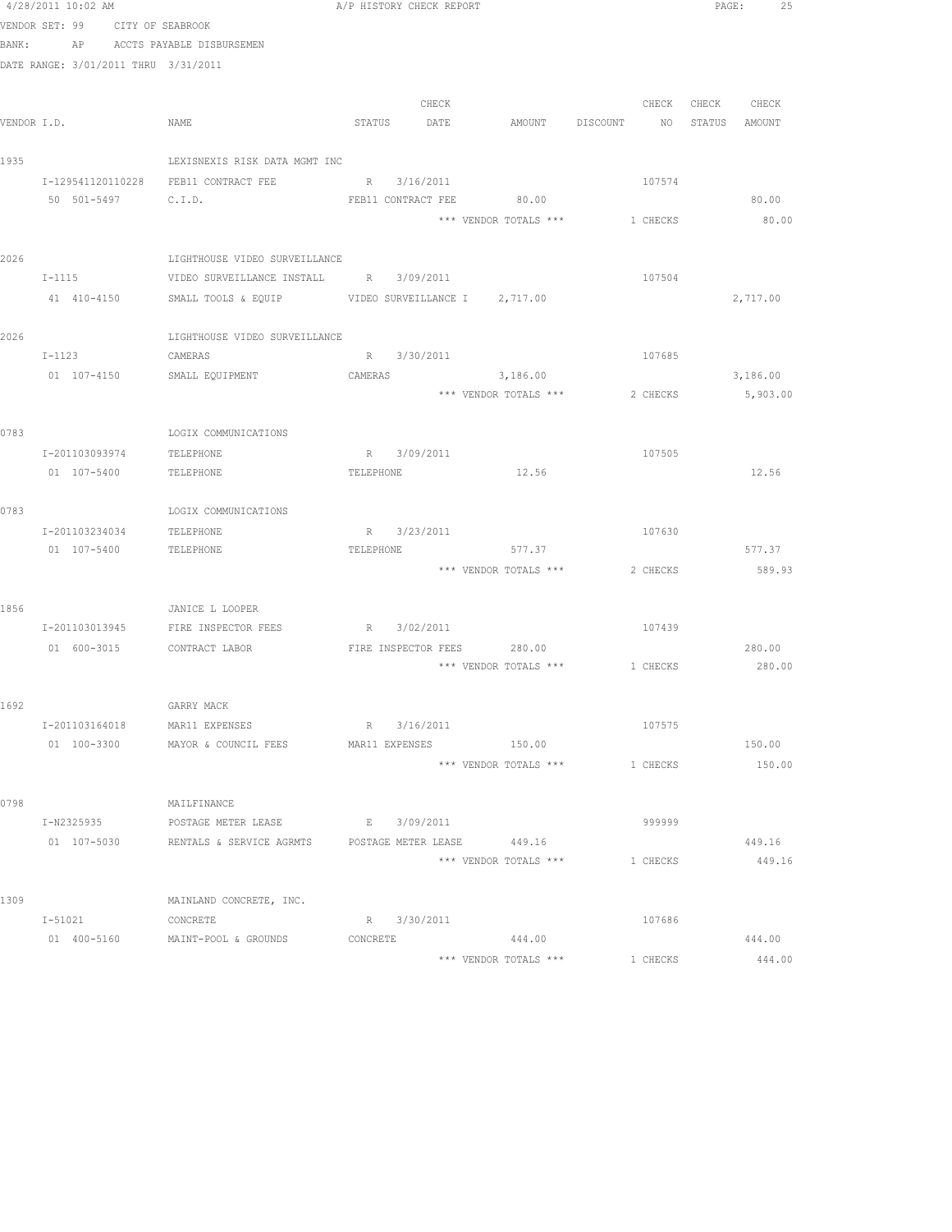|             | 4/28/2011 10:02 AM                   |                                                                                                    | A/P HISTORY CHECK REPORT |             |                                   |                                | PAGE:         | 25       |  |
|-------------|--------------------------------------|----------------------------------------------------------------------------------------------------|--------------------------|-------------|-----------------------------------|--------------------------------|---------------|----------|--|
|             | VENDOR SET: 99<br>CITY OF SEABROOK   |                                                                                                    |                          |             |                                   |                                |               |          |  |
| BANK:       |                                      | AP ACCTS PAYABLE DISBURSEMEN                                                                       |                          |             |                                   |                                |               |          |  |
|             | DATE RANGE: 3/01/2011 THRU 3/31/2011 |                                                                                                    |                          |             |                                   |                                |               |          |  |
|             |                                      |                                                                                                    |                          |             |                                   |                                |               |          |  |
|             |                                      |                                                                                                    |                          | CHECK       |                                   | CHECK                          | CHECK         | CHECK    |  |
| VENDOR I.D. |                                      | NAME                                                                                               | STATUS DATE              |             |                                   | AMOUNT DISCOUNT NO             | STATUS AMOUNT |          |  |
| 1935        |                                      | LEXISNEXIS RISK DATA MGMT INC                                                                      |                          |             |                                   |                                |               |          |  |
|             |                                      | I-129541120110228 FEB11 CONTRACT FEE R 3/16/2011                                                   |                          |             |                                   | 107574                         |               |          |  |
|             | 50 501-5497 C.I.D.                   |                                                                                                    |                          |             | FEB11 CONTRACT FEE 80.00          |                                |               | 80.00    |  |
|             |                                      |                                                                                                    |                          |             | *** VENDOR TOTALS ***             | 1 CHECKS                       |               | 80.00    |  |
|             |                                      |                                                                                                    |                          |             |                                   |                                |               |          |  |
| 2026        |                                      | LIGHTHOUSE VIDEO SURVEILLANCE                                                                      |                          |             |                                   |                                |               |          |  |
|             | $I-1115$                             | VIDEO SURVEILLANCE INSTALL B 3/09/2011                                                             |                          |             |                                   | 107504                         |               |          |  |
|             | 41 410-4150                          | SMALL TOOLS & EQUIP VIDEO SURVEILLANCE I 2,717.00                                                  |                          |             |                                   |                                |               | 2,717.00 |  |
|             |                                      |                                                                                                    |                          |             |                                   |                                |               |          |  |
| 2026        |                                      | LIGHTHOUSE VIDEO SURVEILLANCE                                                                      |                          |             |                                   |                                |               |          |  |
|             | $I-1123$                             | CAMERAS                                                                                            |                          | R 3/30/2011 |                                   | 107685                         |               |          |  |
|             | 01 107-4150                          | SMALL EQUIPMENT                                                                                    | CAMERAS                  |             | 3,186.00<br>*** VENDOR TOTALS *** | 2 CHECKS                       |               | 3,186.00 |  |
|             |                                      |                                                                                                    |                          |             |                                   |                                |               | 5,903.00 |  |
| 0783        |                                      | LOGIX COMMUNICATIONS                                                                               |                          |             |                                   |                                |               |          |  |
|             | I-201103093974                       | TELEPHONE                                                                                          |                          | R 3/09/2011 |                                   | 107505                         |               |          |  |
|             | 01 107-5400                          | TELEPHONE                                                                                          | TELEPHONE                |             | 12.56                             |                                |               | 12.56    |  |
|             |                                      |                                                                                                    |                          |             |                                   |                                |               |          |  |
| 0783        |                                      | LOGIX COMMUNICATIONS                                                                               |                          |             |                                   |                                |               |          |  |
|             | I-201103234034                       | TELEPHONE                                                                                          |                          | R 3/23/2011 |                                   | 107630                         |               |          |  |
|             | 01 107-5400                          | TELEPHONE                                                                                          | TELEPHONE                |             | 577.37                            |                                |               | 577.37   |  |
|             |                                      |                                                                                                    |                          |             |                                   | *** VENDOR TOTALS *** 2 CHECKS |               | 589.93   |  |
|             |                                      |                                                                                                    |                          |             |                                   |                                |               |          |  |
| 1856        |                                      | JANICE L LOOPER<br>I-201103013945 FIRE INSPECTOR FEES R 3/02/2011                                  |                          |             |                                   | 107439                         |               |          |  |
|             | 01 600-3015 CONTRACT LABOR           |                                                                                                    |                          |             | FIRE INSPECTOR FEES 280.00        |                                |               | 280.00   |  |
|             |                                      |                                                                                                    |                          |             |                                   | *** VENDOR TOTALS *** 1 CHECKS |               | 280.00   |  |
|             |                                      |                                                                                                    |                          |             |                                   |                                |               |          |  |
| 1692        |                                      | GARRY MACK                                                                                         |                          |             |                                   |                                |               |          |  |
|             | I-201103164018                       | MAR11 EXPENSES                                                                                     |                          | R 3/16/2011 |                                   | 107575                         |               |          |  |
|             | 01 100-3300                          | MAYOR & COUNCIL FEES                                                                               | MAR11 EXPENSES           |             | 150.00                            |                                |               | 150.00   |  |
|             |                                      |                                                                                                    |                          |             | *** VENDOR TOTALS ***             | 1 CHECKS                       |               | 150.00   |  |
|             |                                      |                                                                                                    |                          |             |                                   |                                |               |          |  |
| 0798        |                                      | MAILFINANCE                                                                                        |                          |             |                                   |                                |               |          |  |
|             | I-N2325935                           | POSTAGE METER LEASE E 3/09/2011<br>01 107-5030 RENTALS & SERVICE AGRMTS POSTAGE METER LEASE 449.16 |                          |             |                                   | 999999                         |               | 449.16   |  |
|             |                                      |                                                                                                    |                          |             |                                   | *** VENDOR TOTALS *** 1 CHECKS |               | 449.16   |  |
|             |                                      |                                                                                                    |                          |             |                                   |                                |               |          |  |
| 1309        |                                      | MAINLAND CONCRETE, INC.                                                                            |                          |             |                                   |                                |               |          |  |
|             | $I - 51021$                          | CONCRETE                                                                                           |                          | R 3/30/2011 |                                   | 107686                         |               |          |  |
|             |                                      | 01 400-5160 MAINT-POOL & GROUNDS                                                                   | CONCRETE                 |             | 444.00                            |                                |               | 444.00   |  |
|             |                                      |                                                                                                    |                          |             | *** VENDOR TOTALS ***             | 1 CHECKS                       |               | 444.00   |  |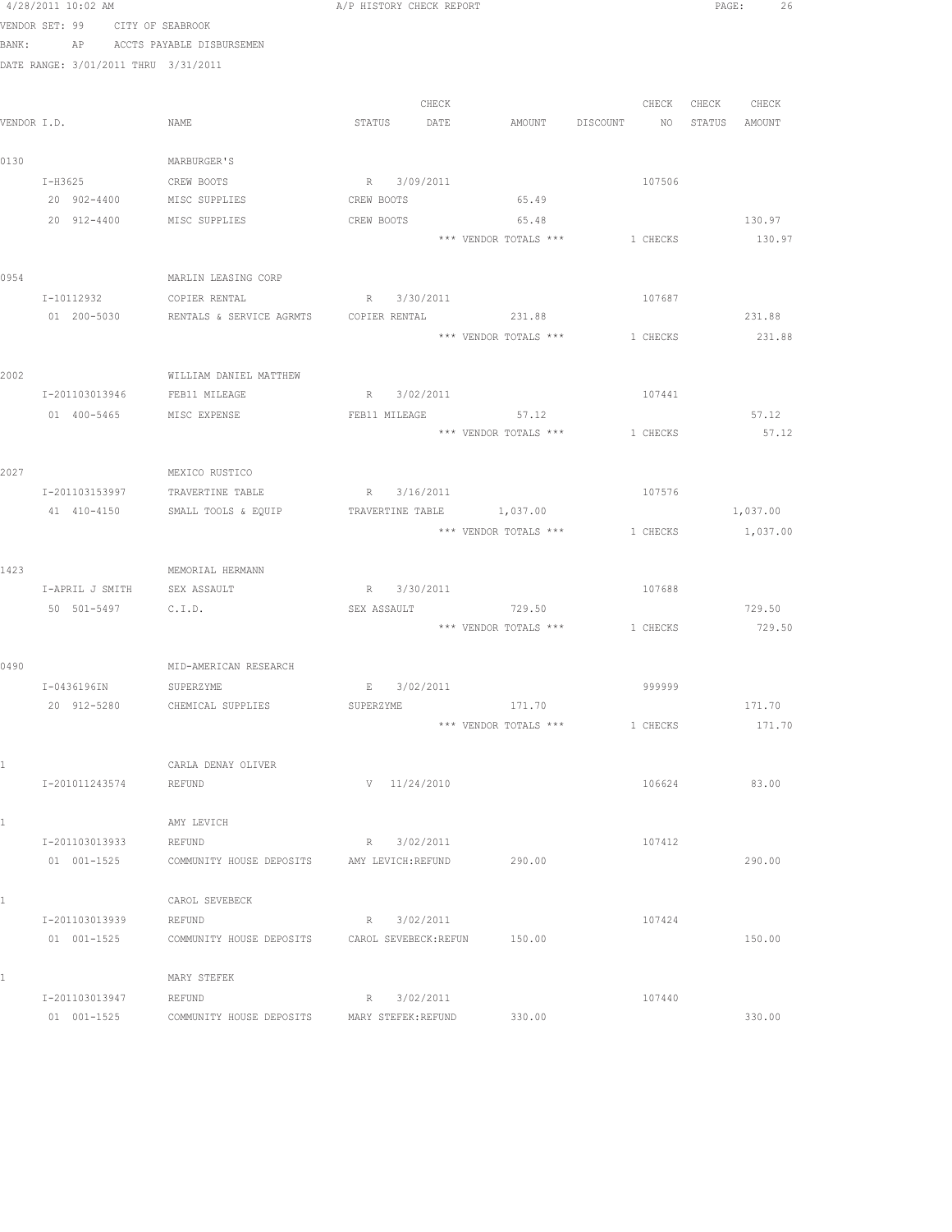|      | 4/28/2011 10:02 AM                   |                                                               | A/P HISTORY CHECK REPORT  |                       |                                  | PAGE:<br>26       |
|------|--------------------------------------|---------------------------------------------------------------|---------------------------|-----------------------|----------------------------------|-------------------|
|      | VENDOR SET: 99 CITY OF SEABROOK      |                                                               |                           |                       |                                  |                   |
|      |                                      | BANK: AP ACCTS PAYABLE DISBURSEMEN                            |                           |                       |                                  |                   |
|      | DATE RANGE: 3/01/2011 THRU 3/31/2011 |                                                               |                           |                       |                                  |                   |
|      |                                      |                                                               |                           |                       |                                  |                   |
|      |                                      |                                                               | CHECK                     |                       |                                  | CHECK CHECK CHECK |
|      | VENDOR I.D.                          | NAME                                                          | STATUS DATE               |                       | AMOUNT DISCOUNT NO STATUS AMOUNT |                   |
|      |                                      |                                                               |                           |                       |                                  |                   |
| 0130 |                                      | MARBURGER'S                                                   |                           |                       |                                  |                   |
|      | I-H3625                              | CREW BOOTS                                                    | R 3/09/2011               |                       | 107506                           |                   |
|      | 20 902-4400 MISC SUPPLIES            |                                                               | CREW BOOTS                | 65.49                 |                                  |                   |
|      | 20 912-4400 MISC SUPPLIES            |                                                               | CREW BOOTS                | 65.48                 |                                  | 130.97            |
|      |                                      |                                                               |                           |                       | *** VENDOR TOTALS *** 1 CHECKS   | 130.97            |
|      |                                      |                                                               |                           |                       |                                  |                   |
| 0954 |                                      | MARLIN LEASING CORP                                           |                           |                       |                                  |                   |
|      | I-10112932                           | COPIER RENTAL                                                 | R 3/30/2011               |                       | 107687                           |                   |
|      |                                      | 01  200-5030  RENTALS & SERVICE AGRMTS  COPIER RENTAL  231.88 |                           |                       |                                  | 231.88            |
|      |                                      |                                                               |                           | *** VENDOR TOTALS *** | 1 CHECKS                         | 231.88            |
|      |                                      |                                                               |                           |                       |                                  |                   |
| 2002 |                                      | WILLIAM DANIEL MATTHEW                                        |                           |                       |                                  |                   |
|      | I-201103013946 FEB11 MILEAGE         |                                                               | R 3/02/2011               |                       | 107441                           |                   |
|      | 01  400-5465  MISC EXPENSE           |                                                               | FEB11 MILEAGE             | 57.12                 |                                  | 57.12             |
|      |                                      |                                                               |                           |                       | *** VENDOR TOTALS *** 1 CHECKS   | 57.12             |
|      |                                      |                                                               |                           |                       |                                  |                   |
| 2027 |                                      | MEXICO RUSTICO                                                |                           |                       |                                  |                   |
|      |                                      | I-201103153997 TRAVERTINE TABLE                               | R 3/16/2011               |                       | 107576                           |                   |
|      |                                      | 41 410-4150 SMALL TOOLS & EQUIP                               | TRAVERTINE TABLE 1,037.00 |                       |                                  | 1,037.00          |
|      |                                      |                                                               |                           | *** VENDOR TOTALS *** | 1 CHECKS                         | 1,037.00          |
|      |                                      |                                                               |                           |                       |                                  |                   |
| 1423 |                                      | MEMORIAL HERMANN                                              |                           |                       |                                  |                   |
|      | I-APRIL J SMITH SEX ASSAULT          |                                                               | R 3/30/2011               |                       | 107688                           |                   |
|      | 50 501-5497 C.I.D.                   |                                                               | SEX ASSAULT               | 729.50                |                                  | 729.50            |
|      |                                      |                                                               |                           | *** VENDOR TOTALS *** | 1 CHECKS                         | 729.50            |
|      |                                      |                                                               |                           |                       |                                  |                   |
| 0490 |                                      | MID-AMERICAN RESEARCH                                         |                           |                       |                                  |                   |
|      | I-0436196IN SUPERZYME                |                                                               | $E$ 3/02/2011             |                       | 999999                           |                   |
|      | 20 912-5280                          | CHEMICAL SUPPLIES                                             | SUPERZYME                 | 171.70                |                                  | 171.70            |
|      |                                      |                                                               |                           | *** VENDOR TOTALS *** | 1 CHECKS                         | 171.70            |
|      |                                      |                                                               |                           |                       |                                  |                   |
|      |                                      | CARLA DENAY OLIVER                                            |                           |                       |                                  |                   |
|      | I-201011243574                       | <b>REFUND</b>                                                 | $V = 11/24/2010$          |                       | 106624                           | 83.00             |
|      |                                      |                                                               |                           |                       |                                  |                   |
| 1    |                                      | AMY LEVICH                                                    |                           |                       |                                  |                   |
|      | I-201103013933                       | REFUND                                                        | R 3/02/2011               |                       | 107412                           |                   |
|      | 01 001-1525                          | COMMUNITY HOUSE DEPOSITS                                      | AMY LEVICH: REFUND        | 290.00                |                                  | 290.00            |
|      |                                      |                                                               |                           |                       |                                  |                   |
| 1    |                                      | CAROL SEVEBECK                                                |                           |                       |                                  |                   |
|      | I-201103013939                       | REFUND                                                        | R 3/02/2011               |                       | 107424                           |                   |
|      | 01 001-1525                          | COMMUNITY HOUSE DEPOSITS                                      | CAROL SEVEBECK: REFUN     | 150.00                |                                  | 150.00            |
|      |                                      |                                                               |                           |                       |                                  |                   |
| 1    |                                      | MARY STEFEK                                                   |                           |                       |                                  |                   |
|      | I-201103013947                       | REFUND                                                        | R 3/02/2011               |                       | 107440                           |                   |
|      | $01 001 - 1525$                      | COMMUNITY HOUSE DEPOSITS                                      | MARY STEFEK: REFUND       | 330.00                |                                  | 330.00            |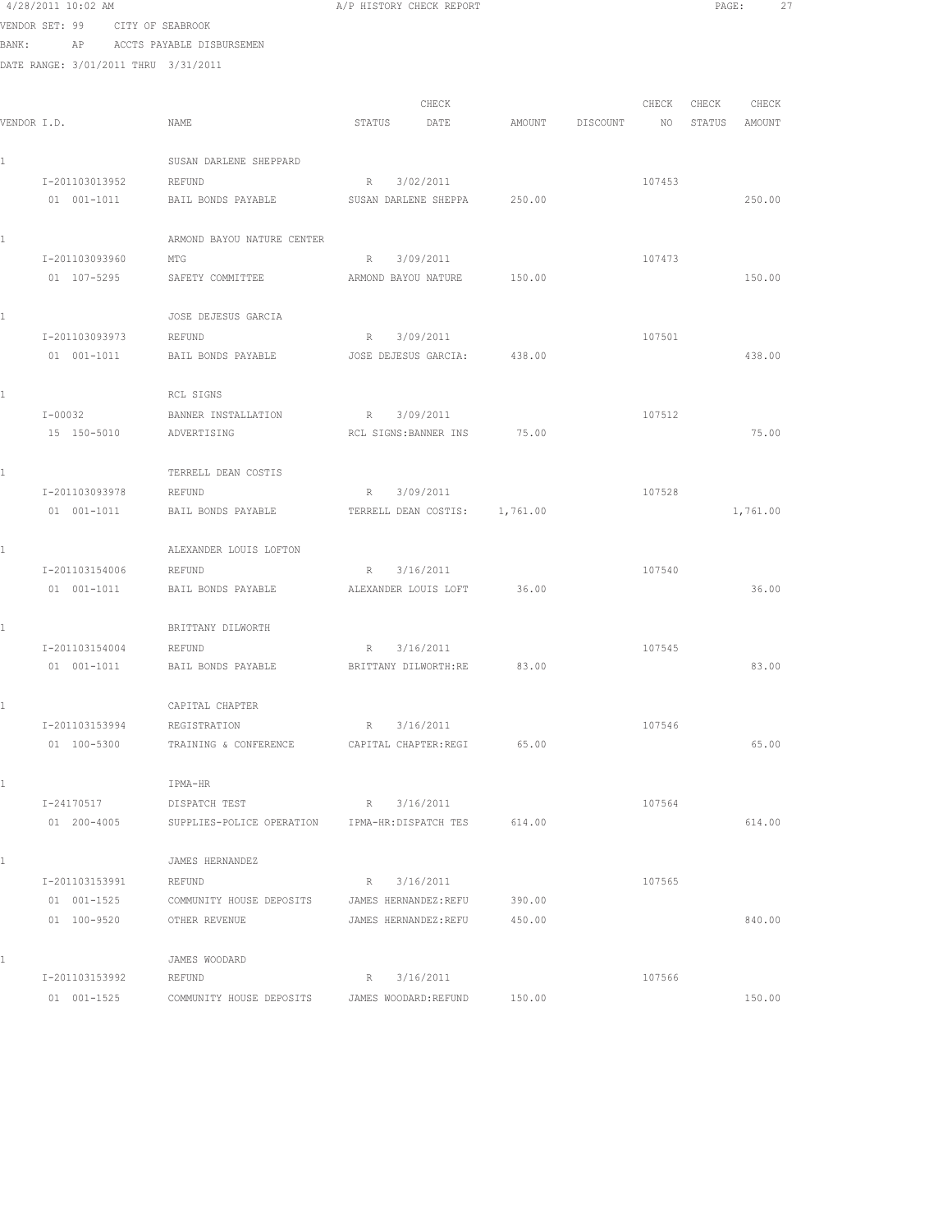|             | 4/28/2011 10:02 AM |                                                  | A/F HISTORY CHECK REFORT    |        |                  | PAGE:            |
|-------------|--------------------|--------------------------------------------------|-----------------------------|--------|------------------|------------------|
|             | VENDOR SET: 99     | CITY OF SEABROOK                                 |                             |        |                  |                  |
| BANK:       |                    | AP ACCTS PAYABLE DISBURSEMEN                     |                             |        |                  |                  |
|             |                    | DATE RANGE: 3/01/2011 THRU 3/31/2011             |                             |        |                  |                  |
|             |                    |                                                  |                             |        |                  |                  |
|             |                    |                                                  | CHECK                       |        | CHECK            | CHECK<br>CHECK   |
| VENDOR I.D. |                    | NAME                                             | DATE<br>STATUS              | AMOUNT | NO 1<br>DISCOUNT | STATUS<br>AMOUNT |
|             |                    | SUSAN DARLENE SHEPPARD                           |                             |        |                  |                  |
|             | I-201103013952     | REFUND                                           | R 3/02/2011                 |        | 107453           |                  |
|             | 01 001-1011        | BAIL BONDS PAYABLE                               | SUSAN DARLENE SHEPPA        | 250.00 |                  | 250.00           |
|             |                    | ARMOND BAYOU NATURE CENTER                       |                             |        |                  |                  |
|             | I-201103093960     | MTG                                              | R 3/09/2011                 |        | 107473           |                  |
|             | 01 107-5295        | SAFETY COMMITTEE                                 | ARMOND BAYOU NATURE         | 150.00 |                  | 150.00           |
|             |                    |                                                  |                             |        |                  |                  |
|             |                    | JOSE DEJESUS GARCIA                              |                             |        |                  |                  |
|             | I-201103093973     | REFUND                                           | R 3/09/2011                 |        | 107501           |                  |
|             | 01 001-1011        | BAIL BONDS PAYABLE                               | JOSE DEJESUS GARCIA:        | 438.00 |                  | 438.00           |
|             |                    | RCL SIGNS                                        |                             |        |                  |                  |
|             | $I - 00032$        | BANNER INSTALLATION                              | R 3/09/2011                 |        | 107512           |                  |
|             | 15 150-5010        | ADVERTISING                                      | RCL SIGNS:BANNER INS        | 75.00  |                  | 75.00            |
|             |                    |                                                  |                             |        |                  |                  |
|             |                    | TERRELL DEAN COSTIS                              |                             |        |                  |                  |
|             | I-201103093978     | REFUND                                           | 3/09/2011<br>R              |        | 107528           |                  |
|             | 01 001-1011        | BAIL BONDS PAYABLE TERRELL DEAN COSTIS: 1,761.00 |                             |        |                  | 1,761.00         |
|             |                    | ALEXANDER LOUIS LOFTON                           |                             |        |                  |                  |
|             | I-201103154006     | REFUND                                           | 3/16/2011<br>R              |        | 107540           |                  |
|             | 01 001-1011        | BAIL BONDS PAYABLE                               | ALEXANDER LOUIS LOFT        | 36.00  |                  | 36.00            |
|             |                    |                                                  |                             |        |                  |                  |
|             |                    | BRITTANY DILWORTH                                |                             |        |                  |                  |
|             | I-201103154004     | REFUND                                           | R 3/16/2011                 |        | 107545           |                  |
|             | 01 001-1011        | BAIL BONDS PAYABLE                               | BRITTANY DILWORTH:RE        | 83.00  |                  | 83.00            |
|             |                    | CAPITAL CHAPTER                                  |                             |        |                  |                  |
|             | I-201103153994     | REGISTRATION                                     | R 3/16/2011                 |        | 107546           |                  |
|             | 01 100-5300        | TRAINING & CONFERENCE                            | CAPITAL CHAPTER: REGI 65.00 |        |                  | 65.00            |
|             |                    | IPMA-HR                                          |                             |        |                  |                  |
|             | I-24170517         | DISPATCH TEST                                    | R 3/16/2011                 |        | 107564           |                  |
|             | 01 200-4005        | SUPPLIES-POLICE OPERATION IPMA-HR:DISPATCH TES   |                             | 614.00 |                  | 614.00           |
|             |                    |                                                  |                             |        |                  |                  |
|             |                    | JAMES HERNANDEZ                                  |                             |        |                  |                  |
|             | I-201103153991     | REFUND                                           | R 3/16/2011                 |        | 107565           |                  |
|             | 01 001-1525        | COMMUNITY HOUSE DEPOSITS                         | JAMES HERNANDEZ:REFU        | 390.00 |                  |                  |
|             | 01 100-9520        | OTHER REVENUE                                    | JAMES HERNANDEZ:REFU        | 450.00 |                  | 840.00           |
|             |                    | JAMES WOODARD                                    |                             |        |                  |                  |
|             | I-201103153992     | REFUND                                           | 3/16/2011<br>R              |        | 107566           |                  |
|             |                    |                                                  |                             |        |                  |                  |

01 001-1525 COMMUNITY HOUSE DEPOSITS JAMES WOODARD:REFUND 150.00 150.00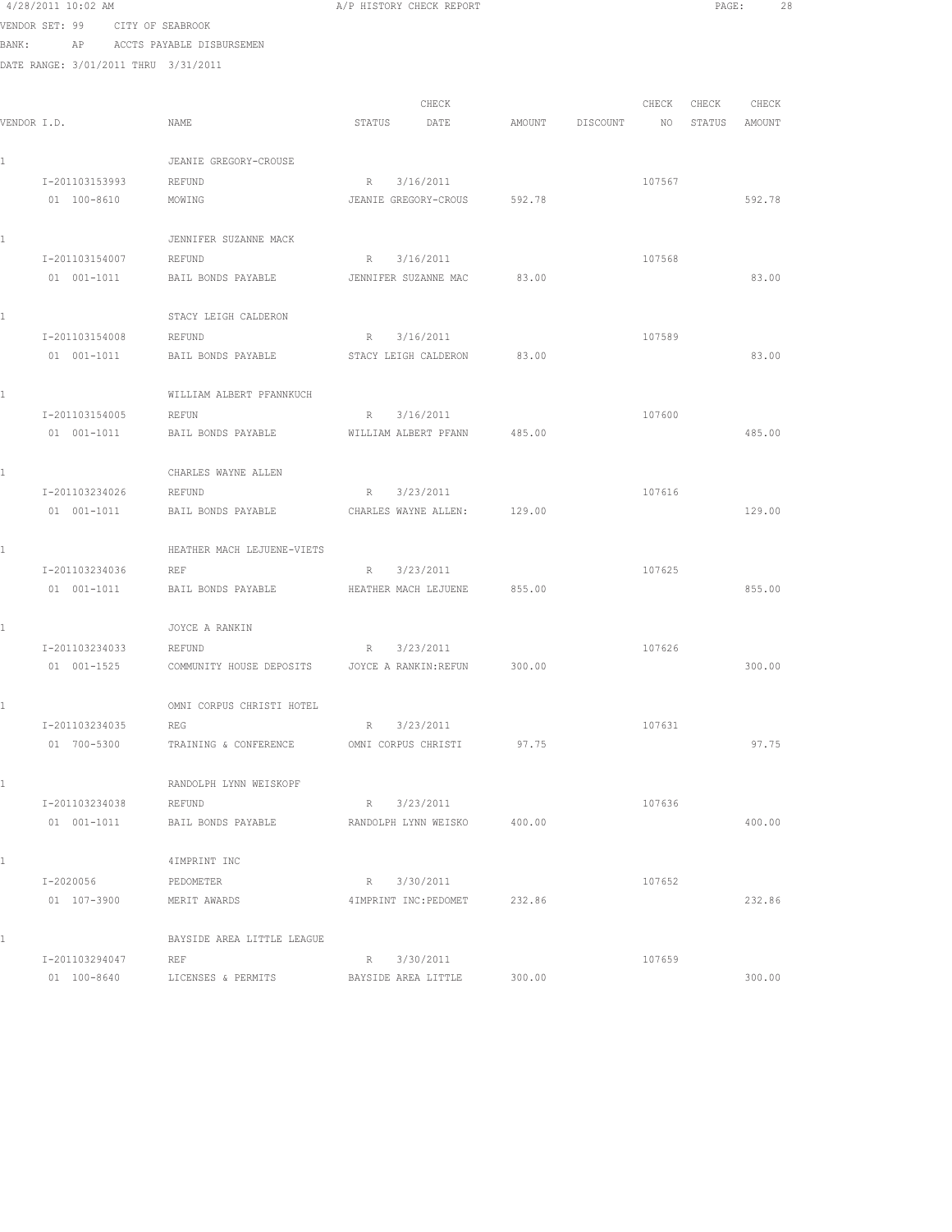4/28/2011 10:02 AM A/P HISTORY CHECK REPORT PAGE: 28 VENDOR SET: 99 CITY OF SEABROOK BANK: AP ACCTS PAYABLE DISBURSEMEN DATE RANGE: 3/01/2011 THRU 3/31/2011 CHECK CHECK CHECK CHECK VENDOR I.D. NAME STATUS DATE AMOUNT DISCOUNT NO STATUS AMOUNT 1 JEANIE GREGORY-CROUSE 1-201103153993 REFUND R 3/16/2011 R 3/16/2011 107567<br>
01 100-8610 MOWING JEANIE GREGORY-CROUS 592.78 01 100-8610 MOWING JEANIE GREGORY-CROUS 592.78 592.78 1 JENNIFER SUZANNE MACK I-201103154007 REFUND R 3/16/2011 107568 01 001-1011 BAIL BONDS PAYABLE JENNIFER SUZANNE MAC 83.00 83.00 83.00 1 STACY LEIGH CALDERON I-201103154008 REFUND R 3/16/2011 107589 01 001-1011 BAIL BONDS PAYABLE STACY LEIGH CALDERON 83.00 83.00 1 WILLIAM ALBERT PFANNKUCH 1-201103154005 REFUN R 3/16/2011 R 3/16/2011 01 001-1011 BAIL BONDS PAYABLE WILLIAM ALBERT PFANN 485.00 485.00 485.00 1 CHARLES WAYNE ALLEN 1-201103234026 REFUND R 3/23/2011 107616<br>01 001-1011 BAIL BONDS PAYABLE CHARLES WAYNE ALLEN: 129.00 BAIL BONDS PAYABLE CHARLES WAYNE ALLEN: 129.00 129.00 129.00 1 HEATHER MACH LEJUENE-VIETS I-201103234036 REF R 3/23/2011 107625 01 001-1011 BAIL BONDS PAYABLE HEATHER MACH LEJUENE 855.00 855.00 1 JOYCE A RANKIN I-201103234033 REFUND R 3/23/2011 107626 01 001-1525 COMMUNITY HOUSE DEPOSITS JOYCE A RANKIN:REFUN 300.00 300.00 1 OMNI CORPUS CHRISTI HOTEL I-201103234035 REG R 3/23/2011 107631 01 700-5300 TRAINING & CONFERENCE OMNI CORPUS CHRISTI 97.75 97.75 97.75 1 RANDOLPH LYNN WEISKOPF I-201103234038 REFUND R 3/23/2011 107636 01 001-1011 BAIL BONDS PAYABLE RANDOLPH LYNN WEISKO 400.00 400.00 1 4IMPRINT INC I-2020056 PEDOMETER R 3/30/2011 107652 01 107-3900 MERIT AWARDS 4IMPRINT INC:PEDOMET 232.86 232.86 1 BAYSIDE AREA LITTLE LEAGUE I-201103294047 REF R 3/30/2011 R 107659

01 100-8640 LICENSES & PERMITS BAYSIDE AREA LITTLE 300.00 300.00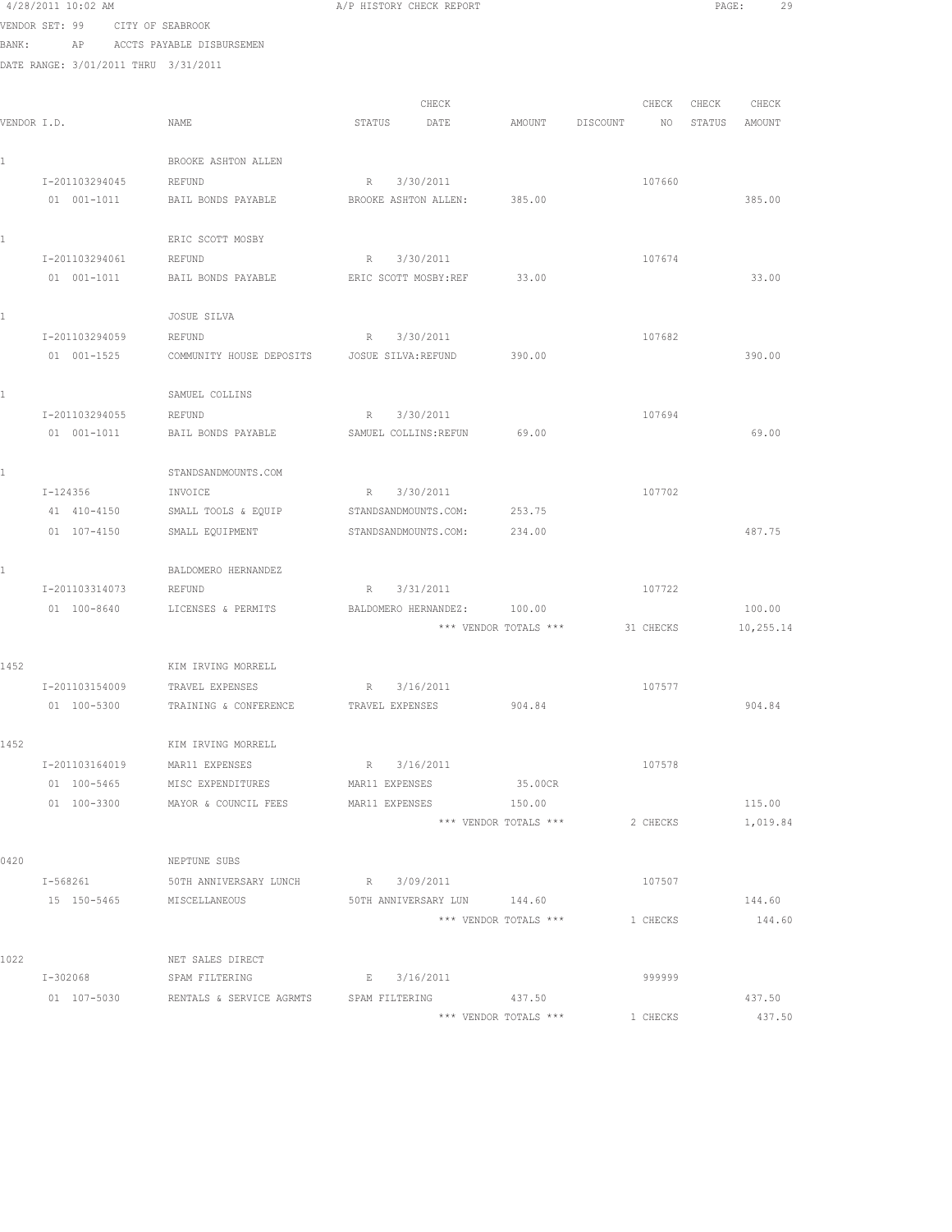4/28/2011 10:02 AM A/P HISTORY CHECK REPORT PAGE: 29 VENDOR SET: 99 CITY OF SEABROOK BANK: AP ACCTS PAYABLE DISBURSEMEN DATE RANGE: 3/01/2011 THRU 3/31/2011 CHECK CHECK CHECK CHECK CHECK VENDOR I.D. NAME STATUS DATE AMOUNT DISCOUNT NO STATUS AMOUNT 1 BROOKE ASHTON ALLEN I-201103294045 REFUND R 3/30/2011 R 3/30-2011 107660 BAIL BONDS PAYABLE BROOKE ASHTON ALLEN: 385.00 385.00 385.00 1 ERIC SCOTT MOSBY I-201103294061 REFUND R 3/30/2011 107674 01 001-1011 BAIL BONDS PAYABLE ERIC SCOTT MOSBY:REF 33.00 33.00 1 JOSUE SILVA I-201103294059 REFUND R 3/30/2011 107682 01 001-1525 COMMUNITY HOUSE DEPOSITS JOSUE SILVA:REFUND 390.00 390.00 390.00 1 SAMUEL COLLINS I-201103294055 REFUND R 3/30/2011 R 3/30/2011 01 001-1011 BAIL BONDS PAYABLE SAMUEL COLLINS:REFUN 69.00 69.00 1 STANDSANDMOUNTS.COM I-124356 INVOICE R 3/30/2011 107702 41 410-4150 SMALL TOOLS & EQUIP STANDSANDMOUNTS.COM: 253.75 01 107-4150 SMALL EQUIPMENT STANDSANDMOUNTS.COM: 234.00 487.75 1 BALDOMERO HERNANDEZ I-201103314073 REFUND R 3/31/2011 107722 01 100-8640 LICENSES & PERMITS BALDOMERO HERNANDEZ: 100.00 100.00 100.00 \*\*\* VENDOR TOTALS \*\*\* 31 CHECKS 10,255.14 1452 KIM IRVING MORRELL I-201103154009 TRAVEL EXPENSES R 3/16/2011 107577 01 100-5300 TRAINING & CONFERENCE TRAVEL EXPENSES 904.84 904.84 1452 KIM IRVING MORRELL I-201103164019 MAR11 EXPENSES R 3/16/2011 107578 01 100-5465 MISC EXPENDITURES MAR11 EXPENSES 35.00CR 01 100-3300 MAYOR & COUNCIL FEES MAR11 EXPENSES 150.00 115.00 \*\*\* VENDOR TOTALS \*\*\* 2 CHECKS 1,019.84 0420 NEPTUNE SUBS I-568261 50TH ANNIVERSARY LUNCH R 3/09/2011<br>15 150-5465 MISCELLANEOUS 50TH ANNIVERSARY LUN 144.60 15 150-5465 MISCELLANEOUS 50TH ANNIVERSARY LUN 144.60 144.60 \*\*\* VENDOR TOTALS \*\*\* 1 CHECKS 144.60 1022 NET SALES DIRECT I-302068 SPAM FILTERING E 3/16/2011 999999 01 107-5030 RENTALS & SERVICE AGRMTS SPAM FILTERING 437.50 437.50 437.50 \*\*\* VENDOR TOTALS \*\*\* 1 CHECKS 437.50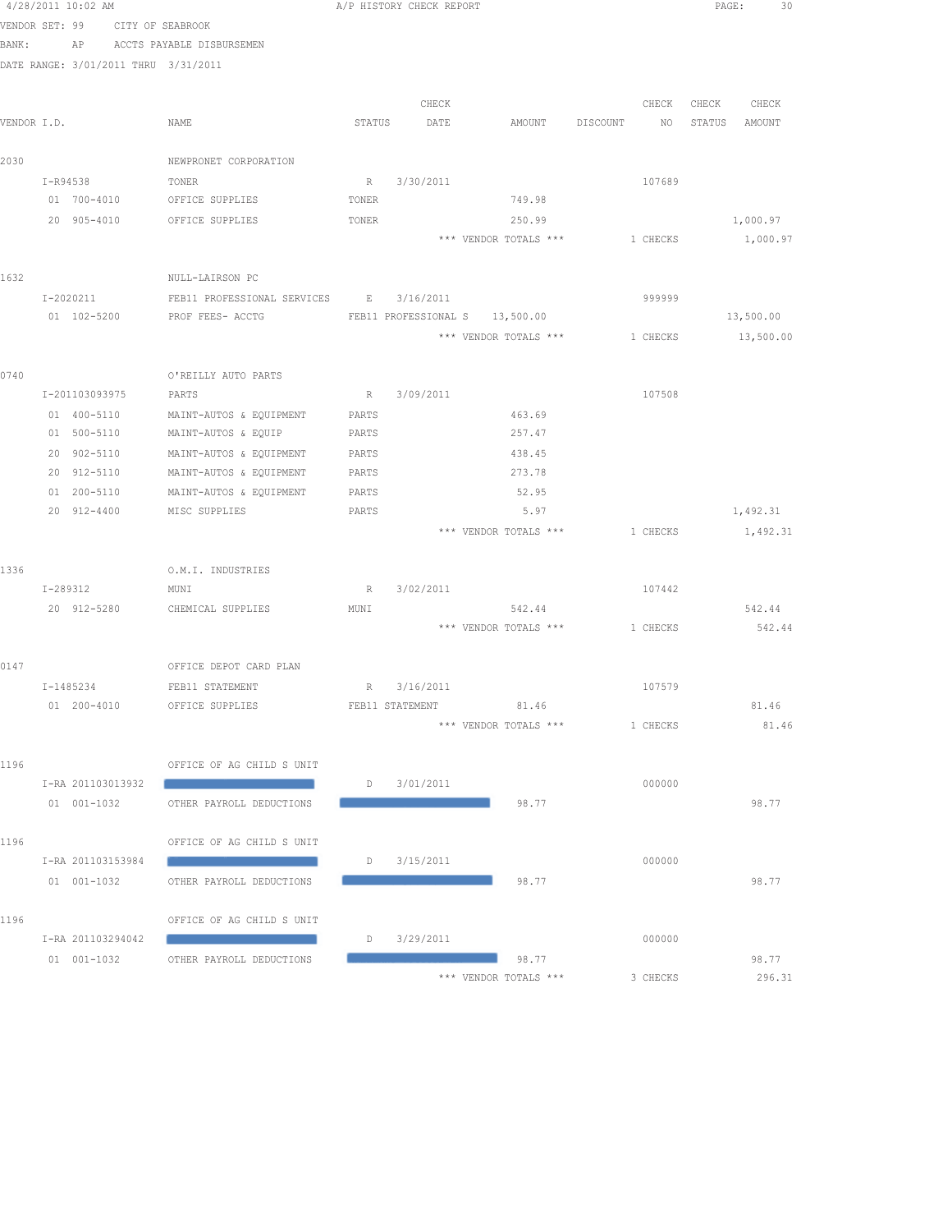|       | 4/28/2011 10:02 AM                   |                                         |        | A/P HISTORY CHECK REPORT |                                                                                                                                          |                             | PAGE: 30         |
|-------|--------------------------------------|-----------------------------------------|--------|--------------------------|------------------------------------------------------------------------------------------------------------------------------------------|-----------------------------|------------------|
|       | VENDOR SET: 99 CITY OF SEABROOK      |                                         |        |                          |                                                                                                                                          |                             |                  |
| BANK: | AP                                   | ACCTS PAYABLE DISBURSEMEN               |        |                          |                                                                                                                                          |                             |                  |
|       | DATE RANGE: 3/01/2011 THRU 3/31/2011 |                                         |        |                          |                                                                                                                                          |                             |                  |
|       |                                      |                                         |        | CHECK                    |                                                                                                                                          | CHECK                       | CHECK<br>CHECK   |
|       | VENDOR I.D.                          | NAME                                    | STATUS | DATE                     | AMOUNT                                                                                                                                   | DISCOUNT<br>NO <sub>1</sub> | STATUS<br>AMOUNT |
|       |                                      |                                         |        |                          |                                                                                                                                          |                             |                  |
| 2030  |                                      | NEWPRONET CORPORATION                   |        |                          |                                                                                                                                          |                             |                  |
|       | I-R94538                             | TONER                                   |        | R 3/30/2011              |                                                                                                                                          | 107689                      |                  |
|       | 01 700-4010                          | OFFICE SUPPLIES                         | TONER  |                          | 749.98                                                                                                                                   |                             |                  |
|       | 20 905-4010                          | OFFICE SUPPLIES                         | TONER  |                          | 250.99                                                                                                                                   |                             | 1,000.97         |
|       |                                      |                                         |        |                          | *** VENDOR TOTALS ***                                                                                                                    | 1 CHECKS                    | 1,000.97         |
| 1632  |                                      | NULL-LAIRSON PC                         |        |                          |                                                                                                                                          |                             |                  |
|       | I-2020211                            | FEB11 PROFESSIONAL SERVICES B 3/16/2011 |        |                          |                                                                                                                                          | 999999                      |                  |
|       |                                      | 01 102-5200 PROF FEES- ACCTG            |        |                          | FEB11 PROFESSIONAL S 13,500.00                                                                                                           |                             | 13,500.00        |
|       |                                      |                                         |        |                          | *** VENDOR TOTALS ***                                                                                                                    | 1 CHECKS                    | 13,500.00        |
|       |                                      |                                         |        |                          |                                                                                                                                          |                             |                  |
| 0740  |                                      | O'REILLY AUTO PARTS                     |        |                          |                                                                                                                                          |                             |                  |
|       | I-201103093975                       | PARTS                                   | R      | 3/09/2011                |                                                                                                                                          | 107508                      |                  |
|       | 01 400-5110                          | MAINT-AUTOS & EQUIPMENT                 | PARTS  |                          | 463.69                                                                                                                                   |                             |                  |
|       | 01 500-5110                          | MAINT-AUTOS & EQUIP                     | PARTS  |                          | 257.47                                                                                                                                   |                             |                  |
|       | 20 902-5110                          | MAINT-AUTOS & EQUIPMENT                 | PARTS  |                          | 438.45                                                                                                                                   |                             |                  |
|       | 20 912-5110                          | MAINT-AUTOS & EQUIPMENT                 | PARTS  |                          | 273.78                                                                                                                                   |                             |                  |
|       | 01 200-5110                          | MAINT-AUTOS & EQUIPMENT                 | PARTS  |                          | 52.95                                                                                                                                    |                             |                  |
|       | 20 912-4400                          | MISC SUPPLIES                           | PARTS  |                          | 5.97                                                                                                                                     |                             | 1,492.31         |
|       |                                      |                                         |        |                          | *** VENDOR TOTALS ***                                                                                                                    | 1 CHECKS                    | 1,492.31         |
| 1336  |                                      | O.M.I. INDUSTRIES                       |        |                          |                                                                                                                                          |                             |                  |
|       | I-289312                             | MUNI                                    |        | R 3/02/2011              |                                                                                                                                          | 107442                      |                  |
|       | 20 912-5280                          | CHEMICAL SUPPLIES                       | MUNI   |                          | 542.44                                                                                                                                   |                             | 542.44           |
|       |                                      |                                         |        |                          | *** VENDOR TOTALS ***                                                                                                                    | 1 CHECKS                    | 542.44           |
| 0147  |                                      | OFFICE DEPOT CARD PLAN                  |        |                          |                                                                                                                                          |                             |                  |
|       | I-1485234                            | FEB11 STATEMENT                         |        | R 3/16/2011              |                                                                                                                                          | 107579                      |                  |
|       |                                      | 01 200-4010 OFFICE SUPPLIES             |        | FEB11 STATEMENT          | 81.46                                                                                                                                    |                             | 81.46            |
|       |                                      |                                         |        |                          | *** VENDOR TOTALS ***                                                                                                                    | 1 CHECKS                    | 81.46            |
|       |                                      |                                         |        |                          |                                                                                                                                          |                             |                  |
| 1196  |                                      | OFFICE OF AG CHILD S UNIT               |        |                          |                                                                                                                                          |                             |                  |
|       | I-RA 201103013932                    |                                         |        | $D$ 3/01/2011            |                                                                                                                                          | 000000                      |                  |
|       | 01 001-1032                          | OTHER PAYROLL DEDUCTIONS                |        |                          | 98.77                                                                                                                                    |                             | 98.77            |
|       |                                      |                                         |        |                          |                                                                                                                                          |                             |                  |
| 1196  |                                      | OFFICE OF AG CHILD S UNIT               |        |                          |                                                                                                                                          |                             |                  |
|       | I-RA 201103153984                    |                                         |        | $D$ 3/15/2011            |                                                                                                                                          | 000000                      |                  |
|       | 01 001-1032                          | OTHER PAYROLL DEDUCTIONS                |        |                          | 98.77                                                                                                                                    |                             | 98.77            |
| 1196  |                                      | OFFICE OF AG CHILD S UNIT               |        |                          |                                                                                                                                          |                             |                  |
|       | I-RA 201103294042                    |                                         |        | D 3/29/2011              |                                                                                                                                          | 000000                      |                  |
|       |                                      | 01 001-1032 OTHER PAYROLL DEDUCTIONS    |        |                          | 98.77<br>$\mathcal{L}^{\text{max}}_{\text{max}}$ and $\mathcal{L}^{\text{max}}_{\text{max}}$ and $\mathcal{L}^{\text{max}}_{\text{max}}$ |                             | 98.77            |
|       |                                      |                                         |        |                          | *** VENDOR TOTALS ***                                                                                                                    | 3 CHECKS                    | 296.31           |
|       |                                      |                                         |        |                          |                                                                                                                                          |                             |                  |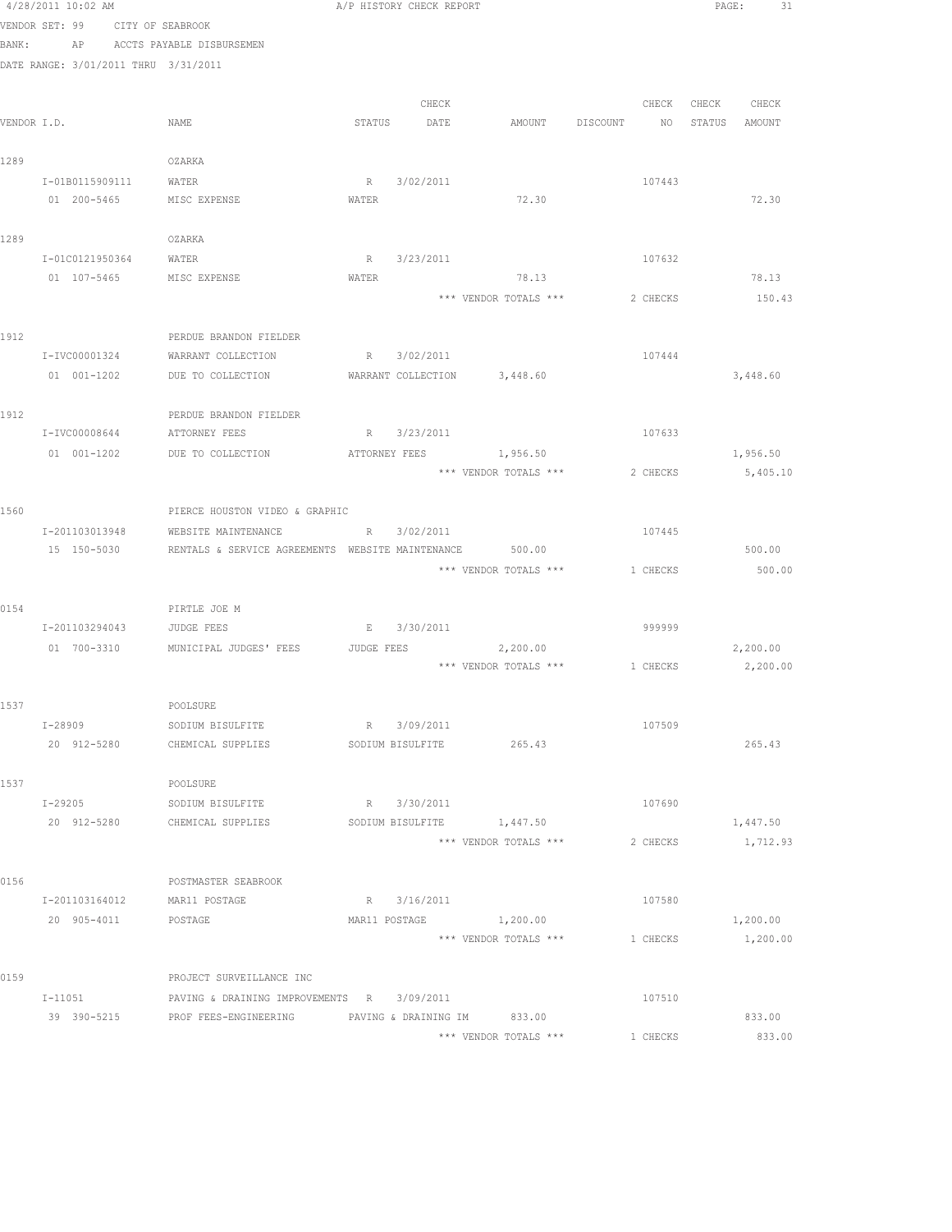|      | 4/28/2011 10:02 AM                   |                                                         |               | A/P HISTORY CHECK REPORT |                                         |          |                   | PAGE:<br>31          |  |
|------|--------------------------------------|---------------------------------------------------------|---------------|--------------------------|-----------------------------------------|----------|-------------------|----------------------|--|
|      | VENDOR SET: 99 CITY OF SEABROOK      |                                                         |               |                          |                                         |          |                   |                      |  |
|      | BANK: AP ACCTS PAYABLE DISBURSEMEN   |                                                         |               |                          |                                         |          |                   |                      |  |
|      | DATE RANGE: 3/01/2011 THRU 3/31/2011 |                                                         |               |                          |                                         |          |                   |                      |  |
|      |                                      |                                                         |               |                          |                                         |          |                   |                      |  |
|      |                                      |                                                         |               | CHECK                    |                                         |          | CHECK CHECK CHECK |                      |  |
|      | VENDOR I.D.                          | NAME                                                    |               | STATUS DATE              | AMOUNT DISCOUNT NO STATUS AMOUNT        |          |                   |                      |  |
|      |                                      |                                                         |               |                          |                                         |          |                   |                      |  |
| 1289 |                                      | OZARKA                                                  |               |                          |                                         |          |                   |                      |  |
|      | I-01B0115909111                      | WATER                                                   |               | R 3/02/2011              |                                         | 107443   |                   |                      |  |
|      | 01 200-5465                          | MISC EXPENSE                                            | WATER         |                          | 72.30                                   |          |                   | 72.30                |  |
|      |                                      |                                                         |               |                          |                                         |          |                   |                      |  |
| 1289 |                                      | OZARKA                                                  |               |                          |                                         |          |                   |                      |  |
|      | I-01C0121950364 WATER                |                                                         |               | R 3/23/2011              |                                         | 107632   |                   |                      |  |
|      | 01 107-5465 MISC EXPENSE             |                                                         | WATER         |                          | 78.13                                   |          |                   | 78.13                |  |
|      |                                      |                                                         |               |                          | *** VENDOR TOTALS ***                   | 2 CHECKS |                   | 150.43               |  |
|      |                                      |                                                         |               |                          |                                         |          |                   |                      |  |
| 1912 |                                      | PERDUE BRANDON FIELDER                                  |               |                          |                                         |          |                   |                      |  |
|      | I-IVC00001324                        | WARRANT COLLECTION                                      |               | R 3/02/2011              |                                         | 107444   |                   |                      |  |
|      | 01 001-1202                          | DUE TO COLLECTION                                       |               |                          | WARRANT COLLECTION 3,448.60             |          |                   | 3,448.60             |  |
|      |                                      |                                                         |               |                          |                                         |          |                   |                      |  |
| 1912 |                                      | PERDUE BRANDON FIELDER                                  |               |                          |                                         | 107633   |                   |                      |  |
|      | I-IVC00008644                        | ATTORNEY FEES                                           |               | R 3/23/2011              |                                         |          |                   |                      |  |
|      |                                      | 01 001-1202 DUE TO COLLECTION ATTORNEY FEES 1,956.50    |               |                          | *** VENDOR TOTALS ***                   | 2 CHECKS |                   | 1,956.50<br>5,405.10 |  |
|      |                                      |                                                         |               |                          |                                         |          |                   |                      |  |
| 1560 |                                      | PIERCE HOUSTON VIDEO & GRAPHIC                          |               |                          |                                         |          |                   |                      |  |
|      | I-201103013948                       | WEBSITE MAINTENANCE                                     |               | R 3/02/2011              |                                         | 107445   |                   |                      |  |
|      | 15 150-5030                          | RENTALS & SERVICE AGREEMENTS WEBSITE MAINTENANCE 500.00 |               |                          |                                         |          |                   | 500.00               |  |
|      |                                      |                                                         |               |                          | *** VENDOR TOTALS ***                   | 1 CHECKS |                   | 500.00               |  |
|      |                                      |                                                         |               |                          |                                         |          |                   |                      |  |
| 0154 |                                      | PIRTLE JOE M                                            |               |                          |                                         |          |                   |                      |  |
|      | I-201103294043                       | JUDGE FEES                                              |               | E 3/30/2011              |                                         | 999999   |                   |                      |  |
|      |                                      | 01 700-3310 MUNICIPAL JUDGES' FEES JUDGE FEES           |               |                          | 2, 200.00                               |          |                   | 2,200.00             |  |
|      |                                      |                                                         |               |                          | *** VENDOR TOTALS *** 1 CHECKS 2,200.00 |          |                   |                      |  |
|      |                                      |                                                         |               |                          |                                         |          |                   |                      |  |
| 1537 |                                      | POOLSURE                                                |               |                          |                                         |          |                   |                      |  |
|      | I-28909                              | SODIUM BISULFITE                                        |               | R 3/09/2011              |                                         | 107509   |                   |                      |  |
|      | 20 912-5280                          | CHEMICAL SUPPLIES                                       |               | SODIUM BISULFITE         | 265.43                                  |          |                   | 265.43               |  |
|      |                                      |                                                         |               |                          |                                         |          |                   |                      |  |
| 1537 |                                      | POOLSURE                                                |               |                          |                                         |          |                   |                      |  |
|      | I-29205                              | SODIUM BISULFITE                                        |               | R 3/30/2011              |                                         | 107690   |                   |                      |  |
|      | 20 912-5280                          | CHEMICAL SUPPLIES                                       |               | SODIUM BISULFITE         | 1,447.50                                |          |                   | 1,447.50             |  |
|      |                                      |                                                         |               |                          | *** VENDOR TOTALS ***                   | 2 CHECKS |                   | 1,712.93             |  |
|      |                                      |                                                         |               |                          |                                         |          |                   |                      |  |
| 0156 |                                      | POSTMASTER SEABROOK                                     |               |                          |                                         |          |                   |                      |  |
|      | I-201103164012                       | MAR11 POSTAGE                                           |               | R 3/16/2011              |                                         | 107580   |                   |                      |  |
|      | 20 905-4011                          | POSTAGE                                                 | MAR11 POSTAGE |                          | 1,200.00                                |          |                   | 1,200.00             |  |
|      |                                      |                                                         |               |                          | *** VENDOR TOTALS ***                   | 1 CHECKS |                   | 1,200.00             |  |
|      |                                      |                                                         |               |                          |                                         |          |                   |                      |  |
| 0159 |                                      | PROJECT SURVEILLANCE INC                                |               |                          |                                         |          |                   |                      |  |
|      | $I - 11051$                          | PAVING & DRAINING IMPROVEMENTS R 3/09/2011              |               |                          |                                         | 107510   |                   |                      |  |
|      |                                      | 39 390-5215 PROF FEES-ENGINEERING                       |               |                          | PAVING & DRAINING IM 833.00             |          |                   | 833.00               |  |
|      |                                      |                                                         |               |                          | *** VENDOR TOTALS ***                   | 1 CHECKS |                   | 833.00               |  |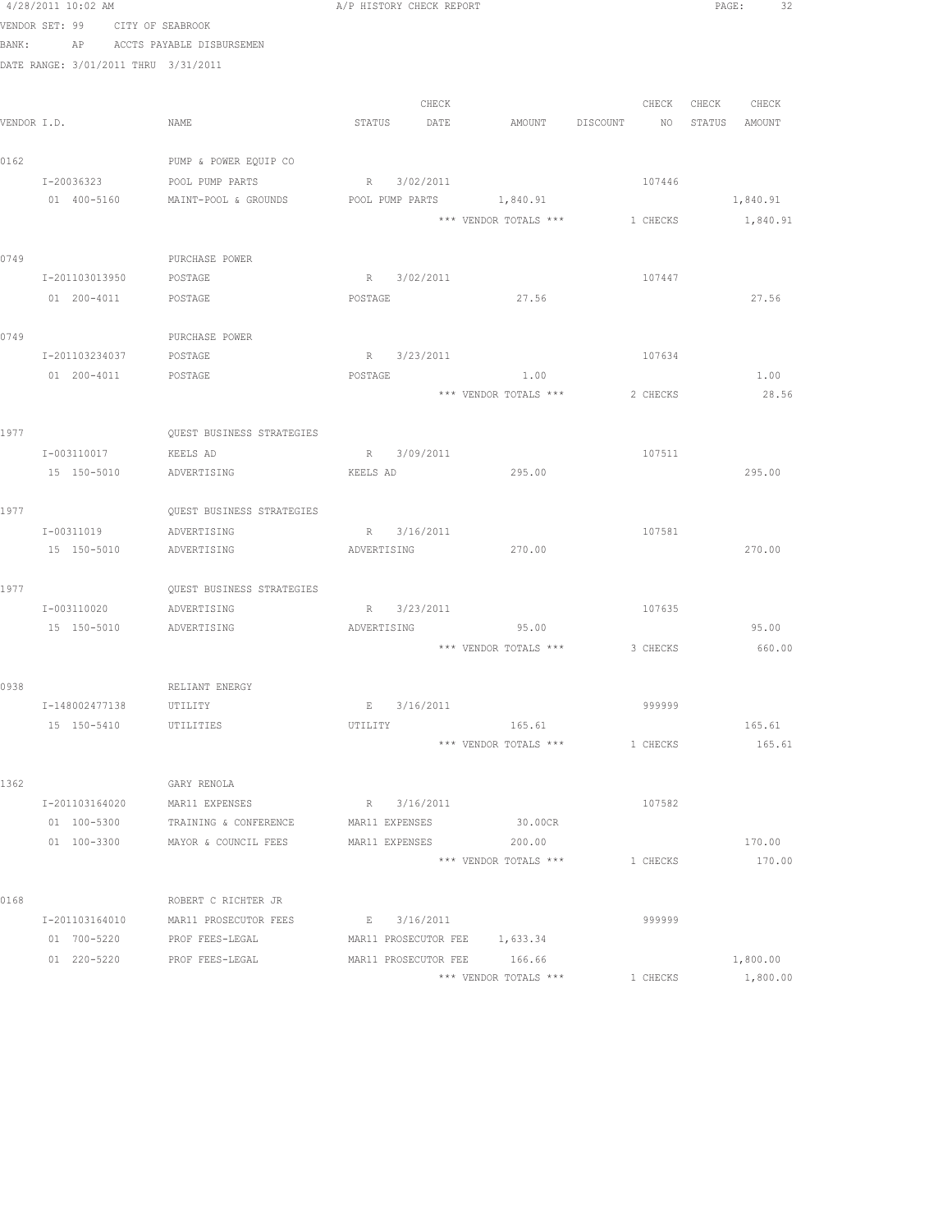|             | 4/28/2011 10:02 AM                   | A/P HISTORY CHECK REPORT         |                |             |                                |          | PAGE: 32                         |  |
|-------------|--------------------------------------|----------------------------------|----------------|-------------|--------------------------------|----------|----------------------------------|--|
|             | VENDOR SET: 99 CITY OF SEABROOK      |                                  |                |             |                                |          |                                  |  |
|             | BANK: AP ACCTS PAYABLE DISBURSEMEN   |                                  |                |             |                                |          |                                  |  |
|             | DATE RANGE: 3/01/2011 THRU 3/31/2011 |                                  |                |             |                                |          |                                  |  |
|             |                                      |                                  |                | CHECK       |                                |          | CHECK CHECK CHECK                |  |
| VENDOR I.D. |                                      | NAME                             |                | STATUS DATE |                                |          | AMOUNT DISCOUNT NO STATUS AMOUNT |  |
|             |                                      |                                  |                |             |                                |          |                                  |  |
| 0162        |                                      | PUMP & POWER EQUIP CO            |                |             |                                |          |                                  |  |
|             | I-20036323                           | POOL PUMP PARTS                  |                | R 3/02/2011 |                                | 107446   |                                  |  |
|             | 01 400-5160                          | MAINT-POOL & GROUNDS             |                |             | POOL PUMP PARTS 1,840.91       |          | 1,840.91                         |  |
|             |                                      |                                  |                |             | *** VENDOR TOTALS *** 1 CHECKS |          | 1,840.91                         |  |
|             |                                      |                                  |                |             |                                |          |                                  |  |
| 0749        |                                      | PURCHASE POWER                   |                |             |                                |          |                                  |  |
|             | I-201103013950                       | POSTAGE                          |                | R 3/02/2011 |                                | 107447   |                                  |  |
|             | 01  200-4011  POSTAGE                |                                  | POSTAGE        |             | 27.56                          |          | 27.56                            |  |
| 0749        |                                      | PURCHASE POWER                   |                |             |                                |          |                                  |  |
|             | I-201103234037 POSTAGE               |                                  |                | R 3/23/2011 |                                | 107634   |                                  |  |
|             | 01 200-4011                          | POSTAGE                          | POSTAGE        |             | 1.00                           |          | 1.00                             |  |
|             |                                      |                                  |                |             | *** VENDOR TOTALS ***          | 2 CHECKS | 28.56                            |  |
|             |                                      |                                  |                |             |                                |          |                                  |  |
| 1977        |                                      | <b>OUEST BUSINESS STRATEGIES</b> |                |             |                                |          |                                  |  |
|             | I-003110017                          | KEELS AD                         |                | R 3/09/2011 |                                | 107511   |                                  |  |
|             | 15 150-5010                          | ADVERTISING                      | KEELS AD       |             | 295.00                         |          | 295.00                           |  |
| 1977        |                                      | <b>OUEST BUSINESS STRATEGIES</b> |                |             |                                |          |                                  |  |
|             | I-00311019                           | ADVERTISING                      | R 3/16/2011    |             |                                | 107581   |                                  |  |
|             | 15 150-5010 ADVERTISING              |                                  | ADVERTISING    |             | 270.00                         |          | 270.00                           |  |
|             |                                      |                                  |                |             |                                |          |                                  |  |
| 1977        |                                      | QUEST BUSINESS STRATEGIES        |                |             |                                |          |                                  |  |
|             | I-003110020                          | ADVERTISING                      |                | R 3/23/2011 |                                | 107635   |                                  |  |
|             | 15 150-5010                          | ADVERTISING                      | ADVERTISING    |             | 95.00                          |          | 95.00                            |  |
|             |                                      |                                  |                |             | *** VENDOR TOTALS *** 3 CHECKS |          | 660.00                           |  |
| 0938        |                                      | RELIANT ENERGY                   |                |             |                                |          |                                  |  |
|             | I-148002477138                       | UTILITY                          |                | E 3/16/2011 |                                | 999999   |                                  |  |
|             | 15 150-5410                          | UTILITIES                        | UTILITY        |             | 165.61                         |          | 165.61                           |  |
|             |                                      |                                  |                |             | *** VENDOR TOTALS ***          | 1 CHECKS | 165.61                           |  |
|             |                                      |                                  |                |             |                                |          |                                  |  |
| 1362        |                                      | GARY RENOLA                      |                |             |                                |          |                                  |  |
|             | I-201103164020                       | MAR11 EXPENSES                   |                | R 3/16/2011 |                                | 107582   |                                  |  |
|             | 01 100-5300                          | TRAINING & CONFERENCE            | MAR11 EXPENSES |             | 30.00CR                        |          |                                  |  |
|             | 01 100-3300                          | MAYOR & COUNCIL FEES             | MAR11 EXPENSES |             | 200.00                         |          | 170.00                           |  |
|             |                                      |                                  |                |             | *** VENDOR TOTALS ***          | 1 CHECKS | 170.00                           |  |
| 0168        |                                      | ROBERT C RICHTER JR              |                |             |                                |          |                                  |  |
|             | I-201103164010                       | MAR11 PROSECUTOR FEES            |                | E 3/16/2011 |                                | 999999   |                                  |  |
|             | 01 700-5220                          | PROF FEES-LEGAL                  |                |             | MAR11 PROSECUTOR FEE 1,633.34  |          |                                  |  |
|             | 01 220-5220                          | PROF FEES-LEGAL                  |                |             | MAR11 PROSECUTOR FEE 166.66    |          | 1,800.00                         |  |
|             |                                      |                                  |                |             | *** VENDOR TOTALS ***          | 1 CHECKS | 1,800.00                         |  |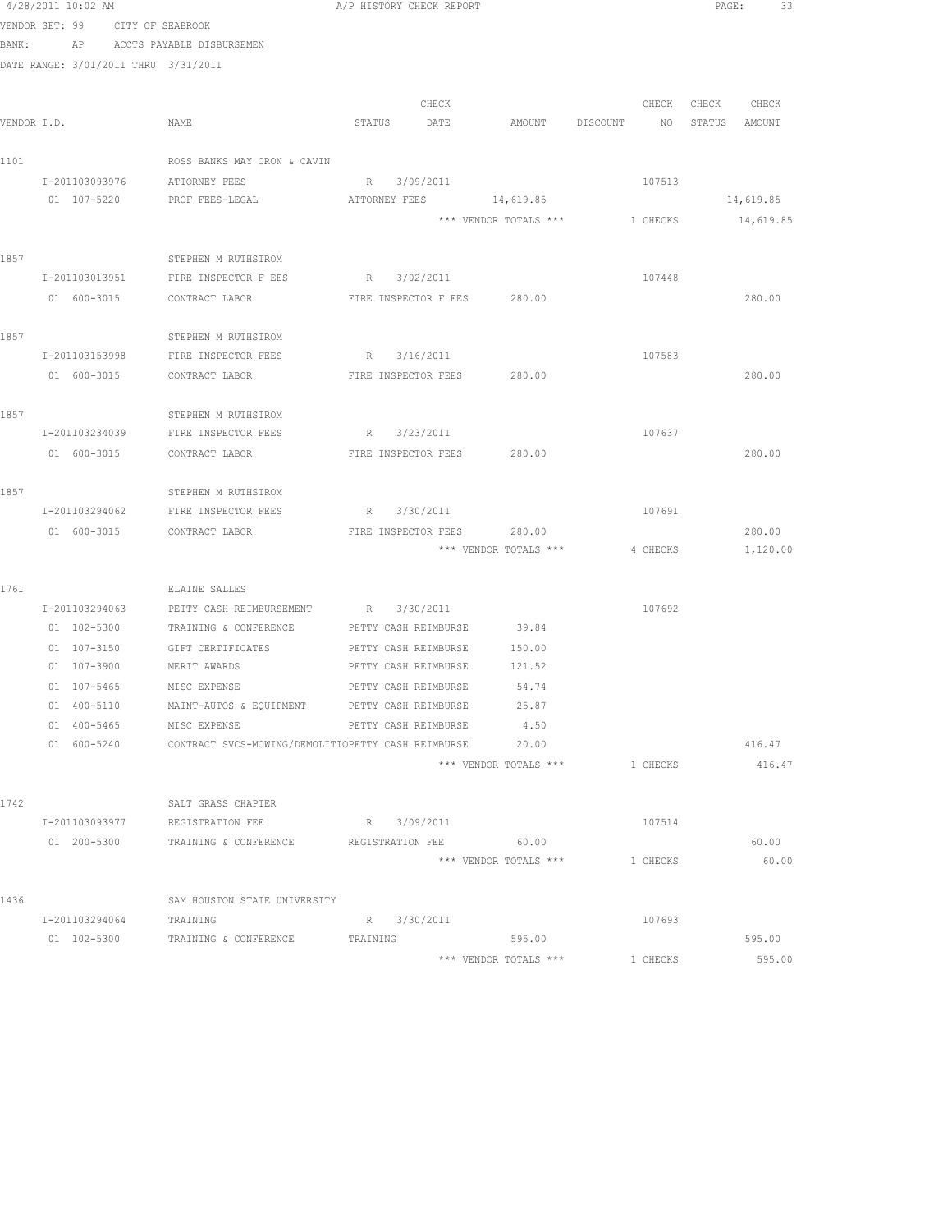|             | 4/28/2011 10:02 AM                   |                                                    | A/P HISTORY CHECK REPORT                     |                             |                                |          |                  | PAGE:<br>33 |
|-------------|--------------------------------------|----------------------------------------------------|----------------------------------------------|-----------------------------|--------------------------------|----------|------------------|-------------|
|             | VENDOR SET: 99 CITY OF SEABROOK      |                                                    |                                              |                             |                                |          |                  |             |
| BANK:       |                                      | AP ACCTS PAYABLE DISBURSEMEN                       |                                              |                             |                                |          |                  |             |
|             | DATE RANGE: 3/01/2011 THRU 3/31/2011 |                                                    |                                              |                             |                                |          |                  |             |
|             |                                      |                                                    |                                              |                             |                                |          |                  |             |
|             |                                      |                                                    |                                              | CHECK                       |                                | CHECK    | CHECK CHECK      |             |
| VENDOR I.D. |                                      | NAME                                               | STATUS DATE                                  |                             | AMOUNT DISCOUNT                |          | NO STATUS AMOUNT |             |
|             |                                      |                                                    |                                              |                             |                                |          |                  |             |
| 1101        |                                      | ROSS BANKS MAY CRON & CAVIN                        |                                              |                             |                                |          |                  |             |
|             | I-201103093976                       | ATTORNEY FEES                                      | R 3/09/2011                                  |                             |                                | 107513   |                  |             |
|             | 01 107-5220                          | PROF FEES-LEGAL                                    | ATTORNEY FEES                                |                             | 14,619.85                      |          |                  | 14,619.85   |
|             |                                      |                                                    |                                              |                             | *** VENDOR TOTALS *** 1 CHECKS |          |                  | 14,619.85   |
| 1857        |                                      | STEPHEN M RUTHSTROM                                |                                              |                             |                                |          |                  |             |
|             | I-201103013951                       | FIRE INSPECTOR F EES                               | R 3/02/2011                                  |                             |                                | 107448   |                  |             |
|             | 01 600-3015                          | CONTRACT LABOR                                     |                                              | FIRE INSPECTOR F EES 280.00 |                                |          |                  | 280.00      |
|             |                                      |                                                    |                                              |                             |                                |          |                  |             |
| 1857        |                                      | STEPHEN M RUTHSTROM                                |                                              |                             |                                |          |                  |             |
|             | I-201103153998                       | FIRE INSPECTOR FEES                                | R 3/16/2011                                  |                             |                                | 107583   |                  |             |
|             | 01 600-3015                          | CONTRACT LABOR                                     |                                              | FIRE INSPECTOR FEES 280.00  |                                |          |                  | 280.00      |
|             |                                      |                                                    |                                              |                             |                                |          |                  |             |
| 1857        |                                      | STEPHEN M RUTHSTROM                                |                                              |                             |                                |          |                  |             |
|             |                                      | I-201103234039 FIRE INSPECTOR FEES                 | R 3/23/2011                                  |                             |                                | 107637   |                  |             |
|             | 01 600-3015                          | CONTRACT LABOR                                     | FIRE INSPECTOR FEES 280.00                   |                             |                                |          |                  | 280.00      |
|             |                                      |                                                    |                                              |                             |                                |          |                  |             |
| 1857        |                                      | STEPHEN M RUTHSTROM                                |                                              |                             |                                |          |                  |             |
|             | I-201103294062                       | FIRE INSPECTOR FEES                                | R 3/30/2011                                  |                             |                                | 107691   |                  |             |
|             | 01 600-3015                          | CONTRACT LABOR                                     |                                              | FIRE INSPECTOR FEES         | 280.00                         |          |                  | 280.00      |
|             |                                      |                                                    |                                              |                             | *** VENDOR TOTALS ***          | 4 CHECKS |                  | 1,120.00    |
|             |                                      |                                                    |                                              |                             |                                |          |                  |             |
| 1761        |                                      | ELAINE SALLES                                      |                                              |                             |                                |          |                  |             |
|             | I-201103294063                       | PETTY CASH REIMBURSEMENT                           | R 3/30/2011                                  |                             | 39.84                          | 107692   |                  |             |
|             | 01 102-5300                          | TRAINING & CONFERENCE                              | PETTY CASH REIMBURSE                         |                             |                                |          |                  |             |
|             | 01 107-3150<br>01 107-3900           | GIFT CERTIFICATES<br>MERIT AWARDS                  | PETTY CASH REIMBURSE<br>PETTY CASH REIMBURSE |                             | 150.00<br>121.52               |          |                  |             |
|             | 01 107-5465                          | MISC EXPENSE                                       | PETTY CASH REIMBURSE                         |                             | 54.74                          |          |                  |             |
|             | 01 400-5110                          | MAINT-AUTOS & EQUIPMENT PETTY CASH REIMBURSE       |                                              |                             | 25.87                          |          |                  |             |
|             | 01 400-5465                          | MISC EXPENSE                                       | PETTY CASH REIMBURSE                         |                             | 4.50                           |          |                  |             |
|             | 01 600-5240                          | CONTRACT SVCS-MOWING/DEMOLITIOPETTY CASH REIMBURSE |                                              |                             | 20.00                          |          |                  | 416.47      |
|             |                                      |                                                    |                                              |                             | *** VENDOR TOTALS ***          | 1 CHECKS |                  | 416.47      |
|             |                                      |                                                    |                                              |                             |                                |          |                  |             |
| 1742        |                                      | SALT GRASS CHAPTER                                 |                                              |                             |                                |          |                  |             |
|             | I-201103093977                       | REGISTRATION FEE                                   | R 3/09/2011                                  |                             |                                | 107514   |                  |             |
|             | 01 200-5300                          | TRAINING & CONFERENCE                              | REGISTRATION FEE                             |                             | 60.00                          |          |                  | 60.00       |
|             |                                      |                                                    |                                              |                             | *** VENDOR TOTALS ***          | 1 CHECKS |                  | 60.00       |
|             |                                      |                                                    |                                              |                             |                                |          |                  |             |
| 1436        |                                      | SAM HOUSTON STATE UNIVERSITY                       |                                              |                             |                                |          |                  |             |
|             | I-201103294064                       | TRAINING                                           | R 3/30/2011                                  |                             |                                | 107693   |                  |             |
|             |                                      | 01 102-5300 TRAINING & CONFERENCE                  | TRAINING                                     |                             | 595.00                         |          |                  | 595.00      |
|             |                                      |                                                    |                                              |                             | *** VENDOR TOTALS ***          | 1 CHECKS |                  | 595.00      |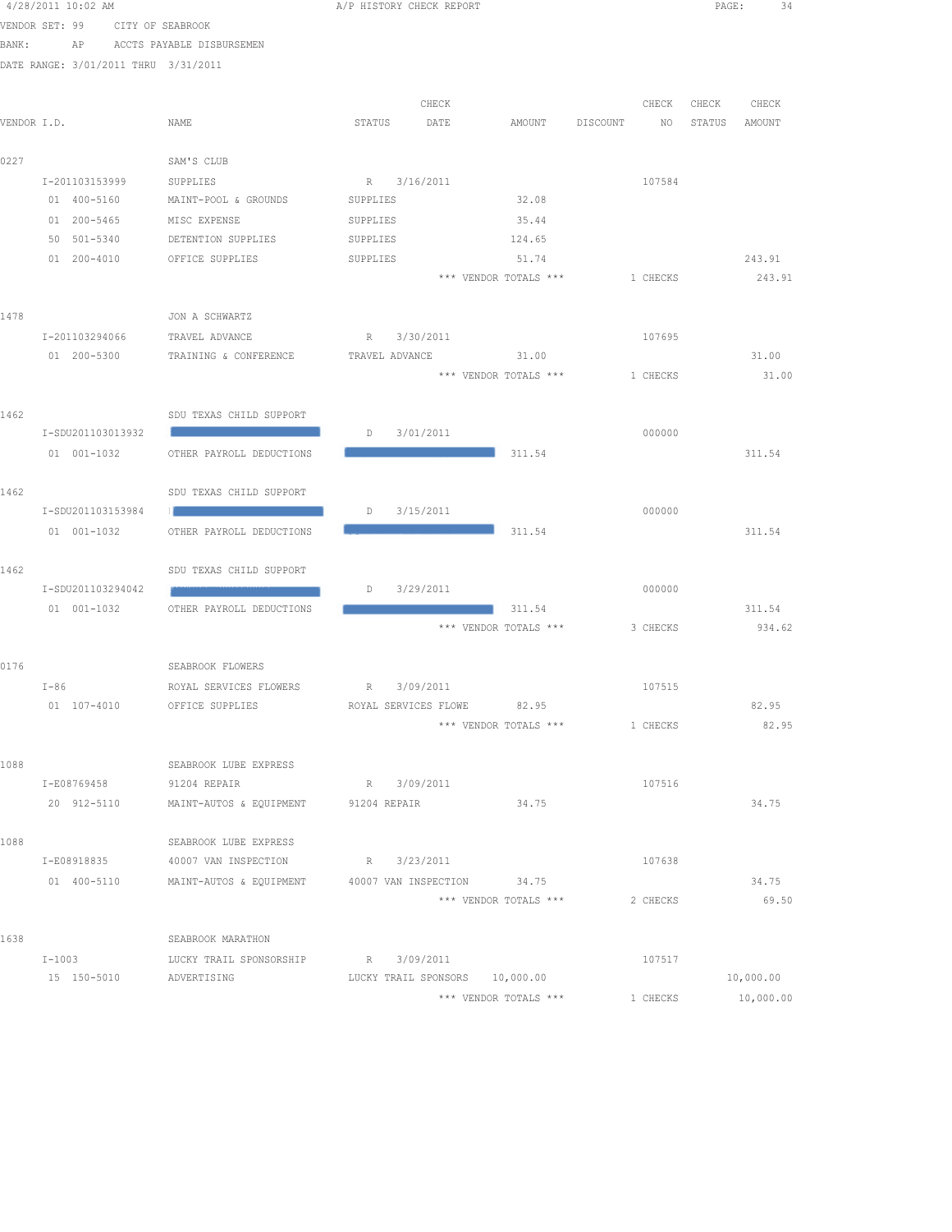|             | 4/28/2011 10:02 AM                   |  |                                                                           | A/P HISTORY CHECK REPORT |                                     |                                |  |           | PAGE:<br>34 |                |  |
|-------------|--------------------------------------|--|---------------------------------------------------------------------------|--------------------------|-------------------------------------|--------------------------------|--|-----------|-------------|----------------|--|
|             | VENDOR SET: 99                       |  | CITY OF SEABROOK                                                          |                          |                                     |                                |  |           |             |                |  |
|             |                                      |  | BANK: AP ACCTS PAYABLE DISBURSEMEN                                        |                          |                                     |                                |  |           |             |                |  |
|             | DATE RANGE: 3/01/2011 THRU 3/31/2011 |  |                                                                           |                          |                                     |                                |  |           |             |                |  |
|             |                                      |  |                                                                           |                          |                                     |                                |  |           |             |                |  |
|             |                                      |  |                                                                           |                          | CHECK                               |                                |  | CHECK     | CHECK       | CHECK          |  |
| VENDOR I.D. |                                      |  | NAME                                                                      | STATUS                   | DATE                                | AMOUNT DISCOUNT                |  | NO STATUS |             | AMOUNT         |  |
| 0227        |                                      |  | SAM'S CLUB                                                                |                          |                                     |                                |  |           |             |                |  |
|             | I-201103153999                       |  | SUPPLIES                                                                  | R 3/16/2011              |                                     |                                |  | 107584    |             |                |  |
|             | 01 400-5160                          |  | MAINT-POOL & GROUNDS                                                      | SUPPLIES                 |                                     | 32.08                          |  |           |             |                |  |
|             | 01 200-5465                          |  | MISC EXPENSE                                                              | SUPPLIES                 |                                     | 35.44                          |  |           |             |                |  |
|             | 50 501-5340                          |  | DETENTION SUPPLIES                                                        | SUPPLIES                 |                                     | 124.65                         |  |           |             |                |  |
|             | $01 200 - 4010$                      |  | OFFICE SUPPLIES                                                           | SUPPLIES                 |                                     | 51.74                          |  |           |             | 243.91         |  |
|             |                                      |  |                                                                           |                          |                                     | *** VENDOR TOTALS ***          |  | 1 CHECKS  |             | 243.91         |  |
| 1478        |                                      |  | JON A SCHWARTZ                                                            |                          |                                     |                                |  |           |             |                |  |
|             | I-201103294066                       |  | TRAVEL ADVANCE                                                            |                          | R 3/30/2011                         |                                |  | 107695    |             |                |  |
|             | 01 200-5300                          |  | TRAINING & CONFERENCE                                                     |                          |                                     | TRAVEL ADVANCE 31.00           |  |           |             | 31.00          |  |
|             |                                      |  |                                                                           |                          |                                     | *** VENDOR TOTALS *** 1 CHECKS |  |           |             | 31.00          |  |
|             |                                      |  |                                                                           |                          |                                     |                                |  |           |             |                |  |
| 1462        |                                      |  | SDU TEXAS CHILD SUPPORT<br><u> 1989 - Johann Stoff, Amerikaansk konst</u> |                          |                                     |                                |  |           |             |                |  |
|             | I-SDU201103013932<br>01 001-1032     |  | OTHER PAYROLL DEDUCTIONS                                                  | D 3/01/2011              |                                     | 311.54                         |  | 000000    |             | 311.54         |  |
|             |                                      |  |                                                                           |                          |                                     |                                |  |           |             |                |  |
| 1462        |                                      |  | SDU TEXAS CHILD SUPPORT                                                   |                          |                                     |                                |  |           |             |                |  |
|             | I-SDU201103153984                    |  | the control of the control of the control of                              |                          | D 3/15/2011                         |                                |  | 000000    |             |                |  |
|             | 01 001-1032                          |  | OTHER PAYROLL DEDUCTIONS                                                  |                          | and the contract of the contract of | 311.54                         |  |           |             | 311.54         |  |
| 1462        |                                      |  | SDU TEXAS CHILD SUPPORT                                                   |                          |                                     |                                |  |           |             |                |  |
|             | I-SDU201103294042                    |  |                                                                           | D                        | 3/29/2011                           |                                |  | 000000    |             |                |  |
|             | 01 001-1032                          |  | OTHER PAYROLL DEDUCTIONS                                                  |                          | and the company of the company of   | 311.54                         |  |           |             | 311.54         |  |
|             |                                      |  |                                                                           |                          |                                     | *** VENDOR TOTALS *** 3 CHECKS |  |           |             | 934.62         |  |
|             |                                      |  |                                                                           |                          |                                     |                                |  |           |             |                |  |
| 0176        |                                      |  | SEABROOK FLOWERS                                                          |                          |                                     |                                |  |           |             |                |  |
|             | $T - 86$                             |  | ROYAL SERVICES FLOWERS R 3/09/2011                                        |                          |                                     |                                |  | 107515    |             |                |  |
|             |                                      |  | 01 107-4010 OFFICE SUPPLIES                                               |                          | ROYAL SERVICES FLOWE 82.95          | *** VENDOR TOTALS ***          |  | 1 CHECKS  |             | 82.95<br>82.95 |  |
|             |                                      |  |                                                                           |                          |                                     |                                |  |           |             |                |  |
| 1088        |                                      |  | SEABROOK LUBE EXPRESS                                                     |                          |                                     |                                |  |           |             |                |  |
|             | I-E08769458                          |  | 91204 REPAIR                                                              | R 3/09/2011              |                                     |                                |  | 107516    |             |                |  |
|             |                                      |  | 20 912-5110 MAINT-AUTOS & EQUIPMENT 91204 REPAIR                          |                          |                                     | 34.75                          |  |           |             | 34.75          |  |
|             |                                      |  |                                                                           |                          |                                     |                                |  |           |             |                |  |
| 1088        |                                      |  | SEABROOK LUBE EXPRESS<br>I-E08918835 40007 VAN INSPECTION R 3/23/2011     |                          |                                     |                                |  | 107638    |             |                |  |
|             |                                      |  | 01 400-5110 MAINT-AUTOS & EQUIPMENT 40007 VAN INSPECTION 34.75            |                          |                                     |                                |  |           |             | 34.75          |  |
|             |                                      |  |                                                                           |                          |                                     | *** VENDOR TOTALS ***          |  | 2 CHECKS  |             | 69.50          |  |
|             |                                      |  |                                                                           |                          |                                     |                                |  |           |             |                |  |
| 1638        |                                      |  | SEABROOK MARATHON                                                         |                          |                                     |                                |  |           |             |                |  |
|             | $I-1003$                             |  | LUCKY TRAIL SPONSORSHIP                                                   | R 3/09/2011              |                                     |                                |  | 107517    |             |                |  |
|             | 15 150-5010                          |  | ADVERTISING                                                               |                          |                                     | LUCKY TRAIL SPONSORS 10,000.00 |  |           |             | 10,000.00      |  |
|             |                                      |  |                                                                           |                          |                                     | *** VENDOR TOTALS ***          |  | 1 CHECKS  |             | 10,000.00      |  |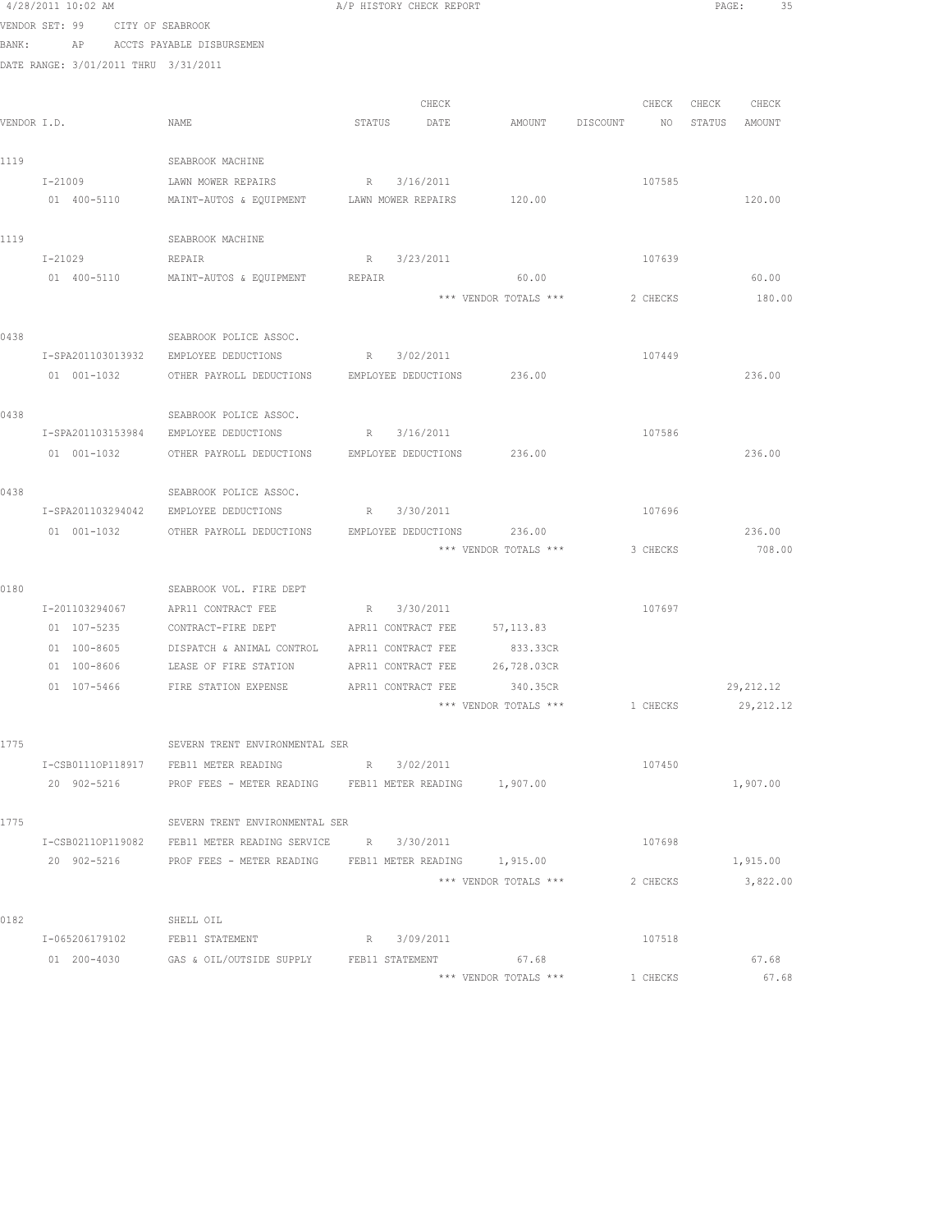|             | 4/28/2011 10:02 AM                   |                                                                                                                                 |        | A/P HISTORY CHECK REPORT |                                |             |               | PAGE:<br>35 |
|-------------|--------------------------------------|---------------------------------------------------------------------------------------------------------------------------------|--------|--------------------------|--------------------------------|-------------|---------------|-------------|
|             | VENDOR SET: 99 CITY OF SEABROOK      |                                                                                                                                 |        |                          |                                |             |               |             |
| BANK:       | AP                                   | ACCTS PAYABLE DISBURSEMEN                                                                                                       |        |                          |                                |             |               |             |
|             | DATE RANGE: 3/01/2011 THRU 3/31/2011 |                                                                                                                                 |        |                          |                                |             |               |             |
|             |                                      |                                                                                                                                 |        |                          |                                |             |               |             |
|             |                                      |                                                                                                                                 |        | CHECK                    |                                | CHECK       | CHECK CHECK   |             |
| VENDOR I.D. |                                      | NAME                                                                                                                            | STATUS | DATE                     | AMOUNT DISCOUNT                | $N$ $\circ$ | STATUS AMOUNT |             |
| 1119        |                                      | SEABROOK MACHINE                                                                                                                |        |                          |                                |             |               |             |
|             | I-21009                              | LAWN MOWER REPAIRS                                                                                                              |        | R 3/16/2011              |                                | 107585      |               |             |
|             | 01 400-5110                          | MAINT-AUTOS & EQUIPMENT LAWN MOWER REPAIRS                                                                                      |        |                          | 120.00                         |             |               | 120.00      |
|             |                                      |                                                                                                                                 |        |                          |                                |             |               |             |
| 1119        |                                      | SEABROOK MACHINE                                                                                                                |        |                          |                                |             |               |             |
|             | I-21029                              | REPAIR                                                                                                                          |        | R 3/23/2011              |                                | 107639      |               |             |
|             | 01 400-5110                          | MAINT-AUTOS & EQUIPMENT                                                                                                         | REPAIR |                          | 60.00                          |             |               | 60.00       |
|             |                                      |                                                                                                                                 |        |                          | *** VENDOR TOTALS ***          | 2 CHECKS    |               | 180.00      |
|             |                                      |                                                                                                                                 |        |                          |                                |             |               |             |
| 0438        |                                      | SEABROOK POLICE ASSOC.                                                                                                          |        | R 3/02/2011              |                                | 107449      |               |             |
|             | I-SPA201103013932                    | EMPLOYEE DEDUCTIONS                                                                                                             |        |                          |                                |             |               |             |
|             | 01 001-1032                          | OTHER PAYROLL DEDUCTIONS EMPLOYEE DEDUCTIONS 236.00                                                                             |        |                          |                                |             |               | 236.00      |
| 0438        |                                      | SEABROOK POLICE ASSOC.                                                                                                          |        |                          |                                |             |               |             |
|             | I-SPA201103153984                    | EMPLOYEE DEDUCTIONS                                                                                                             |        | R 3/16/2011              |                                | 107586      |               |             |
|             | 01 001-1032                          | OTHER PAYROLL DEDUCTIONS EMPLOYEE DEDUCTIONS                                                                                    |        |                          | 236.00                         |             |               | 236.00      |
|             |                                      |                                                                                                                                 |        |                          |                                |             |               |             |
| 0438        |                                      | SEABROOK POLICE ASSOC.                                                                                                          |        |                          |                                |             |               |             |
|             | I-SPA201103294042                    | EMPLOYEE DEDUCTIONS                                                                                                             |        | R 3/30/2011              |                                | 107696      |               |             |
|             | 01 001-1032                          | OTHER PAYROLL DEDUCTIONS EMPLOYEE DEDUCTIONS                                                                                    |        |                          | 236.00                         |             |               | 236.00      |
|             |                                      |                                                                                                                                 |        |                          | *** VENDOR TOTALS *** 3 CHECKS |             |               | 708.00      |
| 0180        |                                      | SEABROOK VOL. FIRE DEPT                                                                                                         |        |                          |                                |             |               |             |
|             | I-201103294067                       | APR11 CONTRACT FEE                                                                                                              |        | R 3/30/2011              |                                | 107697      |               |             |
|             | 01 107-5235                          | CONTRACT-FIRE DEPT                                                                                                              |        | APR11 CONTRACT FEE       | 57,113.83                      |             |               |             |
|             | 01 100-8605                          | DISPATCH & ANIMAL CONTROL                                                                                                       |        | APR11 CONTRACT FEE       | 833.33CR                       |             |               |             |
|             | 01 100-8606                          | LEASE OF FIRE STATION                                                                                                           |        | APR11 CONTRACT FEE       | 26,728.03CR                    |             |               |             |
|             | 01 107-5466                          | FIRE STATION EXPENSE                                                                                                            |        | APR11 CONTRACT FEE       | 340.35CR                       |             |               | 29, 212.12  |
|             |                                      |                                                                                                                                 |        |                          | *** VENDOR TOTALS ***          | 1 CHECKS    |               | 29, 212.12  |
|             |                                      |                                                                                                                                 |        |                          |                                |             |               |             |
| 1775        |                                      | SEVERN TRENT ENVIRONMENTAL SER                                                                                                  |        |                          |                                |             |               |             |
|             |                                      | I-CSB01110P118917 FEB11 METER READING                                                                                           |        | R 3/02/2011              |                                | 107450      |               |             |
|             |                                      | 20 902-5216 PROF FEES - METER READING FEB11 METER READING 1,907.00                                                              |        |                          |                                |             |               | 1,907.00    |
|             |                                      |                                                                                                                                 |        |                          |                                |             |               |             |
| 1775        |                                      | SEVERN TRENT ENVIRONMENTAL SER                                                                                                  |        |                          |                                |             |               |             |
|             |                                      | I-CSB02110P119082 FEB11 METER READING SERVICE R 3/30/2011<br>20 902-5216 PROF FEES - METER READING FEB11 METER READING 1,915.00 |        |                          |                                | 107698      |               |             |
|             |                                      |                                                                                                                                 |        |                          | *** VENDOR TOTALS ***          |             |               | 1,915.00    |
|             |                                      |                                                                                                                                 |        |                          |                                | 2 CHECKS    |               | 3,822.00    |
| 0182        |                                      | SHELL OIL                                                                                                                       |        |                          |                                |             |               |             |
|             | I-065206179102                       | FEB11 STATEMENT                                                                                                                 |        | R 3/09/2011              |                                | 107518      |               |             |
|             |                                      | 01 200-4030 GAS & OIL/OUTSIDE SUPPLY FEB11 STATEMENT 67.68                                                                      |        |                          |                                |             |               | 67.68       |
|             |                                      |                                                                                                                                 |        |                          | *** VENDOR TOTALS ***          | 1 CHECKS    |               | 67.68       |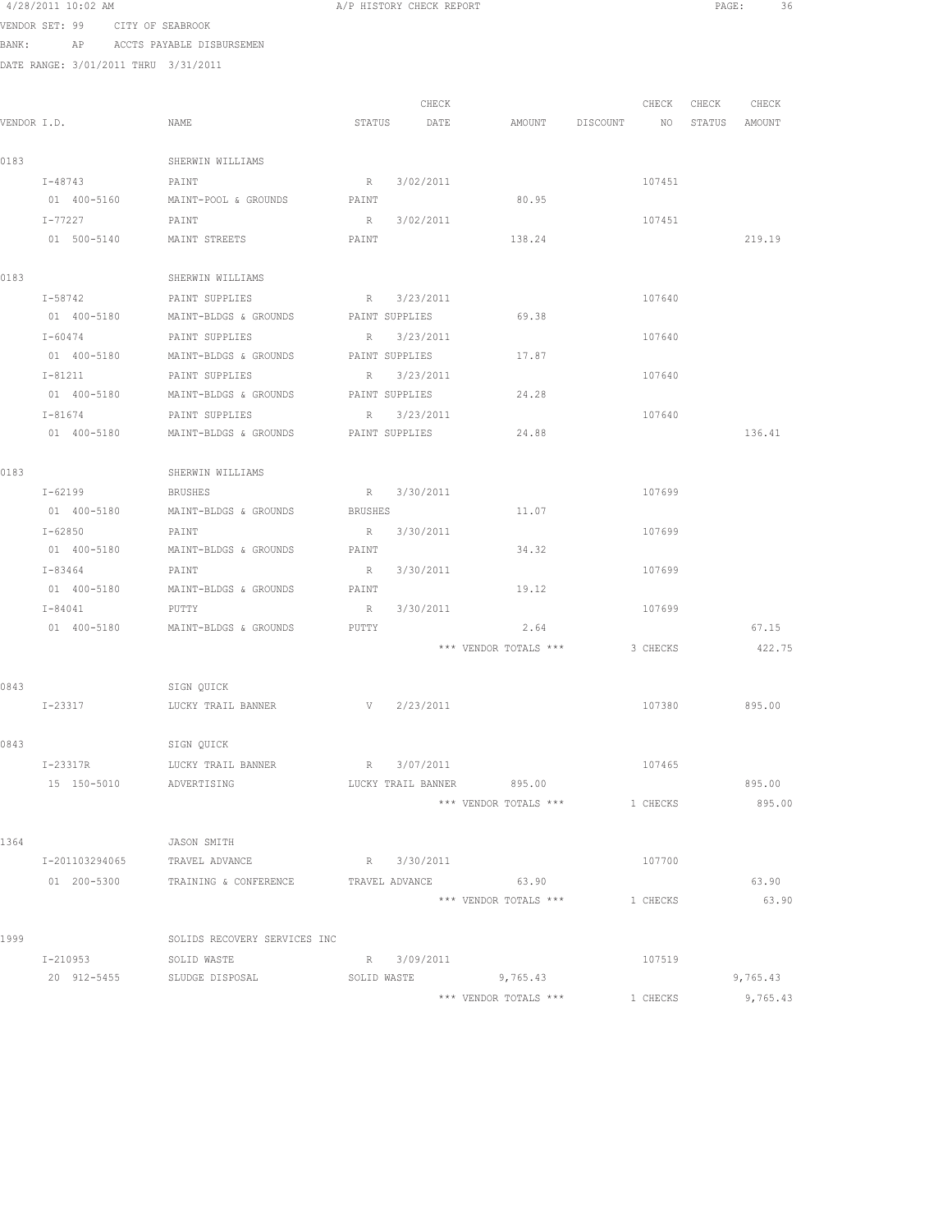| 4/28/2011 10:02 AM |  |                  |  |
|--------------------|--|------------------|--|
| VENDOR SET: 99     |  | CITY OF SEABROOK |  |

BANK: AP ACCTS PAYABLE DISBURSEMEN

DATE RANGE: 3/01/2011 THRU 3/31/2011

| VENDOR I.D. |             |                                  |         | CHECK                |                       |                                | CHECK    | CHECK | CHECK    |
|-------------|-------------|----------------------------------|---------|----------------------|-----------------------|--------------------------------|----------|-------|----------|
|             |             | NAME                             | STATUS  | DATE                 |                       | AMOUNT DISCOUNT NO STATUS      |          |       | AMOUNT   |
| 0183        |             | SHERWIN WILLIAMS                 |         |                      |                       |                                |          |       |          |
|             | $I - 48743$ | PAINT                            | R       | 3/02/2011            |                       |                                | 107451   |       |          |
|             |             | 01 400-5160 MAINT-POOL & GROUNDS | PAINT   |                      | 80.95                 |                                |          |       |          |
|             | I-77227     | PAINT                            | R       | 3/02/2011            |                       |                                | 107451   |       |          |
|             | 01 500-5140 | MAINT STREETS                    | PAINT   |                      | 138.24                |                                |          |       | 219.19   |
|             |             |                                  |         |                      |                       |                                |          |       |          |
| 0183        |             | SHERWIN WILLIAMS                 |         |                      |                       |                                |          |       |          |
|             | I-58742     | PAINT SUPPLIES                   |         | R 3/23/2011          |                       |                                | 107640   |       |          |
|             | 01 400-5180 | MAINT-BLDGS & GROUNDS            |         | PAINT SUPPLIES       | 69.38                 |                                |          |       |          |
|             | $I - 60474$ | PAINT SUPPLIES                   |         | R 3/23/2011          |                       |                                | 107640   |       |          |
|             | 01 400-5180 | MAINT-BLDGS & GROUNDS            |         | PAINT SUPPLIES       | 17.87                 |                                |          |       |          |
|             | I-81211     | PAINT SUPPLIES                   |         | R 3/23/2011          |                       |                                | 107640   |       |          |
|             | 01 400-5180 | MAINT-BLDGS & GROUNDS            |         | PAINT SUPPLIES       | 24.28                 |                                |          |       |          |
|             | $I - 81674$ | PAINT SUPPLIES                   |         | R 3/23/2011          |                       |                                | 107640   |       |          |
|             | 01 400-5180 | MAINT-BLDGS & GROUNDS            |         | PAINT SUPPLIES       | 24.88                 |                                |          |       | 136.41   |
|             |             |                                  |         |                      |                       |                                |          |       |          |
| 0183        |             | SHERWIN WILLIAMS                 |         |                      |                       |                                |          |       |          |
|             | $I - 62199$ | <b>BRUSHES</b>                   |         | R 3/30/2011          |                       |                                | 107699   |       |          |
|             | 01 400-5180 | MAINT-BLDGS & GROUNDS            | BRUSHES |                      | 11.07                 |                                |          |       |          |
|             | I-62850     | PAINT                            |         | R 3/30/2011          |                       |                                | 107699   |       |          |
|             | 01 400-5180 | MAINT-BLDGS & GROUNDS            | PAINT   |                      | 34.32                 |                                |          |       |          |
|             | I-83464     | PAINT                            | R       | 3/30/2011            |                       |                                | 107699   |       |          |
|             | 01 400-5180 | MAINT-BLDGS & GROUNDS            | PAINT   |                      | 19.12                 |                                |          |       |          |
|             | $I - 84041$ | PUTTY                            | R       | 3/30/2011            |                       |                                | 107699   |       |          |
|             | 01 400-5180 | MAINT-BLDGS & GROUNDS            | PUTTY   |                      | 2.64                  |                                |          |       | 67.15    |
|             |             |                                  |         |                      | *** VENDOR TOTALS *** |                                | 3 CHECKS |       | 422.75   |
| 0843        |             | SIGN QUICK                       |         |                      |                       |                                |          |       |          |
|             | I-23317     | LUCKY TRAIL BANNER               |         | V 2/23/2011          |                       |                                | 107380   |       | 895.00   |
|             |             |                                  |         |                      |                       |                                |          |       |          |
| 0843        |             | SIGN QUICK                       |         |                      |                       |                                |          |       |          |
|             | I-23317R    | LUCKY TRAIL BANNER               |         | R 3/07/2011          |                       |                                | 107465   |       |          |
|             | 15 150-5010 | ADVERTISING                      |         | LUCKY TRAIL BANNER   | 895.00                |                                |          |       | 895.00   |
|             |             |                                  |         |                      |                       | *** VENDOR TOTALS *** 1 CHECKS |          |       | 895.00   |
|             |             |                                  |         |                      |                       |                                |          |       |          |
| 1364        |             | JASON SMITH                      |         |                      |                       |                                |          |       |          |
|             |             | I-201103294065 TRAVEL ADVANCE    |         | R 3/30/2011          |                       |                                | 107700   |       |          |
|             |             |                                  |         |                      |                       |                                |          |       | 63.90    |
|             |             |                                  |         |                      | *** VENDOR TOTALS *** |                                | 1 CHECKS |       | 63.90    |
|             |             |                                  |         |                      |                       |                                |          |       |          |
| 1999        |             | SOLIDS RECOVERY SERVICES INC     |         |                      |                       |                                |          |       |          |
|             | I-210953    | SOLID WASTE                      |         | R 3/09/2011          |                       |                                | 107519   |       |          |
|             | 20 912-5455 | SLUDGE DISPOSAL                  |         | SOLID WASTE 9,765.43 |                       |                                |          |       | 9,765.43 |
|             |             |                                  |         |                      | *** VENDOR TOTALS *** |                                | 1 CHECKS |       | 9,765.43 |

A/P HISTORY CHECK REPORT **EXAMPLE 2012 AM A/P** PAGE: 36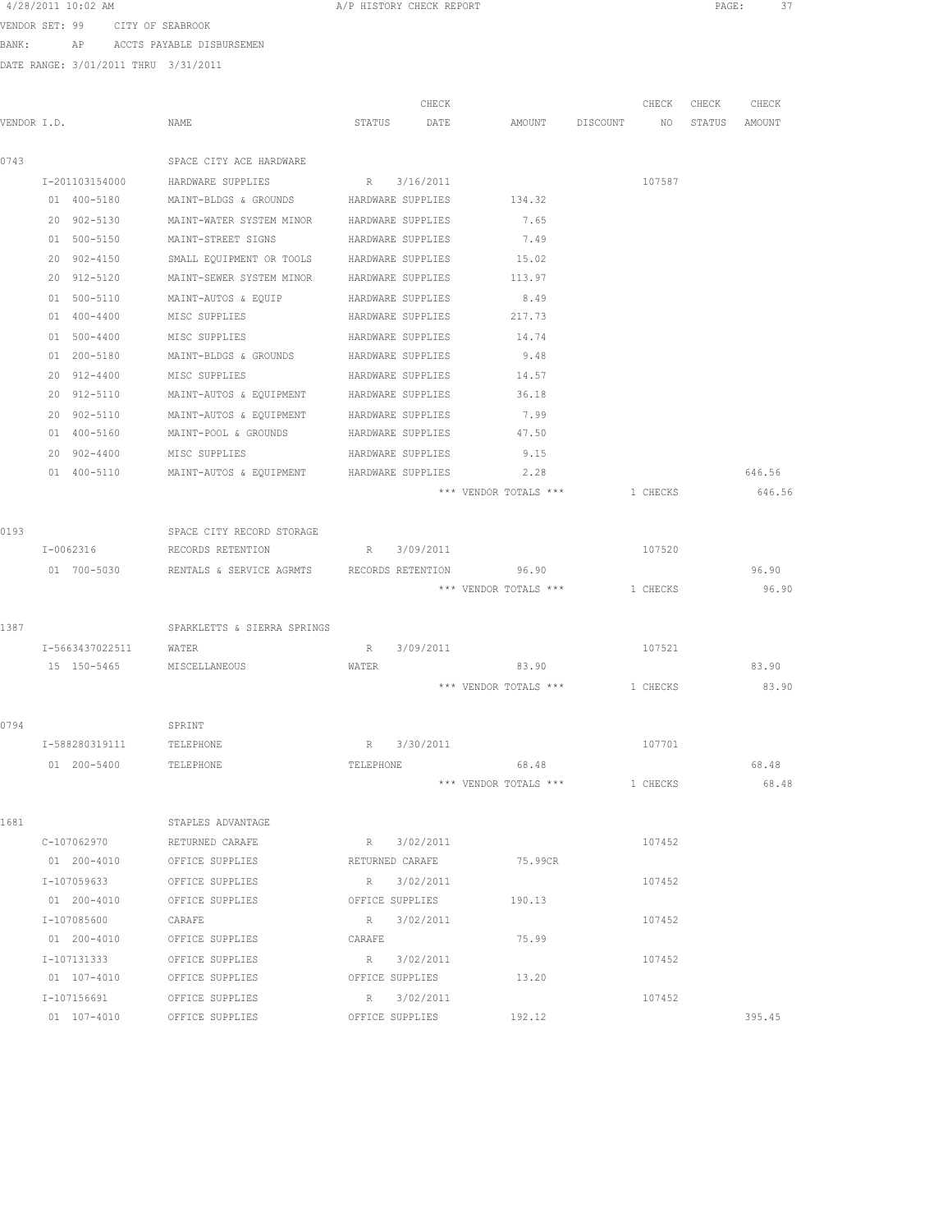| 4/28/2011 10:02 AM |  |  |  |
|--------------------|--|--|--|
|--------------------|--|--|--|

A/P HISTORY CHECK REPORT PAGE: 37

VENDOR SET: 99 CITY OF SEABROOK

BANK: AP ACCTS PAYABLE DISBURSEMEN

| VENDOR I.D. |                             | NAME                                                   | STATUS    | CHECK<br>DATE     | AMOUNT DISCOUNT NO             | CHECK    | CHECK<br>STATUS AMOUNT | CHECK  |
|-------------|-----------------------------|--------------------------------------------------------|-----------|-------------------|--------------------------------|----------|------------------------|--------|
|             |                             |                                                        |           |                   |                                |          |                        |        |
| 0743        |                             | SPACE CITY ACE HARDWARE                                |           |                   |                                |          |                        |        |
|             |                             | I-201103154000 HARDWARE SUPPLIES                       |           | R 3/16/2011       |                                | 107587   |                        |        |
|             | 01 400-5180                 | MAINT-BLDGS & GROUNDS HARDWARE SUPPLIES                |           |                   | 134.32                         |          |                        |        |
|             | 20 902-5130                 | MAINT-WATER SYSTEM MINOR HARDWARE SUPPLIES             |           |                   | 7.65                           |          |                        |        |
|             | 01 500-5150                 | MAINT-STREET SIGNS                                     |           | HARDWARE SUPPLIES | 7.49                           |          |                        |        |
|             | 20 902-4150                 | SMALL EQUIPMENT OR TOOLS HARDWARE SUPPLIES             |           |                   | 15.02                          |          |                        |        |
|             | 20 912-5120                 | MAINT-SEWER SYSTEM MINOR                               |           | HARDWARE SUPPLIES | 113.97                         |          |                        |        |
|             | 01 500-5110                 | MAINT-AUTOS & EQUIP                                    |           | HARDWARE SUPPLIES | 8.49                           |          |                        |        |
|             | 01 400-4400                 | MISC SUPPLIES                                          |           | HARDWARE SUPPLIES | 217.73                         |          |                        |        |
|             | 01 500-4400                 | MISC SUPPLIES                                          |           | HARDWARE SUPPLIES | 14.74                          |          |                        |        |
|             | 01 200-5180                 | MAINT-BLDGS & GROUNDS HARDWARE SUPPLIES                |           |                   | 9.48                           |          |                        |        |
|             | 20 912-4400                 | MISC SUPPLIES                                          |           | HARDWARE SUPPLIES | 14.57                          |          |                        |        |
|             | 20 912-5110                 | MAINT-AUTOS & EQUIPMENT HARDWARE SUPPLIES              |           |                   | 36.18                          |          |                        |        |
|             | 20 902-5110                 | MAINT-AUTOS & EQUIPMENT HARDWARE SUPPLIES              |           |                   | 7.99                           |          |                        |        |
|             | 01 400-5160                 | MAINT-POOL & GROUNDS HARDWARE SUPPLIES                 |           |                   | 47.50                          |          |                        |        |
|             | 20 902-4400                 | MISC SUPPLIES                                          |           | HARDWARE SUPPLIES | 9.15                           |          |                        |        |
|             | 01 400-5110                 | MAINT-AUTOS & EQUIPMENT HARDWARE SUPPLIES              |           |                   | 2.28                           |          |                        | 646.56 |
|             |                             |                                                        |           |                   | *** VENDOR TOTALS ***          | 1 CHECKS |                        | 646.56 |
|             |                             |                                                        |           |                   |                                |          |                        |        |
| 0193        |                             | SPACE CITY RECORD STORAGE                              |           |                   |                                |          |                        |        |
|             | I-0062316                   | RECORDS RETENTION                                      |           | R 3/09/2011       |                                | 107520   |                        |        |
|             |                             | 01 700-5030 RENTALS & SERVICE AGRMTS RECORDS RETENTION |           |                   | 96.90                          |          |                        | 96.90  |
|             |                             |                                                        |           |                   | *** VENDOR TOTALS *** 1 CHECKS |          |                        | 96.90  |
|             |                             |                                                        |           |                   |                                |          |                        |        |
| 1387        |                             | SPARKLETTS & SIERRA SPRINGS                            |           |                   |                                |          |                        |        |
|             | I-5663437022511 WATER       |                                                        | R         | 3/09/2011         |                                | 107521   |                        |        |
|             | 15 150-5465 MISCELLANEOUS   |                                                        | WATER     |                   | 83.90                          |          |                        | 83.90  |
|             |                             |                                                        |           |                   | *** VENDOR TOTALS ***          | 1 CHECKS |                        | 83.90  |
|             |                             |                                                        |           |                   |                                |          |                        |        |
| 0794        |                             | SPRINT                                                 |           |                   |                                |          |                        |        |
|             | I-588280319111              | TELEPHONE                                              |           | R 3/30/2011       |                                | 107701   |                        |        |
|             | 01  200-5400  TELEPHONE     |                                                        | TELEPHONE |                   | 68.48                          |          |                        | 68.48  |
|             |                             |                                                        |           |                   | *** VENDOR TOTALS ***          | 1 CHECKS |                        | 68.48  |
|             |                             |                                                        |           |                   |                                |          |                        |        |
| 1681        |                             | STAPLES ADVANTAGE                                      |           |                   |                                |          |                        |        |
|             | C-107062970 RETURNED CARAFE |                                                        |           | R 3/02/2011       |                                | 107452   |                        |        |
|             |                             |                                                        |           |                   |                                |          |                        |        |
|             |                             | I-107059633 OFFICE SUPPLIES R 3/02/2011                |           |                   |                                | 107452   |                        |        |
|             |                             | 01 200-4010 OFFICE SUPPLIES                            |           |                   | OFFICE SUPPLIES 190.13         |          |                        |        |
|             | I-107085600                 | CARAFE                                                 |           | R 3/02/2011       |                                | 107452   |                        |        |
|             | 01 200-4010                 | OFFICE SUPPLIES                                        | CARAFE    |                   | 75.99                          |          |                        |        |
|             | I-107131333                 | OFFICE SUPPLIES                                        |           | R 3/02/2011       |                                | 107452   |                        |        |
|             | 01 107-4010                 | OFFICE SUPPLIES                                        |           | OFFICE SUPPLIES   | 13.20                          |          |                        |        |
|             | I-107156691                 | OFFICE SUPPLIES                                        |           | R 3/02/2011       |                                | 107452   |                        |        |
|             | 01 107-4010                 | OFFICE SUPPLIES                                        |           | OFFICE SUPPLIES   | 192.12                         |          |                        | 395.45 |
|             |                             |                                                        |           |                   |                                |          |                        |        |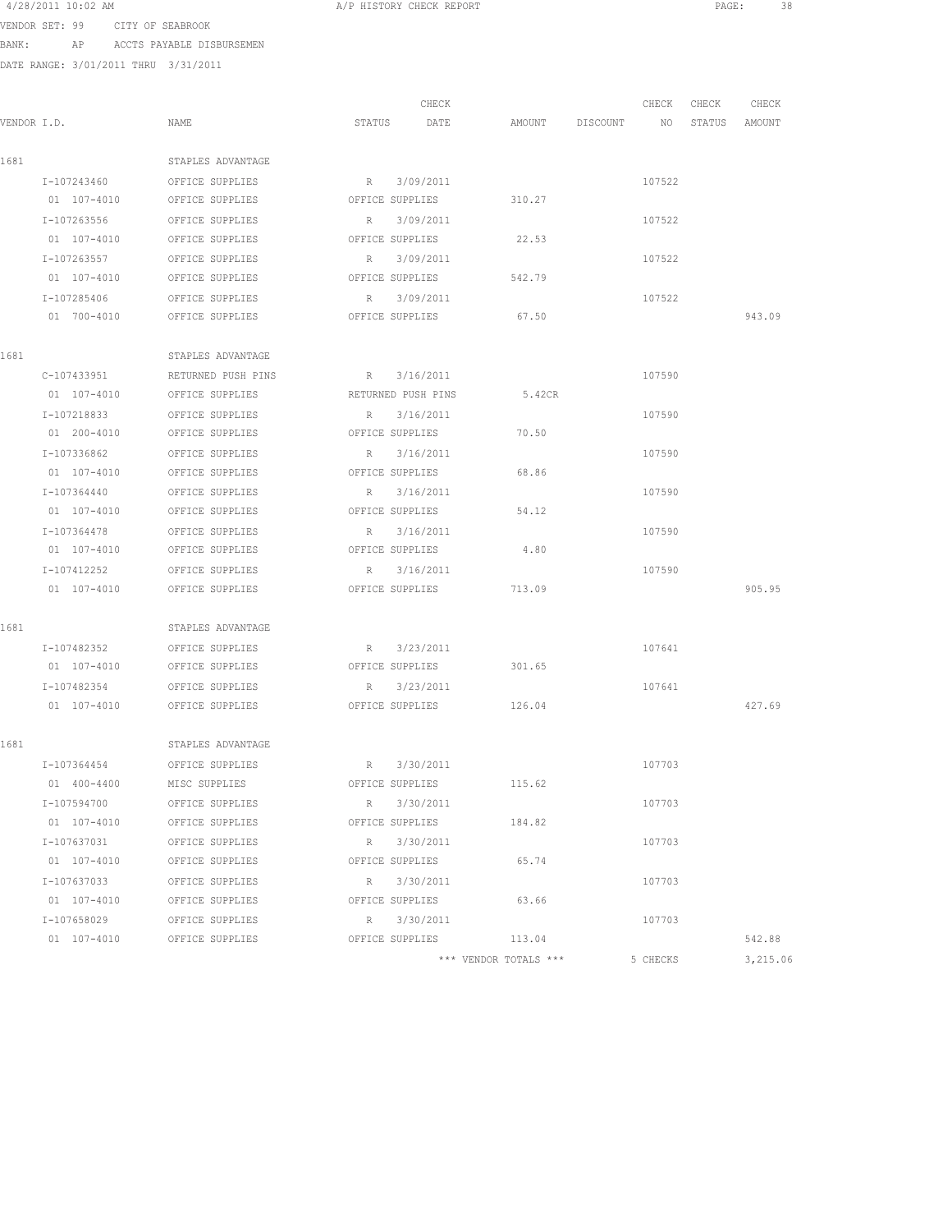| 4/28/2011 10:02 AM |  |  |                  |
|--------------------|--|--|------------------|
| VENDOR SET: 99     |  |  | CITY OF SEABROOK |

BANK: AP ACCTS PAYABLE DISBURSEMEN

DATE RANGE: 3/01/2011 THRU 3/31/2011

|             |                 |                             |                 | CHECK              |        |                 | CHECK  | CHECK         | CHECK  |  |
|-------------|-----------------|-----------------------------|-----------------|--------------------|--------|-----------------|--------|---------------|--------|--|
| VENDOR I.D. |                 | NAME                        |                 | STATUS DATE        |        | AMOUNT DISCOUNT | NO     | STATUS AMOUNT |        |  |
| 1681        |                 | STAPLES ADVANTAGE           |                 |                    |        |                 |        |               |        |  |
|             |                 | I-107243460 OFFICE SUPPLIES |                 | R 3/09/2011        |        |                 | 107522 |               |        |  |
|             |                 | 01 107-4010 OFFICE SUPPLIES | OFFICE SUPPLIES |                    | 310.27 |                 |        |               |        |  |
|             | I-107263556     | OFFICE SUPPLIES             |                 | R 3/09/2011        |        |                 | 107522 |               |        |  |
|             | 01 107-4010     | OFFICE SUPPLIES             |                 | OFFICE SUPPLIES    | 22.53  |                 |        |               |        |  |
|             | I-107263557     | OFFICE SUPPLIES             |                 | R 3/09/2011        |        |                 | 107522 |               |        |  |
|             | 01 107-4010     | OFFICE SUPPLIES             |                 | OFFICE SUPPLIES    | 542.79 |                 |        |               |        |  |
|             | I-107285406     | OFFICE SUPPLIES             |                 | R 3/09/2011        |        |                 | 107522 |               |        |  |
|             | 01 700-4010     | OFFICE SUPPLIES             |                 | OFFICE SUPPLIES    | 67.50  |                 |        |               | 943.09 |  |
| 1681        |                 | STAPLES ADVANTAGE           |                 |                    |        |                 |        |               |        |  |
|             | C-107433951     | RETURNED PUSH PINS          |                 | R 3/16/2011        |        |                 | 107590 |               |        |  |
|             | 01 107-4010     | OFFICE SUPPLIES             |                 | RETURNED PUSH PINS | 5.42CR |                 |        |               |        |  |
|             | I-107218833     | OFFICE SUPPLIES             |                 | R 3/16/2011        |        |                 | 107590 |               |        |  |
|             |                 | 01 200-4010 OFFICE SUPPLIES |                 | OFFICE SUPPLIES    | 70.50  |                 |        |               |        |  |
|             | I-107336862     | OFFICE SUPPLIES             |                 | R 3/16/2011        |        |                 | 107590 |               |        |  |
|             | 01 107-4010     | OFFICE SUPPLIES             |                 | OFFICE SUPPLIES    | 68.86  |                 |        |               |        |  |
|             | I-107364440     | OFFICE SUPPLIES             |                 | R 3/16/2011        |        |                 | 107590 |               |        |  |
|             | 01 107-4010     | OFFICE SUPPLIES             |                 | OFFICE SUPPLIES    | 54.12  |                 |        |               |        |  |
|             | I-107364478     | OFFICE SUPPLIES             |                 | R 3/16/2011        |        |                 | 107590 |               |        |  |
|             | 01 107-4010     | OFFICE SUPPLIES             |                 | OFFICE SUPPLIES    | 4.80   |                 |        |               |        |  |
|             | I-107412252     | OFFICE SUPPLIES             |                 | R 3/16/2011        |        |                 | 107590 |               |        |  |
|             | 01 107-4010     | OFFICE SUPPLIES             |                 | OFFICE SUPPLIES    | 713.09 |                 |        |               | 905.95 |  |
| 1681        |                 | STAPLES ADVANTAGE           |                 |                    |        |                 |        |               |        |  |
|             | I-107482352     | OFFICE SUPPLIES             |                 | R 3/23/2011        |        |                 | 107641 |               |        |  |
|             |                 | 01 107-4010 OFFICE SUPPLIES |                 | OFFICE SUPPLIES    | 301.65 |                 |        |               |        |  |
|             | I-107482354     | OFFICE SUPPLIES             |                 | R 3/23/2011        |        |                 | 107641 |               |        |  |
|             | 01 107-4010     | OFFICE SUPPLIES             |                 | OFFICE SUPPLIES    | 126.04 |                 |        |               | 427.69 |  |
| 1681        |                 | STAPLES ADVANTAGE           |                 |                    |        |                 |        |               |        |  |
|             | I-107364454     | OFFICE SUPPLIES             |                 | R 3/30/2011        |        |                 | 107703 |               |        |  |
|             | 01 400-4400     | MISC SUPPLIES               |                 | OFFICE SUPPLIES    | 115.62 |                 |        |               |        |  |
|             | I-107594700     | OFFICE SUPPLIES             | R               | 3/30/2011          |        |                 | 107703 |               |        |  |
|             | $01 107 - 4010$ | OFFICE SUPPLIES             |                 | OFFICE SUPPLIES    | 184.82 |                 |        |               |        |  |
|             | I-107637031     | OFFICE SUPPLIES             | R               | 3/30/2011          |        |                 | 107703 |               |        |  |
|             | 01 107-4010     | OFFICE SUPPLIES             |                 | OFFICE SUPPLIES    | 65.74  |                 |        |               |        |  |
|             | I-107637033     | OFFICE SUPPLIES             | R               | 3/30/2011          |        |                 | 107703 |               |        |  |
|             | $01 107 - 4010$ | OFFICE SUPPLIES             |                 | OFFICE SUPPLIES    | 63.66  |                 |        |               |        |  |
|             | I-107658029     | OFFICE SUPPLIES             | R               | 3/30/2011          |        |                 | 107703 |               |        |  |
|             | $01 107 - 4010$ | OFFICE SUPPLIES             |                 | OFFICE SUPPLIES    | 113.04 |                 |        |               | 542.88 |  |

\*\*\* VENDOR TOTALS \*\*\* 5 CHECKS 3,215.06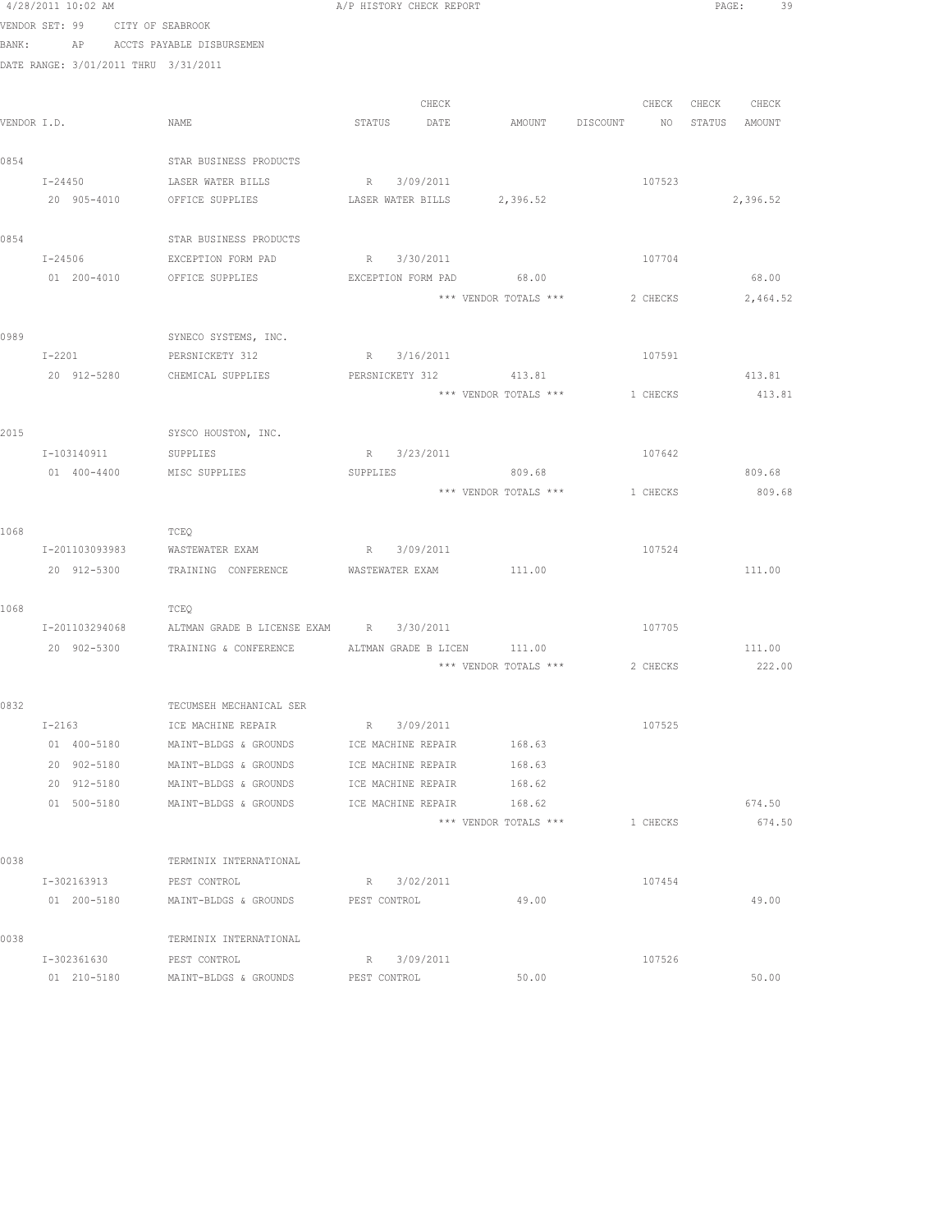|      | 4/28/2011 10:02 AM |             |             |                                                                |              | A/P HISTORY CHECK REPORT |                                       |          |                   | PAGE:<br>39 |
|------|--------------------|-------------|-------------|----------------------------------------------------------------|--------------|--------------------------|---------------------------------------|----------|-------------------|-------------|
|      |                    |             |             | VENDOR SET: 99 CITY OF SEABROOK                                |              |                          |                                       |          |                   |             |
|      |                    |             |             | BANK: AP ACCTS PAYABLE DISBURSEMEN                             |              |                          |                                       |          |                   |             |
|      |                    |             |             | DATE RANGE: 3/01/2011 THRU 3/31/2011                           |              |                          |                                       |          |                   |             |
|      |                    |             |             |                                                                |              |                          |                                       |          |                   |             |
|      |                    |             |             |                                                                |              | CHECK                    |                                       |          | CHECK CHECK CHECK |             |
|      | VENDOR I.D.        |             |             | NAME                                                           |              | STATUS DATE              | AMOUNT DISCOUNT NO STATUS AMOUNT      |          |                   |             |
|      |                    |             |             |                                                                |              |                          |                                       |          |                   |             |
| 0854 |                    |             |             | STAR BUSINESS PRODUCTS                                         |              |                          |                                       |          |                   |             |
|      |                    |             |             | I-24450 LASER WATER BILLS R 3/09/2011                          |              |                          |                                       | 107523   |                   |             |
|      |                    |             |             | 20 905-4010 OFFICE SUPPLIES LASER WATER BILLS 2,396.52         |              |                          |                                       |          |                   | 2,396.52    |
| 0854 |                    |             |             | STAR BUSINESS PRODUCTS                                         |              |                          |                                       |          |                   |             |
|      | $I - 24506$        |             |             | EXCEPTION FORM PAD                                             |              | R 3/30/2011              |                                       | 107704   |                   |             |
|      | 01 200-4010        |             |             | OFFICE SUPPLIES                                                |              |                          | EXCEPTION FORM PAD 68.00              |          |                   | 68.00       |
|      |                    |             |             |                                                                |              |                          | *** VENDOR TOTALS *** 2 CHECKS        |          |                   | 2,464.52    |
|      |                    |             |             |                                                                |              |                          |                                       |          |                   |             |
| 0989 |                    |             |             | SYNECO SYSTEMS, INC.                                           |              |                          |                                       |          |                   |             |
|      | $I-2201$           |             |             | PERSNICKETY 312                                                |              | R 3/16/2011              |                                       | 107591   |                   |             |
|      |                    |             |             | 20 912-5280 CHEMICAL SUPPLIES PERSNICKETY 312 413.81           |              |                          |                                       |          |                   | 413.81      |
|      |                    |             |             |                                                                |              |                          | *** VENDOR TOTALS *** 1 CHECKS        |          |                   | 413.81      |
|      |                    |             |             |                                                                |              |                          |                                       |          |                   |             |
| 2015 |                    |             |             | SYSCO HOUSTON, INC.                                            |              |                          |                                       |          |                   |             |
|      | I-103140911        |             |             | SUPPLIES                                                       |              | R 3/23/2011              |                                       | 107642   |                   |             |
|      | 01 400-4400        |             |             | MISC SUPPLIES                                                  |              |                          | SUPPLIES 809.68                       |          |                   | 809.68      |
|      |                    |             |             |                                                                |              |                          | *** VENDOR TOTALS ***                 | 1 CHECKS |                   | 809.68      |
|      |                    |             |             |                                                                |              |                          |                                       |          |                   |             |
| 1068 |                    |             |             | TCEQ                                                           |              |                          |                                       |          |                   |             |
|      | I-201103093983     |             |             | WASTEWATER EXAM                                                |              | R 3/09/2011              |                                       | 107524   |                   |             |
|      |                    |             |             | 20 912-5300 TRAINING CONFERENCE WASTEWATER EXAM 111.00         |              |                          |                                       |          |                   | 111.00      |
|      |                    |             |             |                                                                |              |                          |                                       |          |                   |             |
| 1068 |                    |             |             | TCEQ<br>I-201103294068 ALTMAN GRADE B LICENSE EXAM R 3/30/2011 |              |                          |                                       | 107705   |                   |             |
|      |                    |             |             | 20 902-5300 TRAINING & CONFERENCE ALTMAN GRADE B LICEN 111.00  |              |                          |                                       |          |                   | 111.00      |
|      |                    |             |             |                                                                |              |                          | *** VENDOR TOTALS *** 2 CHECKS 222.00 |          |                   |             |
|      |                    |             |             |                                                                |              |                          |                                       |          |                   |             |
| 0832 |                    |             |             | TECUMSEH MECHANICAL SER                                        |              |                          |                                       |          |                   |             |
|      | $I-2163$           |             |             | ICE MACHINE REPAIR                                             |              | R 3/09/2011              |                                       | 107525   |                   |             |
|      |                    | 01 400-5180 |             | MAINT-BLDGS & GROUNDS                                          |              | ICE MACHINE REPAIR       | 168.63                                |          |                   |             |
|      |                    | 20 902-5180 |             | MAINT-BLDGS & GROUNDS                                          |              | ICE MACHINE REPAIR       | 168.63                                |          |                   |             |
|      |                    | 20 912-5180 |             | MAINT-BLDGS & GROUNDS                                          |              | ICE MACHINE REPAIR       | 168.62                                |          |                   |             |
|      |                    | 01 500-5180 |             | MAINT-BLDGS & GROUNDS                                          |              | ICE MACHINE REPAIR       | 168.62                                |          |                   | 674.50      |
|      |                    |             |             |                                                                |              |                          | *** VENDOR TOTALS ***                 | 1 CHECKS |                   | 674.50      |
|      |                    |             |             |                                                                |              |                          |                                       |          |                   |             |
| 0038 |                    |             |             | TERMINIX INTERNATIONAL                                         |              |                          |                                       |          |                   |             |
|      | I-302163913        |             |             | PEST CONTROL                                                   |              | R 3/02/2011              |                                       | 107454   |                   |             |
|      |                    |             | 01 200-5180 | MAINT-BLDGS & GROUNDS                                          | PEST CONTROL |                          | 49.00                                 |          |                   | 49.00       |
|      |                    |             |             |                                                                |              |                          |                                       |          |                   |             |
| 0038 |                    |             |             | TERMINIX INTERNATIONAL                                         |              |                          |                                       |          |                   |             |
|      | I-302361630        |             |             | PEST CONTROL                                                   |              | R 3/09/2011              |                                       | 107526   |                   |             |
|      |                    | 01 210-5180 |             | MAINT-BLDGS & GROUNDS                                          | PEST CONTROL |                          | 50.00                                 |          |                   | 50.00       |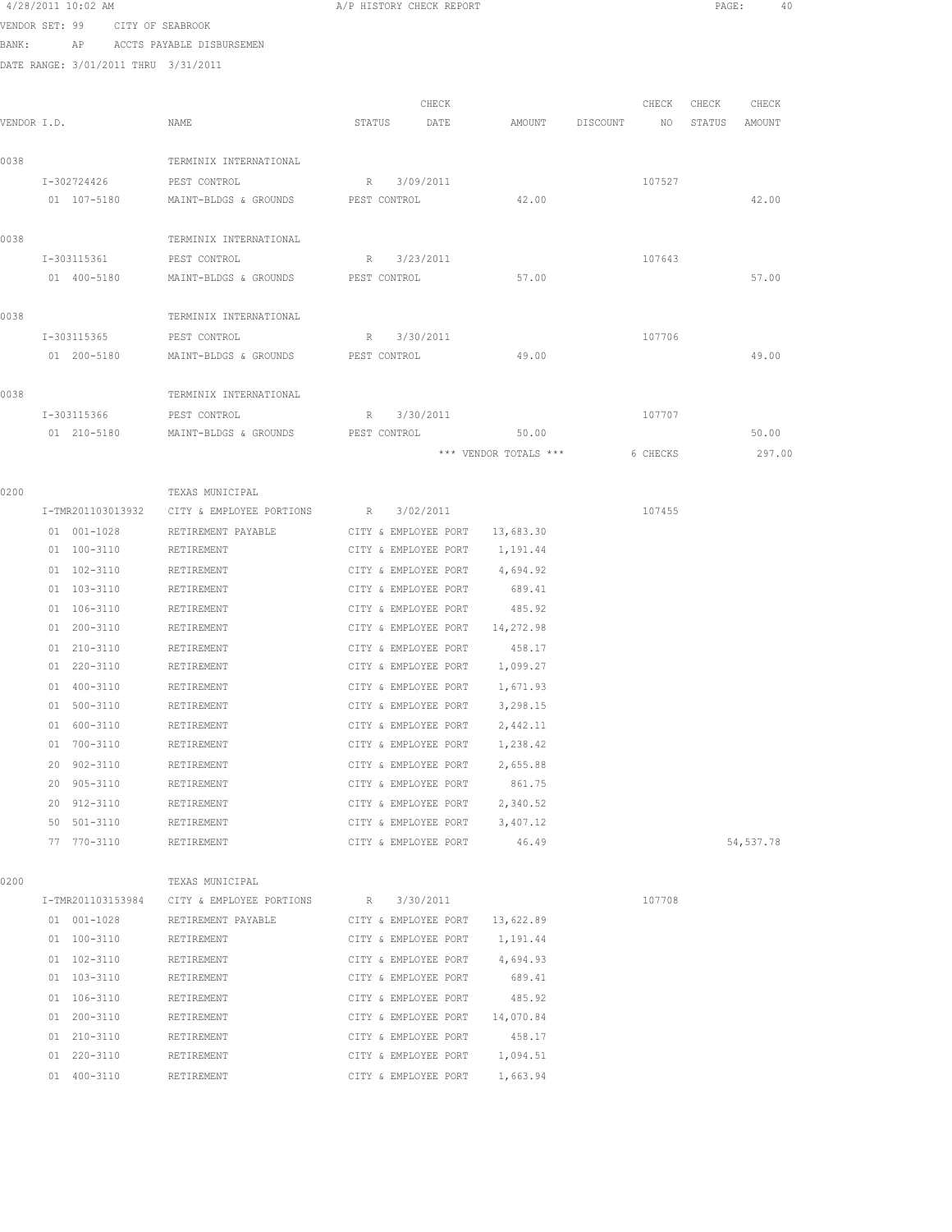|             | 4/28/2011 10:02 AM         |                                      |                                                    |        |              | A/P HISTORY CHECK REPORT                     |                       |                 | PAGE:  | 40         |  |
|-------------|----------------------------|--------------------------------------|----------------------------------------------------|--------|--------------|----------------------------------------------|-----------------------|-----------------|--------|------------|--|
|             |                            | VENDOR SET: 99 CITY OF SEABROOK      |                                                    |        |              |                                              |                       |                 |        |            |  |
| BANK:       |                            | AP ACCTS PAYABLE DISBURSEMEN         |                                                    |        |              |                                              |                       |                 |        |            |  |
|             |                            | DATE RANGE: 3/01/2011 THRU 3/31/2011 |                                                    |        |              |                                              |                       |                 |        |            |  |
|             |                            |                                      |                                                    |        |              |                                              |                       |                 |        |            |  |
|             |                            |                                      |                                                    |        |              | CHECK                                        |                       | CHECK           | CHECK  | CHECK      |  |
| VENDOR I.D. |                            | NAME                                 |                                                    | STATUS |              | DATE                                         | AMOUNT DISCOUNT       | NO <sub>N</sub> | STATUS | AMOUNT     |  |
| 0038        |                            |                                      | TERMINIX INTERNATIONAL                             |        |              |                                              |                       |                 |        |            |  |
|             |                            | I-302724426 PEST CONTROL             |                                                    |        | R 3/09/2011  |                                              |                       | 107527          |        |            |  |
|             | 01 107-5180                |                                      | MAINT-BLDGS & GROUNDS PEST CONTROL                 |        |              |                                              | 42.00                 |                 |        | 42.00      |  |
|             |                            |                                      |                                                    |        |              |                                              |                       |                 |        |            |  |
| 0038        |                            |                                      | TERMINIX INTERNATIONAL                             |        |              |                                              |                       |                 |        |            |  |
|             | I-303115361                |                                      | PEST CONTROL                                       |        | R 3/23/2011  |                                              |                       | 107643          |        |            |  |
|             | 01 400-5180                |                                      | MAINT-BLDGS & GROUNDS                              |        | PEST CONTROL |                                              | 57.00                 |                 |        | 57.00      |  |
|             |                            |                                      |                                                    |        |              |                                              |                       |                 |        |            |  |
| 0038        |                            |                                      | TERMINIX INTERNATIONAL                             |        |              |                                              |                       |                 |        |            |  |
|             | I-303115365                |                                      | PEST CONTROL                                       |        | R 3/30/2011  |                                              |                       | 107706          |        |            |  |
|             | 01 200-5180                |                                      | MAINT-BLDGS & GROUNDS                              |        | PEST CONTROL |                                              | 49.00                 |                 |        | 49.00      |  |
|             |                            |                                      |                                                    |        |              |                                              |                       |                 |        |            |  |
| 0038        |                            |                                      | TERMINIX INTERNATIONAL                             |        |              |                                              |                       |                 |        |            |  |
|             | I-303115366<br>01 210-5180 |                                      | PEST CONTROL<br>MAINT-BLDGS & GROUNDS PEST CONTROL |        | R 3/30/2011  |                                              | 50.00                 | 107707          |        | 50.00      |  |
|             |                            |                                      |                                                    |        |              |                                              | *** VENDOR TOTALS *** | 6 CHECKS        |        | 297.00     |  |
|             |                            |                                      |                                                    |        |              |                                              |                       |                 |        |            |  |
| 0200        |                            |                                      | TEXAS MUNICIPAL                                    |        |              |                                              |                       |                 |        |            |  |
|             | I-TMR201103013932          |                                      | CITY & EMPLOYEE PORTIONS                           |        | R 3/02/2011  |                                              |                       | 107455          |        |            |  |
|             | 01 001-1028                |                                      | RETIREMENT PAYABLE                                 |        |              | CITY & EMPLOYEE PORT                         | 13,683.30             |                 |        |            |  |
|             | 01 100-3110                |                                      | RETIREMENT                                         |        |              | CITY & EMPLOYEE PORT                         | 1,191.44              |                 |        |            |  |
|             | 01 102-3110                |                                      | RETIREMENT                                         |        |              | CITY & EMPLOYEE PORT                         | 4,694.92              |                 |        |            |  |
|             | 01 103-3110                |                                      | RETIREMENT                                         |        |              | CITY & EMPLOYEE PORT                         | 689.41                |                 |        |            |  |
|             | 01 106-3110                |                                      | RETIREMENT                                         |        |              | CITY & EMPLOYEE PORT                         | 485.92                |                 |        |            |  |
|             | 01 200-3110                |                                      | RETIREMENT                                         |        |              | CITY & EMPLOYEE PORT                         | 14,272.98             |                 |        |            |  |
|             | 01 210-3110                |                                      | RETIREMENT                                         |        |              | CITY & EMPLOYEE PORT                         | 458.17                |                 |        |            |  |
|             | 01 220-3110                |                                      | RETIREMENT                                         |        |              | CITY & EMPLOYEE PORT                         | 1,099.27              |                 |        |            |  |
|             | 01 400-3110                | RETIREMENT                           |                                                    |        |              | CITY & EMPLOYEE PORT                         | 1,671.93              |                 |        |            |  |
|             | 01 500-3110                |                                      | RETIREMENT                                         |        |              | CITY & EMPLOYEE PORT                         | 3,298.15              |                 |        |            |  |
|             | 01 600-3110<br>01 700-3110 |                                      | RETIREMENT                                         |        |              | CITY & EMPLOYEE PORT<br>CITY & EMPLOYEE PORT | 2,442.11              |                 |        |            |  |
|             | 20 902-3110                |                                      | RETIREMENT<br>RETIREMENT                           |        |              | CITY & EMPLOYEE PORT                         | 1,238.42<br>2,655.88  |                 |        |            |  |
|             | 20 905-3110                |                                      | RETIREMENT                                         |        |              | CITY & EMPLOYEE PORT                         | 861.75                |                 |        |            |  |
|             | 20 912-3110                |                                      | RETIREMENT                                         |        |              | CITY & EMPLOYEE PORT                         | 2,340.52              |                 |        |            |  |
|             | 50 501-3110                |                                      | RETIREMENT                                         |        |              | CITY & EMPLOYEE PORT                         | 3,407.12              |                 |        |            |  |
|             | 77 770-3110                |                                      | RETIREMENT                                         |        |              | CITY & EMPLOYEE PORT                         | 46.49                 |                 |        | 54, 537.78 |  |
|             |                            |                                      |                                                    |        |              |                                              |                       |                 |        |            |  |
| 0200        |                            |                                      | TEXAS MUNICIPAL                                    |        |              |                                              |                       |                 |        |            |  |
|             | I-TMR201103153984          |                                      | CITY & EMPLOYEE PORTIONS R                         |        |              | 3/30/2011                                    |                       | 107708          |        |            |  |
|             | 01 001-1028                |                                      | RETIREMENT PAYABLE                                 |        |              | CITY & EMPLOYEE PORT                         | 13,622.89             |                 |        |            |  |
|             | 01 100-3110                |                                      | RETIREMENT                                         |        |              | CITY & EMPLOYEE PORT                         | 1,191.44              |                 |        |            |  |
|             | 01 102-3110                |                                      | RETIREMENT                                         |        |              | CITY & EMPLOYEE PORT                         | 4,694.93              |                 |        |            |  |
|             | 01 103-3110                |                                      | RETIREMENT                                         |        |              | CITY & EMPLOYEE PORT                         | 689.41                |                 |        |            |  |
|             | 01 106-3110                |                                      | RETIREMENT                                         |        |              | CITY & EMPLOYEE PORT                         | 485.92                |                 |        |            |  |
|             | 01 200-3110                |                                      | RETIREMENT                                         |        |              | CITY & EMPLOYEE PORT                         | 14,070.84             |                 |        |            |  |
|             | $01 210 - 3110$            |                                      | RETIREMENT                                         |        |              | CITY & EMPLOYEE PORT                         | 458.17                |                 |        |            |  |
|             | 01 220-3110                |                                      | RETIREMENT                                         |        |              | CITY & EMPLOYEE PORT                         | 1,094.51              |                 |        |            |  |

400-3110 RETIREMENT CITY & EMPLOYEE PORT 1,663.94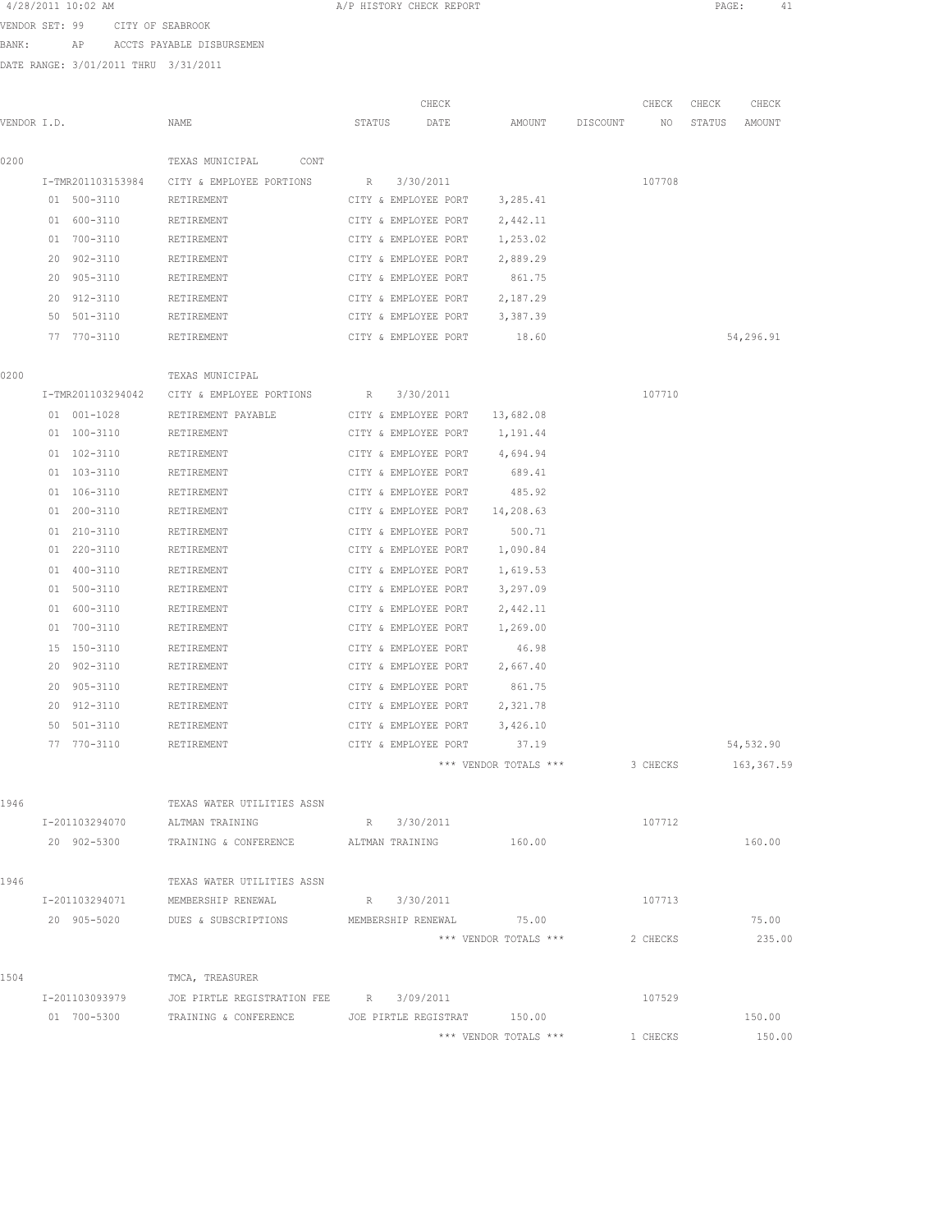| 4/28/2011 10:02 AM |  |
|--------------------|--|
|--------------------|--|

A/P HISTORY CHECK REPORT PAGE: 41

VENDOR SET: 99 CITY OF SEABROOK

BANK: AP ACCTS PAYABLE DISBURSEMEN

| VENDOR I.D. |    |                   | NAME                                          | STATUS | CHECK<br>DATE        | AMOUNT                | DISCOUNT | CHECK<br>NO | CHECK<br>STATUS | CHECK<br>AMOUNT |
|-------------|----|-------------------|-----------------------------------------------|--------|----------------------|-----------------------|----------|-------------|-----------------|-----------------|
| 0200        |    |                   | TEXAS MUNICIPAL<br>CONT                       |        |                      |                       |          |             |                 |                 |
|             |    | I-TMR201103153984 | CITY & EMPLOYEE PORTIONS                      | R      | 3/30/2011            |                       |          | 107708      |                 |                 |
|             |    | 01 500-3110       | RETIREMENT                                    |        | CITY & EMPLOYEE PORT | 3,285.41              |          |             |                 |                 |
|             | 01 | 600-3110          | RETIREMENT                                    |        | CITY & EMPLOYEE PORT | 2,442.11              |          |             |                 |                 |
|             | 01 | 700-3110          | RETIREMENT                                    |        | CITY & EMPLOYEE PORT | 1,253.02              |          |             |                 |                 |
|             | 20 | $902 - 3110$      | RETIREMENT                                    |        | CITY & EMPLOYEE PORT | 2,889.29              |          |             |                 |                 |
|             | 20 | 905-3110          | RETIREMENT                                    |        | CITY & EMPLOYEE PORT | 861.75                |          |             |                 |                 |
|             | 20 | 912-3110          | RETIREMENT                                    |        | CITY & EMPLOYEE PORT | 2,187.29              |          |             |                 |                 |
|             | 50 | 501-3110          | RETIREMENT                                    |        | CITY & EMPLOYEE PORT | 3,387.39              |          |             |                 |                 |
|             |    | 77 770-3110       | RETIREMENT                                    |        | CITY & EMPLOYEE PORT | 18.60                 |          |             |                 | 54,296.91       |
|             |    |                   |                                               |        |                      |                       |          |             |                 |                 |
| 0200        |    |                   | TEXAS MUNICIPAL                               |        |                      |                       |          |             |                 |                 |
|             |    | I-TMR201103294042 | CITY & EMPLOYEE PORTIONS                      | R      | 3/30/2011            |                       |          | 107710      |                 |                 |
|             |    | 01 001-1028       | RETIREMENT PAYABLE                            |        | CITY & EMPLOYEE PORT | 13,682.08             |          |             |                 |                 |
|             |    | 01 100-3110       | RETIREMENT                                    |        | CITY & EMPLOYEE PORT | 1,191.44              |          |             |                 |                 |
|             |    | 01 102-3110       | RETIREMENT                                    |        | CITY & EMPLOYEE PORT | 4,694.94              |          |             |                 |                 |
|             |    | 01 103-3110       | RETIREMENT                                    |        | CITY & EMPLOYEE PORT | 689.41                |          |             |                 |                 |
|             |    | 01 106-3110       | RETIREMENT                                    |        | CITY & EMPLOYEE PORT | 485.92                |          |             |                 |                 |
|             | 01 | 200-3110          | RETIREMENT                                    |        | CITY & EMPLOYEE PORT | 14,208.63             |          |             |                 |                 |
|             | 01 | 210-3110          | RETIREMENT                                    |        | CITY & EMPLOYEE PORT | 500.71                |          |             |                 |                 |
|             | 01 | 220-3110          | RETIREMENT                                    |        | CITY & EMPLOYEE PORT | 1,090.84              |          |             |                 |                 |
|             | 01 | 400-3110          | RETIREMENT                                    |        | CITY & EMPLOYEE PORT | 1,619.53              |          |             |                 |                 |
|             |    | 01 500-3110       | RETIREMENT                                    |        | CITY & EMPLOYEE PORT | 3,297.09              |          |             |                 |                 |
|             | 01 | 600-3110          | RETIREMENT                                    |        | CITY & EMPLOYEE PORT | 2,442.11              |          |             |                 |                 |
|             |    | 01 700-3110       | RETIREMENT                                    |        | CITY & EMPLOYEE PORT | 1,269.00              |          |             |                 |                 |
|             | 15 | 150-3110          | RETIREMENT                                    |        | CITY & EMPLOYEE PORT | 46.98                 |          |             |                 |                 |
|             | 20 | 902-3110          | RETIREMENT                                    |        | CITY & EMPLOYEE PORT | 2,667.40              |          |             |                 |                 |
|             | 20 | 905-3110          | RETIREMENT                                    |        | CITY & EMPLOYEE PORT | 861.75                |          |             |                 |                 |
|             | 20 | 912-3110          | RETIREMENT                                    |        | CITY & EMPLOYEE PORT | 2,321.78              |          |             |                 |                 |
|             | 50 | 501-3110          | RETIREMENT                                    |        | CITY & EMPLOYEE PORT | 3,426.10              |          |             |                 |                 |
|             | 77 | 770-3110          | RETIREMENT                                    |        | CITY & EMPLOYEE PORT | 37.19                 |          |             |                 | 54,532.90       |
|             |    |                   |                                               |        |                      | *** VENDOR TOTALS *** |          | 3 CHECKS    |                 | 163,367.59      |
| 1946        |    |                   | TEXAS WATER UTILITIES ASSN                    |        |                      |                       |          |             |                 |                 |
|             |    | I-201103294070    | ALTMAN TRAINING                               |        | R 3/30/2011          |                       |          | 107712      |                 |                 |
|             |    | 20 902-5300       | TRAINING & CONFERENCE ALTMAN TRAINING         |        |                      | 160.00                |          |             |                 | 160.00          |
| 1946        |    |                   | TEXAS WATER UTILITIES ASSN                    |        |                      |                       |          |             |                 |                 |
|             |    |                   | I-201103294071 MEMBERSHIP RENEWAL             |        | R 3/30/2011          |                       |          | 107713      |                 |                 |
|             |    | 20 905-5020       | DUES & SUBSCRIPTIONS MEMBERSHIP RENEWAL 75.00 |        |                      |                       |          |             |                 | 75.00           |
|             |    |                   |                                               |        |                      | *** VENDOR TOTALS *** |          | 2 CHECKS    |                 | 235.00          |
| 1504        |    |                   | TMCA, TREASURER                               |        |                      |                       |          |             |                 |                 |
|             |    | I-201103093979    | JOE PIRTLE REGISTRATION FEE R 3/09/2011       |        |                      |                       |          | 107529      |                 |                 |
|             |    | 01 700-5300       | TRAINING & CONFERENCE                         |        | JOE PIRTLE REGISTRAT | 150.00                |          |             |                 | 150.00          |
|             |    |                   |                                               |        |                      | *** VENDOR TOTALS *** |          | 1 CHECKS    |                 | 150.00          |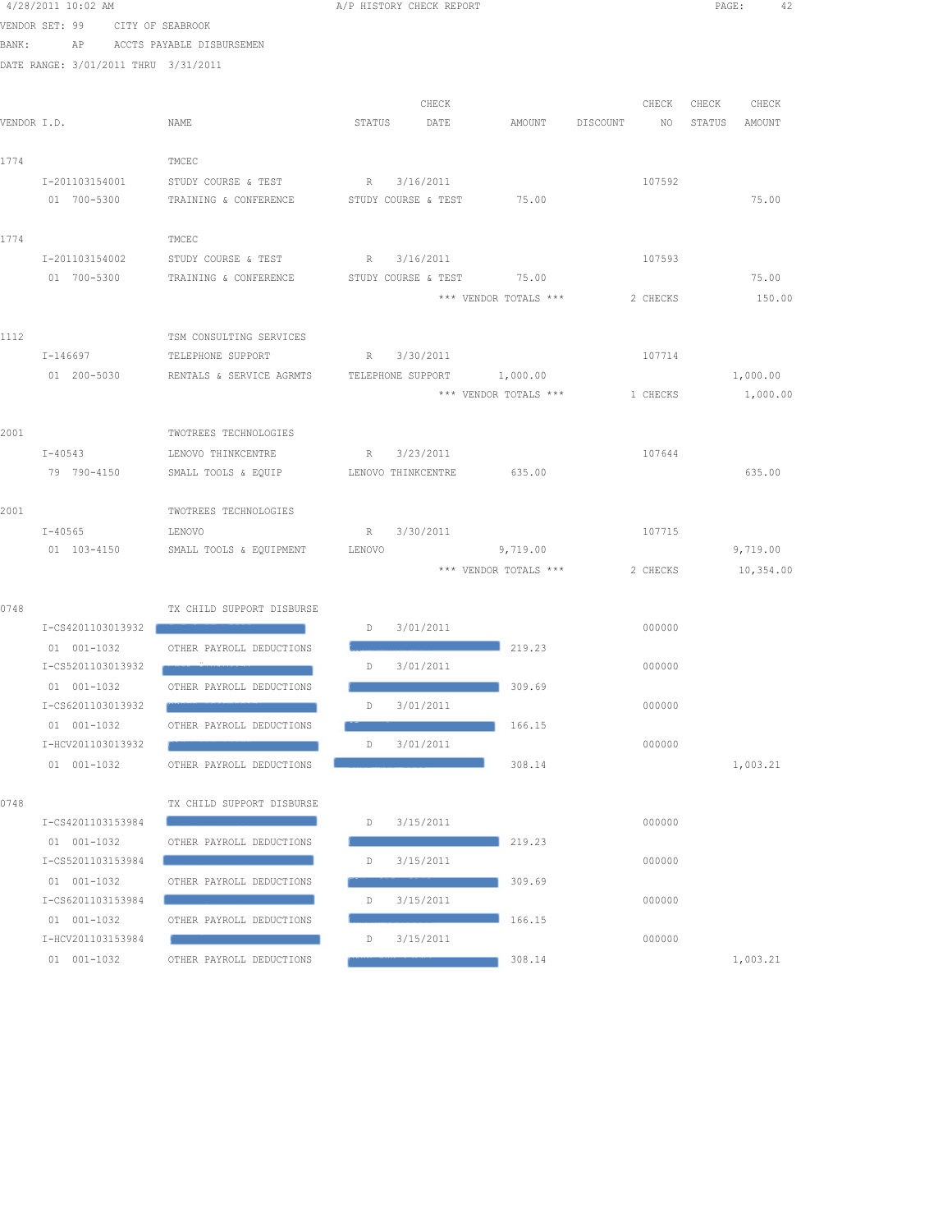|             | 4/28/2011 10:02 AM                   |                           | A/P HISTORY CHECK REPORT |                           |                            |          |          | PAGE:  | 42        |
|-------------|--------------------------------------|---------------------------|--------------------------|---------------------------|----------------------------|----------|----------|--------|-----------|
|             | VENDOR SET: 99                       | CITY OF SEABROOK          |                          |                           |                            |          |          |        |           |
| BANK:       | AP                                   | ACCTS PAYABLE DISBURSEMEN |                          |                           |                            |          |          |        |           |
|             | DATE RANGE: 3/01/2011 THRU 3/31/2011 |                           |                          |                           |                            |          |          |        |           |
|             |                                      |                           |                          |                           |                            |          |          |        |           |
|             |                                      |                           |                          | CHECK                     |                            |          | CHECK    | CHECK  | CHECK     |
| VENDOR I.D. |                                      | NAME                      | STATUS                   | DATE                      | AMOUNT                     | DISCOUNT | NO       | STATUS | AMOUNT    |
| 1774        |                                      | TMCEC                     |                          |                           |                            |          |          |        |           |
|             | I-201103154001                       | STUDY COURSE & TEST       | R                        | 3/16/2011                 |                            |          | 107592   |        |           |
|             | 01 700-5300                          | TRAINING & CONFERENCE     | STUDY COURSE & TEST      |                           | 75.00                      |          |          |        | 75.00     |
|             |                                      |                           |                          |                           |                            |          |          |        |           |
| 1774        |                                      | TMCEC                     |                          |                           |                            |          |          |        |           |
|             | I-201103154002                       | STUDY COURSE & TEST       | R                        | 3/16/2011                 |                            |          | 107593   |        |           |
|             | 01 700-5300                          | TRAINING & CONFERENCE     |                          | STUDY COURSE & TEST 75.00 |                            |          |          |        | 75.00     |
|             |                                      |                           |                          |                           | *** VENDOR TOTALS ***      |          | 2 CHECKS |        | 150.00    |
|             |                                      |                           |                          |                           |                            |          |          |        |           |
| 1112        |                                      | TSM CONSULTING SERVICES   |                          |                           |                            |          |          |        |           |
|             | I-146697                             | TELEPHONE SUPPORT         | R                        | 3/30/2011                 |                            |          | 107714   |        |           |
|             | 01 200-5030                          | RENTALS & SERVICE AGRMTS  |                          |                           | TELEPHONE SUPPORT 1,000.00 |          |          |        | 1,000.00  |
|             |                                      |                           |                          |                           | *** VENDOR TOTALS ***      |          | 1 CHECKS |        | 1,000.00  |
|             |                                      |                           |                          |                           |                            |          |          |        |           |
| 2001        |                                      | TWOTREES TECHNOLOGIES     |                          |                           |                            |          |          |        |           |
|             | $I - 40543$                          | LENOVO THINKCENTRE        | R                        | 3/23/2011                 |                            |          | 107644   |        |           |
|             | 79 790-4150                          | SMALL TOOLS & EQUIP       | LENOVO THINKCENTRE       |                           | 635.00                     |          |          |        | 635.00    |
| 2001        |                                      | TWOTREES TECHNOLOGIES     |                          |                           |                            |          |          |        |           |
|             | $I - 40565$                          | LENOVO                    | R                        | 3/30/2011                 |                            |          | 107715   |        |           |
|             | 01 103-4150                          | SMALL TOOLS & EQUIPMENT   | LENOVO                   |                           | 9,719.00                   |          |          |        | 9,719.00  |
|             |                                      |                           |                          |                           | *** VENDOR TOTALS ***      |          | 2 CHECKS |        | 10,354.00 |
|             |                                      |                           |                          |                           |                            |          |          |        |           |
| 0748        |                                      | TX CHILD SUPPORT DISBURSE |                          |                           |                            |          |          |        |           |
|             | I-CS4201103013932                    |                           | D                        | 3/01/2011                 |                            |          | 000000   |        |           |
|             | 01 001-1032                          | OTHER PAYROLL DEDUCTIONS  |                          |                           | 219.23                     |          |          |        |           |
|             | I-CS5201103013932                    |                           | D                        | 3/01/2011                 |                            |          | 000000   |        |           |
|             | 01 001-1032                          | OTHER PAYROLL DEDUCTIONS  |                          |                           | 309.69                     |          |          |        |           |
|             | I-CS6201103013932                    |                           | D                        | 3/01/2011                 |                            |          | 000000   |        |           |
|             | 01 001-1032                          | OTHER PAYROLL DEDUCTIONS  |                          |                           | 166.15                     |          |          |        |           |
|             | I-HCV201103013932                    |                           | D                        | 3/01/2011                 |                            |          | 000000   |        |           |
|             | 01 001-1032                          | OTHER PAYROLL DEDUCTIONS  |                          |                           | 308.14                     |          |          |        | 1,003.21  |
|             |                                      |                           |                          |                           |                            |          |          |        |           |
| 0748        | I-CS4201103153984                    | TX CHILD SUPPORT DISBURSE |                          | 3/15/2011                 |                            |          | 000000   |        |           |
|             | $01 001 - 1032$                      | OTHER PAYROLL DEDUCTIONS  | D                        |                           | 219.23                     |          |          |        |           |
|             | I-CS5201103153984                    |                           | D                        | 3/15/2011                 |                            |          | 000000   |        |           |
|             | 01 001-1032                          | OTHER PAYROLL DEDUCTIONS  |                          |                           | 309.69                     |          |          |        |           |
|             | I-CS6201103153984                    |                           | D                        | 3/15/2011                 |                            |          | 000000   |        |           |
|             | 01 001-1032                          | OTHER PAYROLL DEDUCTIONS  |                          |                           | 166.15                     |          |          |        |           |
|             | I-HCV201103153984                    |                           | D                        | 3/15/2011                 |                            |          | 000000   |        |           |
|             | 01 001-1032                          | OTHER PAYROLL DEDUCTIONS  |                          |                           | 308.14                     |          |          |        | 1,003.21  |
|             |                                      |                           |                          |                           |                            |          |          |        |           |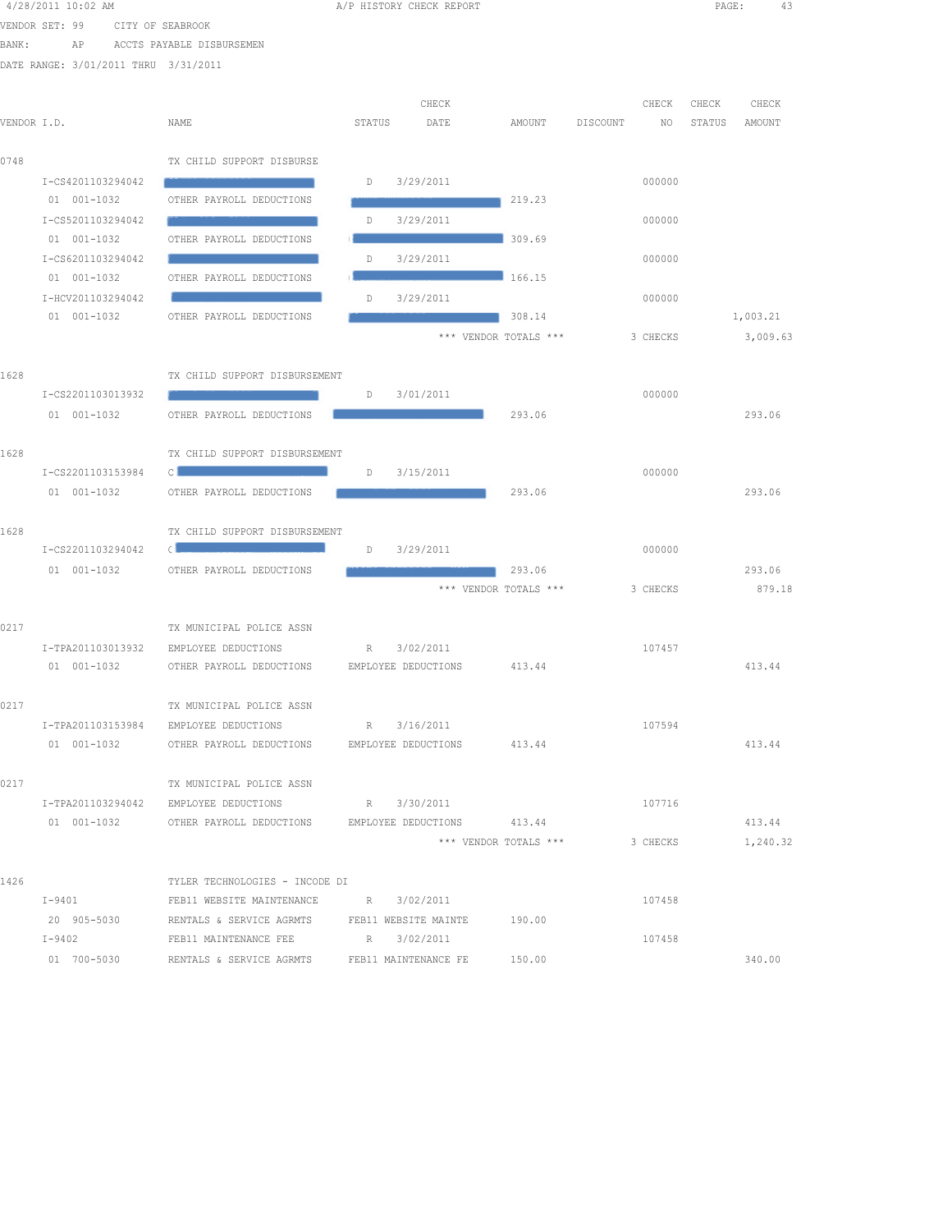|             | 4/28/2011 10:02 AM                   |                                                                                                                  |        | A/P HISTORY CHECK REPORT |                                 |          |          | PAGE:  | 43       |  |
|-------------|--------------------------------------|------------------------------------------------------------------------------------------------------------------|--------|--------------------------|---------------------------------|----------|----------|--------|----------|--|
|             | VENDOR SET: 99<br>CITY OF SEABROOK   |                                                                                                                  |        |                          |                                 |          |          |        |          |  |
| BANK:       | AP                                   | ACCTS PAYABLE DISBURSEMEN                                                                                        |        |                          |                                 |          |          |        |          |  |
|             | DATE RANGE: 3/01/2011 THRU 3/31/2011 |                                                                                                                  |        |                          |                                 |          |          |        |          |  |
|             |                                      |                                                                                                                  |        |                          |                                 |          |          |        |          |  |
|             |                                      |                                                                                                                  |        | CHECK                    |                                 |          | CHECK    | CHECK  | CHECK    |  |
| VENDOR I.D. |                                      | NAME                                                                                                             | STATUS | DATE                     | AMOUNT                          | DISCOUNT | NO       | STATUS | AMOUNT   |  |
| 0748        |                                      | TX CHILD SUPPORT DISBURSE                                                                                        |        |                          |                                 |          |          |        |          |  |
|             | I-CS4201103294042                    |                                                                                                                  | D      | 3/29/2011                |                                 |          | 000000   |        |          |  |
|             | 01 001-1032                          | OTHER PAYROLL DEDUCTIONS                                                                                         |        |                          | 219.23                          |          |          |        |          |  |
|             | I-CS5201103294042                    |                                                                                                                  | D      | 3/29/2011                |                                 |          | 000000   |        |          |  |
|             | 01 001-1032                          | OTHER PAYROLL DEDUCTIONS                                                                                         |        |                          | 309.69                          |          |          |        |          |  |
|             | I-CS6201103294042                    |                                                                                                                  | D      | 3/29/2011                |                                 |          | 000000   |        |          |  |
|             | 01 001-1032                          | OTHER PAYROLL DEDUCTIONS                                                                                         |        |                          | 166.15                          |          |          |        |          |  |
|             | I-HCV201103294042                    |                                                                                                                  | D      | 3/29/2011                |                                 |          | 000000   |        |          |  |
|             | 01 001-1032                          | OTHER PAYROLL DEDUCTIONS                                                                                         |        |                          | 308.14                          |          |          |        | 1,003.21 |  |
|             |                                      |                                                                                                                  |        |                          | *** VENDOR TOTALS ***           |          | 3 CHECKS |        | 3,009.63 |  |
|             |                                      |                                                                                                                  |        |                          |                                 |          |          |        |          |  |
| 1628        |                                      | TX CHILD SUPPORT DISBURSEMENT                                                                                    |        |                          |                                 |          |          |        |          |  |
|             | I-CS2201103013932                    |                                                                                                                  | D      | 3/01/2011                |                                 |          | 000000   |        |          |  |
|             | 01 001-1032                          | OTHER PAYROLL DEDUCTIONS                                                                                         |        |                          | 293.06                          |          |          |        | 293.06   |  |
|             |                                      |                                                                                                                  |        |                          |                                 |          |          |        |          |  |
| 1628        |                                      | TX CHILD SUPPORT DISBURSEMENT                                                                                    |        |                          |                                 |          |          |        |          |  |
|             | I-CS2201103153984                    | C                                                                                                                | D      | 3/15/2011                |                                 |          | 000000   |        |          |  |
|             | 01 001-1032                          | OTHER PAYROLL DEDUCTIONS                                                                                         |        |                          | 293.06                          |          |          |        | 293.06   |  |
|             |                                      |                                                                                                                  |        |                          |                                 |          |          |        |          |  |
| 1628        |                                      | TX CHILD SUPPORT DISBURSEMENT                                                                                    |        |                          |                                 |          |          |        |          |  |
|             | I-CS2201103294042                    | Constitution of the constitution of the constitution of the constitution of the constitution of the constitution | D      | 3/29/2011                |                                 |          | 000000   |        |          |  |
|             | 01 001-1032                          | OTHER PAYROLL DEDUCTIONS                                                                                         |        |                          | 293.06<br>*** VENDOR TOTALS *** |          | 3 CHECKS |        | 293.06   |  |
|             |                                      |                                                                                                                  |        |                          |                                 |          |          |        | 879.18   |  |
| 0217        |                                      | TX MUNICIPAL POLICE ASSN                                                                                         |        |                          |                                 |          |          |        |          |  |
|             | I-TPA201103013932                    | EMPLOYEE DEDUCTIONS                                                                                              | R      | 3/02/2011                |                                 |          | 107457   |        |          |  |
|             | 01 001-1032                          | OTHER PAYROLL DEDUCTIONS                                                                                         |        | EMPLOYEE DEDUCTIONS      | 413.44                          |          |          |        | 413.44   |  |
|             |                                      |                                                                                                                  |        |                          |                                 |          |          |        |          |  |
| 0217        |                                      | TX MUNICIPAL POLICE ASSN                                                                                         |        |                          |                                 |          |          |        |          |  |
|             |                                      | I-TPA201103153984 EMPLOYEE DEDUCTIONS                                                                            |        | R 3/16/2011              |                                 |          | 107594   |        |          |  |
|             |                                      |                                                                                                                  |        | EMPLOYEE DEDUCTIONS      | 413.44                          |          |          |        | 413.44   |  |
|             |                                      |                                                                                                                  |        |                          |                                 |          |          |        |          |  |
| 0217        |                                      | TX MUNICIPAL POLICE ASSN                                                                                         |        |                          |                                 |          |          |        |          |  |
|             |                                      | I-TPA201103294042 EMPLOYEE DEDUCTIONS                                                                            |        | R 3/30/2011              |                                 |          | 107716   |        |          |  |
|             |                                      | 01 001-1032 OTHER PAYROLL DEDUCTIONS EMPLOYEE DEDUCTIONS 413.44                                                  |        |                          |                                 |          |          |        | 413.44   |  |
|             |                                      |                                                                                                                  |        |                          | *** VENDOR TOTALS ***           |          | 3 CHECKS |        | 1,240.32 |  |
|             |                                      |                                                                                                                  |        |                          |                                 |          |          |        |          |  |
| 1426        |                                      | TYLER TECHNOLOGIES - INCODE DI                                                                                   |        |                          |                                 |          |          |        |          |  |
|             | $I-9401$                             | FEB11 WEBSITE MAINTENANCE R 3/02/2011                                                                            |        |                          |                                 |          | 107458   |        |          |  |
|             | 20 905-5030                          | RENTALS & SERVICE AGRMTS FEB11 WEBSITE MAINTE                                                                    |        |                          | 190.00                          |          |          |        |          |  |
|             | I-9402                               | FEB11 MAINTENANCE FEE                                                                                            |        | R 3/02/2011              |                                 |          | 107458   |        |          |  |
|             | 01 700-5030                          | RENTALS & SERVICE AGRMTS                                                                                         |        | FEB11 MAINTENANCE FE     | 150.00                          |          |          |        | 340.00   |  |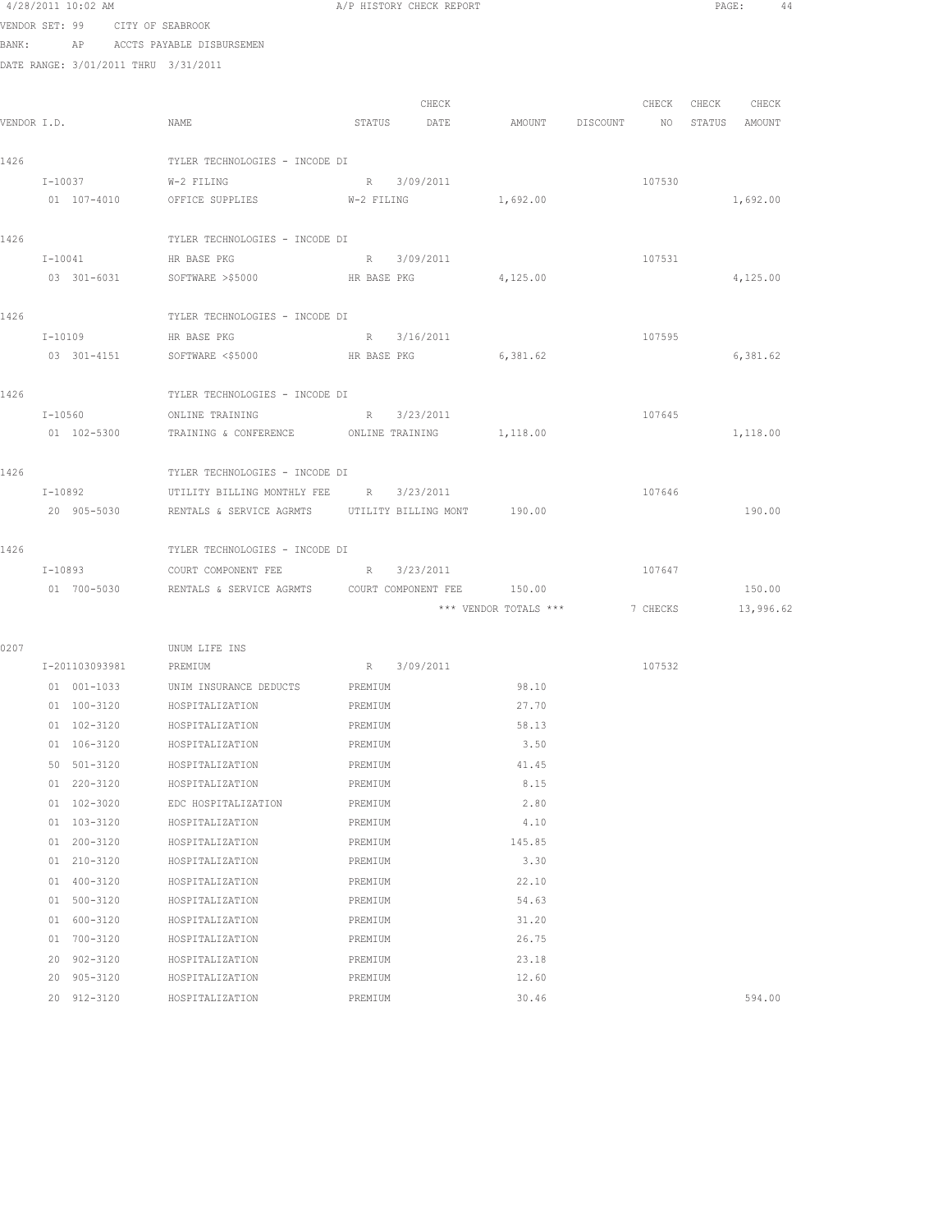|      | 4/28/2011 10:02 AM                   |                                                                  | A/P HISTORY CHECK REPORT |       |                                  |          | PAGE: |                   | 44 |
|------|--------------------------------------|------------------------------------------------------------------|--------------------------|-------|----------------------------------|----------|-------|-------------------|----|
|      | VENDOR SET: 99 CITY OF SEABROOK      |                                                                  |                          |       |                                  |          |       |                   |    |
|      | BANK: AP ACCTS PAYABLE DISBURSEMEN   |                                                                  |                          |       |                                  |          |       |                   |    |
|      | DATE RANGE: 3/01/2011 THRU 3/31/2011 |                                                                  |                          |       |                                  |          |       |                   |    |
|      |                                      |                                                                  |                          |       |                                  |          |       |                   |    |
|      |                                      |                                                                  |                          | CHECK |                                  |          |       | CHECK CHECK CHECK |    |
|      | VENDOR I.D.                          | NAME                                                             | STATUS DATE              |       | AMOUNT DISCOUNT NO STATUS AMOUNT |          |       |                   |    |
|      |                                      |                                                                  |                          |       |                                  |          |       |                   |    |
| 1426 |                                      | TYLER TECHNOLOGIES - INCODE DI                                   |                          |       |                                  |          |       |                   |    |
|      | $I - 10037$                          | W-2 FILING                                                       | R 3/09/2011              |       |                                  | 107530   |       |                   |    |
|      | 01 107-4010                          | OFFICE SUPPLIES W-2 FILING                                       |                          |       | 1,692.00                         |          |       | 1,692.00          |    |
|      |                                      |                                                                  |                          |       |                                  |          |       |                   |    |
| 1426 |                                      | TYLER TECHNOLOGIES - INCODE DI                                   |                          |       |                                  |          |       |                   |    |
|      | I-10041 HR BASE PKG                  |                                                                  | R 3/09/2011              |       |                                  | 107531   |       |                   |    |
|      |                                      | 03 301-6031 SOFTWARE >\$5000 HR BASE PKG                         |                          |       | 4,125.00                         |          |       | 4,125.00          |    |
|      |                                      |                                                                  |                          |       |                                  |          |       |                   |    |
| 1426 |                                      | TYLER TECHNOLOGIES - INCODE DI                                   |                          |       |                                  |          |       |                   |    |
|      | I-10109                              | HR BASE PKG                                                      | R 3/16/2011              |       |                                  | 107595   |       |                   |    |
|      | 03 301-4151                          | SOFTWARE <\$5000 HR BASE PKG                                     |                          |       | 6,381.62                         |          |       | 6,381.62          |    |
|      |                                      |                                                                  |                          |       |                                  |          |       |                   |    |
| 1426 |                                      | TYLER TECHNOLOGIES - INCODE DI                                   |                          |       |                                  |          |       |                   |    |
|      | $I - 10560$                          | ONLINE TRAINING R 3/23/2011                                      |                          |       |                                  | 107645   |       |                   |    |
|      | 01 102-5300                          | TRAINING & CONFERENCE ONLINE TRAINING 1,118.00                   |                          |       |                                  |          |       | 1,118.00          |    |
|      |                                      |                                                                  |                          |       |                                  |          |       |                   |    |
| 1426 |                                      | TYLER TECHNOLOGIES - INCODE DI                                   |                          |       |                                  |          |       |                   |    |
|      |                                      | I-10892 UTILITY BILLING MONTHLY FEE R 3/23/2011                  |                          |       |                                  | 107646   |       |                   |    |
|      |                                      | 20 905-5030 RENTALS & SERVICE AGRMTS UTILITY BILLING MONT 190.00 |                          |       |                                  |          |       | 190.00            |    |
|      |                                      |                                                                  |                          |       |                                  |          |       |                   |    |
| 1426 |                                      | TYLER TECHNOLOGIES - INCODE DI                                   |                          |       |                                  |          |       |                   |    |
|      | I-10893                              | COURT COMPONENT FEE                                              | R 3/23/2011              |       |                                  | 107647   |       |                   |    |
|      | 01 700-5030                          | RENTALS & SERVICE AGRMTS  COURT COMPONENT FEE  150.00            |                          |       |                                  |          |       | 150.00            |    |
|      |                                      |                                                                  |                          |       | *** VENDOR TOTALS ***            | 7 CHECKS |       | 13,996.62         |    |
|      |                                      |                                                                  |                          |       |                                  |          |       |                   |    |
| 0207 |                                      | UNUM LIFE INS                                                    |                          |       |                                  |          |       |                   |    |
|      | I-201103093981 PREMIUM               |                                                                  | R 3/09/2011              |       |                                  | 107532   |       |                   |    |
|      |                                      | 01 001-1033 UNIM INSURANCE DEDUCTS PREMIUM                       |                          |       | 98.10                            |          |       |                   |    |
|      | $01 100 - 3120$                      | HOSPITALIZATION                                                  | PREMIUM                  |       | 27.70                            |          |       |                   |    |
|      | 01 102-3120                          | HOSPITALIZATION                                                  | PREMIUM                  |       | 58.13                            |          |       |                   |    |
|      | 01 106-3120                          | HOSPITALIZATION                                                  | PREMIUM                  |       | 3.50                             |          |       |                   |    |
|      | 50 501-3120                          | HOSPITALIZATION                                                  | PREMIUM                  |       | 41.45                            |          |       |                   |    |
|      | 01 220-3120                          | HOSPITALIZATION                                                  | PREMIUM                  |       | 8.15                             |          |       |                   |    |
|      | 01 102-3020                          | EDC HOSPITALIZATION                                              | PREMIUM                  |       | 2.80                             |          |       |                   |    |
|      | 01 103-3120                          | HOSPITALIZATION                                                  | PREMIUM                  |       | 4.10                             |          |       |                   |    |
|      | 01 200-3120                          | HOSPITALIZATION                                                  | PREMIUM                  |       | 145.85                           |          |       |                   |    |
|      | 01 210-3120                          | HOSPITALIZATION                                                  | PREMIUM                  |       | 3.30                             |          |       |                   |    |
|      | 01 400-3120                          | HOSPITALIZATION                                                  | PREMIUM                  |       | 22.10                            |          |       |                   |    |
|      | 01 500-3120                          | HOSPITALIZATION                                                  | PREMIUM                  |       | 54.63                            |          |       |                   |    |
|      | 01 600-3120                          | HOSPITALIZATION                                                  | PREMIUM                  |       | 31.20                            |          |       |                   |    |
|      | 01 700-3120                          | HOSPITALIZATION                                                  | PREMIUM                  |       | 26.75                            |          |       |                   |    |
|      |                                      |                                                                  |                          |       |                                  |          |       |                   |    |

 902-3120 HOSPITALIZATION PREMIUM 23.18 905-3120 HOSPITALIZATION PREMIUM 12.60

912-3120 HOSPITALIZATION PREMIUM 30.46 594.00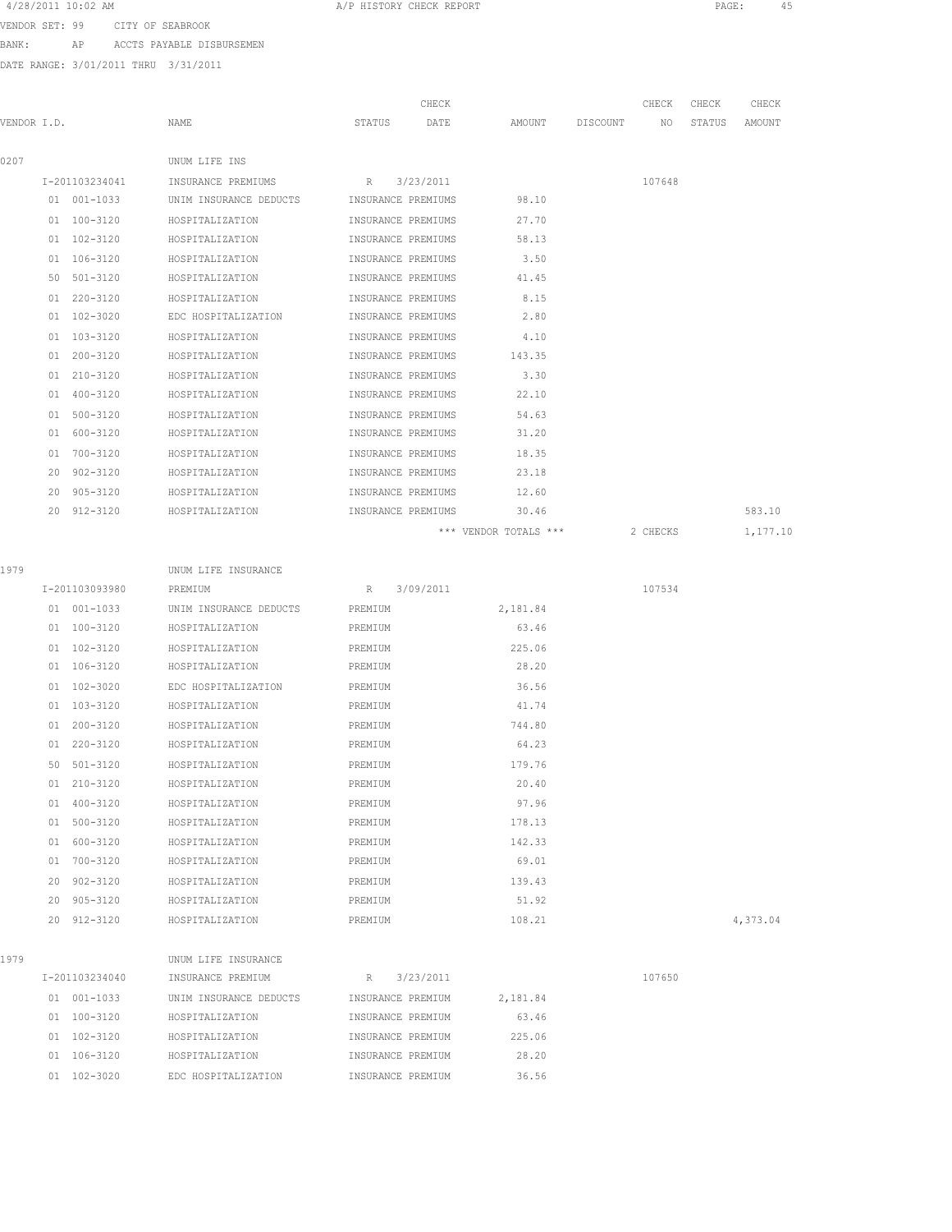#### 4/28/2011 10:02 AM A/P HISTORY CHECK REPORT PAGE: 45

VENDOR SET: 99 CITY OF SEABROOK

BANK: AP ACCTS PAYABLE DISBURSEMEN

DATE RANGE: 3/01/2011 THRU 3/31/2011

| UNUM LIFE INS<br>I-201103234041<br>INSURANCE PREMIUMS<br>3/23/2011<br>107648<br>R<br>98.10<br>01 001-1033<br>UNIM INSURANCE DEDUCTS<br>INSURANCE PREMIUMS<br>01 100-3120<br>27.70<br>HOSPITALIZATION<br>INSURANCE PREMIUMS<br>01 102-3120<br>58.13<br>HOSPITALIZATION<br>INSURANCE PREMIUMS<br>01 106-3120<br>HOSPITALIZATION<br>INSURANCE PREMIUMS<br>3.50<br>50 501-3120<br>HOSPITALIZATION<br>INSURANCE PREMIUMS<br>41.45<br>01 220-3120<br>8.15<br>HOSPITALIZATION<br>INSURANCE PREMIUMS<br>01 102-3020<br>EDC HOSPITALIZATION<br>INSURANCE PREMIUMS<br>2.80<br>01 103-3120<br>HOSPITALIZATION<br>INSURANCE PREMIUMS<br>4.10<br>01 200-3120<br>HOSPITALIZATION<br>INSURANCE PREMIUMS<br>143.35<br>01 210-3120<br>HOSPITALIZATION<br>INSURANCE PREMIUMS<br>3.30<br>01 400-3120<br>HOSPITALIZATION<br>INSURANCE PREMIUMS<br>22.10<br>01 500-3120<br>HOSPITALIZATION<br>INSURANCE PREMIUMS<br>54.63<br>01 600-3120<br>31.20<br>HOSPITALIZATION<br>INSURANCE PREMIUMS<br>01 700-3120<br>18.35<br>HOSPITALIZATION<br>INSURANCE PREMIUMS<br>20 902-3120<br>23.18<br>HOSPITALIZATION<br>INSURANCE PREMIUMS<br>20 905-3120<br>HOSPITALIZATION<br>INSURANCE PREMIUMS<br>12.60<br>20 912-3120<br>HOSPITALIZATION<br>INSURANCE PREMIUMS<br>30.46<br>*** VENDOR TOTALS ***<br>2 CHECKS<br>1979<br>UNUM LIFE INSURANCE<br>3/09/2011<br>107534<br>I-201103093980<br>PREMIUM<br>R<br>01 001-1033<br>UNIM INSURANCE DEDUCTS<br>PREMIUM<br>2,181.84<br>01 100-3120<br>HOSPITALIZATION<br>PREMIUM<br>63.46<br>225.06<br>01 102-3120<br>HOSPITALIZATION<br>PREMIUM<br>01 106-3120<br>28.20<br>HOSPITALIZATION<br>PREMIUM<br>36.56<br>01 102-3020<br>EDC HOSPITALIZATION<br>PREMIUM<br>01 103-3120<br>41.74<br>HOSPITALIZATION<br>PREMIUM<br>01 200-3120<br>HOSPITALIZATION<br>744.80<br>PREMIUM<br>64.23<br>01 220-3120<br>HOSPITALIZATION<br>PREMIUM<br>50 501-3120<br>179.76<br>HOSPITALIZATION<br>PREMIUM<br>01 210-3120<br>20.40<br>HOSPITALIZATION<br>PREMIUM<br>97.96<br>01 400-3120<br>HOSPITALIZATION<br>PREMIUM<br>01 500-3120<br>178.13<br>HOSPITALIZATION<br>PREMIUM<br>142.33<br>01 600-3120<br>HOSPITALIZATION<br>PREMIUM<br>69.01<br>01 700-3120<br>HOSPITALIZATION<br>PREMIUM<br>20 902-3120<br>139.43<br>HOSPITALIZATION<br>PREMIUM<br>20 905-3120<br>51.92<br>HOSPITALIZATION<br>PREMIUM<br>20 912-3120<br>108.21<br>HOSPITALIZATION<br>PREMIUM | VENDOR I.D. |  | NAME | STATUS | CHECK<br>DATE | AMOUNT | DISCOUNT | CHECK<br>NO | CHECK<br>STATUS | CHECK<br>AMOUNT |
|---------------------------------------------------------------------------------------------------------------------------------------------------------------------------------------------------------------------------------------------------------------------------------------------------------------------------------------------------------------------------------------------------------------------------------------------------------------------------------------------------------------------------------------------------------------------------------------------------------------------------------------------------------------------------------------------------------------------------------------------------------------------------------------------------------------------------------------------------------------------------------------------------------------------------------------------------------------------------------------------------------------------------------------------------------------------------------------------------------------------------------------------------------------------------------------------------------------------------------------------------------------------------------------------------------------------------------------------------------------------------------------------------------------------------------------------------------------------------------------------------------------------------------------------------------------------------------------------------------------------------------------------------------------------------------------------------------------------------------------------------------------------------------------------------------------------------------------------------------------------------------------------------------------------------------------------------------------------------------------------------------------------------------------------------------------------------------------------------------------------------------------------------------------------------------------------------------------------------------------------------------------------------------------------------------------------------------------------------|-------------|--|------|--------|---------------|--------|----------|-------------|-----------------|-----------------|
|                                                                                                                                                                                                                                                                                                                                                                                                                                                                                                                                                                                                                                                                                                                                                                                                                                                                                                                                                                                                                                                                                                                                                                                                                                                                                                                                                                                                                                                                                                                                                                                                                                                                                                                                                                                                                                                                                                                                                                                                                                                                                                                                                                                                                                                                                                                                                   | 0207        |  |      |        |               |        |          |             |                 |                 |
|                                                                                                                                                                                                                                                                                                                                                                                                                                                                                                                                                                                                                                                                                                                                                                                                                                                                                                                                                                                                                                                                                                                                                                                                                                                                                                                                                                                                                                                                                                                                                                                                                                                                                                                                                                                                                                                                                                                                                                                                                                                                                                                                                                                                                                                                                                                                                   |             |  |      |        |               |        |          |             |                 |                 |
|                                                                                                                                                                                                                                                                                                                                                                                                                                                                                                                                                                                                                                                                                                                                                                                                                                                                                                                                                                                                                                                                                                                                                                                                                                                                                                                                                                                                                                                                                                                                                                                                                                                                                                                                                                                                                                                                                                                                                                                                                                                                                                                                                                                                                                                                                                                                                   |             |  |      |        |               |        |          |             |                 |                 |
|                                                                                                                                                                                                                                                                                                                                                                                                                                                                                                                                                                                                                                                                                                                                                                                                                                                                                                                                                                                                                                                                                                                                                                                                                                                                                                                                                                                                                                                                                                                                                                                                                                                                                                                                                                                                                                                                                                                                                                                                                                                                                                                                                                                                                                                                                                                                                   |             |  |      |        |               |        |          |             |                 |                 |
|                                                                                                                                                                                                                                                                                                                                                                                                                                                                                                                                                                                                                                                                                                                                                                                                                                                                                                                                                                                                                                                                                                                                                                                                                                                                                                                                                                                                                                                                                                                                                                                                                                                                                                                                                                                                                                                                                                                                                                                                                                                                                                                                                                                                                                                                                                                                                   |             |  |      |        |               |        |          |             |                 |                 |
|                                                                                                                                                                                                                                                                                                                                                                                                                                                                                                                                                                                                                                                                                                                                                                                                                                                                                                                                                                                                                                                                                                                                                                                                                                                                                                                                                                                                                                                                                                                                                                                                                                                                                                                                                                                                                                                                                                                                                                                                                                                                                                                                                                                                                                                                                                                                                   |             |  |      |        |               |        |          |             |                 |                 |
|                                                                                                                                                                                                                                                                                                                                                                                                                                                                                                                                                                                                                                                                                                                                                                                                                                                                                                                                                                                                                                                                                                                                                                                                                                                                                                                                                                                                                                                                                                                                                                                                                                                                                                                                                                                                                                                                                                                                                                                                                                                                                                                                                                                                                                                                                                                                                   |             |  |      |        |               |        |          |             |                 |                 |
|                                                                                                                                                                                                                                                                                                                                                                                                                                                                                                                                                                                                                                                                                                                                                                                                                                                                                                                                                                                                                                                                                                                                                                                                                                                                                                                                                                                                                                                                                                                                                                                                                                                                                                                                                                                                                                                                                                                                                                                                                                                                                                                                                                                                                                                                                                                                                   |             |  |      |        |               |        |          |             |                 |                 |
|                                                                                                                                                                                                                                                                                                                                                                                                                                                                                                                                                                                                                                                                                                                                                                                                                                                                                                                                                                                                                                                                                                                                                                                                                                                                                                                                                                                                                                                                                                                                                                                                                                                                                                                                                                                                                                                                                                                                                                                                                                                                                                                                                                                                                                                                                                                                                   |             |  |      |        |               |        |          |             |                 |                 |
|                                                                                                                                                                                                                                                                                                                                                                                                                                                                                                                                                                                                                                                                                                                                                                                                                                                                                                                                                                                                                                                                                                                                                                                                                                                                                                                                                                                                                                                                                                                                                                                                                                                                                                                                                                                                                                                                                                                                                                                                                                                                                                                                                                                                                                                                                                                                                   |             |  |      |        |               |        |          |             |                 |                 |
|                                                                                                                                                                                                                                                                                                                                                                                                                                                                                                                                                                                                                                                                                                                                                                                                                                                                                                                                                                                                                                                                                                                                                                                                                                                                                                                                                                                                                                                                                                                                                                                                                                                                                                                                                                                                                                                                                                                                                                                                                                                                                                                                                                                                                                                                                                                                                   |             |  |      |        |               |        |          |             |                 |                 |
|                                                                                                                                                                                                                                                                                                                                                                                                                                                                                                                                                                                                                                                                                                                                                                                                                                                                                                                                                                                                                                                                                                                                                                                                                                                                                                                                                                                                                                                                                                                                                                                                                                                                                                                                                                                                                                                                                                                                                                                                                                                                                                                                                                                                                                                                                                                                                   |             |  |      |        |               |        |          |             |                 |                 |
|                                                                                                                                                                                                                                                                                                                                                                                                                                                                                                                                                                                                                                                                                                                                                                                                                                                                                                                                                                                                                                                                                                                                                                                                                                                                                                                                                                                                                                                                                                                                                                                                                                                                                                                                                                                                                                                                                                                                                                                                                                                                                                                                                                                                                                                                                                                                                   |             |  |      |        |               |        |          |             |                 |                 |
|                                                                                                                                                                                                                                                                                                                                                                                                                                                                                                                                                                                                                                                                                                                                                                                                                                                                                                                                                                                                                                                                                                                                                                                                                                                                                                                                                                                                                                                                                                                                                                                                                                                                                                                                                                                                                                                                                                                                                                                                                                                                                                                                                                                                                                                                                                                                                   |             |  |      |        |               |        |          |             |                 |                 |
|                                                                                                                                                                                                                                                                                                                                                                                                                                                                                                                                                                                                                                                                                                                                                                                                                                                                                                                                                                                                                                                                                                                                                                                                                                                                                                                                                                                                                                                                                                                                                                                                                                                                                                                                                                                                                                                                                                                                                                                                                                                                                                                                                                                                                                                                                                                                                   |             |  |      |        |               |        |          |             |                 |                 |
|                                                                                                                                                                                                                                                                                                                                                                                                                                                                                                                                                                                                                                                                                                                                                                                                                                                                                                                                                                                                                                                                                                                                                                                                                                                                                                                                                                                                                                                                                                                                                                                                                                                                                                                                                                                                                                                                                                                                                                                                                                                                                                                                                                                                                                                                                                                                                   |             |  |      |        |               |        |          |             |                 |                 |
|                                                                                                                                                                                                                                                                                                                                                                                                                                                                                                                                                                                                                                                                                                                                                                                                                                                                                                                                                                                                                                                                                                                                                                                                                                                                                                                                                                                                                                                                                                                                                                                                                                                                                                                                                                                                                                                                                                                                                                                                                                                                                                                                                                                                                                                                                                                                                   |             |  |      |        |               |        |          |             |                 |                 |
|                                                                                                                                                                                                                                                                                                                                                                                                                                                                                                                                                                                                                                                                                                                                                                                                                                                                                                                                                                                                                                                                                                                                                                                                                                                                                                                                                                                                                                                                                                                                                                                                                                                                                                                                                                                                                                                                                                                                                                                                                                                                                                                                                                                                                                                                                                                                                   |             |  |      |        |               |        |          |             |                 |                 |
|                                                                                                                                                                                                                                                                                                                                                                                                                                                                                                                                                                                                                                                                                                                                                                                                                                                                                                                                                                                                                                                                                                                                                                                                                                                                                                                                                                                                                                                                                                                                                                                                                                                                                                                                                                                                                                                                                                                                                                                                                                                                                                                                                                                                                                                                                                                                                   |             |  |      |        |               |        |          |             |                 | 583.10          |
|                                                                                                                                                                                                                                                                                                                                                                                                                                                                                                                                                                                                                                                                                                                                                                                                                                                                                                                                                                                                                                                                                                                                                                                                                                                                                                                                                                                                                                                                                                                                                                                                                                                                                                                                                                                                                                                                                                                                                                                                                                                                                                                                                                                                                                                                                                                                                   |             |  |      |        |               |        |          |             |                 | 1,177.10        |
|                                                                                                                                                                                                                                                                                                                                                                                                                                                                                                                                                                                                                                                                                                                                                                                                                                                                                                                                                                                                                                                                                                                                                                                                                                                                                                                                                                                                                                                                                                                                                                                                                                                                                                                                                                                                                                                                                                                                                                                                                                                                                                                                                                                                                                                                                                                                                   |             |  |      |        |               |        |          |             |                 |                 |
|                                                                                                                                                                                                                                                                                                                                                                                                                                                                                                                                                                                                                                                                                                                                                                                                                                                                                                                                                                                                                                                                                                                                                                                                                                                                                                                                                                                                                                                                                                                                                                                                                                                                                                                                                                                                                                                                                                                                                                                                                                                                                                                                                                                                                                                                                                                                                   |             |  |      |        |               |        |          |             |                 |                 |
|                                                                                                                                                                                                                                                                                                                                                                                                                                                                                                                                                                                                                                                                                                                                                                                                                                                                                                                                                                                                                                                                                                                                                                                                                                                                                                                                                                                                                                                                                                                                                                                                                                                                                                                                                                                                                                                                                                                                                                                                                                                                                                                                                                                                                                                                                                                                                   |             |  |      |        |               |        |          |             |                 |                 |
|                                                                                                                                                                                                                                                                                                                                                                                                                                                                                                                                                                                                                                                                                                                                                                                                                                                                                                                                                                                                                                                                                                                                                                                                                                                                                                                                                                                                                                                                                                                                                                                                                                                                                                                                                                                                                                                                                                                                                                                                                                                                                                                                                                                                                                                                                                                                                   |             |  |      |        |               |        |          |             |                 |                 |
|                                                                                                                                                                                                                                                                                                                                                                                                                                                                                                                                                                                                                                                                                                                                                                                                                                                                                                                                                                                                                                                                                                                                                                                                                                                                                                                                                                                                                                                                                                                                                                                                                                                                                                                                                                                                                                                                                                                                                                                                                                                                                                                                                                                                                                                                                                                                                   |             |  |      |        |               |        |          |             |                 |                 |
|                                                                                                                                                                                                                                                                                                                                                                                                                                                                                                                                                                                                                                                                                                                                                                                                                                                                                                                                                                                                                                                                                                                                                                                                                                                                                                                                                                                                                                                                                                                                                                                                                                                                                                                                                                                                                                                                                                                                                                                                                                                                                                                                                                                                                                                                                                                                                   |             |  |      |        |               |        |          |             |                 |                 |
|                                                                                                                                                                                                                                                                                                                                                                                                                                                                                                                                                                                                                                                                                                                                                                                                                                                                                                                                                                                                                                                                                                                                                                                                                                                                                                                                                                                                                                                                                                                                                                                                                                                                                                                                                                                                                                                                                                                                                                                                                                                                                                                                                                                                                                                                                                                                                   |             |  |      |        |               |        |          |             |                 |                 |
|                                                                                                                                                                                                                                                                                                                                                                                                                                                                                                                                                                                                                                                                                                                                                                                                                                                                                                                                                                                                                                                                                                                                                                                                                                                                                                                                                                                                                                                                                                                                                                                                                                                                                                                                                                                                                                                                                                                                                                                                                                                                                                                                                                                                                                                                                                                                                   |             |  |      |        |               |        |          |             |                 |                 |
|                                                                                                                                                                                                                                                                                                                                                                                                                                                                                                                                                                                                                                                                                                                                                                                                                                                                                                                                                                                                                                                                                                                                                                                                                                                                                                                                                                                                                                                                                                                                                                                                                                                                                                                                                                                                                                                                                                                                                                                                                                                                                                                                                                                                                                                                                                                                                   |             |  |      |        |               |        |          |             |                 |                 |
|                                                                                                                                                                                                                                                                                                                                                                                                                                                                                                                                                                                                                                                                                                                                                                                                                                                                                                                                                                                                                                                                                                                                                                                                                                                                                                                                                                                                                                                                                                                                                                                                                                                                                                                                                                                                                                                                                                                                                                                                                                                                                                                                                                                                                                                                                                                                                   |             |  |      |        |               |        |          |             |                 |                 |
|                                                                                                                                                                                                                                                                                                                                                                                                                                                                                                                                                                                                                                                                                                                                                                                                                                                                                                                                                                                                                                                                                                                                                                                                                                                                                                                                                                                                                                                                                                                                                                                                                                                                                                                                                                                                                                                                                                                                                                                                                                                                                                                                                                                                                                                                                                                                                   |             |  |      |        |               |        |          |             |                 |                 |
|                                                                                                                                                                                                                                                                                                                                                                                                                                                                                                                                                                                                                                                                                                                                                                                                                                                                                                                                                                                                                                                                                                                                                                                                                                                                                                                                                                                                                                                                                                                                                                                                                                                                                                                                                                                                                                                                                                                                                                                                                                                                                                                                                                                                                                                                                                                                                   |             |  |      |        |               |        |          |             |                 |                 |
|                                                                                                                                                                                                                                                                                                                                                                                                                                                                                                                                                                                                                                                                                                                                                                                                                                                                                                                                                                                                                                                                                                                                                                                                                                                                                                                                                                                                                                                                                                                                                                                                                                                                                                                                                                                                                                                                                                                                                                                                                                                                                                                                                                                                                                                                                                                                                   |             |  |      |        |               |        |          |             |                 |                 |
|                                                                                                                                                                                                                                                                                                                                                                                                                                                                                                                                                                                                                                                                                                                                                                                                                                                                                                                                                                                                                                                                                                                                                                                                                                                                                                                                                                                                                                                                                                                                                                                                                                                                                                                                                                                                                                                                                                                                                                                                                                                                                                                                                                                                                                                                                                                                                   |             |  |      |        |               |        |          |             |                 |                 |
|                                                                                                                                                                                                                                                                                                                                                                                                                                                                                                                                                                                                                                                                                                                                                                                                                                                                                                                                                                                                                                                                                                                                                                                                                                                                                                                                                                                                                                                                                                                                                                                                                                                                                                                                                                                                                                                                                                                                                                                                                                                                                                                                                                                                                                                                                                                                                   |             |  |      |        |               |        |          |             |                 |                 |
|                                                                                                                                                                                                                                                                                                                                                                                                                                                                                                                                                                                                                                                                                                                                                                                                                                                                                                                                                                                                                                                                                                                                                                                                                                                                                                                                                                                                                                                                                                                                                                                                                                                                                                                                                                                                                                                                                                                                                                                                                                                                                                                                                                                                                                                                                                                                                   |             |  |      |        |               |        |          |             |                 |                 |
|                                                                                                                                                                                                                                                                                                                                                                                                                                                                                                                                                                                                                                                                                                                                                                                                                                                                                                                                                                                                                                                                                                                                                                                                                                                                                                                                                                                                                                                                                                                                                                                                                                                                                                                                                                                                                                                                                                                                                                                                                                                                                                                                                                                                                                                                                                                                                   |             |  |      |        |               |        |          |             |                 |                 |
|                                                                                                                                                                                                                                                                                                                                                                                                                                                                                                                                                                                                                                                                                                                                                                                                                                                                                                                                                                                                                                                                                                                                                                                                                                                                                                                                                                                                                                                                                                                                                                                                                                                                                                                                                                                                                                                                                                                                                                                                                                                                                                                                                                                                                                                                                                                                                   |             |  |      |        |               |        |          |             |                 |                 |
|                                                                                                                                                                                                                                                                                                                                                                                                                                                                                                                                                                                                                                                                                                                                                                                                                                                                                                                                                                                                                                                                                                                                                                                                                                                                                                                                                                                                                                                                                                                                                                                                                                                                                                                                                                                                                                                                                                                                                                                                                                                                                                                                                                                                                                                                                                                                                   |             |  |      |        |               |        |          |             |                 | 4,373.04        |

| ٠ |  |
|---|--|

 UNUM LIFE INSURANCE  $I$ -201103234040 INSURANCE PREMIUM R 3/23/2011 107650 001-1033 UNIM INSURANCE DEDUCTS INSURANCE PREMIUM 2,181.84 100-3120 HOSPITALIZATION INSURANCE PREMIUM 63.46 102-3120 HOSPITALIZATION INSURANCE PREMIUM 225.06 106-3120 HOSPITALIZATION INSURANCE PREMIUM 28.20 102-3020 EDC HOSPITALIZATION INSURANCE PREMIUM 36.56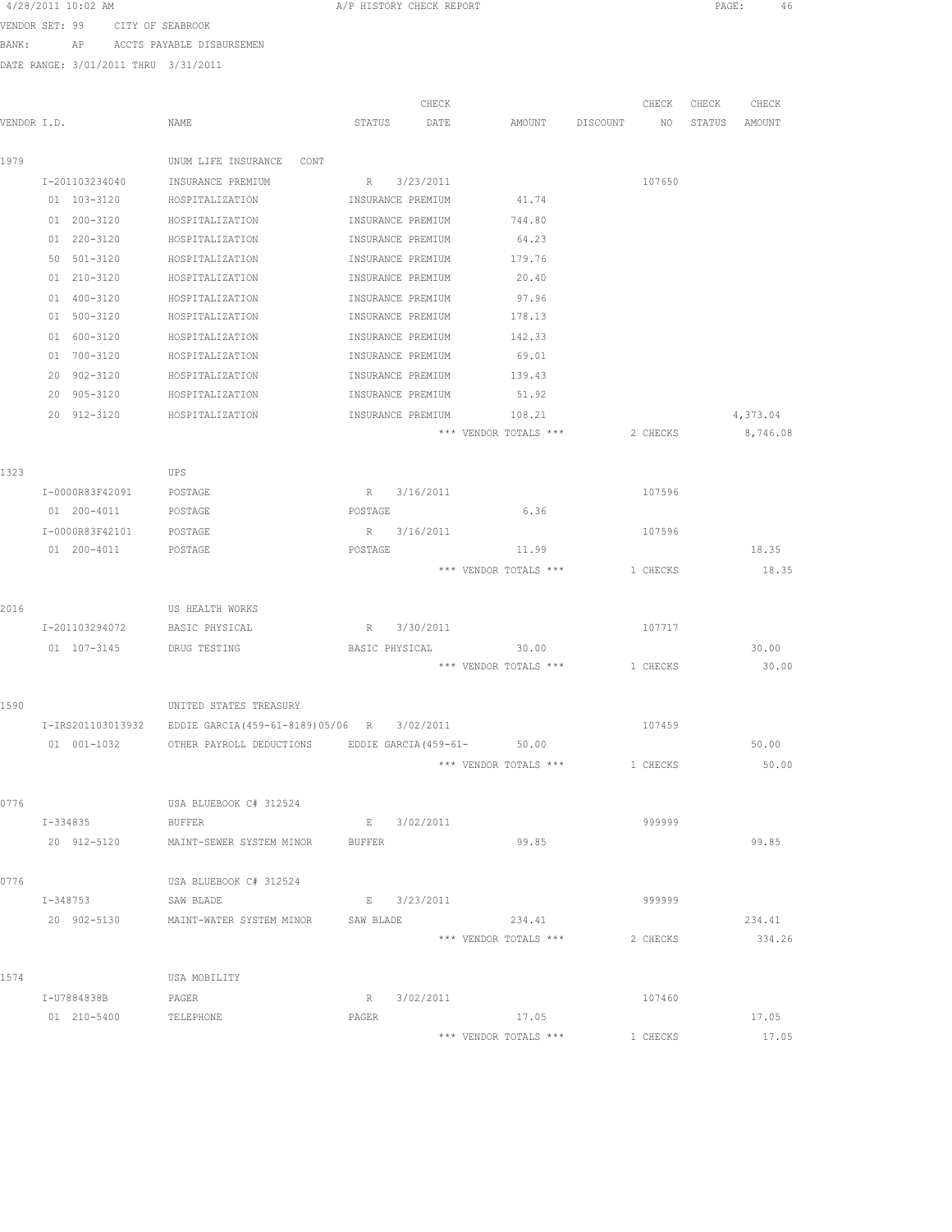| 4/28/2011 10:02 AM |  |  |
|--------------------|--|--|
|--------------------|--|--|

A/P HISTORY CHECK REPORT PAGE: 46

VENDOR SET: 99 CITY OF SEABROOK BANK: AP ACCTS PAYABLE DISBURSEMEN

|             |                               |                                              |                       | CHECK       |                       |          | CHECK    | CHECK  | CHECK    |
|-------------|-------------------------------|----------------------------------------------|-----------------------|-------------|-----------------------|----------|----------|--------|----------|
| VENDOR I.D. |                               | NAME                                         | STATUS                | DATE        | AMOUNT                | DISCOUNT | NO       | STATUS | AMOUNT   |
| 1979        |                               | UNUM LIFE INSURANCE<br>CONT                  |                       |             |                       |          |          |        |          |
|             | I-201103234040                | INSURANCE PREMIUM                            |                       | R 3/23/2011 |                       |          | 107650   |        |          |
|             | 01 103-3120                   | HOSPITALIZATION                              | INSURANCE PREMIUM     |             | 41.74                 |          |          |        |          |
|             | 01 200-3120                   | HOSPITALIZATION                              | INSURANCE PREMIUM     |             | 744.80                |          |          |        |          |
|             | 01 220-3120                   | HOSPITALIZATION                              | INSURANCE PREMIUM     |             | 64.23                 |          |          |        |          |
|             | 50 501-3120                   | HOSPITALIZATION                              | INSURANCE PREMIUM     |             | 179.76                |          |          |        |          |
|             | 01 210-3120                   | HOSPITALIZATION                              | INSURANCE PREMIUM     |             | 20.40                 |          |          |        |          |
|             | $01 400 - 3120$               |                                              | INSURANCE PREMIUM     |             |                       |          |          |        |          |
|             | 01 500-3120                   | HOSPITALIZATION                              |                       |             | 97.96                 |          |          |        |          |
|             |                               | HOSPITALIZATION                              | INSURANCE PREMIUM     |             | 178.13                |          |          |        |          |
|             | 01 600-3120                   | HOSPITALIZATION                              | INSURANCE PREMIUM     |             | 142.33                |          |          |        |          |
|             | 01 700-3120                   | HOSPITALIZATION                              | INSURANCE PREMIUM     |             | 69.01                 |          |          |        |          |
|             | 20 902-3120                   | HOSPITALIZATION                              | INSURANCE PREMIUM     |             | 139.43                |          |          |        |          |
|             | 20 905-3120                   | HOSPITALIZATION                              | INSURANCE PREMIUM     |             | 51.92                 |          |          |        |          |
|             | 20 912-3120                   | HOSPITALIZATION                              | INSURANCE PREMIUM     |             | 108.21                |          |          |        | 4,373.04 |
|             |                               |                                              |                       |             | *** VENDOR TOTALS *** |          | 2 CHECKS |        | 8,746.08 |
| 1323        |                               | UPS                                          |                       |             |                       |          |          |        |          |
|             | I-0000R83F42091               | POSTAGE                                      |                       | R 3/16/2011 |                       |          | 107596   |        |          |
|             | 01 200-4011                   | POSTAGE                                      | POSTAGE               |             | 6.36                  |          |          |        |          |
|             | I-0000R83F42101               | POSTAGE                                      |                       | R 3/16/2011 |                       |          | 107596   |        |          |
|             | 01  200-4011  POSTAGE         |                                              | POSTAGE               |             | 11.99                 |          |          |        | 18.35    |
|             |                               |                                              |                       |             | *** VENDOR TOTALS *** |          | 1 CHECKS |        | 18.35    |
|             |                               |                                              |                       |             |                       |          |          |        |          |
| 2016        |                               | US HEALTH WORKS                              |                       |             |                       |          |          |        |          |
|             | I-201103294072 BASIC PHYSICAL |                                              |                       | R 3/30/2011 |                       |          | 107717   |        |          |
|             | 01  107-3145    DRUG TESTING  |                                              | BASIC PHYSICAL        |             | 30.00                 |          |          |        | 30.00    |
|             |                               |                                              |                       |             | *** VENDOR TOTALS *** |          | 1 CHECKS |        | 30.00    |
|             |                               |                                              |                       |             |                       |          |          |        |          |
| 1590        |                               | UNITED STATES TREASURY                       |                       |             |                       |          |          |        |          |
|             | I-IRS201103013932             | EDDIE GARCIA (459-61-8189) 05/06 R 3/02/2011 |                       |             |                       |          | 107459   |        |          |
|             | 01 001-1032                   | OTHER PAYROLL DEDUCTIONS                     | EDDIE GARCIA (459-61- |             | 50.00                 |          |          |        | 50.00    |
|             |                               |                                              |                       |             | *** VENDOR TOTALS *** |          | 1 CHECKS |        | 50.00    |
|             |                               |                                              |                       |             |                       |          |          |        |          |
| 0776        |                               | USA BLUEBOOK C# 312524                       |                       |             |                       |          |          |        |          |
|             | I-334835                      | <b>BUFFER</b>                                |                       | E 3/02/2011 |                       |          | 999999   |        |          |
|             |                               | 20 912-5120 MAINT-SEWER SYSTEM MINOR BUFFER  |                       |             | 99.85                 |          |          |        | 99.85    |
|             |                               |                                              |                       |             |                       |          |          |        |          |
| 0776        |                               | USA BLUEBOOK C# 312524                       |                       |             |                       |          |          |        |          |
|             | $I - 348753$                  | SAW BLADE                                    |                       | E 3/23/2011 |                       |          | 999999   |        |          |
|             | 20 902-5130                   | MAINT-WATER SYSTEM MINOR SAW BLADE           |                       |             | 234.41                |          |          |        | 234.41   |
|             |                               |                                              |                       |             | *** VENDOR TOTALS *** |          | 2 CHECKS |        | 334.26   |
|             |                               |                                              |                       |             |                       |          |          |        |          |
| 1574        |                               | USA MOBILITY                                 |                       |             |                       |          |          |        |          |
|             | I-U7884838B                   | PAGER                                        |                       | R 3/02/2011 |                       |          | 107460   |        |          |
|             | 01 210-5400                   | TELEPHONE                                    | PAGER                 |             | 17.05                 |          |          |        | 17.05    |
|             |                               |                                              |                       |             | *** VENDOR TOTALS *** |          | 1 CHECKS |        | 17.05    |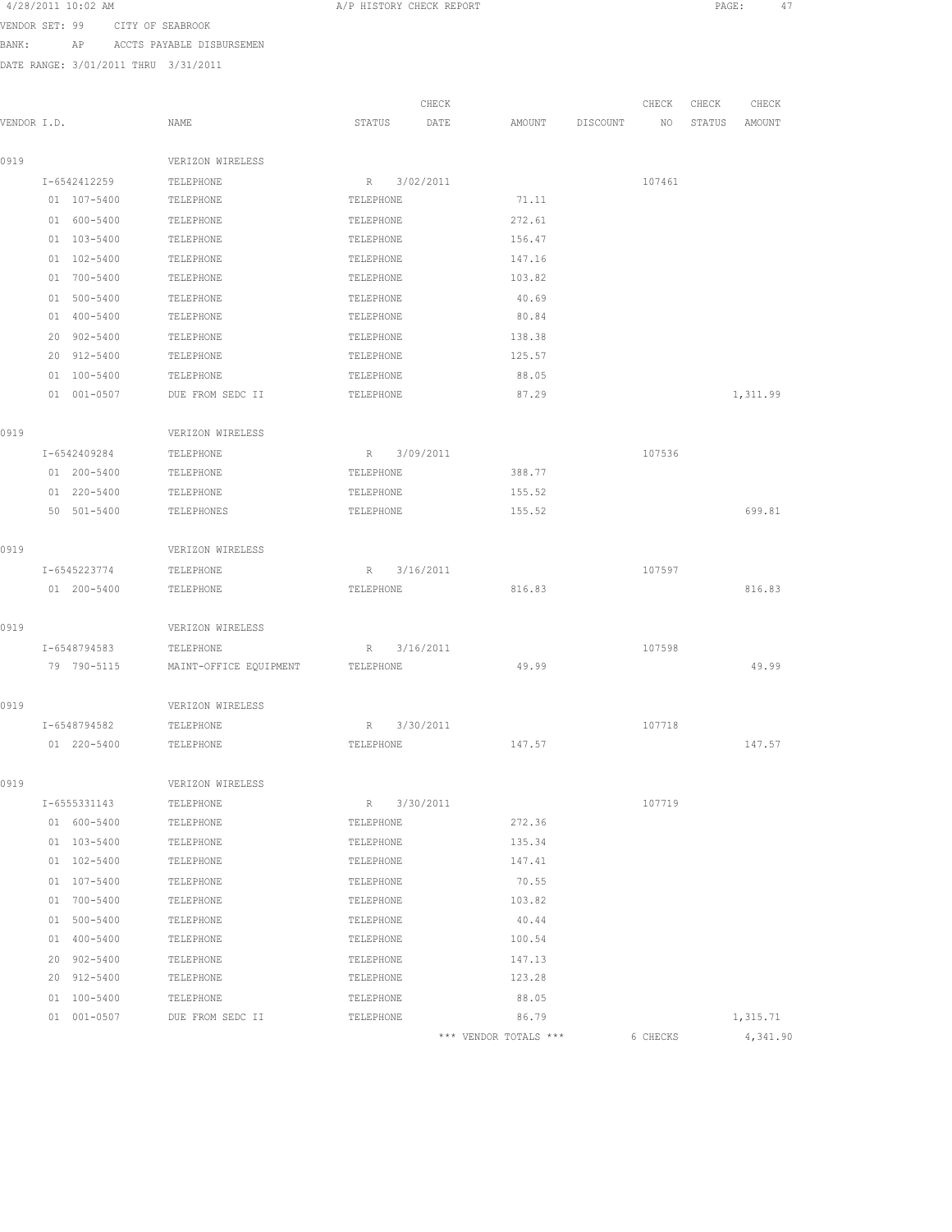| 4/28/2011 10:02 AM             | A/P HISTORY CHECK REPORT | PAGE: |  |
|--------------------------------|--------------------------|-------|--|
| VENDOR SET 49 CITY OF SEARROOK |                          |       |  |

VENDOR SET: 99 CITY OF SEABROOK

BANK: AP ACCTS PAYABLE DISBURSEMEN DATE RANGE: 3/01/2011 THRU 3/31/2011

| VENDOR I.D. |                            | NAME                   | CHECK<br>STATUS<br>DATE | AMOUNT           | DISCOUNT | CHECK<br>NO | CHECK<br>STATUS | CHECK<br>AMOUNT |  |
|-------------|----------------------------|------------------------|-------------------------|------------------|----------|-------------|-----------------|-----------------|--|
|             |                            |                        |                         |                  |          |             |                 |                 |  |
| 0919        |                            | VERIZON WIRELESS       |                         |                  |          |             |                 |                 |  |
|             | I-6542412259               | TELEPHONE              | 3/02/2011<br>R          |                  |          | 107461      |                 |                 |  |
|             | 01 107-5400                | TELEPHONE              | TELEPHONE               | 71.11            |          |             |                 |                 |  |
|             | 01 600-5400                | TELEPHONE              | TELEPHONE               | 272.61           |          |             |                 |                 |  |
|             | 01 103-5400                | TELEPHONE              | TELEPHONE               | 156.47           |          |             |                 |                 |  |
|             | 01 102-5400                | TELEPHONE              | TELEPHONE               | 147.16           |          |             |                 |                 |  |
|             | 01 700-5400                | TELEPHONE              | TELEPHONE               | 103.82           |          |             |                 |                 |  |
|             | 01 500-5400                | TELEPHONE              | TELEPHONE               | 40.69            |          |             |                 |                 |  |
|             | 01 400-5400                | TELEPHONE              | TELEPHONE               | 80.84            |          |             |                 |                 |  |
|             | 20 902-5400                | TELEPHONE              | TELEPHONE               | 138.38           |          |             |                 |                 |  |
|             | 20 912-5400                | TELEPHONE              | TELEPHONE               | 125.57           |          |             |                 |                 |  |
|             | 01 100-5400                | TELEPHONE              | TELEPHONE               | 88.05            |          |             |                 |                 |  |
|             | 01 001-0507                | DUE FROM SEDC II       | TELEPHONE               | 87.29            |          |             |                 | 1,311.99        |  |
| 0919        |                            | VERIZON WIRELESS       |                         |                  |          |             |                 |                 |  |
|             | I-6542409284               | TELEPHONE              | R 3/09/2011             |                  |          | 107536      |                 |                 |  |
|             | 01 200-5400                | TELEPHONE              | TELEPHONE               | 388.77           |          |             |                 |                 |  |
|             | 01 220-5400                | TELEPHONE              | TELEPHONE               | 155.52           |          |             |                 |                 |  |
|             | 50 501-5400                | TELEPHONES             | TELEPHONE               | 155.52           |          |             |                 | 699.81          |  |
| 0919        |                            | VERIZON WIRELESS       |                         |                  |          |             |                 |                 |  |
|             |                            |                        |                         |                  |          |             |                 |                 |  |
|             | I-6545223774               | TELEPHONE              | 3/16/2011<br>R          |                  |          | 107597      |                 |                 |  |
|             | 01 200-5400                | TELEPHONE              | TELEPHONE               | 816.83           |          |             |                 | 816.83          |  |
| 0919        |                            | VERIZON WIRELESS       |                         |                  |          |             |                 |                 |  |
|             | I-6548794583               | TELEPHONE              | 3/16/2011<br>R          |                  |          | 107598      |                 |                 |  |
|             | 79 790-5115                | MAINT-OFFICE EQUIPMENT | TELEPHONE               | 49.99            |          |             |                 | 49.99           |  |
| 0919        |                            | VERIZON WIRELESS       |                         |                  |          |             |                 |                 |  |
|             | I-6548794582               | TELEPHONE              | 3/30/2011<br>R          |                  |          | 107718      |                 |                 |  |
|             | 01 220-5400                | TELEPHONE              | TELEPHONE               | 147.57           |          |             |                 | 147.57          |  |
| 0919        |                            | VERIZON WIRELESS       |                         |                  |          |             |                 |                 |  |
|             | I-6555331143               | TELEPHONE              | R 3/30/2011             |                  |          | 107719      |                 |                 |  |
|             | 01 600-5400                | TELEPHONE              | TELEPHONE               | 272.36           |          |             |                 |                 |  |
|             | 01 103-5400                | TELEPHONE              | TELEPHONE               | 135.34           |          |             |                 |                 |  |
|             | 01 102-5400                | TELEPHONE              | TELEPHONE               | 147.41           |          |             |                 |                 |  |
|             | 01 107-5400                | TELEPHONE              | TELEPHONE               | 70.55            |          |             |                 |                 |  |
|             | 01 700-5400                | TELEPHONE              | TELEPHONE               | 103.82           |          |             |                 |                 |  |
|             |                            |                        |                         |                  |          |             |                 |                 |  |
|             | 01 500-5400<br>01 400-5400 | TELEPHONE<br>TELEPHONE | TELEPHONE<br>TELEPHONE  | 40.44<br>100.54  |          |             |                 |                 |  |
|             |                            |                        |                         |                  |          |             |                 |                 |  |
|             | 20 902-5400<br>20 912-5400 | TELEPHONE<br>TELEPHONE | TELEPHONE<br>TELEPHONE  | 147.13<br>123.28 |          |             |                 |                 |  |
|             |                            |                        |                         |                  |          |             |                 |                 |  |
|             | 01 100-5400                | TELEPHONE              | TELEPHONE               | 88.05<br>86.79   |          |             |                 |                 |  |
|             | 01 001-0507                | DUE FROM SEDC II       | TELEPHONE               |                  |          |             |                 | 1,315.71        |  |

\*\*\* VENDOR TOTALS \*\*\* 6 CHECKS 4,341.90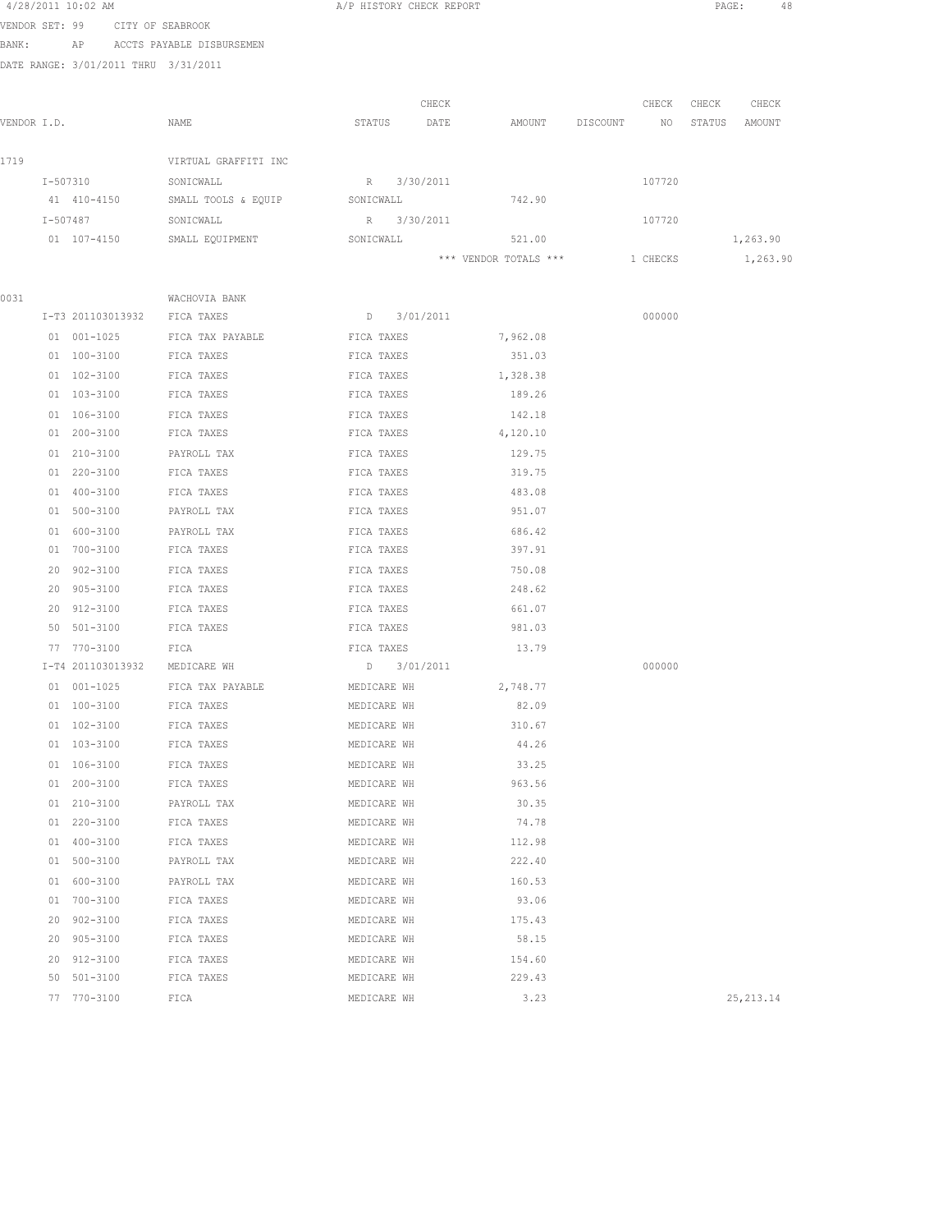|       |             | 4/28/2011 10:02 AM                   |                              | A/P HISTORY CHECK REPORT   |       |                       |          |          | PAGE:  | 48         |  |
|-------|-------------|--------------------------------------|------------------------------|----------------------------|-------|-----------------------|----------|----------|--------|------------|--|
|       |             | VENDOR SET: 99 CITY OF SEABROOK      |                              |                            |       |                       |          |          |        |            |  |
| BANK: |             |                                      | AP ACCTS PAYABLE DISBURSEMEN |                            |       |                       |          |          |        |            |  |
|       |             | DATE RANGE: 3/01/2011 THRU 3/31/2011 |                              |                            |       |                       |          |          |        |            |  |
|       |             |                                      |                              |                            |       |                       |          |          |        |            |  |
|       |             |                                      |                              |                            | CHECK |                       |          | CHECK    | CHECK  | CHECK      |  |
|       | VENDOR I.D. |                                      | NAME                         | STATUS                     | DATE  | AMOUNT                | DISCOUNT | NO       | STATUS | AMOUNT     |  |
|       |             |                                      |                              |                            |       |                       |          |          |        |            |  |
| 1719  |             |                                      | VIRTUAL GRAFFITI INC         |                            |       |                       |          |          |        |            |  |
|       | I-507310    |                                      | SONICWALL                    | R 3/30/2011                |       |                       |          | 107720   |        |            |  |
|       |             | 41 410-4150                          | SMALL TOOLS & EQUIP          | SONICWALL                  |       | 742.90                |          |          |        |            |  |
|       |             | I-507487                             | SONICWALL                    | R 3/30/2011                |       |                       |          | 107720   |        |            |  |
|       |             | 01 107-4150                          | SMALL EQUIPMENT              | SONICWALL                  |       | 521.00                |          |          |        | 1,263.90   |  |
|       |             |                                      |                              |                            |       | *** VENDOR TOTALS *** |          | 1 CHECKS |        | 1,263.90   |  |
|       |             |                                      |                              |                            |       |                       |          |          |        |            |  |
| 0031  |             |                                      | WACHOVIA BANK                |                            |       |                       |          |          |        |            |  |
|       |             | I-T3 201103013932                    | FICA TAXES                   | D 3/01/2011                |       |                       |          | 000000   |        |            |  |
|       |             | 01 001-1025                          | FICA TAX PAYABLE             | FICA TAXES                 |       | 7,962.08              |          |          |        |            |  |
|       |             | 01 100-3100                          | FICA TAXES                   | FICA TAXES                 |       | 351.03                |          |          |        |            |  |
|       |             | 01 102-3100                          | FICA TAXES                   | FICA TAXES                 |       | 1,328.38              |          |          |        |            |  |
|       |             | 01 103-3100                          | FICA TAXES                   | FICA TAXES                 |       | 189.26                |          |          |        |            |  |
|       |             | 01 106-3100                          | FICA TAXES                   | FICA TAXES                 |       | 142.18                |          |          |        |            |  |
|       |             | 01 200-3100                          | FICA TAXES                   | FICA TAXES                 |       | 4,120.10              |          |          |        |            |  |
|       |             | 01 210-3100                          | PAYROLL TAX                  | FICA TAXES                 |       | 129.75                |          |          |        |            |  |
|       |             | 01 220-3100                          | FICA TAXES                   | FICA TAXES                 |       | 319.75                |          |          |        |            |  |
|       |             | 01 400-3100                          | FICA TAXES                   | FICA TAXES                 |       | 483.08                |          |          |        |            |  |
|       |             | 01 500-3100                          | PAYROLL TAX                  | FICA TAXES                 |       | 951.07                |          |          |        |            |  |
|       |             | 01 600-3100                          | PAYROLL TAX                  | FICA TAXES                 |       | 686.42                |          |          |        |            |  |
|       |             | 01 700-3100                          | FICA TAXES                   | FICA TAXES                 |       | 397.91                |          |          |        |            |  |
|       |             | 20 902-3100                          | FICA TAXES                   | FICA TAXES                 |       | 750.08                |          |          |        |            |  |
|       |             | 20 905-3100                          | FICA TAXES                   | FICA TAXES                 |       | 248.62                |          |          |        |            |  |
|       |             | 20 912-3100                          | FICA TAXES                   | FICA TAXES                 |       | 661.07<br>981.03      |          |          |        |            |  |
|       |             | 50 501-3100                          | FICA TAXES                   | FICA TAXES                 |       |                       |          |          |        |            |  |
|       |             | 77 770-3100<br>I-T4 201103013932     | FICA<br>MEDICARE WH          | FICA TAXES                 |       | 13.79                 |          | 000000   |        |            |  |
|       |             |                                      |                              | D 3/01/2011                |       |                       |          |          |        |            |  |
|       |             | 01 001-1025<br>01 100-3100           | FICA TAX PAYABLE             | MEDICARE WH                |       | 2,748.77<br>82.09     |          |          |        |            |  |
|       |             | 01 102-3100                          | FICA TAXES                   | MEDICARE WH                |       | 310.67                |          |          |        |            |  |
|       |             | 01 103-3100                          | FICA TAXES<br>FICA TAXES     | MEDICARE WH<br>MEDICARE WH |       | 44.26                 |          |          |        |            |  |
|       |             | 01 106-3100                          | FICA TAXES                   | MEDICARE WH                |       | 33.25                 |          |          |        |            |  |
|       |             | 01 200-3100                          | FICA TAXES                   | MEDICARE WH                |       | 963.56                |          |          |        |            |  |
|       |             | 01 210-3100                          | PAYROLL TAX                  | MEDICARE WH                |       | 30.35                 |          |          |        |            |  |
|       |             | 01 220-3100                          | FICA TAXES                   | MEDICARE WH                |       | 74.78                 |          |          |        |            |  |
|       | 01          | 400-3100                             | FICA TAXES                   | MEDICARE WH                |       | 112.98                |          |          |        |            |  |
|       | 01          | 500-3100                             | PAYROLL TAX                  | MEDICARE WH                |       | 222.40                |          |          |        |            |  |
|       |             | 01 600-3100                          | PAYROLL TAX                  | MEDICARE WH                |       | 160.53                |          |          |        |            |  |
|       | 01          | 700-3100                             | FICA TAXES                   | MEDICARE WH                |       | 93.06                 |          |          |        |            |  |
|       | 20          | $902 - 3100$                         | FICA TAXES                   | MEDICARE WH                |       | 175.43                |          |          |        |            |  |
|       | 20          | $905 - 3100$                         | FICA TAXES                   | MEDICARE WH                |       | 58.15                 |          |          |        |            |  |
|       | 20          | 912-3100                             | FICA TAXES                   | MEDICARE WH                |       | 154.60                |          |          |        |            |  |
|       | 50          | 501-3100                             | FICA TAXES                   | MEDICARE WH                |       | 229.43                |          |          |        |            |  |
|       | 77          | 770-3100                             | FICA                         | MEDICARE WH                |       | 3.23                  |          |          |        | 25, 213.14 |  |
|       |             |                                      |                              |                            |       |                       |          |          |        |            |  |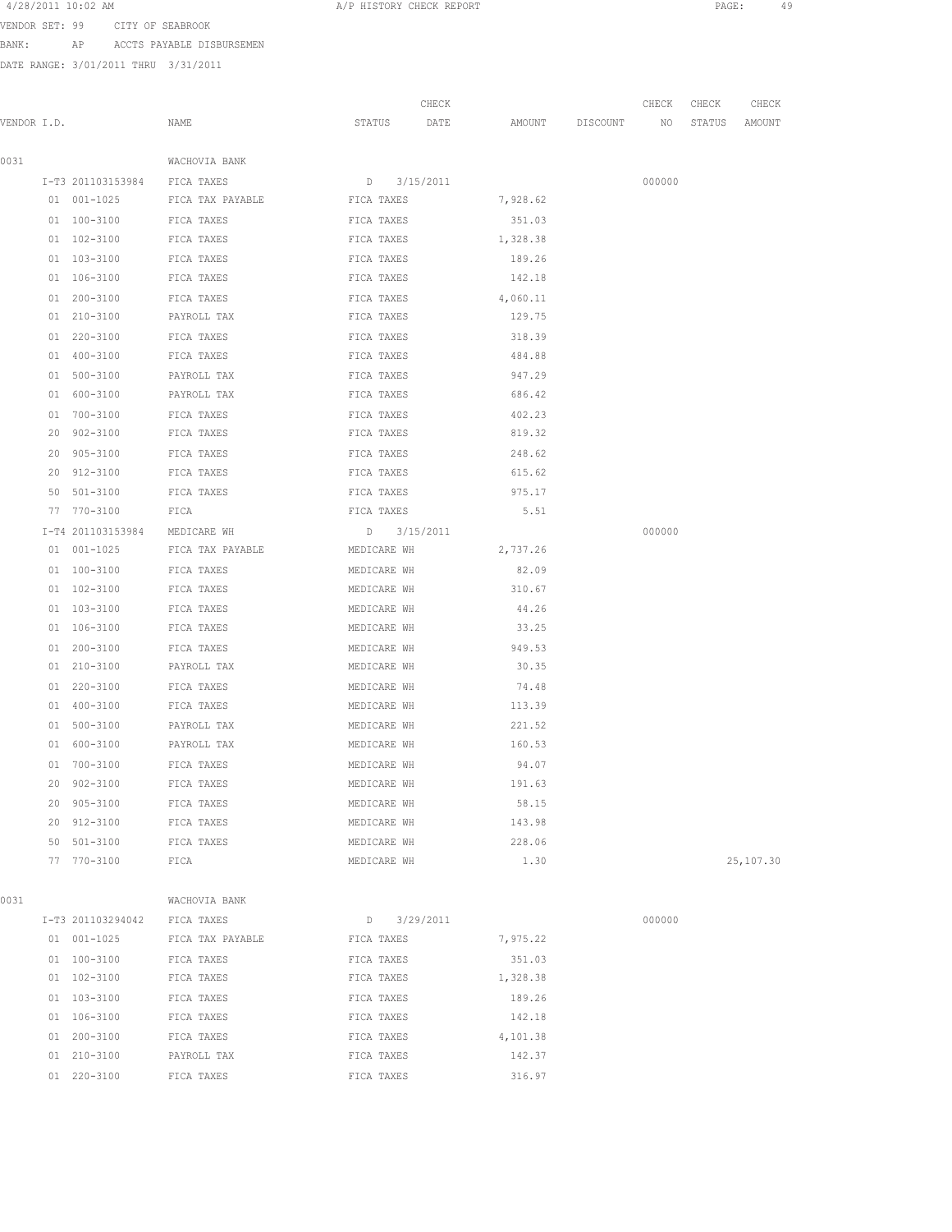| 4/28/2011 10:02 AM |  |  |
|--------------------|--|--|
|--------------------|--|--|

A/P HISTORY CHECK REPORT PAGE: 49

VENDOR SET: 99 CITY OF SEABROOK

BANK: AP ACCTS PAYABLE DISBURSEMEN

|             |    |                              |                  |               | CHECK |          |                    | CHECK  | CHECK  | CHECK     |
|-------------|----|------------------------------|------------------|---------------|-------|----------|--------------------|--------|--------|-----------|
| VENDOR I.D. |    |                              | NAME             | STATUS        | DATE  |          | AMOUNT DISCOUNT NO |        | STATUS | AMOUNT    |
| 0031        |    |                              | WACHOVIA BANK    |               |       |          |                    |        |        |           |
|             |    | I-T3 201103153984 FICA TAXES |                  | D 3/15/2011   |       |          |                    | 000000 |        |           |
|             |    | 01 001-1025                  | FICA TAX PAYABLE | FICA TAXES    |       | 7,928.62 |                    |        |        |           |
|             |    | 01 100-3100                  | FICA TAXES       | FICA TAXES    |       | 351.03   |                    |        |        |           |
|             |    | 01 102-3100                  | FICA TAXES       | FICA TAXES    |       | 1,328.38 |                    |        |        |           |
|             |    | 01 103-3100                  | FICA TAXES       | FICA TAXES    |       | 189.26   |                    |        |        |           |
|             |    | 01 106-3100                  | FICA TAXES       | FICA TAXES    |       | 142.18   |                    |        |        |           |
|             |    | $01 200 - 3100$              | FICA TAXES       | FICA TAXES    |       | 4,060.11 |                    |        |        |           |
|             |    | 01 210-3100                  | PAYROLL TAX      | FICA TAXES    |       | 129.75   |                    |        |        |           |
|             |    | 01 220-3100                  | FICA TAXES       | FICA TAXES    |       | 318.39   |                    |        |        |           |
|             |    | 01 400-3100                  | FICA TAXES       | FICA TAXES    |       | 484.88   |                    |        |        |           |
|             |    | 01 500-3100                  | PAYROLL TAX      | FICA TAXES    |       | 947.29   |                    |        |        |           |
|             |    | 01 600-3100                  | PAYROLL TAX      | FICA TAXES    |       | 686.42   |                    |        |        |           |
|             |    | 01 700-3100                  | FICA TAXES       | FICA TAXES    |       | 402.23   |                    |        |        |           |
|             | 20 | 902-3100                     | FICA TAXES       | FICA TAXES    |       | 819.32   |                    |        |        |           |
|             | 20 | $905 - 3100$                 | FICA TAXES       | FICA TAXES    |       | 248.62   |                    |        |        |           |
|             |    | 20 912-3100                  | FICA TAXES       | FICA TAXES    |       | 615.62   |                    |        |        |           |
|             |    | 50 501-3100                  | FICA TAXES       | FICA TAXES    |       | 975.17   |                    |        |        |           |
|             |    | 77 770-3100                  | FICA             | FICA TAXES    |       | 5.51     |                    |        |        |           |
|             |    | I-T4 201103153984            | MEDICARE WH      | D 3/15/2011   |       |          |                    | 000000 |        |           |
|             |    | 01 001-1025                  | FICA TAX PAYABLE | MEDICARE WH   |       | 2,737.26 |                    |        |        |           |
|             |    | 01 100-3100                  | FICA TAXES       | MEDICARE WH   |       | 82.09    |                    |        |        |           |
|             |    | 01 102-3100                  | FICA TAXES       | MEDICARE WH   |       | 310.67   |                    |        |        |           |
|             |    | 01 103-3100                  | FICA TAXES       | MEDICARE WH   |       | 44.26    |                    |        |        |           |
|             |    | 01 106-3100                  | FICA TAXES       | MEDICARE WH   |       | 33.25    |                    |        |        |           |
|             |    | 01 200-3100                  | FICA TAXES       | MEDICARE WH   |       | 949.53   |                    |        |        |           |
|             |    | 01 210-3100                  | PAYROLL TAX      | MEDICARE WH   |       | 30.35    |                    |        |        |           |
|             |    | 01 220-3100                  | FICA TAXES       | MEDICARE WH   |       | 74.48    |                    |        |        |           |
|             |    | 01 400-3100                  | FICA TAXES       | MEDICARE WH   |       | 113.39   |                    |        |        |           |
|             |    | 01 500-3100                  | PAYROLL TAX      | MEDICARE WH   |       | 221.52   |                    |        |        |           |
|             |    | 01 600-3100                  | PAYROLL TAX      | MEDICARE WH   |       | 160.53   |                    |        |        |           |
|             |    | 01 700-3100                  | FICA TAXES       | MEDICARE WH   |       | 94.07    |                    |        |        |           |
|             |    | 20 902-3100                  | FICA TAXES       | MEDICARE WH   |       | 191.63   |                    |        |        |           |
|             |    | 20 905-3100                  | FICA TAXES       | MEDICARE WH   |       | 58.15    |                    |        |        |           |
|             |    | 20 912-3100                  | FICA TAXES       | MEDICARE WH   |       | 143.98   |                    |        |        |           |
|             |    | 50 501-3100                  | FICA TAXES       | MEDICARE WH   |       | 228.06   |                    |        |        |           |
|             |    | 77 770-3100                  | FICA             | MEDICARE WH   |       | 1.30     |                    |        |        | 25,107.30 |
| 0031        |    |                              | WACHOVIA BANK    |               |       |          |                    |        |        |           |
|             |    | I-T3 201103294042            | FICA TAXES       | $D$ 3/29/2011 |       |          |                    | 000000 |        |           |
|             |    | 01 001-1025                  | FICA TAX PAYABLE | FICA TAXES    |       | 7,975.22 |                    |        |        |           |
|             |    | $01 100 - 3100$              | FICA TAXES       | FICA TAXES    |       | 351.03   |                    |        |        |           |
|             |    | 01 102-3100                  | FICA TAXES       | FICA TAXES    |       | 1,328.38 |                    |        |        |           |
|             |    | 01 103-3100                  | FICA TAXES       | FICA TAXES    |       | 189.26   |                    |        |        |           |
|             |    | 01 106-3100                  | FICA TAXES       | FICA TAXES    |       | 142.18   |                    |        |        |           |
|             |    | 01 200-3100                  | FICA TAXES       | FICA TAXES    |       | 4,101.38 |                    |        |        |           |
|             |    | 01 210-3100                  | PAYROLL TAX      | FICA TAXES    |       | 142.37   |                    |        |        |           |
|             |    | 01 220-3100                  | FICA TAXES       | FICA TAXES    |       | 316.97   |                    |        |        |           |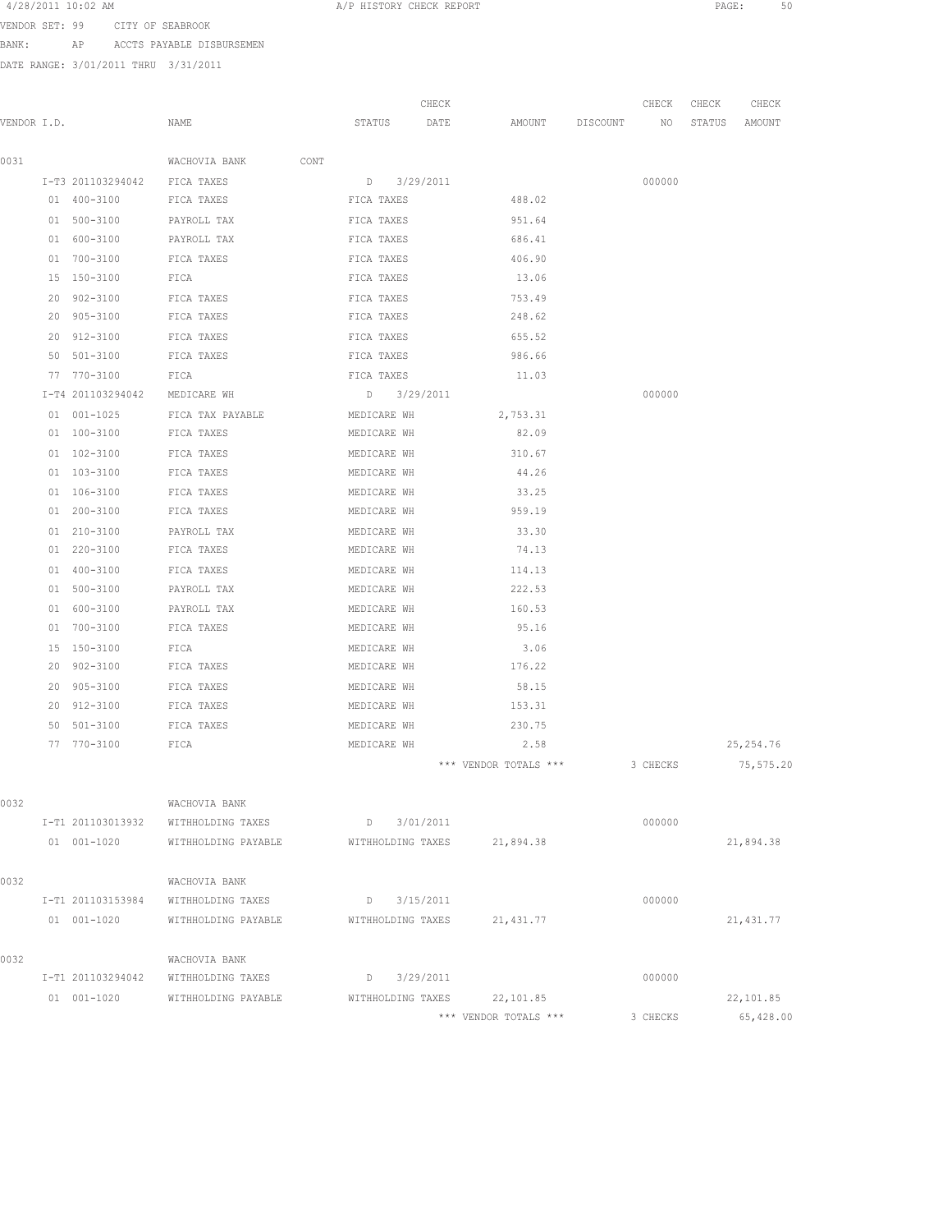4/28/2011 IO:02 AM PAGE: 50

VENDOR SET: 99 CITY OF SEABROOK

BANK: AP ACCTS PAYABLE DISBURSEMEN

|             |    |                   |                       |                   | CHECK         |                       |          | CHECK    | CHECK  | CHECK      |
|-------------|----|-------------------|-----------------------|-------------------|---------------|-----------------------|----------|----------|--------|------------|
| VENDOR I.D. |    |                   | NAME                  | STATUS            | DATE          | AMOUNT                | DISCOUNT | NO       | STATUS | AMOUNT     |
|             |    |                   |                       |                   |               |                       |          |          |        |            |
| 0031        |    |                   | WACHOVIA BANK<br>CONT |                   |               |                       |          |          |        |            |
|             |    | I-T3 201103294042 | FICA TAXES            | D                 | 3/29/2011     |                       |          | 000000   |        |            |
|             |    | 01 400-3100       | FICA TAXES            | FICA TAXES        |               | 488.02                |          |          |        |            |
|             |    | 01 500-3100       | PAYROLL TAX           | FICA TAXES        |               | 951.64                |          |          |        |            |
|             |    | 01 600-3100       | PAYROLL TAX           | FICA TAXES        |               | 686.41                |          |          |        |            |
|             |    | 01 700-3100       | FICA TAXES            | FICA TAXES        |               | 406.90                |          |          |        |            |
|             |    | 15 150-3100       | FICA                  | FICA TAXES        |               | 13.06                 |          |          |        |            |
|             |    | 20 902-3100       | FICA TAXES            | FICA TAXES        |               | 753.49                |          |          |        |            |
|             |    | 20 905-3100       | FICA TAXES            | FICA TAXES        |               | 248.62                |          |          |        |            |
|             |    | 20 912-3100       | FICA TAXES            | FICA TAXES        |               | 655.52                |          |          |        |            |
|             | 50 | 501-3100          | FICA TAXES            | FICA TAXES        |               | 986.66                |          |          |        |            |
|             | 77 | 770-3100          | FICA                  | FICA TAXES        |               | 11.03                 |          |          |        |            |
|             |    | I-T4 201103294042 | MEDICARE WH           |                   | $D$ 3/29/2011 |                       |          | 000000   |        |            |
|             |    | 01 001-1025       | FICA TAX PAYABLE      | MEDICARE WH       |               | 2,753.31              |          |          |        |            |
|             |    | 01 100-3100       | FICA TAXES            | MEDICARE WH       |               | 82.09                 |          |          |        |            |
|             |    | 01 102-3100       | FICA TAXES            | MEDICARE WH       |               | 310.67                |          |          |        |            |
|             |    | 01 103-3100       | FICA TAXES            | MEDICARE WH       |               | 44.26                 |          |          |        |            |
|             |    | 01 106-3100       | FICA TAXES            | MEDICARE WH       |               | 33.25                 |          |          |        |            |
|             |    | 01 200-3100       | FICA TAXES            | MEDICARE WH       |               | 959.19                |          |          |        |            |
|             |    | 01 210-3100       | PAYROLL TAX           | MEDICARE WH       |               | 33.30                 |          |          |        |            |
|             |    | 01 220-3100       | FICA TAXES            | MEDICARE WH       |               | 74.13                 |          |          |        |            |
|             |    | 01 400-3100       | FICA TAXES            | MEDICARE WH       |               | 114.13                |          |          |        |            |
|             |    | 01 500-3100       | PAYROLL TAX           | MEDICARE WH       |               | 222.53                |          |          |        |            |
|             | 01 | 600-3100          | PAYROLL TAX           | MEDICARE WH       |               | 160.53                |          |          |        |            |
|             |    | 01 700-3100       | FICA TAXES            | MEDICARE WH       |               | 95.16                 |          |          |        |            |
|             |    | 15 150-3100       | FICA                  | MEDICARE WH       |               | 3.06                  |          |          |        |            |
|             |    | 20 902-3100       | FICA TAXES            | MEDICARE WH       |               | 176.22                |          |          |        |            |
|             | 20 | $905 - 3100$      | FICA TAXES            | MEDICARE WH       |               | 58.15                 |          |          |        |            |
|             | 20 | 912-3100          | FICA TAXES            | MEDICARE WH       |               | 153.31                |          |          |        |            |
|             | 50 | 501-3100          | FICA TAXES            | MEDICARE WH       |               | 230.75                |          |          |        |            |
|             |    | 77 770-3100       | FICA                  | MEDICARE WH       |               | 2.58                  |          |          |        | 25, 254.76 |
|             |    |                   |                       |                   |               | *** VENDOR TOTALS *** |          | 3 CHECKS |        | 75,575.20  |
|             |    |                   |                       |                   |               |                       |          |          |        |            |
| 0032        |    |                   | WACHOVIA BANK         |                   |               |                       |          |          |        |            |
|             |    | I-T1 201103013932 | WITHHOLDING TAXES     |                   | D 3/01/2011   |                       |          | 000000   |        |            |
|             |    | $01 001 - 1020$   | WITHHOLDING PAYABLE   | WITHHOLDING TAXES |               | 21,894.38             |          |          |        | 21,894.38  |
|             |    |                   |                       |                   |               |                       |          |          |        |            |
| 0032        |    |                   | WACHOVIA BANK         |                   |               |                       |          |          |        |            |
|             |    | I-T1 201103153984 | WITHHOLDING TAXES     | D                 | 3/15/2011     |                       |          | 000000   |        |            |
|             |    | 01 001-1020       | WITHHOLDING PAYABLE   | WITHHOLDING TAXES |               | 21, 431.77            |          |          |        | 21, 431.77 |
|             |    |                   |                       |                   |               |                       |          |          |        |            |
| 0032        |    |                   | WACHOVIA BANK         |                   |               |                       |          |          |        |            |
|             |    | I-T1 201103294042 | WITHHOLDING TAXES     | D                 | 3/29/2011     |                       |          | 000000   |        |            |
|             |    | 01 001-1020       | WITHHOLDING PAYABLE   | WITHHOLDING TAXES |               | 22,101.85             |          |          |        | 22,101.85  |
|             |    |                   |                       |                   |               | *** VENDOR TOTALS *** |          | 3 CHECKS |        | 65,428.00  |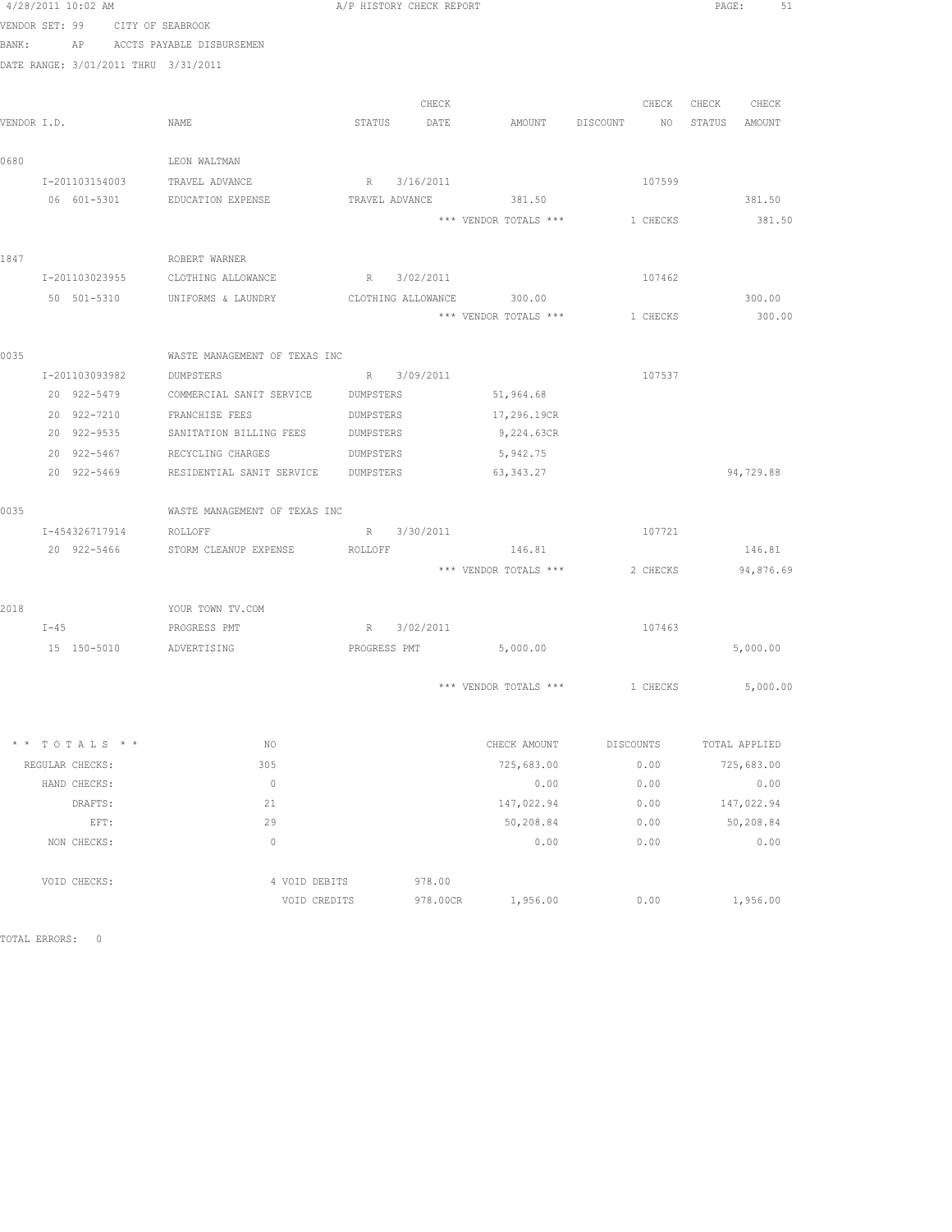| 4/28/2011 10:02 AM                   |                                                          |               | A/P HISTORY CHECK REPORT |             |                                  |           |        |                   | PAGE: 51      |
|--------------------------------------|----------------------------------------------------------|---------------|--------------------------|-------------|----------------------------------|-----------|--------|-------------------|---------------|
| VENDOR SET: 99 CITY OF SEABROOK      |                                                          |               |                          |             |                                  |           |        |                   |               |
| BANK: AP ACCTS PAYABLE DISBURSEMEN   |                                                          |               |                          |             |                                  |           |        |                   |               |
| DATE RANGE: 3/01/2011 THRU 3/31/2011 |                                                          |               |                          |             |                                  |           |        |                   |               |
|                                      |                                                          |               |                          |             |                                  |           |        |                   |               |
|                                      |                                                          |               |                          | CHECK       |                                  |           |        | CHECK CHECK CHECK |               |
| VENDOR I.D.                          | NAME                                                     |               | STATUS DATE              |             | AMOUNT DISCOUNT NO STATUS AMOUNT |           |        |                   |               |
| 0680                                 | LEON WALTMAN                                             |               |                          |             |                                  |           |        |                   |               |
| I-201103154003                       | TRAVEL ADVANCE                                           |               |                          | R 3/16/2011 |                                  |           | 107599 |                   |               |
| 06 601-5301                          | EDUCATION EXPENSE                                        |               | TRAVEL ADVANCE           |             | 381.50                           |           |        |                   | 381.50        |
|                                      |                                                          |               |                          |             | *** VENDOR TOTALS *** 1 CHECKS   |           |        |                   | 381.50        |
| 1847                                 | ROBERT WARNER                                            |               |                          |             |                                  |           |        |                   |               |
| I-201103023955                       | CLOTHING ALLOWANCE                                       |               | R 3/02/2011              |             |                                  | 107462    |        |                   |               |
|                                      |                                                          |               |                          |             |                                  |           |        |                   |               |
|                                      | 50 501-5310 UNIFORMS & LAUNDRY CLOTHING ALLOWANCE 300.00 |               |                          |             |                                  |           |        |                   | 300.00        |
|                                      |                                                          |               |                          |             | *** VENDOR TOTALS *** 1 CHECKS   |           |        |                   | 300.00        |
| 0035                                 | WASTE MANAGEMENT OF TEXAS INC                            |               |                          |             |                                  |           |        |                   |               |
| I-201103093982                       | DUMPSTERS                                                |               |                          | R 3/09/2011 |                                  |           | 107537 |                   |               |
| 20 922-5479                          | COMMERCIAL SANIT SERVICE DUMPSTERS                       |               |                          |             | 51,964.68                        |           |        |                   |               |
| 20 922-7210                          | FRANCHISE FEES                                           |               | DUMPSTERS                |             | 17,296.19CR                      |           |        |                   |               |
| 20 922-9535                          | SANITATION BILLING FEES                                  |               | DUMPSTERS                |             | 9,224.63CR                       |           |        |                   |               |
| 20 922-5467                          | RECYCLING CHARGES                                        |               | DUMPSTERS                |             | 5,942.75                         |           |        |                   |               |
| 20 922-5469                          | RESIDENTIAL SANIT SERVICE DUMPSTERS                      |               |                          |             | 63, 343.27                       |           |        |                   | 94,729.88     |
| 0035                                 | WASTE MANAGEMENT OF TEXAS INC                            |               |                          |             |                                  |           |        |                   |               |
| I-454326717914                       | ROLLOFF                                                  |               |                          | R 3/30/2011 |                                  | 107721    |        |                   |               |
|                                      | 20 922-5466 STORM CLEANUP EXPENSE ROLLOFF                |               |                          |             | 146.81                           |           |        |                   | 146.81        |
|                                      |                                                          |               |                          |             | *** VENDOR TOTALS ***            |           |        | 2 CHECKS          | 94,876.69     |
|                                      |                                                          |               |                          |             |                                  |           |        |                   |               |
| 2018<br>$I-45$                       | YOUR TOWN TV.COM<br>PROGRESS PMT                         |               | R 3/02/2011              |             |                                  | 107463    |        |                   |               |
|                                      | 15 150-5010 ADVERTISING                                  |               | PROGRESS PMT             |             | 5,000.00                         |           |        |                   | 5,000.00      |
|                                      |                                                          |               |                          |             |                                  |           |        |                   |               |
|                                      |                                                          |               |                          |             | *** VENDOR TOTALS *** 1 CHECKS   |           |        |                   | 5,000.00      |
| $* * TOTALS **$                      | NO                                                       |               |                          |             | CHECK AMOUNT                     | DISCOUNTS |        |                   | TOTAL APPLIED |
| REGULAR CHECKS:                      | 305                                                      |               |                          |             | 725,683.00                       | 0.00      |        |                   | 725,683.00    |
| HAND CHECKS:                         | $\circ$                                                  |               |                          |             | 0.00                             | 0.00      |        |                   | 0.00          |
| DRAFTS:                              | 21                                                       |               |                          |             | 147,022.94                       | 0.00      |        |                   | 147,022.94    |
| EFT:                                 | 29                                                       |               |                          |             | 50,208.84                        | 0.00      |        |                   | 50,208.84     |
| NON CHECKS:                          | $\mathbf{0}$                                             |               |                          |             | 0.00                             | 0.00      |        |                   | 0.00          |
|                                      |                                                          |               |                          |             |                                  |           |        |                   |               |
| VOID CHECKS:                         |                                                          | 4 VOID DEBITS |                          | 978.00      |                                  |           |        |                   |               |
|                                      |                                                          | VOID CREDITS  |                          | 978.00CR    | 1,956.00                         | 0.00      |        |                   | 1,956.00      |

TOTAL ERRORS: 0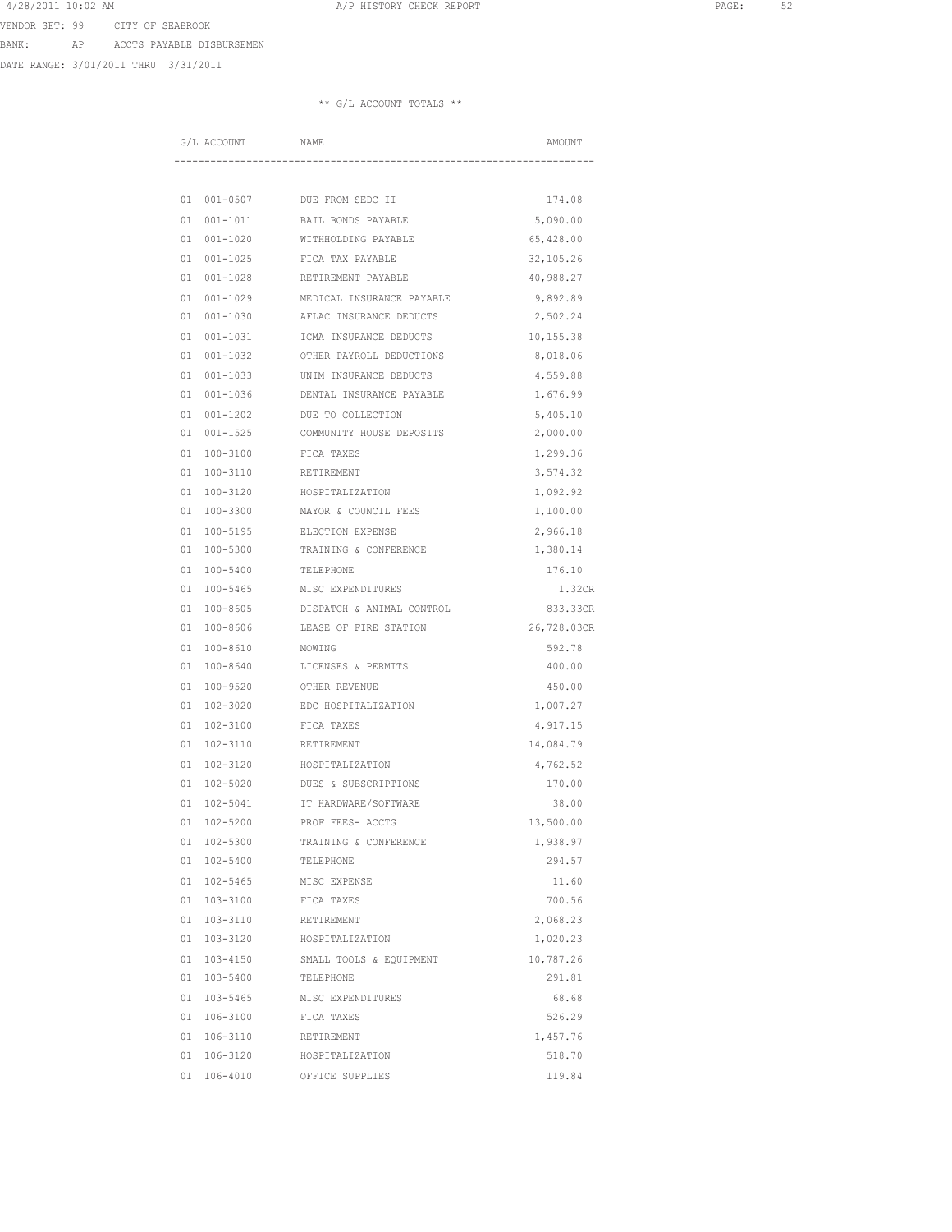4/28/2011 10:02 AM **A**/P HISTORY CHECK REPORT **PAGE:** 52 VENDOR SET: 99 CITY OF SEABROOK

BANK: AP ACCTS PAYABLE DISBURSEMEN

DATE RANGE: 3/01/2011 THRU 3/31/2011

|          | G/L ACCOUNT              | NAME                                               | AMOUNT                  |
|----------|--------------------------|----------------------------------------------------|-------------------------|
|          |                          |                                                    |                         |
|          |                          |                                                    |                         |
| 01       | 001-0507                 | DUE FROM SEDC II                                   | 174.08                  |
| 01       | $001 - 1011$             | BAIL BONDS PAYABLE                                 | 5,090.00                |
| 01       | $001 - 1020$             | WITHHOLDING PAYABLE                                | 65,428.00               |
| 01       | $001 - 1025$             | FICA TAX PAYABLE                                   | 32,105.26               |
| 01       | $001 - 1028$             | RETIREMENT PAYABLE                                 | 40,988.27               |
| 01       | $001 - 1029$             | MEDICAL INSURANCE PAYABLE                          | 9,892.89                |
| 01       | 001-1030                 | AFLAC INSURANCE DEDUCTS                            | 2,502.24                |
| 01       | $001 - 1031$             | ICMA INSURANCE DEDUCTS                             | 10,155.38               |
| 01       | $001 - 1032$             | OTHER PAYROLL DEDUCTIONS                           | 8,018.06                |
| 01       | $001 - 1033$             | UNIM INSURANCE DEDUCTS                             | 4,559.88                |
| 01       | $001 - 1036$             | DENTAL INSURANCE PAYABLE                           | 1,676.99                |
| 01       | $001 - 1202$             | DUE TO COLLECTION                                  | 5,405.10                |
| 01       | $001 - 1525$             | COMMUNITY HOUSE DEPOSITS                           | 2,000.00                |
| 01       | 100-3100                 | FICA TAXES                                         | 1,299.36                |
| 01       | $100 - 3110$             | RETIREMENT                                         | 3,574.32                |
| 01       | 100-3120                 | HOSPITALIZATION                                    | 1,092.92                |
| 01       | 100-3300                 | MAYOR & COUNCIL FEES                               | 1,100.00                |
| 01       | $100 - 5195$             | ELECTION EXPENSE                                   | 2,966.18                |
| 01       | 100-5300                 | TRAINING & CONFERENCE                              | 1,380.14                |
| 01       | $100 - 5400$             | TELEPHONE                                          | 176.10                  |
| 01       | $100 - 5465$             | MISC EXPENDITURES                                  | 1.32CR                  |
| 01<br>01 | $100 - 8605$<br>100-8606 | DISPATCH & ANIMAL CONTROL<br>LEASE OF FIRE STATION | 833.33CR<br>26,728.03CR |
|          | $100 - 8610$             |                                                    |                         |
| 01<br>01 | $100 - 8640$             | MOWING<br>LICENSES & PERMITS                       | 592.78<br>400.00        |
| 01       |                          |                                                    |                         |
| 01       | 100-9520<br>$102 - 3020$ | OTHER REVENUE<br>EDC HOSPITALIZATION               | 450.00<br>1,007.27      |
| 01       | 102-3100                 | FICA TAXES                                         | 4,917.15                |
| 01       | 102-3110                 | RETIREMENT                                         | 14,084.79               |
| 01       | $102 - 3120$             | HOSPITALIZATION                                    | 4,762.52                |
| 01       | 102-5020                 | DUES & SUBSCRIPTIONS                               | 170.00                  |
| 01       | 102-5041                 | IT HARDWARE/SOFTWARE                               | 38.00                   |
| 01       | $102 - 5200$             | PROF FEES- ACCTG                                   | 13,500.00               |
| 01       | 102-5300                 | TRAINING & CONFERENCE                              | 1,938.97                |
| 01       | $102 - 5400$             | TELEPHONE                                          | 294.57                  |
| 01       | $102 - 5465$             | MISC EXPENSE                                       | 11.60                   |
| 01       | $103 - 3100$             | FICA TAXES                                         | 700.56                  |
| 01       | 103-3110                 | RETIREMENT                                         | 2,068.23                |
| 01       | 103-3120                 | HOSPITALIZATION                                    | 1,020.23                |
| 01       | $103 - 4150$             | SMALL TOOLS & EQUIPMENT                            | 10,787.26               |
| 01       | 103-5400                 | TELEPHONE                                          | 291.81                  |
|          | 01 103-5465              | MISC EXPENDITURES                                  | 68.68                   |
|          | 01 106-3100              | FICA TAXES                                         | 526.29                  |
|          | 01 106-3110              | RETIREMENT                                         | 1,457.76                |
|          | 01 106-3120              | HOSPITALIZATION                                    | 518.70                  |
| 01       | 106-4010                 | OFFICE SUPPLIES                                    | 119.84                  |
|          |                          |                                                    |                         |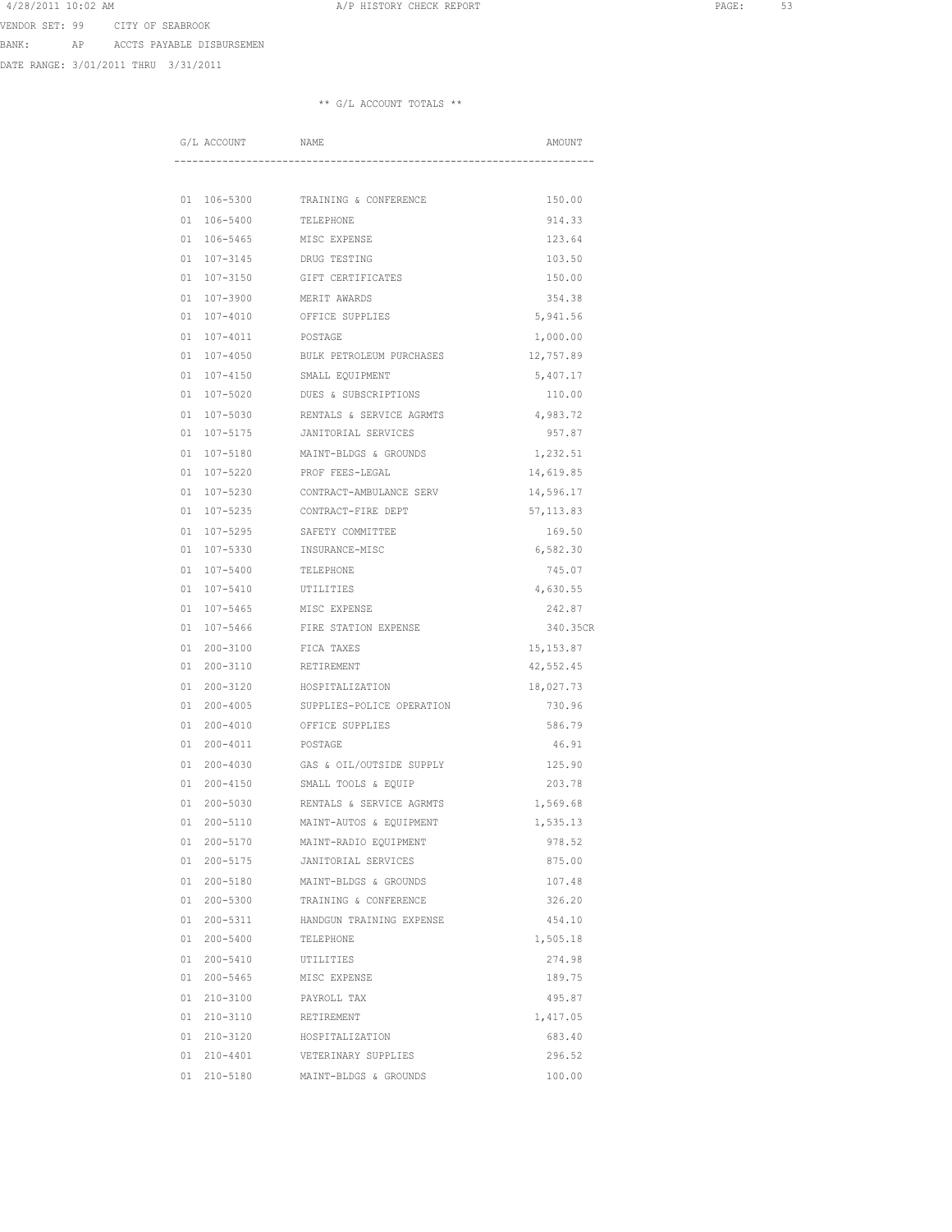4/28/2011 10:02 AM **A**/P HISTORY CHECK REPORT **PAGE:** 53 VENDOR SET: 99 CITY OF SEABROOK

BANK: AP ACCTS PAYABLE DISBURSEMEN

DATE RANGE: 3/01/2011 THRU 3/31/2011

|          | G/L ACCOUNT              | NAME                                           | AMOUNT           |
|----------|--------------------------|------------------------------------------------|------------------|
|          |                          |                                                |                  |
| 01       | 106-5300                 | TRAINING & CONFERENCE                          | 150.00           |
| 01       | 106-5400                 | TELEPHONE                                      | 914.33           |
| 01       | 106-5465                 | MISC EXPENSE                                   | 123.64           |
| 01       | 107-3145                 | DRUG TESTING                                   | 103.50           |
| 01       | 107-3150                 | GIFT CERTIFICATES                              | 150.00           |
| 01       | 107-3900                 | MERIT AWARDS                                   | 354.38           |
| 01       | 107-4010                 | OFFICE SUPPLIES                                | 5,941.56         |
| 01       | 107-4011                 | POSTAGE                                        | 1,000.00         |
| 01       | 107-4050                 | BULK PETROLEUM PURCHASES                       | 12,757.89        |
| 01       | 107-4150                 | SMALL EQUIPMENT                                | 5,407.17         |
| 01       | 107-5020                 | DUES & SUBSCRIPTIONS                           | 110.00           |
| 01       | 107-5030                 | RENTALS & SERVICE AGRMTS                       | 4,983.72         |
| 01       | 107-5175                 | JANITORIAL SERVICES                            | 957.87           |
| 01       | 107-5180                 | MAINT-BLDGS & GROUNDS                          | 1,232.51         |
| 01       | 107-5220                 | PROF FEES-LEGAL                                | 14,619.85        |
| 01       | $107 - 5230$             | CONTRACT-AMBULANCE SERV                        | 14,596.17        |
| 01       | 107-5235                 | CONTRACT-FIRE DEPT                             | 57, 113.83       |
| 01       | $107 - 5295$             | SAFETY COMMITTEE                               | 169.50           |
| 01       | 107-5330                 | INSURANCE-MISC                                 | 6,582.30         |
| 01       | 107-5400                 | TELEPHONE                                      | 745.07           |
| 01       | 107-5410                 | UTILITIES                                      | 4,630.55         |
| 01       | $107 - 5465$             | MISC EXPENSE                                   | 242.87           |
| 01       | 107-5466                 | FIRE STATION EXPENSE                           | 340.35CR         |
| 01       | $200 - 3100$             | FICA TAXES                                     | 15, 153.87       |
| 01       | 200-3110                 | RETIREMENT                                     | 42,552.45        |
| 01       | 200-3120                 | HOSPITALIZATION                                | 18,027.73        |
| 01       | $200 - 4005$             | SUPPLIES-POLICE OPERATION                      | 730.96           |
| 01       | $200 - 4010$             | OFFICE SUPPLIES                                | 586.79           |
| 01       | 200-4011                 | POSTAGE                                        | 46.91            |
| 01       | $200 - 4030$             | GAS & OIL/OUTSIDE SUPPLY                       | 125.90           |
| 01       | $200 - 4150$             | SMALL TOOLS & EQUIP                            | 203.78           |
| 01       | $200 - 5030$             | RENTALS & SERVICE AGRMTS                       | 1,569.68         |
| 01       | $200 - 5110$             | MAINT-AUTOS & EQUIPMENT                        | 1,535.13         |
| 01       | 200-5170<br>200-5175     | MAINT-RADIO EQUIPMENT<br>JANITORIAL SERVICES   | 978.52<br>875.00 |
| 01       |                          |                                                |                  |
| 01<br>01 | 200-5180<br>$200 - 5300$ | MAINT-BLDGS & GROUNDS<br>TRAINING & CONFERENCE | 107.48<br>326.20 |
| 01       | 200-5311                 | HANDGUN TRAINING EXPENSE                       | 454.10           |
| 01       | $200 - 5400$             | TELEPHONE                                      | 1,505.18         |
| 01       | 200-5410                 | UTILITIES                                      | 274.98           |
| 01       | 200-5465                 | MISC EXPENSE                                   | 189.75           |
| 01       | 210-3100                 | PAYROLL TAX                                    | 495.87           |
| 01       | 210-3110                 | RETIREMENT                                     | 1,417.05         |
|          | 01 210-3120              | HOSPITALIZATION                                | 683.40           |
|          | 01 210-4401              | VETERINARY SUPPLIES                            | 296.52           |
| 01       | 210-5180                 | MAINT-BLDGS & GROUNDS                          | 100.00           |
|          |                          |                                                |                  |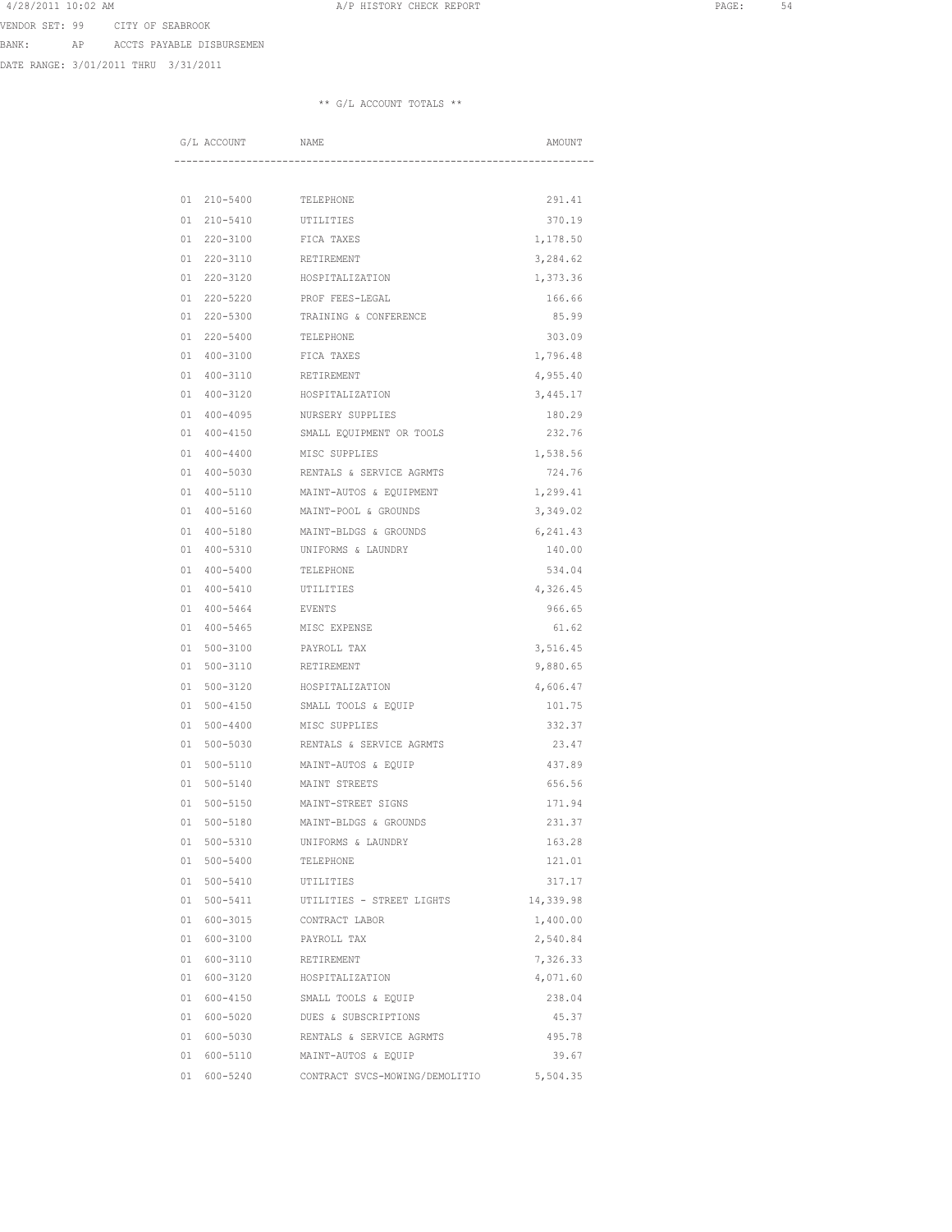4/28/2011 10:02 AM **A**/P HISTORY CHECK REPORT **PAGE:** 54 VENDOR SET: 99 CITY OF SEABROOK

BANK: AP ACCTS PAYABLE DISBURSEMEN

DATE RANGE: 3/01/2011 THRU 3/31/2011

| G/L ACCOUNT |                              | NAME                           | AMOUNT             |
|-------------|------------------------------|--------------------------------|--------------------|
|             |                              |                                |                    |
|             |                              |                                |                    |
| 01          | 210-5400                     | TELEPHONE                      | 291.41             |
| 01          | $210 - 5410$                 | UTILITIES                      | 370.19             |
| 01          | $220 - 3100$                 | FICA TAXES                     | 1,178.50           |
| 01<br>01    | $220 - 3110$                 | RETIREMENT<br>HOSPITALIZATION  | 3,284.62           |
|             | 220-3120                     |                                | 1,373.36           |
| 01<br>01    | $220 - 5220$                 | PROF FEES-LEGAL                | 166.66             |
|             | $220 - 5300$                 | TRAINING & CONFERENCE          | 85.99              |
| 01<br>01    | $220 - 5400$<br>$400 - 3100$ | TELEPHONE<br>FICA TAXES        | 303.09<br>1,796.48 |
| 01          | $400 - 3110$                 | RETIREMENT                     | 4,955.40           |
| 01          | 400-3120                     | HOSPITALIZATION                | 3,445.17           |
| 01          | $400 - 4095$                 | NURSERY SUPPLIES               | 180.29             |
| 01          | $400 - 4150$                 | SMALL EQUIPMENT OR TOOLS       | 232.76             |
| 01          | $400 - 4400$                 | MISC SUPPLIES                  | 1,538.56           |
| 01          | $400 - 5030$                 | RENTALS & SERVICE AGRMTS       | 724.76             |
| 01          | $400 - 5110$                 | MAINT-AUTOS & EOUIPMENT        | 1,299.41           |
| 01          | $400 - 5160$                 | MAINT-POOL & GROUNDS           | 3,349.02           |
| 01          | $400 - 5180$                 | MAINT-BLDGS & GROUNDS          | 6,241.43           |
| 01          | $400 - 5310$                 | UNIFORMS & LAUNDRY             | 140.00             |
| 01          | $400 - 5400$                 | TELEPHONE                      | 534.04             |
| 01          | $400 - 5410$                 | UTILITIES                      | 4,326.45           |
| 01          | $400 - 5464$                 | <b>EVENTS</b>                  | 966.65             |
| 01          | $400 - 5465$                 | MISC EXPENSE                   | 61.62              |
| 01          | $500 - 3100$                 | PAYROLL TAX                    | 3,516.45           |
| 01          | 500-3110                     | RETIREMENT                     | 9,880.65           |
| 01          | $500 - 3120$                 | HOSPITALIZATION                | 4,606.47           |
| 01          | $500 - 4150$                 | SMALL TOOLS & EQUIP            | 101.75             |
| 01          | $500 - 4400$                 | MISC SUPPLIES                  | 332.37             |
| 01          | $500 - 5030$                 | RENTALS & SERVICE AGRMTS       | 23.47              |
| 01          | $500 - 5110$                 | MAINT-AUTOS & EQUIP            | 437.89             |
| 01          | $500 - 5140$                 | MAINT STREETS                  | 656.56             |
| 01          | $500 - 5150$                 | MAINT-STREET SIGNS             | 171.94             |
| 01          | $500 - 5180$                 | MAINT-BLDGS & GROUNDS          | 231.37             |
| 01          | 500-5310                     | UNIFORMS & LAUNDRY             | 163.28             |
|             | 01 500-5400                  | TELEPHONE                      | 121.01             |
| 01          | 500-5410                     | UTILITIES                      | 317.17             |
| 01          | 500-5411                     | UTILITIES - STREET LIGHTS      | 14,339.98          |
| 01          | 600-3015                     | CONTRACT LABOR                 | 1,400.00           |
| 01          | 600-3100                     | PAYROLL TAX                    | 2,540.84           |
| 01          | 600-3110                     | RETIREMENT                     | 7,326.33           |
| 01          | 600-3120                     | HOSPITALIZATION                | 4,071.60           |
|             | 01 600-4150                  | SMALL TOOLS & EQUIP            | 238.04             |
|             | 01 600-5020                  | DUES & SUBSCRIPTIONS           | 45.37              |
|             | 01 600-5030                  | RENTALS & SERVICE AGRMTS       | 495.78             |
|             | 01 600-5110                  | MAINT-AUTOS & EQUIP            | 39.67              |
|             | 01 600-5240                  | CONTRACT SVCS-MOWING/DEMOLITIO | 5,504.35           |
|             |                              |                                |                    |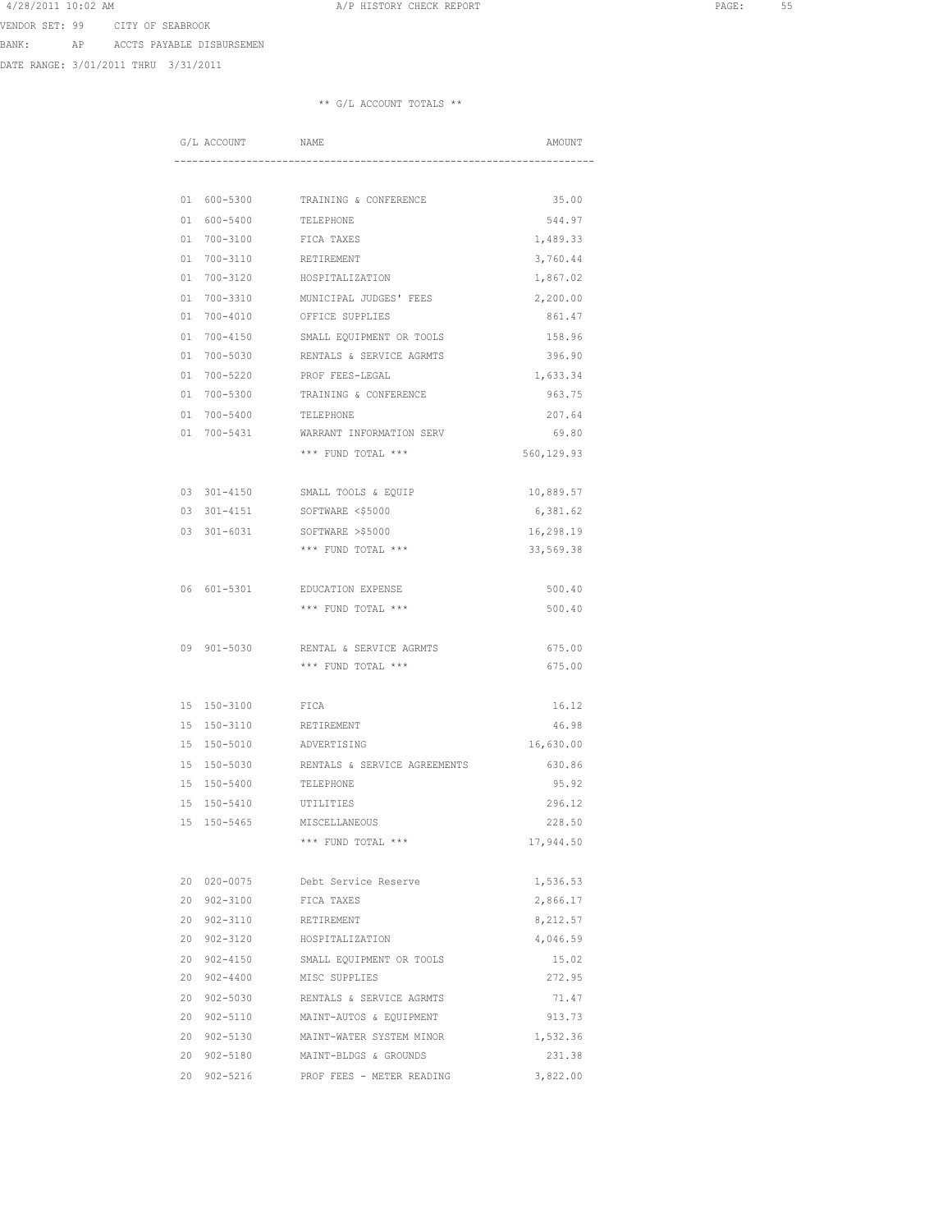4/28/2011 10:02 AM **A**/P HISTORY CHECK REPORT **PAGE:** 55<br>
HISTORY CHECK REPORT VENDOR SET: 99 CITY OF SEABROOK

BANK: AP ACCTS PAYABLE DISBURSEMEN

DATE RANGE: 3/01/2011 THRU 3/31/2011

|    | G/L ACCOUNT  | NAME                                 | AMOUNT     |
|----|--------------|--------------------------------------|------------|
|    |              |                                      |            |
|    | 01 600-5300  | TRAINING & CONFERENCE                | 35.00      |
| 01 | 600-5400     | TELEPHONE                            | 544.97     |
| 01 | 700-3100     | FICA TAXES                           | 1,489.33   |
| 01 | 700-3110     | RETIREMENT                           | 3,760.44   |
| 01 | 700-3120     | HOSPITALIZATION                      | 1,867.02   |
| 01 | $700 - 3310$ | MUNICIPAL JUDGES' FEES               | 2,200.00   |
| 01 | $700 - 4010$ | OFFICE SUPPLIES                      | 861.47     |
| 01 | $700 - 4150$ | SMALL EQUIPMENT OR TOOLS             | 158.96     |
| 01 | $700 - 5030$ | RENTALS & SERVICE AGRMTS             | 396.90     |
| 01 | 700-5220     | PROF FEES-LEGAL                      | 1,633.34   |
| 01 | 700-5300     | TRAINING & CONFERENCE                | 963.75     |
| 01 | $700 - 5400$ | TELEPHONE                            | 207.64     |
| 01 | 700-5431     | WARRANT INFORMATION SERV             | 69.80      |
|    |              | *** FUND TOTAL ***                   | 560,129.93 |
|    |              |                                      |            |
| 03 | 301-4150     | SMALL TOOLS & EQUIP                  | 10,889.57  |
| 03 | $301 - 4151$ | SOFTWARE <\$5000                     | 6,381.62   |
| 03 | 301-6031     | SOFTWARE >\$5000                     | 16,298.19  |
|    |              | *** FUND TOTAL ***                   | 33,569.38  |
|    |              |                                      |            |
| 06 | 601-5301     | EDUCATION EXPENSE                    | 500.40     |
|    |              | *** FUND TOTAL ***                   | 500.40     |
|    |              |                                      |            |
| 09 | 901-5030     | RENTAL & SERVICE AGRMTS              | 675.00     |
|    |              | *** FUND TOTAL ***                   | 675.00     |
|    |              |                                      |            |
| 15 | 150-3100     | FICA                                 | 16.12      |
| 15 | 150-3110     | RETIREMENT                           | 46.98      |
| 15 | 150-5010     | ADVERTISING                          | 16,630.00  |
| 15 | 150-5030     | RENTALS & SERVICE AGREEMENTS         | 630.86     |
| 15 | 150-5400     | TELEPHONE                            | 95.92      |
| 15 | 150-5410     | UTILITIES                            | 296.12     |
| 15 | 150-5465     | MISCELLANEOUS                        | 228.50     |
|    |              | *** FUND TOTAL ***                   | 17,944.50  |
|    |              |                                      |            |
|    | 20 020-0075  | Debt Service Reserve                 | 1,536.53   |
|    | 20 902-3100  | FICA TAXES                           | 2,866.17   |
|    | 20 902-3110  | RETIREMENT                           | 8,212.57   |
| 20 | 902-3120     | HOSPITALIZATION                      | 4,046.59   |
|    | 20 902-4150  | SMALL EQUIPMENT OR TOOLS             | 15.02      |
| 20 | $902 - 4400$ | MISC SUPPLIES                        | 272.95     |
|    |              | 20 902-5030 RENTALS & SERVICE AGRMTS | 71.47      |
|    |              | 20 902-5110 MAINT-AUTOS & EQUIPMENT  | 913.73     |
|    |              | 20 902-5130 MAINT-WATER SYSTEM MINOR | 1,532.36   |
|    | 20 902-5180  | MAINT-BLDGS & GROUNDS                | 231.38     |
|    | 20 902-5216  | PROF FEES - METER READING            | 3,822.00   |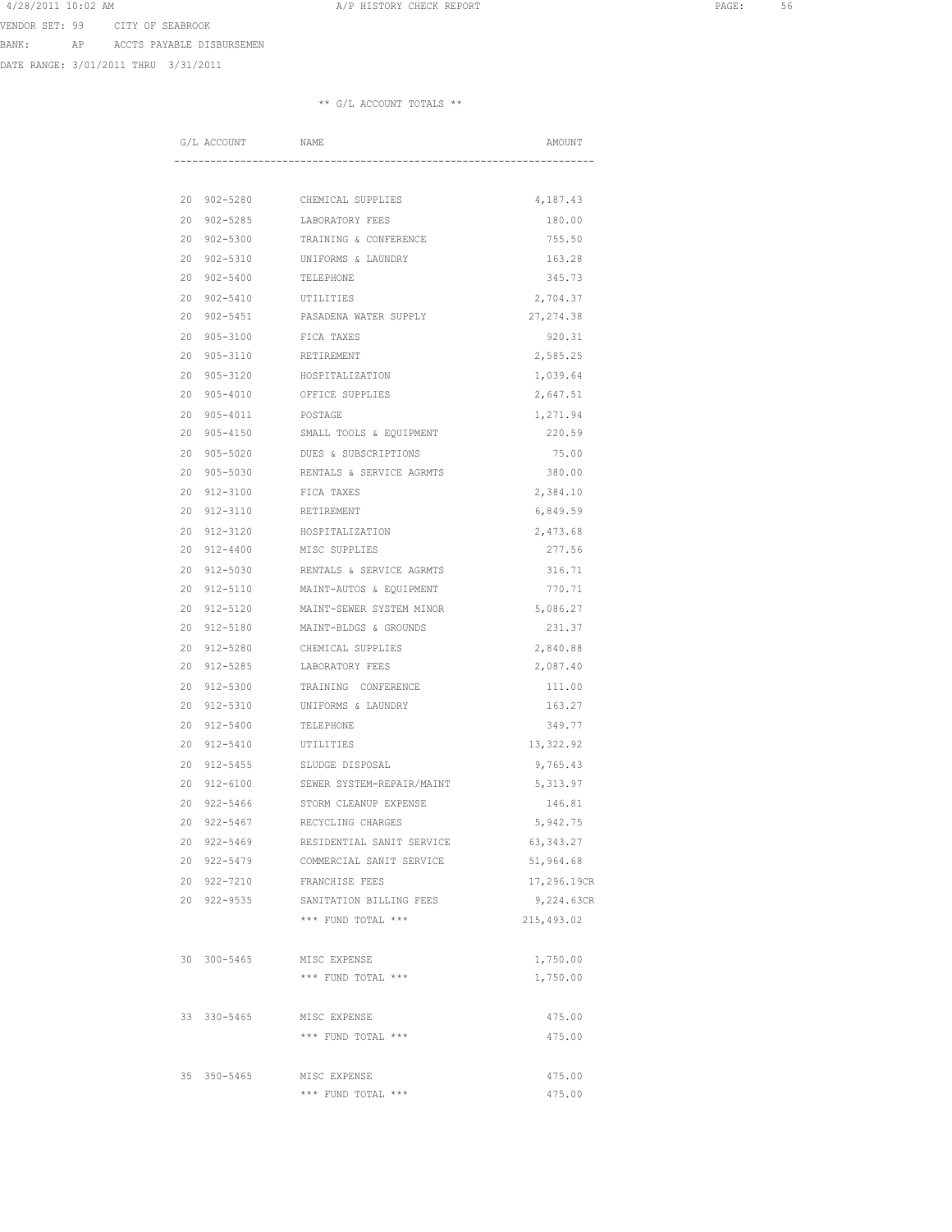4/28/2011 10:02 AM **A**/P HISTORY CHECK REPORT **PAGE:** 56 VENDOR SET: 99 CITY OF SEABROOK

BANK: AP ACCTS PAYABLE DISBURSEMEN

DATE RANGE: 3/01/2011 THRU 3/31/2011

|    | G/L ACCOUNT                | NAME                                                  | AMOUNT                    |
|----|----------------------------|-------------------------------------------------------|---------------------------|
|    |                            |                                                       |                           |
| 20 | $902 - 5280$               | CHEMICAL SUPPLIES                                     | 4,187.43                  |
| 20 | $902 - 5285$               | LABORATORY FEES                                       | 180.00                    |
| 20 | $902 - 5300$               | TRAINING & CONFERENCE                                 | 755.50                    |
| 20 | $902 - 5310$               | UNIFORMS & LAUNDRY                                    | 163.28                    |
| 20 | $902 - 5400$               | TELEPHONE                                             | 345.73                    |
| 20 | $902 - 5410$               | UTILITIES                                             | 2,704.37                  |
| 20 | $902 - 5451$               | PASADENA WATER SUPPLY                                 | 27, 274.38                |
| 20 | $905 - 3100$               | FICA TAXES                                            | 920.31                    |
| 20 | $905 - 3110$               | RETIREMENT                                            | 2,585.25                  |
| 20 | $905 - 3120$               | HOSPITALIZATION                                       | 1,039.64                  |
| 20 | 905-4010                   | OFFICE SUPPLIES                                       | 2,647.51                  |
| 20 | 905-4011                   | POSTAGE                                               | 1,271.94                  |
| 20 | $905 - 4150$               | SMALL TOOLS & EQUIPMENT                               | 220.59                    |
| 20 | $905 - 5020$               | DUES & SUBSCRIPTIONS                                  | 75.00                     |
| 20 | $905 - 5030$               | RENTALS & SERVICE AGRMTS                              | 380.00                    |
| 20 | $912 - 3100$               | FICA TAXES                                            | 2,384.10                  |
| 20 | 912-3110                   | RETIREMENT                                            | 6,849.59                  |
| 20 | 912-3120                   | HOSPITALIZATION                                       | 2,473.68                  |
| 20 | $912 - 4400$               | MISC SUPPLIES                                         | 277.56                    |
| 20 | 912-5030                   | RENTALS & SERVICE AGRMTS                              | 316.71                    |
| 20 | 912-5110                   | MAINT-AUTOS & EQUIPMENT                               | 770.71                    |
| 20 | 912-5120                   | MAINT-SEWER SYSTEM MINOR                              | 5,086.27                  |
| 20 | 912-5180                   | MAINT-BLDGS & GROUNDS                                 | 231.37                    |
| 20 | 912-5280                   | CHEMICAL SUPPLIES                                     | 2,840.88                  |
| 20 | $912 - 5285$               | LABORATORY FEES                                       | 2,087.40                  |
| 20 | 912-5300                   | TRAINING CONFERENCE                                   | 111.00                    |
| 20 | 912-5310                   | UNIFORMS & LAUNDRY                                    | 163.27                    |
| 20 | 912-5400                   | TELEPHONE                                             | 349.77                    |
| 20 | 912-5410                   | UTILITIES                                             | 13,322.92                 |
| 20 | $912 - 5455$               | SLUDGE DISPOSAL                                       | 9,765.43                  |
| 20 | $912 - 6100$               | SEWER SYSTEM-REPAIR/MAINT                             | 5,313.97                  |
| 20 | $922 - 5466$               | STORM CLEANUP EXPENSE                                 | 146.81                    |
| 20 | $922 - 5467$               | RECYCLING CHARGES                                     | 5,942.75                  |
|    | 20 922-5469<br>20 922-5479 | RESIDENTIAL SANIT SERVICE<br>COMMERCIAL SANIT SERVICE | 63, 343.27<br>51,964.68   |
|    |                            |                                                       |                           |
|    | 20 922-7210<br>20 922-9535 | FRANCHISE FEES<br>SANITATION BILLING FEES             | 17,296.19CR<br>9,224.63CR |
|    |                            | *** FUND TOTAL ***                                    | 215,493.02                |
|    |                            |                                                       |                           |
|    | 30 300-5465                | MISC EXPENSE                                          | 1,750.00                  |
|    |                            | *** FUND TOTAL ***                                    | 1,750.00                  |
|    | 33 330-5465                | MISC EXPENSE                                          | 475.00                    |
|    |                            | *** FUND TOTAL ***                                    | 475.00                    |
|    |                            |                                                       |                           |
|    | 35 350-5465                | MISC EXPENSE                                          | 475.00                    |
|    |                            | *** FUND TOTAL ***                                    | 475.00                    |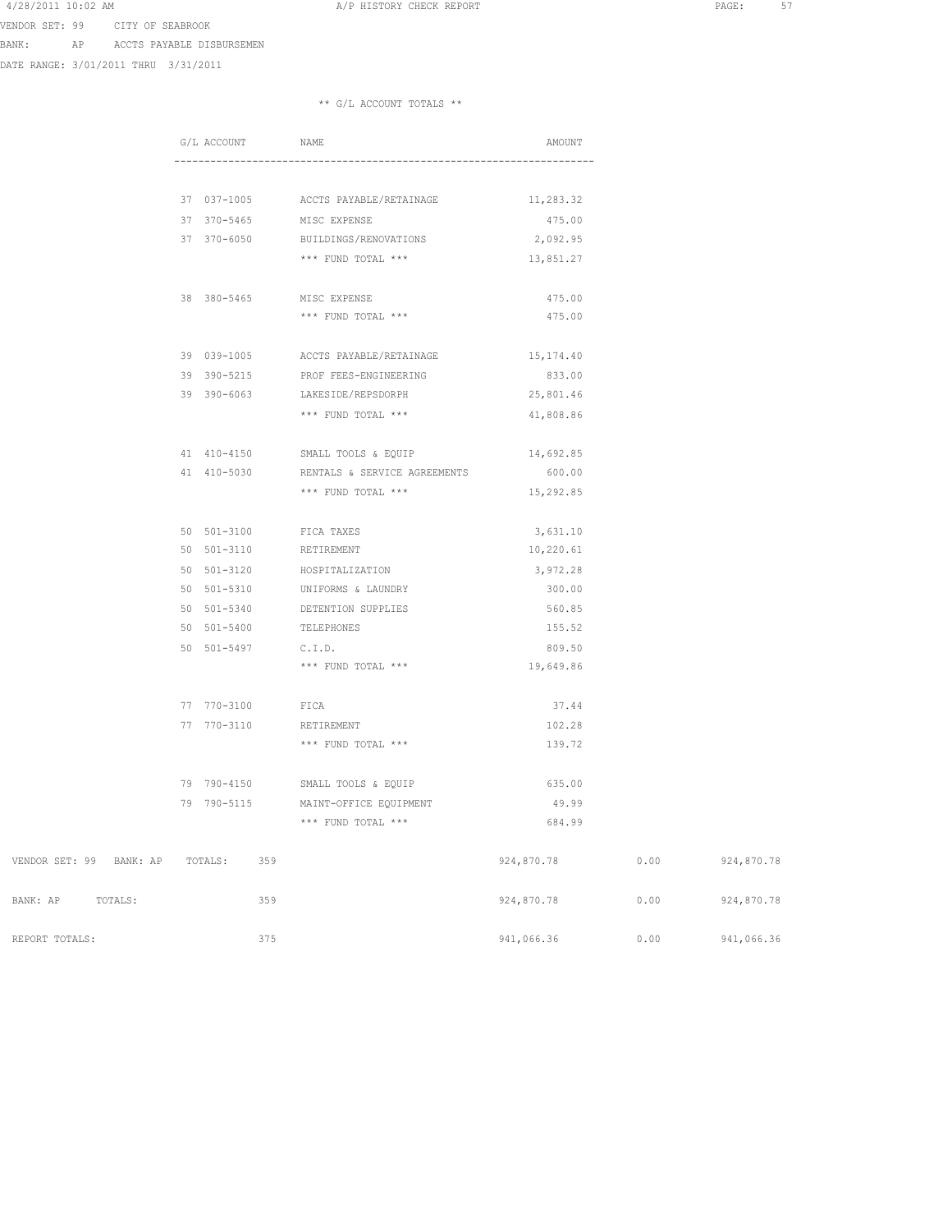A/P HISTORY CHECK REPORT AND REPORT PAGE: 57

VENDOR SET: 99 CITY OF SEABROOK

BANK: AP ACCTS PAYABLE DISBURSEMEN

DATE RANGE: 3/01/2011 THRU 3/31/2011

|                                     | G/L ACCOUNT      |     | NAME                                | AMOUNT     |      |            |
|-------------------------------------|------------------|-----|-------------------------------------|------------|------|------------|
|                                     |                  |     |                                     |            |      |            |
|                                     | 37 037-1005      |     | ACCTS PAYABLE/RETAINAGE             | 11,283.32  |      |            |
|                                     | 37 370-5465      |     | MISC EXPENSE                        | 475.00     |      |            |
|                                     | 37 370-6050      |     | BUILDINGS/RENOVATIONS               | 2,092.95   |      |            |
|                                     |                  |     | *** FUND TOTAL ***                  | 13,851.27  |      |            |
|                                     | 38 380-5465      |     | MISC EXPENSE                        | 475.00     |      |            |
|                                     |                  |     | *** FUND TOTAL ***                  | 475.00     |      |            |
|                                     |                  |     | 39 039-1005 ACCTS PAYABLE/RETAINAGE | 15,174.40  |      |            |
|                                     | 39 390-5215      |     | PROF FEES-ENGINEERING               | 833.00     |      |            |
|                                     | 39 390-6063      |     | LAKESIDE/REPSDORPH                  | 25,801.46  |      |            |
|                                     |                  |     | *** FUND TOTAL ***                  | 41,808.86  |      |            |
|                                     |                  |     | 41 410-4150 SMALL TOOLS & EQUIP     | 14,692.85  |      |            |
|                                     | 41 410-5030      |     | RENTALS & SERVICE AGREEMENTS        | 600.00     |      |            |
|                                     |                  |     | *** FUND TOTAL ***                  | 15,292.85  |      |            |
|                                     | 50 501-3100      |     | FICA TAXES                          | 3,631.10   |      |            |
|                                     | 50 501-3110      |     | RETIREMENT                          | 10,220.61  |      |            |
|                                     | 50 501-3120      |     | HOSPITALIZATION                     | 3,972.28   |      |            |
|                                     | 50 501-5310      |     | UNIFORMS & LAUNDRY                  | 300.00     |      |            |
|                                     | 50 501-5340      |     | DETENTION SUPPLIES                  | 560.85     |      |            |
|                                     | 50 501-5400      |     | TELEPHONES                          | 155.52     |      |            |
|                                     | 50 501-5497      |     | C.I.D.                              | 809.50     |      |            |
|                                     |                  |     | *** FUND TOTAL ***                  | 19,649.86  |      |            |
|                                     | 77 770-3100 FICA |     |                                     | 37.44      |      |            |
|                                     | 77 770-3110      |     | RETIREMENT                          | 102.28     |      |            |
|                                     |                  |     | *** FUND TOTAL ***                  | 139.72     |      |            |
|                                     | 79 790-4150      |     | SMALL TOOLS & EQUIP                 | 635.00     |      |            |
|                                     | 79 790-5115      |     | MAINT-OFFICE EQUIPMENT              | 49.99      |      |            |
|                                     |                  |     | *** FUND TOTAL ***                  | 684.99     |      |            |
| VENDOR SET: 99 BANK: AP TOTALS: 359 |                  |     |                                     | 924,870.78 | 0.00 | 924,870.78 |
| BANK: AP TOTALS:                    |                  | 359 |                                     | 924,870.78 | 0.00 | 924,870.78 |
| REPORT TOTALS:                      |                  | 375 |                                     | 941,066.36 | 0.00 | 941,066.36 |